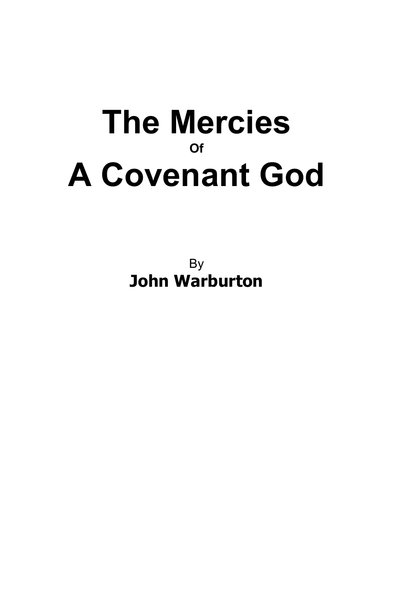# **The Mercies Of A Covenant God**

By **John Warburton**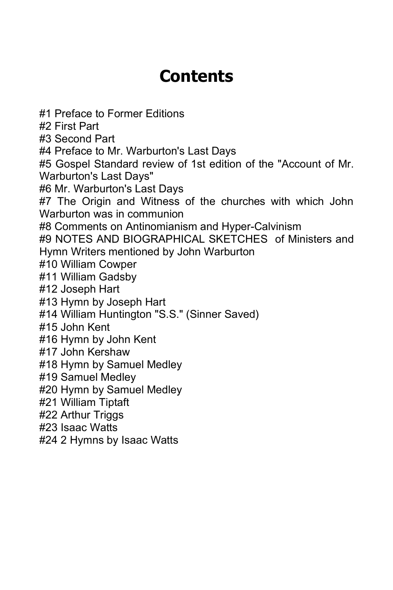## **Contents**

#1 Preface to Former Editions #2 First Part #3 Second Part #4 Preface to Mr. Warburton's Last Days #5 Gospel Standard review of 1st edition of the "Account of Mr. Warburton's Last Days" #6 Mr. Warburton's Last Days #7 The Origin and Witness of the churches with which John Warburton was in communion #8 Comments on Antinomianism and Hyper-Calvinism #9 NOTES AND BIOGRAPHICAL SKETCHES of Ministers and Hymn Writers mentioned by John Warburton #10 William Cowper #11 William Gadsby #12 Joseph Hart #13 Hymn by Joseph Hart #14 William Huntington "S.S." (Sinner Saved) #15 John Kent #16 Hymn by John Kent #17 John Kershaw #18 Hymn by Samuel Medley #19 Samuel Medley #20 Hymn by Samuel Medley #21 William Tiptaft #22 Arthur Triggs #23 Isaac Watts #24 2 Hymns by Isaac Watts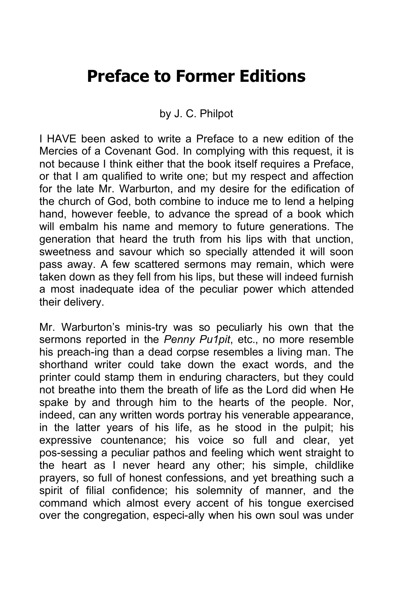#### **Preface to Former Editions**

#### by J. C. Philpot

I HAVE been asked to write a Preface to a new edition of the Mercies of a Covenant God. In complying with this request, it is not because I think either that the book itself requires a Preface, or that I am qualified to write one; but my respect and affection for the late Mr. Warburton, and my desire for the edification of the church of God, both combine to induce me to lend a helping hand, however feeble, to advance the spread of a book which will embalm his name and memory to future generations. The generation that heard the truth from his lips with that unction, sweetness and savour which so specially attended it will soon pass away. A few scattered sermons may remain, which were taken down as they fell from his lips, but these will indeed furnish a most inadequate idea of the peculiar power which attended their delivery.

Mr. Warburton's minis-try was so peculiarly his own that the sermons reported in the *Penny Pu1pit*, etc., no more resemble his preach-ing than a dead corpse resembles a living man. The shorthand writer could take down the exact words, and the printer could stamp them in enduring characters, but they could not breathe into them the breath of life as the Lord did when He spake by and through him to the hearts of the people. Nor, indeed, can any written words portray his venerable appearance, in the latter years of his life, as he stood in the pulpit; his expressive countenance; his voice so full and clear, yet pos-sessing a peculiar pathos and feeling which went straight to the heart as I never heard any other; his simple, childlike prayers, so full of honest confessions, and yet breathing such a spirit of filial confidence; his solemnity of manner, and the command which almost every accent of his tongue exercised over the congregation, especi-ally when his own soul was under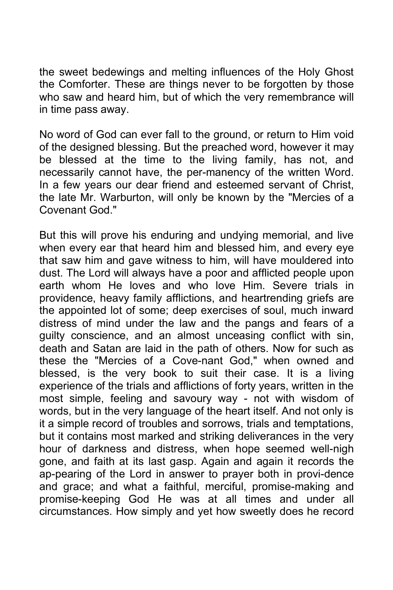the sweet bedewings and melting influences of the Holy Ghost the Comforter. These are things never to be forgotten by those who saw and heard him, but of which the very remembrance will in time pass away.

No word of God can ever fall to the ground, or return to Him void of the designed blessing. But the preached word, however it may be blessed at the time to the living family, has not, and necessarily cannot have, the per-manency of the written Word. In a few years our dear friend and esteemed servant of Christ, the late Mr. Warburton, will only be known by the "Mercies of a Covenant God."

But this will prove his enduring and undying memorial, and live when every ear that heard him and blessed him, and every eye that saw him and gave witness to him, will have mouldered into dust. The Lord will always have a poor and afflicted people upon earth whom He loves and who love Him. Severe trials in providence, heavy family afflictions, and heartrending griefs are the appointed lot of some; deep exercises of soul, much inward distress of mind under the law and the pangs and fears of a guilty conscience, and an almost unceasing conflict with sin, death and Satan are laid in the path of others. Now for such as these the "Mercies of a Cove-nant God," when owned and blessed, is the very book to suit their case. It is a living experience of the trials and afflictions of forty years, written in the most simple, feeling and savoury way - not with wisdom of words, but in the very language of the heart itself. And not only is it a simple record of troubles and sorrows, trials and temptations, but it contains most marked and striking deliverances in the very hour of darkness and distress, when hope seemed well-nigh gone, and faith at its last gasp. Again and again it records the ap-pearing of the Lord in answer to prayer both in provi-dence and grace; and what a faithful, merciful, promise-making and promise-keeping God He was at all times and under all circumstances. How simply and yet how sweetly does he record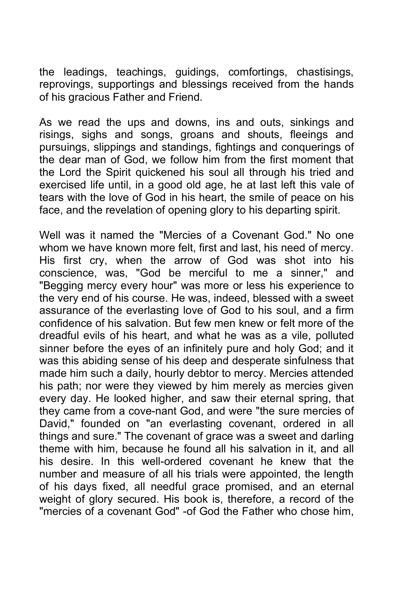the leadings, teachings, guidings, comfortings, chastisings, reprovings, supportings and blessings received from the hands of his gracious Father and Friend.

As we read the ups and downs, ins and outs, sinkings and risings, sighs and songs, groans and shouts, fleeings and pursuings, slippings and standings, fightings and conquerings of the dear man of God, we follow him from the first moment that the Lord the Spirit quickened his soul all through his tried and exercised life until, in a good old age, he at last left this vale of tears with the love of God in his heart, the smile of peace on his face, and the revelation of opening glory to his departing spirit.

Well was it named the "Mercies of a Covenant God." No one whom we have known more felt, first and last, his need of mercy. His first cry, when the arrow of God was shot into his conscience, was, "God be merciful to me a sinner," and "Begging mercy every hour" was more or less his experience to the very end of his course. He was, indeed, blessed with a sweet assurance of the everlasting love of God to his soul, and a firm confidence of his salvation. But few men knew or felt more of the dreadful evils of his heart, and what he was as a vile, polluted sinner before the eyes of an infinitely pure and holy God; and it was this abiding sense of his deep and desperate sinfulness that made him such a daily, hourly debtor to mercy. Mercies attended his path; nor were they viewed by him merely as mercies given every day. He looked higher, and saw their eternal spring, that they came from a cove-nant God, and were "the sure mercies of David," founded on "an everlasting covenant, ordered in all things and sure." The covenant of grace was a sweet and darling theme with him, because he found all his salvation in it, and all his desire. In this well-ordered covenant he knew that the number and measure of all his trials were appointed, the length of his days fixed, all needful grace promised, and an eternal weight of glory secured. His book is, therefore, a record of the "mercies of a covenant God" -of God the Father who chose him,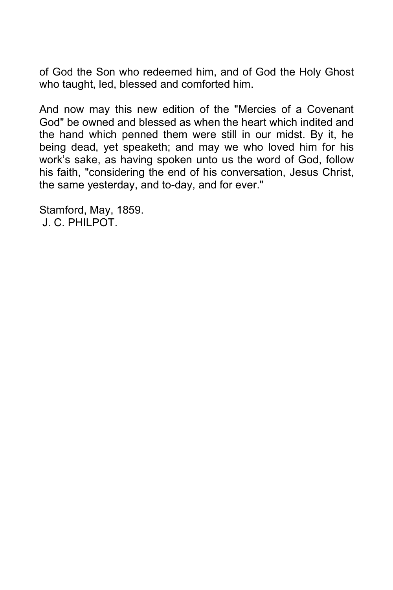of God the Son who redeemed him, and of God the Holy Ghost who taught, led, blessed and comforted him.

And now may this new edition of the "Mercies of a Covenant God" be owned and blessed as when the heart which indited and the hand which penned them were still in our midst. By it, he being dead, yet speaketh; and may we who loved him for his work's sake, as having spoken unto us the word of God, follow his faith, "considering the end of his conversation, Jesus Christ, the same yesterday, and to-day, and for ever."

Stamford, May, 1859. J. C. PHILPOT.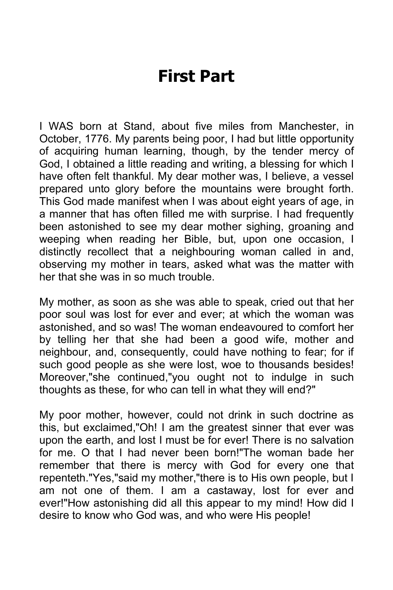### **First Part**

I WAS born at Stand, about five miles from Manchester, in October, 1776. My parents being poor, I had but little opportunity of acquiring human learning, though, by the tender mercy of God, I obtained a little reading and writing, a blessing for which I have often felt thankful. My dear mother was, I believe, a vessel prepared unto glory before the mountains were brought forth. This God made manifest when I was about eight years of age, in a manner that has often filled me with surprise. I had frequently been astonished to see my dear mother sighing, groaning and weeping when reading her Bible, but, upon one occasion, I distinctly recollect that a neighbouring woman called in and, observing my mother in tears, asked what was the matter with her that she was in so much trouble.

My mother, as soon as she was able to speak, cried out that her poor soul was lost for ever and ever; at which the woman was astonished, and so was! The woman endeavoured to comfort her by telling her that she had been a good wife, mother and neighbour, and, consequently, could have nothing to fear; for if such good people as she were lost, woe to thousands besides! Moreover,"she continued,"you ought not to indulge in such thoughts as these, for who can tell in what they will end?"

My poor mother, however, could not drink in such doctrine as this, but exclaimed,"Oh! I am the greatest sinner that ever was upon the earth, and lost I must be for ever! There is no salvation for me. O that I had never been born!"The woman bade her remember that there is mercy with God for every one that repenteth."Yes,"said my mother,"there is to His own people, but I am not one of them. I am a castaway, lost for ever and ever!"How astonishing did all this appear to my mind! How did I desire to know who God was, and who were His people!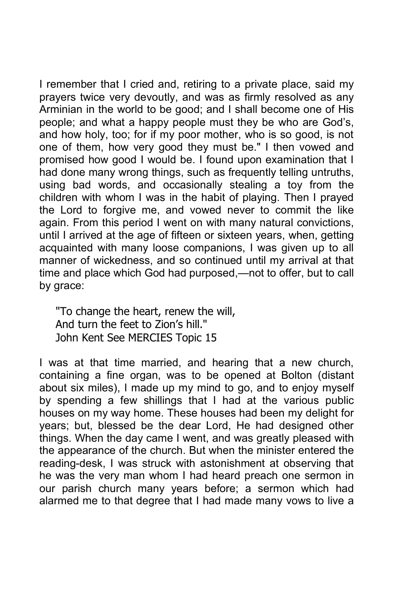I remember that I cried and, retiring to a private place, said my prayers twice very devoutly, and was as firmly resolved as any Arminian in the world to be good; and I shall become one of His people; and what a happy people must they be who are God's, and how holy, too; for if my poor mother, who is so good, is not one of them, how very good they must be." I then vowed and promised how good I would be. I found upon examination that I had done many wrong things, such as frequently telling untruths, using bad words, and occasionally stealing a toy from the children with whom I was in the habit of playing. Then I prayed the Lord to forgive me, and vowed never to commit the like again. From this period I went on with many natural convictions, until I arrived at the age of fifteen or sixteen years, when, getting acquainted with many loose companions, I was given up to all manner of wickedness, and so continued until my arrival at that time and place which God had purposed,—not to offer, but to call by grace:

"To change the heart, renew the will, And turn the feet to Zion's hill." John Kent See MERCIES Topic 15

I was at that time married, and hearing that a new church, containing a fine organ, was to be opened at Bolton (distant about six miles), I made up my mind to go, and to enjoy myself by spending a few shillings that I had at the various public houses on my way home. These houses had been my delight for years; but, blessed be the dear Lord, He had designed other things. When the day came I went, and was greatly pleased with the appearance of the church. But when the minister entered the reading-desk, I was struck with astonishment at observing that he was the very man whom I had heard preach one sermon in our parish church many years before; a sermon which had alarmed me to that degree that I had made many vows to live a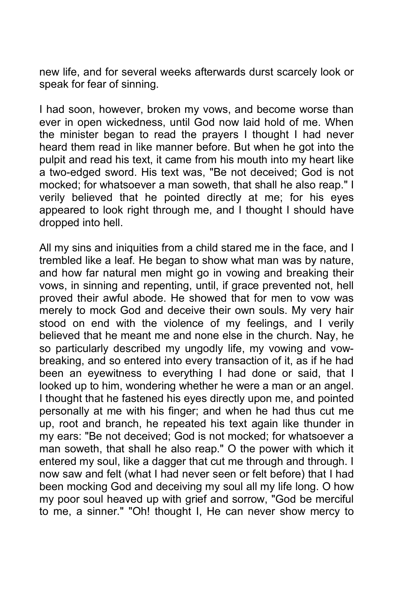new life, and for several weeks afterwards durst scarcely look or speak for fear of sinning.

I had soon, however, broken my vows, and become worse than ever in open wickedness, until God now laid hold of me. When the minister began to read the prayers I thought I had never heard them read in like manner before. But when he got into the pulpit and read his text, it came from his mouth into my heart like a two-edged sword. His text was, "Be not deceived; God is not mocked; for whatsoever a man soweth, that shall he also reap." I verily believed that he pointed directly at me; for his eyes appeared to look right through me, and I thought I should have dropped into hell.

All my sins and iniquities from a child stared me in the face, and I trembled like a leaf. He began to show what man was by nature, and how far natural men might go in vowing and breaking their vows, in sinning and repenting, until, if grace prevented not, hell proved their awful abode. He showed that for men to vow was merely to mock God and deceive their own souls. My very hair stood on end with the violence of my feelings, and I verily believed that he meant me and none else in the church. Nay, he so particularly described my ungodly life, my vowing and vowbreaking, and so entered into every transaction of it, as if he had been an eyewitness to everything I had done or said, that I looked up to him, wondering whether he were a man or an angel. I thought that he fastened his eyes directly upon me, and pointed personally at me with his finger; and when he had thus cut me up, root and branch, he repeated his text again like thunder in my ears: "Be not deceived; God is not mocked; for whatsoever a man soweth, that shall he also reap." O the power with which it entered my soul, like a dagger that cut me through and through. I now saw and felt (what I had never seen or felt before) that I had been mocking God and deceiving my soul all my life long. O how my poor soul heaved up with grief and sorrow, "God be merciful to me, a sinner." "Oh! thought I, He can never show mercy to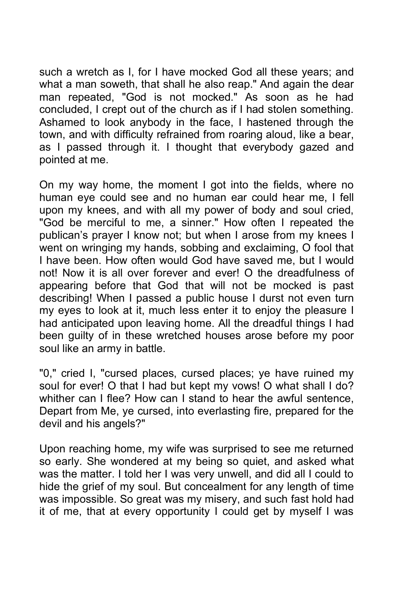such a wretch as I, for I have mocked God all these years; and what a man soweth, that shall he also reap." And again the dear man repeated, "God is not mocked." As soon as he had concluded, I crept out of the church as if I had stolen something. Ashamed to look anybody in the face, I hastened through the town, and with difficulty refrained from roaring aloud, like a bear, as I passed through it. I thought that everybody gazed and pointed at me.

On my way home, the moment I got into the fields, where no human eye could see and no human ear could hear me, I fell upon my knees, and with all my power of body and soul cried, "God be merciful to me, a sinner." How often I repeated the publican's prayer I know not; but when I arose from my knees I went on wringing my hands, sobbing and exclaiming, O fool that I have been. How often would God have saved me, but I would not! Now it is all over forever and ever! O the dreadfulness of appearing before that God that will not be mocked is past describing! When I passed a public house I durst not even turn my eyes to look at it, much less enter it to enjoy the pleasure I had anticipated upon leaving home. All the dreadful things I had been guilty of in these wretched houses arose before my poor soul like an army in battle.

"0," cried I, "cursed places, cursed places; ye have ruined my soul for ever! O that I had but kept my vows! O what shall I do? whither can I flee? How can I stand to hear the awful sentence, Depart from Me, ye cursed, into everlasting fire, prepared for the devil and his angels?"

Upon reaching home, my wife was surprised to see me returned so early. She wondered at my being so quiet, and asked what was the matter. I told her I was very unwell, and did all I could to hide the grief of my soul. But concealment for any length of time was impossible. So great was my misery, and such fast hold had it of me, that at every opportunity I could get by myself I was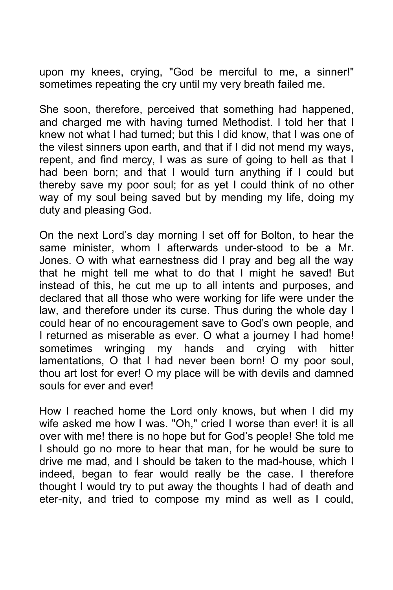upon my knees, crying, "God be merciful to me, a sinner!" sometimes repeating the cry until my very breath failed me.

She soon, therefore, perceived that something had happened, and charged me with having turned Methodist. I told her that I knew not what I had turned; but this I did know, that I was one of the vilest sinners upon earth, and that if I did not mend my ways, repent, and find mercy, I was as sure of going to hell as that I had been born; and that I would turn anything if I could but thereby save my poor soul; for as yet I could think of no other way of my soul being saved but by mending my life, doing my duty and pleasing God.

On the next Lord's day morning I set off for Bolton, to hear the same minister, whom I afterwards under-stood to be a Mr. Jones. O with what earnestness did I pray and beg all the way that he might tell me what to do that I might he saved! But instead of this, he cut me up to all intents and purposes, and declared that all those who were working for life were under the law, and therefore under its curse. Thus during the whole day I could hear of no encouragement save to God's own people, and I returned as miserable as ever. O what a journey I had home! sometimes wringing my hands and crying with hitter lamentations, O that I had never been born! O my poor soul, thou art lost for ever! O my place will be with devils and damned souls for ever and ever!

How I reached home the Lord only knows, but when I did my wife asked me how I was. "Oh," cried I worse than ever! it is all over with me! there is no hope but for God's people! She told me I should go no more to hear that man, for he would be sure to drive me mad, and I should be taken to the mad-house, which I indeed, began to fear would really be the case. I therefore thought I would try to put away the thoughts I had of death and eter-nity, and tried to compose my mind as well as I could,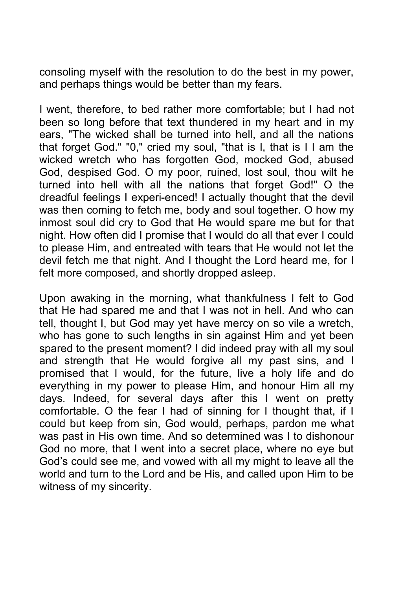consoling myself with the resolution to do the best in my power, and perhaps things would be better than my fears.

I went, therefore, to bed rather more comfortable; but I had not been so long before that text thundered in my heart and in my ears, "The wicked shall be turned into hell, and all the nations that forget God." "0," cried my soul, "that is I, that is I I am the wicked wretch who has forgotten God, mocked God, abused God, despised God. O my poor, ruined, lost soul, thou wilt he turned into hell with all the nations that forget God!" O the dreadful feelings I experi-enced! I actually thought that the devil was then coming to fetch me, body and soul together. O how my inmost soul did cry to God that He would spare me but for that night. How often did I promise that I would do all that ever I could to please Him, and entreated with tears that He would not let the devil fetch me that night. And I thought the Lord heard me, for I felt more composed, and shortly dropped asleep.

Upon awaking in the morning, what thankfulness I felt to God that He had spared me and that I was not in hell. And who can tell, thought I, but God may yet have mercy on so vile a wretch, who has gone to such lengths in sin against Him and yet been spared to the present moment? I did indeed pray with all my soul and strength that He would forgive all my past sins, and I promised that I would, for the future, live a holy life and do everything in my power to please Him, and honour Him all my days. Indeed, for several days after this I went on pretty comfortable. O the fear I had of sinning for I thought that, if I could but keep from sin, God would, perhaps, pardon me what was past in His own time. And so determined was I to dishonour God no more, that I went into a secret place, where no eye but God's could see me, and vowed with all my might to leave all the world and turn to the Lord and be His, and called upon Him to be witness of my sincerity.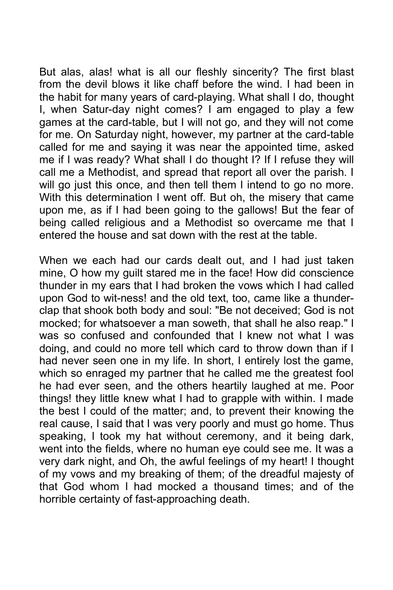But alas, alas! what is all our fleshly sincerity? The first blast from the devil blows it like chaff before the wind. I had been in the habit for many years of card-playing. What shall I do, thought I, when Satur-day night comes? I am engaged to play a few games at the card-table, but I will not go, and they will not come for me. On Saturday night, however, my partner at the card-table called for me and saying it was near the appointed time, asked me if I was ready? What shall I do thought I? If I refuse they will call me a Methodist, and spread that report all over the parish. I will go just this once, and then tell them I intend to go no more. With this determination I went off. But oh, the misery that came upon me, as if I had been going to the gallows! But the fear of being called religious and a Methodist so overcame me that I entered the house and sat down with the rest at the table.

When we each had our cards dealt out, and I had just taken mine, O how my guilt stared me in the face! How did conscience thunder in my ears that I had broken the vows which I had called upon God to wit-ness! and the old text, too, came like a thunderclap that shook both body and soul: "Be not deceived; God is not mocked; for whatsoever a man soweth, that shall he also reap." I was so confused and confounded that I knew not what I was doing, and could no more tell which card to throw down than if I had never seen one in my life. In short, I entirely lost the game, which so enraged my partner that he called me the greatest fool he had ever seen, and the others heartily laughed at me. Poor things! they little knew what I had to grapple with within. I made the best I could of the matter; and, to prevent their knowing the real cause, I said that I was very poorly and must go home. Thus speaking, I took my hat without ceremony, and it being dark, went into the fields, where no human eye could see me. It was a very dark night, and Oh, the awful feelings of my heart! I thought of my vows and my breaking of them; of the dreadful majesty of that God whom I had mocked a thousand times; and of the horrible certainty of fast-approaching death.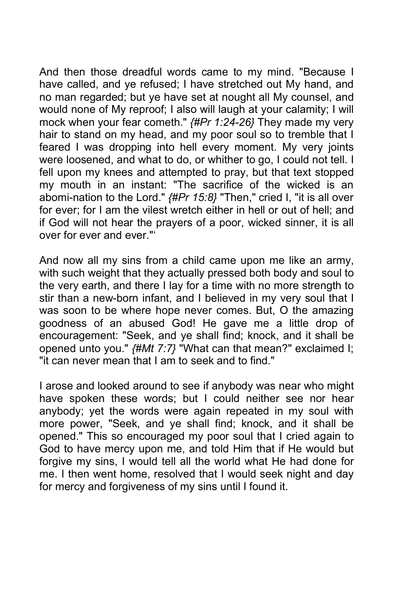And then those dreadful words came to my mind. "Because I have called, and ye refused; I have stretched out My hand, and no man regarded; but ye have set at nought all My counsel, and would none of My reproof; I also will laugh at your calamity; I will mock when your fear cometh." *{#Pr 1:24-26}* They made my very hair to stand on my head, and my poor soul so to tremble that I feared I was dropping into hell every moment. My very joints were loosened, and what to do, or whither to go, I could not tell. I fell upon my knees and attempted to pray, but that text stopped my mouth in an instant: "The sacrifice of the wicked is an abomi-nation to the Lord." *{#Pr 15:8}* "Then," cried I, "it is all over for ever; for I am the vilest wretch either in hell or out of hell; and if God will not hear the prayers of a poor, wicked sinner, it is all over for ever and ever."'

And now all my sins from a child came upon me like an army, with such weight that they actually pressed both body and soul to the very earth, and there I lay for a time with no more strength to stir than a new-born infant, and I believed in my very soul that I was soon to be where hope never comes. But, O the amazing goodness of an abused God! He gave me a little drop of encouragement: "Seek, and ye shall find; knock, and it shall be opened unto you." *{#Mt 7:7}* "What can that mean?" exclaimed I; "it can never mean that I am to seek and to find."

I arose and looked around to see if anybody was near who might have spoken these words; but I could neither see nor hear anybody; yet the words were again repeated in my soul with more power, "Seek, and ye shall find; knock, and it shall be opened." This so encouraged my poor soul that I cried again to God to have mercy upon me, and told Him that if He would but forgive my sins, I would tell all the world what He had done for me. I then went home, resolved that I would seek night and day for mercy and forgiveness of my sins until I found it.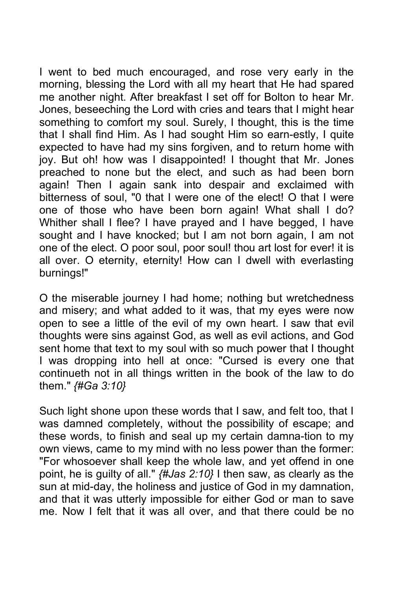I went to bed much encouraged, and rose very early in the morning, blessing the Lord with all my heart that He had spared me another night. After breakfast I set off for Bolton to hear Mr. Jones, beseeching the Lord with cries and tears that I might hear something to comfort my soul. Surely, I thought, this is the time that I shall find Him. As I had sought Him so earn-estly, I quite expected to have had my sins forgiven, and to return home with joy. But oh! how was I disappointed! I thought that Mr. Jones preached to none but the elect, and such as had been born again! Then I again sank into despair and exclaimed with bitterness of soul, "0 that I were one of the elect! O that I were one of those who have been born again! What shall I do? Whither shall I flee? I have prayed and I have begged, I have sought and I have knocked; but I am not born again, I am not one of the elect. O poor soul, poor soul! thou art lost for ever! it is all over. O eternity, eternity! How can I dwell with everlasting burnings!"

O the miserable journey I had home; nothing but wretchedness and misery; and what added to it was, that my eyes were now open to see a little of the evil of my own heart. I saw that evil thoughts were sins against God, as well as evil actions, and God sent home that text to my soul with so much power that I thought I was dropping into hell at once: "Cursed is every one that continueth not in all things written in the book of the law to do them." *{#Ga 3:10}*

Such light shone upon these words that I saw, and felt too, that I was damned completely, without the possibility of escape; and these words, to finish and seal up my certain damna-tion to my own views, came to my mind with no less power than the former: "For whosoever shall keep the whole law, and yet offend in one point, he is guilty of all." *{#Jas 2:10}* I then saw, as clearly as the sun at mid-day, the holiness and justice of God in my damnation, and that it was utterly impossible for either God or man to save me. Now I felt that it was all over, and that there could be no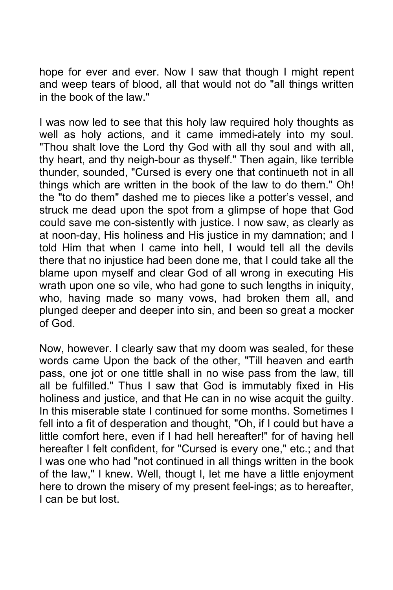hope for ever and ever. Now I saw that though I might repent and weep tears of blood, all that would not do "all things written in the book of the law."

I was now led to see that this holy law required holy thoughts as well as holy actions, and it came immedi-ately into my soul. "Thou shalt love the Lord thy God with all thy soul and with all, thy heart, and thy neigh-bour as thyself." Then again, like terrible thunder, sounded, "Cursed is every one that continueth not in all things which are written in the book of the law to do them." Oh! the "to do them" dashed me to pieces like a potter's vessel, and struck me dead upon the spot from a glimpse of hope that God could save me con-sistently with justice. I now saw, as clearly as at noon-day, His holiness and His justice in my damnation; and I told Him that when I came into hell, I would tell all the devils there that no injustice had been done me, that I could take all the blame upon myself and clear God of all wrong in executing His wrath upon one so vile, who had gone to such lengths in iniquity, who, having made so many vows, had broken them all, and plunged deeper and deeper into sin, and been so great a mocker of God.

Now, however. I clearly saw that my doom was sealed, for these words came Upon the back of the other, "Till heaven and earth pass, one jot or one tittle shall in no wise pass from the law, till all be fulfilled." Thus I saw that God is immutably fixed in His holiness and justice, and that He can in no wise acquit the guilty. In this miserable state I continued for some months. Sometimes I fell into a fit of desperation and thought, "Oh, if I could but have a little comfort here, even if I had hell hereafter!" for of having hell hereafter I felt confident, for "Cursed is every one," etc.; and that I was one who had "not continued in all things written in the book of the law," I knew. Well, thougt I, let me have a little enjoyment here to drown the misery of my present feel-ings; as to hereafter, I can be but lost.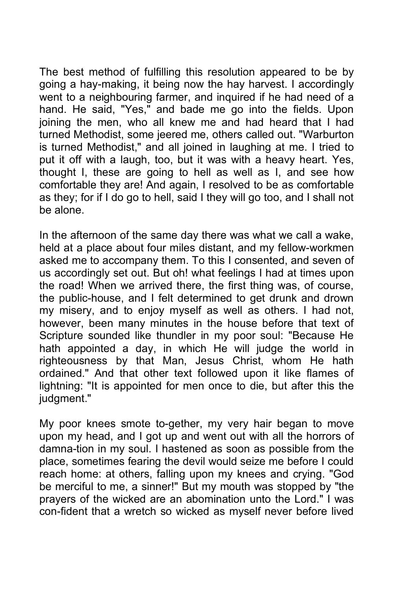The best method of fulfilling this resolution appeared to be by going a hay-making, it being now the hay harvest. I accordingly went to a neighbouring farmer, and inquired if he had need of a hand. He said, "Yes," and bade me go into the fields. Upon joining the men, who all knew me and had heard that I had turned Methodist, some jeered me, others called out. "Warburton is turned Methodist," and all joined in laughing at me. I tried to put it off with a laugh, too, but it was with a heavy heart. Yes, thought I, these are going to hell as well as I, and see how comfortable they are! And again, I resolved to be as comfortable as they; for if I do go to hell, said I they will go too, and I shall not be alone.

In the afternoon of the same day there was what we call a wake, held at a place about four miles distant, and my fellow-workmen asked me to accompany them. To this I consented, and seven of us accordingly set out. But oh! what feelings I had at times upon the road! When we arrived there, the first thing was, of course, the public-house, and I felt determined to get drunk and drown my misery, and to enjoy myself as well as others. I had not, however, been many minutes in the house before that text of Scripture sounded like thundler in my poor soul: "Because He hath appointed a day, in which He will judge the world in righteousness by that Man, Jesus Christ, whom He hath ordained." And that other text followed upon it like flames of lightning: "It is appointed for men once to die, but after this the judgment."

My poor knees smote to-gether, my very hair began to move upon my head, and I got up and went out with all the horrors of damna-tion in my soul. I hastened as soon as possible from the place, sometimes fearing the devil would seize me before I could reach home: at others, falling upon my knees and crying. "God be merciful to me, a sinner!" But my mouth was stopped by "the prayers of the wicked are an abomination unto the Lord." I was con-fident that a wretch so wicked as myself never before lived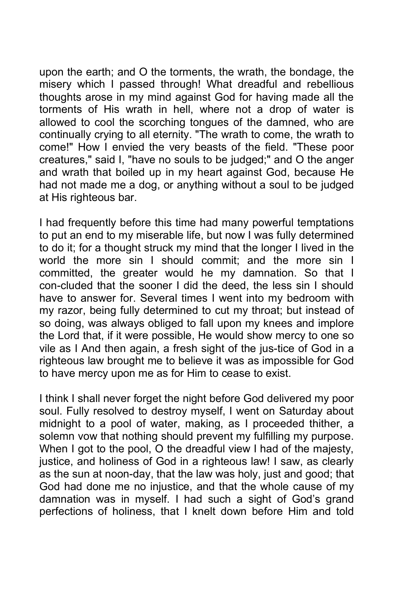upon the earth; and O the torments, the wrath, the bondage, the misery which I passed through! What dreadful and rebellious thoughts arose in my mind against God for having made all the torments of His wrath in hell, where not a drop of water is allowed to cool the scorching tongues of the damned, who are continually crying to all eternity. "The wrath to come, the wrath to come!" How I envied the very beasts of the field. "These poor creatures," said I, "have no souls to be judged;" and O the anger and wrath that boiled up in my heart against God, because He had not made me a dog, or anything without a soul to be judged at His righteous bar.

I had frequently before this time had many powerful temptations to put an end to my miserable life, but now I was fully determined to do it; for a thought struck my mind that the longer I lived in the world the more sin I should commit; and the more sin I committed, the greater would he my damnation. So that I con-cluded that the sooner I did the deed, the less sin I should have to answer for. Several times I went into my bedroom with my razor, being fully determined to cut my throat; but instead of so doing, was always obliged to fall upon my knees and implore the Lord that, if it were possible, He would show mercy to one so vile as I And then again, a fresh sight of the jus-tice of God in a righteous law brought me to believe it was as impossible for God to have mercy upon me as for Him to cease to exist.

I think I shall never forget the night before God delivered my poor soul. Fully resolved to destroy myself, I went on Saturday about midnight to a pool of water, making, as I proceeded thither, a solemn vow that nothing should prevent my fulfilling my purpose. When I got to the pool, O the dreadful view I had of the majesty, justice, and holiness of God in a righteous law! I saw, as clearly as the sun at noon-day, that the law was holy, just and good; that God had done me no injustice, and that the whole cause of my damnation was in myself. I had such a sight of God's grand perfections of holiness, that I knelt down before Him and told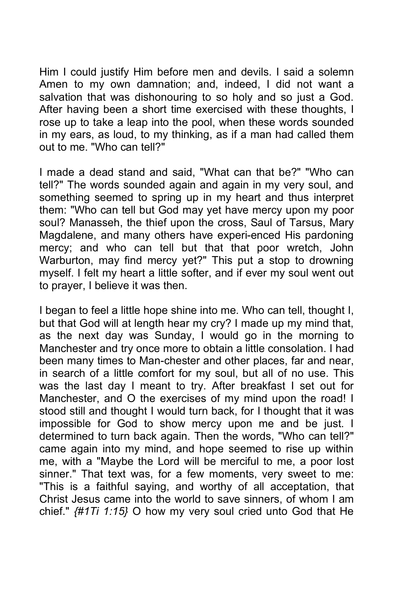Him I could justify Him before men and devils. I said a solemn Amen to my own damnation; and, indeed, I did not want a salvation that was dishonouring to so holy and so just a God. After having been a short time exercised with these thoughts, I rose up to take a leap into the pool, when these words sounded in my ears, as loud, to my thinking, as if a man had called them out to me. "Who can tell?"

I made a dead stand and said, "What can that be?" "Who can tell?" The words sounded again and again in my very soul, and something seemed to spring up in my heart and thus interpret them: "Who can tell but God may yet have mercy upon my poor soul? Manasseh, the thief upon the cross, Saul of Tarsus, Mary Magdalene, and many others have experi-enced His pardoning mercy; and who can tell but that that poor wretch, John Warburton, may find mercy yet?" This put a stop to drowning myself. I felt my heart a little softer, and if ever my soul went out to prayer, I believe it was then.

I began to feel a little hope shine into me. Who can tell, thought I, but that God will at length hear my cry? I made up my mind that, as the next day was Sunday, I would go in the morning to Manchester and try once more to obtain a little consolation. I had been many times to Man-chester and other places, far and near, in search of a little comfort for my soul, but all of no use. This was the last day I meant to try. After breakfast I set out for Manchester, and O the exercises of my mind upon the road! I stood still and thought I would turn back, for I thought that it was impossible for God to show mercy upon me and be just. I determined to turn back again. Then the words, "Who can tell?" came again into my mind, and hope seemed to rise up within me, with a "Maybe the Lord will be merciful to me, a poor lost sinner." That text was, for a few moments, very sweet to me: "This is a faithful saying, and worthy of all acceptation, that Christ Jesus came into the world to save sinners, of whom I am chief." *{#1Ti 1:15}* O how my very soul cried unto God that He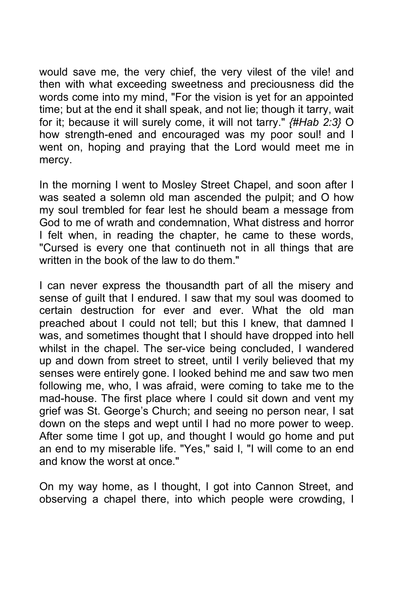would save me, the very chief, the very vilest of the vile! and then with what exceeding sweetness and preciousness did the words come into my mind, "For the vision is yet for an appointed time; but at the end it shall speak, and not lie; though it tarry, wait for it; because it will surely come, it will not tarry." *{#Hab 2:3}* O how strength-ened and encouraged was my poor soul! and I went on, hoping and praying that the Lord would meet me in mercy.

In the morning I went to Mosley Street Chapel, and soon after I was seated a solemn old man ascended the pulpit; and O how my soul trembled for fear lest he should beam a message from God to me of wrath and condemnation, What distress and horror I felt when, in reading the chapter, he came to these words, "Cursed is every one that continueth not in all things that are written in the book of the law to do them."

I can never express the thousandth part of all the misery and sense of guilt that I endured. I saw that my soul was doomed to certain destruction for ever and ever. What the old man preached about I could not tell; but this I knew, that damned I was, and sometimes thought that I should have dropped into hell whilst in the chapel. The ser-vice being concluded, I wandered up and down from street to street, until I verily believed that my senses were entirely gone. I looked behind me and saw two men following me, who, I was afraid, were coming to take me to the mad-house. The first place where I could sit down and vent my grief was St. George's Church; and seeing no person near, I sat down on the steps and wept until I had no more power to weep. After some time I got up, and thought I would go home and put an end to my miserable life. "Yes," said I, "I will come to an end and know the worst at once."

On my way home, as I thought, I got into Cannon Street, and observing a chapel there, into which people were crowding, I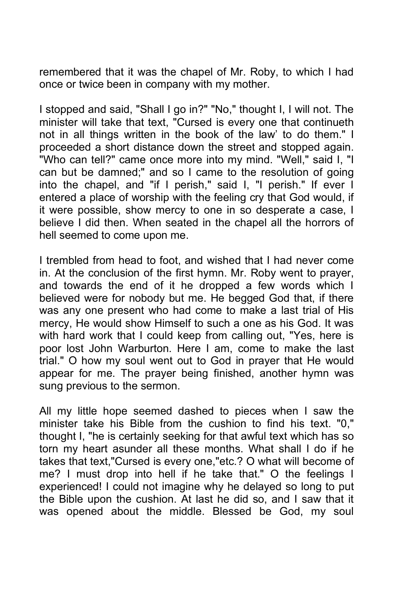remembered that it was the chapel of Mr. Roby, to which I had once or twice been in company with my mother.

I stopped and said, "Shall I go in?" "No," thought I, I will not. The minister will take that text, "Cursed is every one that continueth not in all things written in the book of the law' to do them." I proceeded a short distance down the street and stopped again. "Who can tell?" came once more into my mind. "Well," said I, "I can but be damned;" and so I came to the resolution of going into the chapel, and "if I perish," said I, "I perish." If ever I entered a place of worship with the feeling cry that God would, if it were possible, show mercy to one in so desperate a case, I believe I did then. When seated in the chapel all the horrors of hell seemed to come upon me.

I trembled from head to foot, and wished that I had never come in. At the conclusion of the first hymn. Mr. Roby went to prayer, and towards the end of it he dropped a few words which I believed were for nobody but me. He begged God that, if there was any one present who had come to make a last trial of His mercy, He would show Himself to such a one as his God. It was with hard work that I could keep from calling out, "Yes, here is poor lost John Warburton. Here I am, come to make the last trial." O how my soul went out to God in prayer that He would appear for me. The prayer being finished, another hymn was sung previous to the sermon.

All my little hope seemed dashed to pieces when I saw the minister take his Bible from the cushion to find his text. "0," thought I, "he is certainly seeking for that awful text which has so torn my heart asunder all these months. What shall I do if he takes that text,"Cursed is every one,"etc.? O what will become of me? I must drop into hell if he take that." O the feelings I experienced! I could not imagine why he delayed so long to put the Bible upon the cushion. At last he did so, and I saw that it was opened about the middle. Blessed be God, my soul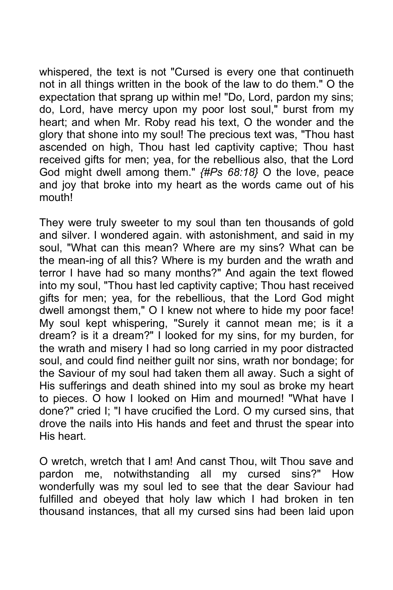whispered, the text is not "Cursed is every one that continueth not in all things written in the book of the law to do them." O the expectation that sprang up within me! "Do, Lord, pardon my sins; do, Lord, have mercy upon my poor lost soul," burst from my heart; and when Mr. Roby read his text, O the wonder and the glory that shone into my soul! The precious text was, "Thou hast ascended on high, Thou hast led captivity captive; Thou hast received gifts for men; yea, for the rebellious also, that the Lord God might dwell among them." *{#Ps 68:18}* O the love, peace and joy that broke into my heart as the words came out of his mouth!

They were truly sweeter to my soul than ten thousands of gold and silver. I wondered again. with astonishment, and said in my soul, "What can this mean? Where are my sins? What can be the mean-ing of all this? Where is my burden and the wrath and terror I have had so many months?" And again the text flowed into my soul, "Thou hast led captivity captive; Thou hast received gifts for men; yea, for the rebellious, that the Lord God might dwell amongst them," O I knew not where to hide my poor face! My soul kept whispering, "Surely it cannot mean me; is it a dream? is it a dream?" I looked for my sins, for my burden, for the wrath and misery I had so long carried in my poor distracted soul, and could find neither guilt nor sins, wrath nor bondage; for the Saviour of my soul had taken them all away. Such a sight of His sufferings and death shined into my soul as broke my heart to pieces. O how I looked on Him and mourned! "What have I done?" cried I; "I have crucified the Lord. O my cursed sins, that drove the nails into His hands and feet and thrust the spear into His heart.

O wretch, wretch that I am! And canst Thou, wilt Thou save and pardon me, notwithstanding all my cursed sins?" How wonderfully was my soul led to see that the dear Saviour had fulfilled and obeyed that holy law which I had broken in ten thousand instances, that all my cursed sins had been laid upon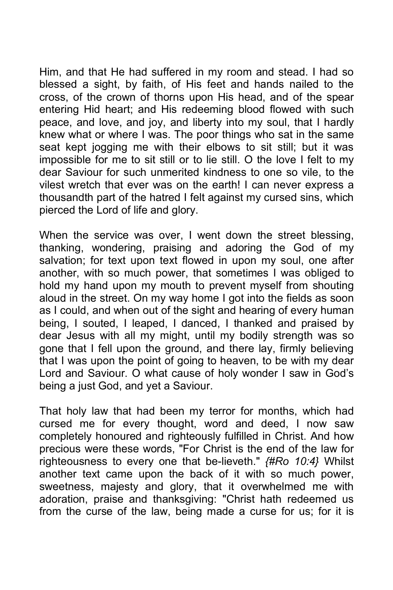Him, and that He had suffered in my room and stead. I had so blessed a sight, by faith, of His feet and hands nailed to the cross, of the crown of thorns upon His head, and of the spear entering Hid heart; and His redeeming blood flowed with such peace, and love, and joy, and liberty into my soul, that I hardly knew what or where I was. The poor things who sat in the same seat kept jogging me with their elbows to sit still; but it was impossible for me to sit still or to lie still. O the love I felt to my dear Saviour for such unmerited kindness to one so vile, to the vilest wretch that ever was on the earth! I can never express a thousandth part of the hatred I felt against my cursed sins, which pierced the Lord of life and glory.

When the service was over, I went down the street blessing, thanking, wondering, praising and adoring the God of my salvation; for text upon text flowed in upon my soul, one after another, with so much power, that sometimes I was obliged to hold my hand upon my mouth to prevent myself from shouting aloud in the street. On my way home I got into the fields as soon as I could, and when out of the sight and hearing of every human being, I souted, I leaped, I danced, I thanked and praised by dear Jesus with all my might, until my bodily strength was so gone that I fell upon the ground, and there lay, firmly believing that I was upon the point of going to heaven, to be with my dear Lord and Saviour. O what cause of holy wonder I saw in God's being a just God, and yet a Saviour.

That holy law that had been my terror for months, which had cursed me for every thought, word and deed, I now saw completely honoured and righteously fulfilled in Christ. And how precious were these words, "For Christ is the end of the law for righteousness to every one that be-lieveth." *{#Ro 10:4}* Whilst another text came upon the back of it with so much power, sweetness, majesty and glory, that it overwhelmed me with adoration, praise and thanksgiving: "Christ hath redeemed us from the curse of the law, being made a curse for us; for it is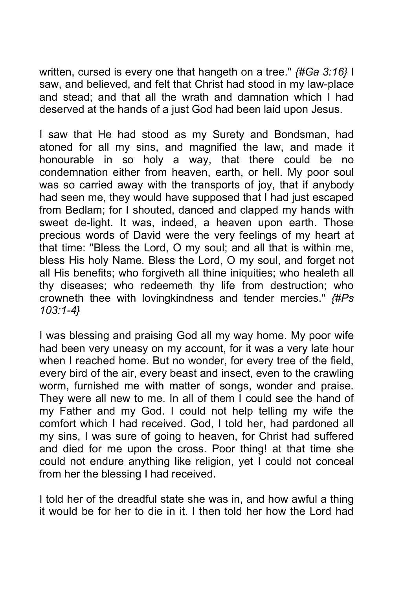written, cursed is every one that hangeth on a tree." *{#Ga 3:16}* I saw, and believed, and felt that Christ had stood in my law-place and stead; and that all the wrath and damnation which I had deserved at the hands of a just God had been laid upon Jesus.

I saw that He had stood as my Surety and Bondsman, had atoned for all my sins, and magnified the law, and made it honourable in so holy a way, that there could be no condemnation either from heaven, earth, or hell. My poor soul was so carried away with the transports of joy, that if anybody had seen me, they would have supposed that I had just escaped from Bedlam; for I shouted, danced and clapped my hands with sweet de-light. It was, indeed, a heaven upon earth. Those precious words of David were the very feelings of my heart at that time: "Bless the Lord, O my soul; and all that is within me, bless His holy Name. Bless the Lord, O my soul, and forget not all His benefits; who forgiveth all thine iniquities; who healeth all thy diseases; who redeemeth thy life from destruction; who crowneth thee with lovingkindness and tender mercies." *{#Ps 103:1-4}*

I was blessing and praising God all my way home. My poor wife had been very uneasy on my account, for it was a very late hour when I reached home. But no wonder, for every tree of the field, every bird of the air, every beast and insect, even to the crawling worm, furnished me with matter of songs, wonder and praise. They were all new to me. In all of them I could see the hand of my Father and my God. I could not help telling my wife the comfort which I had received. God, I told her, had pardoned all my sins, I was sure of going to heaven, for Christ had suffered and died for me upon the cross. Poor thing! at that time she could not endure anything like religion, yet I could not conceal from her the blessing I had received.

I told her of the dreadful state she was in, and how awful a thing it would be for her to die in it. I then told her how the Lord had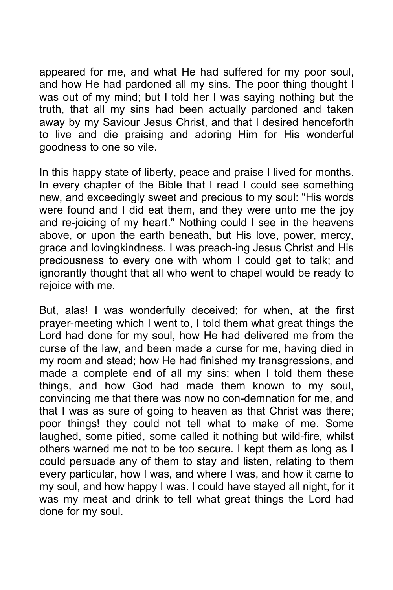appeared for me, and what He had suffered for my poor soul, and how He had pardoned all my sins. The poor thing thought I was out of my mind; but I told her I was saying nothing but the truth, that all my sins had been actually pardoned and taken away by my Saviour Jesus Christ, and that I desired henceforth to live and die praising and adoring Him for His wonderful goodness to one so vile.

In this happy state of liberty, peace and praise I lived for months. In every chapter of the Bible that I read I could see something new, and exceedingly sweet and precious to my soul: "His words were found and I did eat them, and they were unto me the joy and re-joicing of my heart." Nothing could I see in the heavens above, or upon the earth beneath, but His love, power, mercy, grace and lovingkindness. I was preach-ing Jesus Christ and His preciousness to every one with whom I could get to talk; and ignorantly thought that all who went to chapel would be ready to rejoice with me.

But, alas! I was wonderfully deceived; for when, at the first prayer-meeting which I went to, I told them what great things the Lord had done for my soul, how He had delivered me from the curse of the law, and been made a curse for me, having died in my room and stead; how He had finished my transgressions, and made a complete end of all my sins; when I told them these things, and how God had made them known to my soul, convincing me that there was now no con-demnation for me, and that I was as sure of going to heaven as that Christ was there; poor things! they could not tell what to make of me. Some laughed, some pitied, some called it nothing but wild-fire, whilst others warned me not to be too secure. I kept them as long as I could persuade any of them to stay and listen, relating to them every particular, how I was, and where I was, and how it came to my soul, and how happy I was. I could have stayed all night, for it was my meat and drink to tell what great things the Lord had done for my soul.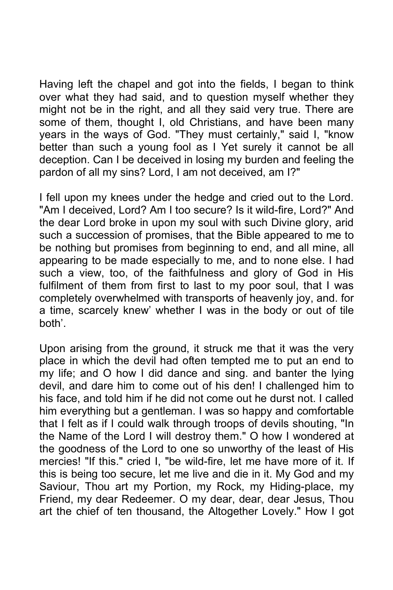Having left the chapel and got into the fields, I began to think over what they had said, and to question myself whether they might not be in the right, and all they said very true. There are some of them, thought I, old Christians, and have been many years in the ways of God. "They must certainly," said I, "know better than such a young fool as I Yet surely it cannot be all deception. Can I be deceived in losing my burden and feeling the pardon of all my sins? Lord, I am not deceived, am I?"

I fell upon my knees under the hedge and cried out to the Lord. "Am I deceived, Lord? Am I too secure? Is it wild-fire, Lord?" And the dear Lord broke in upon my soul with such Divine glory, arid such a succession of promises, that the Bible appeared to me to be nothing but promises from beginning to end, and all mine, all appearing to be made especially to me, and to none else. I had such a view, too, of the faithfulness and glory of God in His fulfilment of them from first to last to my poor soul, that I was completely overwhelmed with transports of heavenly joy, and. for a time, scarcely knew' whether I was in the body or out of WKH boG\'.

Upon arising from the ground, it struck me that it was the very place in which the devil had often tempted me to put an end to my life; and O how I did dance and sing. and banter the lying devil, and dare him to come out of his den! I challenged him to his face, and told him if he did not come out he durst not. I called him everything but a gentleman. I was so happy and comfortable that I felt as if I could walk through troops of devils shouting, "In the Name of the Lord I will destroy them." O how I wondered at the goodness of the Lord to one so unworthy of the least of His mercies! "If this." cried I, "be wild-fire, let me have more of it. If this is being too secure, let me live and die in it. My God and my Saviour, Thou art my Portion, my Rock, my Hiding-place, my Friend, my dear Redeemer. O my dear, dear, dear Jesus, Thou art the chief of ten thousand, the Altogether Lovely." How I got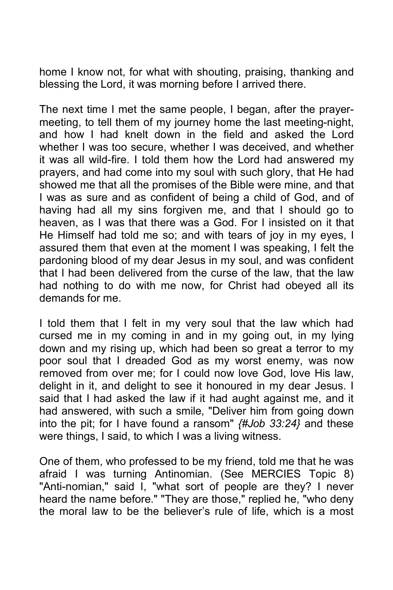home I know not, for what with shouting, praising, thanking and blessing the Lord, it was morning before I arrived there.

The next time I met the same people, I began, after the prayermeeting, to tell them of my journey home the last meeting-night, and how I had knelt down in the field and asked the Lord whether I was too secure, whether I was deceived, and whether it was all wild-fire. I told them how the Lord had answered my prayers, and had come into my soul with such glory, that He had showed me that all the promises of the Bible were mine, and that I was as sure and as confident of being a child of God, and of having had all my sins forgiven me, and that I should go to heaven, as I was that there was a God. For I insisted on it that He Himself had told me so; and with tears of joy in my eyes, I assured them that even at the moment I was speaking, I felt the pardoning blood of my dear Jesus in my soul, and was confident that I had been delivered from the curse of the law, that the law had nothing to do with me now, for Christ had obeyed all its demands for me.

I told them that I felt in my very soul that the law which had cursed me in my coming in and in my going out, in my lying down and my rising up, which had been so great a terror to my poor soul that I dreaded God as my worst enemy, was now removed from over me; for I could now love God, love His law, delight in it, and delight to see it honoured in my dear Jesus. I said that I had asked the law if it had aught against me, and it had answered, with such a smile, "Deliver him from going down into the pit; for I have found a ransom" *{#Job 33:24}* and these were things, I said, to which I was a living witness.

One of them, who professed to be my friend, told me that he was afraid I was turning Antinomian. (See MERCIES Topic 8) "Anti-nomian," said I, "what sort of people are they? I never heard the name before." "They are those," replied he, "who deny the moral law to be the believer's rule of life, which is a most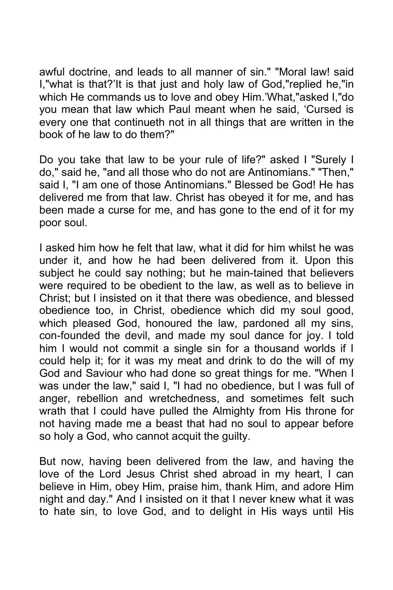awful doctrine, and leads to all manner of sin." "Moral law! said I,"what is that?'It is that just and holy law of God,"replied he,"in which He commands us to love and obey Him.'What,"asked I,"do you mean that law which Paul meant when he said, 'Cursed is every one that continueth not in all things that are written in the book of he law to do them?"

Do you take that law to be your rule of life?" asked I "Surely I do," said he, "and all those who do not are Antinomians." "Then," said I, "I am one of those Antinomians." Blessed be God! He has delivered me from that law. Christ has obeyed it for me, and has been made a curse for me, and has gone to the end of it for my poor soul.

I asked him how he felt that law, what it did for him whilst he was under it, and how he had been delivered from it. Upon this subject he could say nothing; but he main-tained that believers were required to be obedient to the law, as well as to believe in Christ; but I insisted on it that there was obedience, and blessed obedience too, in Christ, obedience which did my soul good, which pleased God, honoured the law, pardoned all my sins, con-founded the devil, and made my soul dance for joy. I told him I would not commit a single sin for a thousand worlds if I could help it; for it was my meat and drink to do the will of my God and Saviour who had done so great things for me. "When I was under the law," said I, "I had no obedience, but I was full of anger, rebellion and wretchedness, and sometimes felt such wrath that I could have pulled the Almighty from His throne for not having made me a beast that had no soul to appear before so holy a God, who cannot acquit the guilty.

But now, having been delivered from the law, and having the love of the Lord Jesus Christ shed abroad in my heart, I can believe in Him, obey Him, praise him, thank Him, and adore Him night and day." And I insisted on it that I never knew what it was to hate sin, to love God, and to delight in His ways until His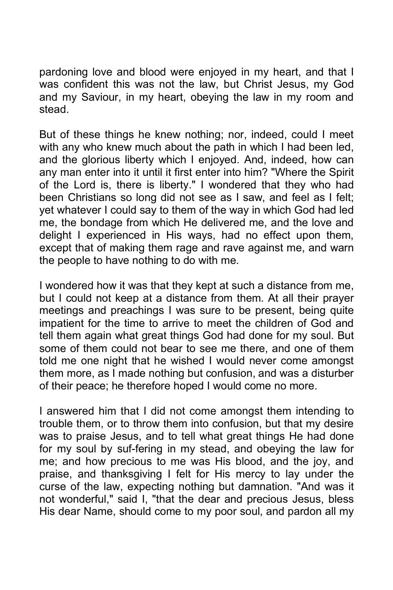pardoning love and blood were enjoyed in my heart, and that I was confident this was not the law, but Christ Jesus, my God and my Saviour, in my heart, obeying the law in my room and stead.

But of these things he knew nothing; nor, indeed, could I meet with any who knew much about the path in which I had been led, and the glorious liberty which I enjoyed. And, indeed, how can any man enter into it until it first enter into him? "Where the Spirit of the Lord is, there is liberty." I wondered that they who had been Christians so long did not see as I saw, and feel as I felt; yet whatever I could say to them of the way in which God had led me, the bondage from which He delivered me, and the love and delight I experienced in His ways, had no effect upon them, except that of making them rage and rave against me, and warn the people to have nothing to do with me.

I wondered how it was that they kept at such a distance from me, but I could not keep at a distance from them. At all their prayer meetings and preachings I was sure to be present, being quite impatient for the time to arrive to meet the children of God and tell them again what great things God had done for my soul. But some of them could not bear to see me there, and one of them told me one night that he wished I would never come amongst them more, as I made nothing but confusion, and was a disturber of their peace; he therefore hoped I would come no more.

I answered him that I did not come amongst them intending to trouble them, or to throw them into confusion, but that my desire was to praise Jesus, and to tell what great things He had done for my soul by suf-fering in my stead, and obeying the law for me; and how precious to me was His blood, and the joy, and praise, and thanksgiving I felt for His mercy to lay under the curse of the law, expecting nothing but damnation. "And was it not wonderful," said I, "that the dear and precious Jesus, bless His dear Name, should come to my poor soul, and pardon all my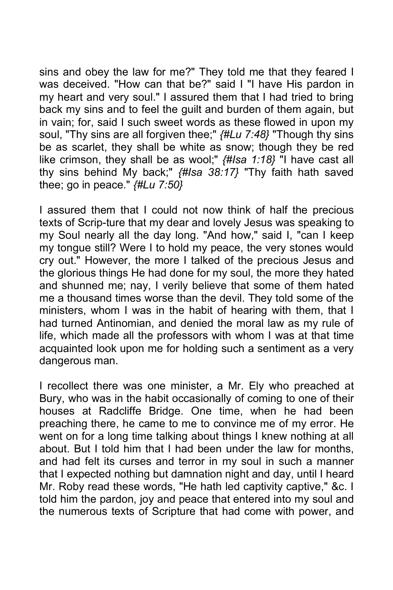sins and obey the law for me?" They told me that they feared I was deceived. "How can that be?" said I "I have His pardon in my heart and very soul." I assured them that I had tried to bring back my sins and to feel the guilt and burden of them again, but in vain; for, said I such sweet words as these flowed in upon my soul, "Thy sins are all forgiven thee;" *{#Lu 7:48}* "Though thy sins be as scarlet, they shall be white as snow; though they be red like crimson, they shall be as wool;" *{#Isa 1:18}* "I have cast all thy sins behind My back;" *{#Isa 38:17}* "Thy faith hath saved thee; go in peace." *{#Lu 7:50}*

I assured them that I could not now think of half the precious texts of Scrip-ture that my dear and lovely Jesus was speaking to my Soul nearly all the day long. "And how," said I, "can I keep my tongue still? Were I to hold my peace, the very stones would cry out." However, the more I talked of the precious Jesus and the glorious things He had done for my soul, the more they hated and shunned me; nay, I verily believe that some of them hated me a thousand times worse than the devil. They told some of the ministers, whom I was in the habit of hearing with them, that I had turned Antinomian, and denied the moral law as my rule of life, which made all the professors with whom I was at that time acquainted look upon me for holding such a sentiment as a very dangerous man.

I recollect there was one minister, a Mr. Ely who preached at Bury, who was in the habit occasionally of coming to one of their houses at Radcliffe Bridge. One time, when he had been preaching there, he came to me to convince me of my error. He went on for a long time talking about things I knew nothing at all about. But I told him that I had been under the law for months, and had felt its curses and terror in my soul in such a manner that I expected nothing but damnation night and day, until I heard Mr. Roby read these words, "He hath led captivity captive," &c. I told him the pardon, joy and peace that entered into my soul and the numerous texts of Scripture that had come with power, and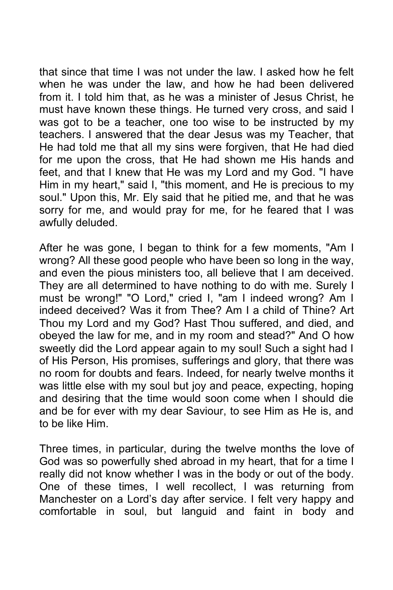that since that time I was not under the law. I asked how he felt when he was under the law, and how he had been delivered from it. I told him that, as he was a minister of Jesus Christ, he must have known these things. He turned very cross, and said I was got to be a teacher, one too wise to be instructed by my teachers. I answered that the dear Jesus was my Teacher, that He had told me that all my sins were forgiven, that He had died for me upon the cross, that He had shown me His hands and feet, and that I knew that He was my Lord and my God. "I have Him in my heart," said I, "this moment, and He is precious to my soul." Upon this, Mr. Ely said that he pitied me, and that he was sorry for me, and would pray for me, for he feared that I was awfully deluded.

After he was gone, I began to think for a few moments, "Am I wrong? All these good people who have been so long in the way, and even the pious ministers too, all believe that I am deceived. They are all determined to have nothing to do with me. Surely I must be wrong!" "O Lord," cried I, "am I indeed wrong? Am I indeed deceived? Was it from Thee? Am I a child of Thine? Art Thou my Lord and my God? Hast Thou suffered, and died, and obeyed the law for me, and in my room and stead?" And O how sweetly did the Lord appear again to my soul! Such a sight had I of His Person, His promises, sufferings and glory, that there was no room for doubts and fears. Indeed, for nearly twelve months it was little else with my soul but joy and peace, expecting, hoping and desiring that the time would soon come when I should die and be for ever with my dear Saviour, to see Him as He is, and to be like Him.

Three times, in particular, during the twelve months the love of God was so powerfully shed abroad in my heart, that for a time I really did not know whether I was in the body or out of the body. One of these times, I well recollect, I was returning from Manchester on a Lord's day after service. I felt very happy and comfortable in soul, but languid and faint in body and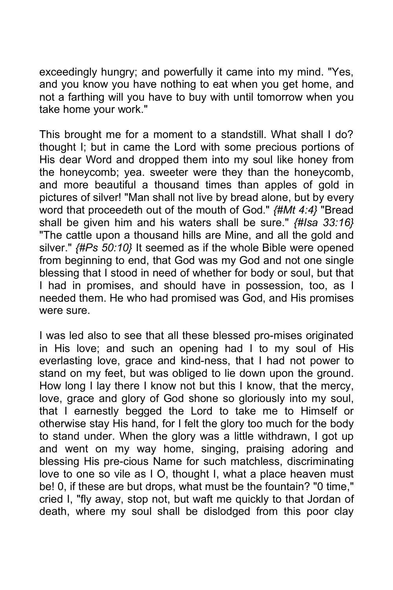exceedingly hungry; and powerfully it came into my mind. "Yes, and you know you have nothing to eat when you get home, and not a farthing will you have to buy with until tomorrow when you take home your work."

This brought me for a moment to a standstill. What shall I do? thought I; but in came the Lord with some precious portions of His dear Word and dropped them into my soul like honey from the honeycomb; yea. sweeter were they than the honeycomb, and more beautiful a thousand times than apples of gold in pictures of silver! "Man shall not live by bread alone, but by every word that proceedeth out of the mouth of God." *{#Mt 4:4}* "Bread shall be given him and his waters shall be sure." *{#Isa 33:16}* "The cattle upon a thousand hills are Mine, and all the gold and silver." *{#Ps 50:10}* It seemed as if the whole Bible were opened from beginning to end, that God was my God and not one single blessing that I stood in need of whether for body or soul, but that I had in promises, and should have in possession, too, as I needed them. He who had promised was God, and His promises were sure.

I was led also to see that all these blessed pro-mises originated in His love; and such an opening had I to my soul of His everlasting love, grace and kind-ness, that I had not power to stand on my feet, but was obliged to lie down upon the ground. How long I lay there I know not but this I know, that the mercy, love, grace and glory of God shone so gloriously into my soul, that I earnestly begged the Lord to take me to Himself or otherwise stay His hand, for I felt the glory too much for the body to stand under. When the glory was a little withdrawn, I got up and went on my way home, singing, praising adoring and blessing His pre-cious Name for such matchless, discriminating love to one so vile as I O, thought I, what a place heaven must be! 0, if these are but drops, what must be the fountain? "0 time," cried I, "fly away, stop not, but waft me quickly to that Jordan of death, where my soul shall be dislodged from this poor clay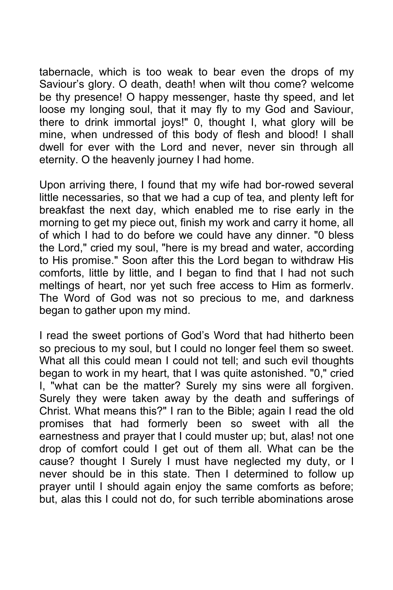tabernacle, which is too weak to bear even the drops of my Saviour's glory. O death, death! when wilt thou come? welcome be thy presence! O happy messenger, haste thy speed, and let loose my longing soul, that it may fly to my God and Saviour, there to drink immortal joys!" 0, thought I, what glory will be mine, when undressed of this body of flesh and blood! I shall dwell for ever with the Lord and never, never sin through all eternity. O the heavenly journey I had home.

Upon arriving there, I found that my wife had bor-rowed several little necessaries, so that we had a cup of tea, and plenty left for breakfast the next day, which enabled me to rise early in the morning to get my piece out, finish my work and carry it home, all of which I had to do before we could have any dinner. "0 bless the Lord," cried my soul, "here is my bread and water, according to His promise." Soon after this the Lord began to withdraw His comforts, little by little, and I began to find that I had not such meltings of heart, nor yet such free access to Him as formerlv. The Word of God was not so precious to me, and darkness began to gather upon my mind.

I read the sweet portions of God's Word that had hitherto been so precious to my soul, but I could no longer feel them so sweet. What all this could mean I could not tell; and such evil thoughts began to work in my heart, that I was quite astonished. "0," cried I, "what can be the matter? Surely my sins were all forgiven. Surely they were taken away by the death and sufferings of Christ. What means this?" I ran to the Bible; again I read the old promises that had formerly been so sweet with all the earnestness and prayer that I could muster up; but, alas! not one drop of comfort could I get out of them all. What can be the cause? thought I Surely I must have neglected my duty, or I never should be in this state. Then I determined to follow up prayer until I should again enjoy the same comforts as before; but, alas this I could not do, for such terrible abominations arose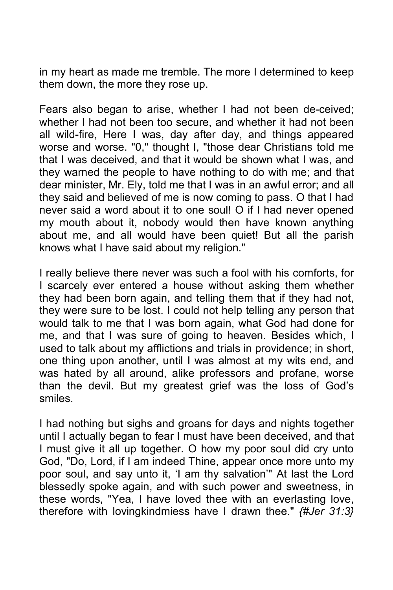in my heart as made me tremble. The more I determined to keep them down, the more they rose up.

Fears also began to arise, whether I had not been de-ceived; whether I had not been too secure, and whether it had not been all wild-fire, Here I was, day after day, and things appeared worse and worse. "0," thought I, "those dear Christians told me that I was deceived, and that it would be shown what I was, and they warned the people to have nothing to do with me; and that dear minister, Mr. Ely, told me that I was in an awful error; and all they said and believed of me is now coming to pass. O that I had never said a word about it to one soul! O if I had never opened my mouth about it, nobody would then have known anything about me, and all would have been quiet! But all the parish knows what I have said about my religion."

I really believe there never was such a fool with his comforts, for I scarcely ever entered a house without asking them whether they had been born again, and telling them that if they had not, they were sure to be lost. I could not help telling any person that would talk to me that I was born again, what God had done for me, and that I was sure of going to heaven. Besides which, I used to talk about my afflictions and trials in providence; in short, one thing upon another, until I was almost at my wits end, and was hated by all around, alike professors and profane, worse than the devil. But my greatest grief was the loss of God's smiles.

I had nothing but sighs and groans for days and nights together until I actually began to fear I must have been deceived, and that I must give it all up together. O how my poor soul did cry unto God, "Do, Lord, if I am indeed Thine, appear once more unto my poor soul, and say unto it, 'I am thy salvation'" At last the Lord blessedly spoke again, and with such power and sweetness, in these words, "Yea, I have loved thee with an everlasting love, therefore with lovingkindmiess have I drawn thee." *{#Jer 31:3}*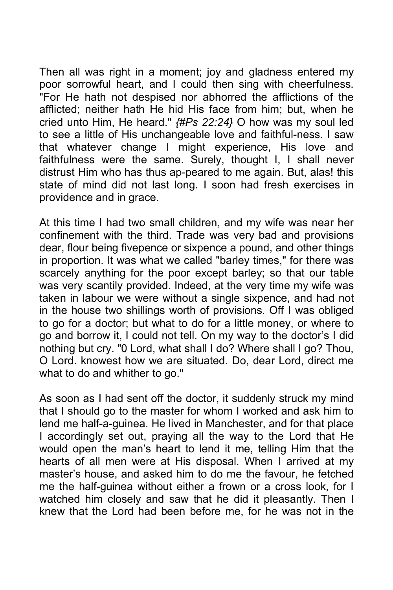Then all was right in a moment; joy and gladness entered my poor sorrowful heart, and I could then sing with cheerfulness. "For He hath not despised nor abhorred the afflictions of the afflicted; neither hath He hid His face from him; but, when he cried unto Him, He heard." *{#Ps 22:24}* O how was my soul led to see a little of His unchangeable love and faithful-ness. I saw that whatever change I might experience, His love and faithfulness were the same. Surely, thought I, I shall never distrust Him who has thus ap-peared to me again. But, alas! this state of mind did not last long. I soon had fresh exercises in providence and in grace.

At this time I had two small children, and my wife was near her confinement with the third. Trade was very bad and provisions dear, flour being fivepence or sixpence a pound, and other things in proportion. It was what we called "barley times," for there was scarcely anything for the poor except barley; so that our table was very scantily provided. Indeed, at the very time my wife was taken in labour we were without a single sixpence, and had not in the house two shillings worth of provisions. Off I was obliged to go for a doctor; but what to do for a little money, or where to go and borrow it, I could not tell. On my way to the doctor's I did nothing but cry. "0 Lord, what shall I do? Where shall I go? Thou, O Lord. knowest how we are situated. Do, dear Lord, direct me what to do and whither to go."

As soon as I had sent off the doctor, it suddenly struck my mind that I should go to the master for whom I worked and ask him to lend me half-a-guinea. He lived in Manchester, and for that place I accordingly set out, praying all the way to the Lord that He would open the man's heart to lend it me, telling Him that the hearts of all men were at His disposal. When I arrived at my master's house, and asked him to do me the favour, he fetched me the half-guinea without either a frown or a cross look, for I watched him closely and saw that he did it pleasantly. Then I knew that the Lord had been before me, for he was not in the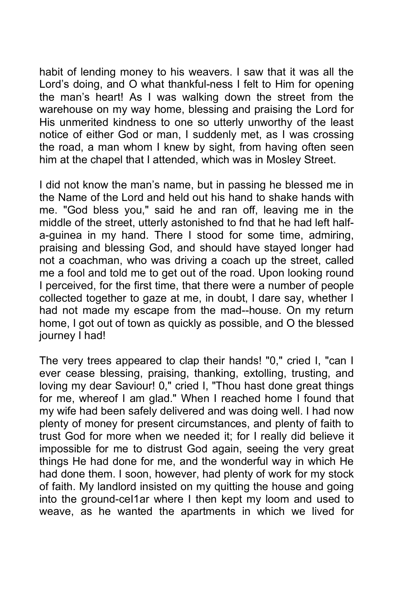habit of lending money to his weavers. I saw that it was all the Lord's doing, and O what thankful-ness I felt to Him for opening the man's heart! As I was walking down the street from the warehouse on my way home, blessing and praising the Lord for His unmerited kindness to one so utterly unworthy of the least notice of either God or man, I suddenly met, as I was crossing the road, a man whom I knew by sight, from having often seen him at the chapel that I attended, which was in Mosley Street.

I did not know the man's name, but in passing he blessed me in the Name of the Lord and held out his hand to shake hands with me. "God bless you," said he and ran off, leaving me in the middle of the street, utterly astonished to fnd that he had left halfa-guinea in my hand. There I stood for some time, admiring, praising and blessing God, and should have stayed longer had not a coachman, who was driving a coach up the street, called me a fool and told me to get out of the road. Upon looking round I perceived, for the first time, that there were a number of people collected together to gaze at me, in doubt, I dare say, whether I had not made my escape from the mad--house. On my return home, I got out of town as quickly as possible, and O the blessed journey I had!

The very trees appeared to clap their hands! "0," cried I, "can I ever cease blessing, praising, thanking, extolling, trusting, and loving my dear Saviour! 0," cried I, "Thou hast done great things for me, whereof I am glad." When I reached home I found that my wife had been safely delivered and was doing well. I had now plenty of money for present circumstances, and plenty of faith to trust God for more when we needed it; for I really did believe it impossible for me to distrust God again, seeing the very great things He had done for me, and the wonderful way in which He had done them. I soon, however, had plenty of work for my stock of faith. My landlord insisted on my quitting the house and going into the ground-ceI1ar where I then kept my loom and used to weave, as he wanted the apartments in which we lived for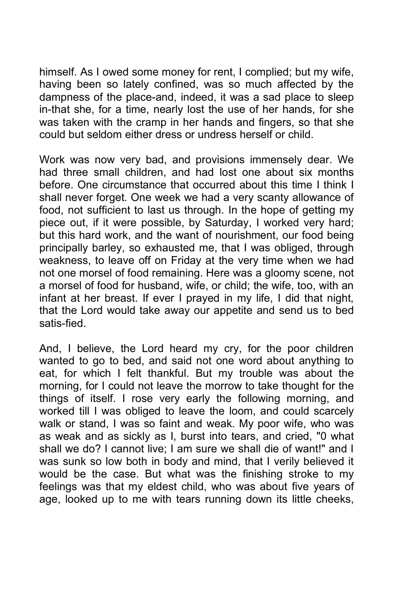himself. As I owed some money for rent, I complied; but my wife, having been so lately confined, was so much affected by the dampness of the place-and, indeed, it was a sad place to sleep in-that she, for a time, nearly lost the use of her hands, for she was taken with the cramp in her hands and fingers, so that she could but seldom either dress or undress herself or child.

Work was now very bad, and provisions immensely dear. We had three small children, and had lost one about six months before. One circumstance that occurred about this time I think I shall never forget. One week we had a very scanty allowance of food, not sufficient to last us through. In the hope of getting my piece out, if it were possible, by Saturday, I worked very hard; but this hard work, and the want of nourishment, our food being principally barley, so exhausted me, that I was obliged, through weakness, to leave off on Friday at the very time when we had not one morsel of food remaining. Here was a gloomy scene, not a morsel of food for husband, wife, or child; the wife, too, with an infant at her breast. If ever I prayed in my life, I did that night, that the Lord would take away our appetite and send us to bed satis-fied.

And, I believe, the Lord heard my cry, for the poor children wanted to go to bed, and said not one word about anything to eat, for which I felt thankful. But my trouble was about the morning, for I could not leave the morrow to take thought for the things of itself. I rose very early the following morning, and worked till I was obliged to leave the loom, and could scarcely walk or stand, I was so faint and weak. My poor wife, who was as weak and as sickly as I, burst into tears, and cried, "0 what shall we do? I cannot live; I am sure we shall die of want!" and I was sunk so low both in body and mind, that I verily believed it would be the case. But what was the finishing stroke to my feelings was that my eldest child, who was about five years of age, looked up to me with tears running down its little cheeks,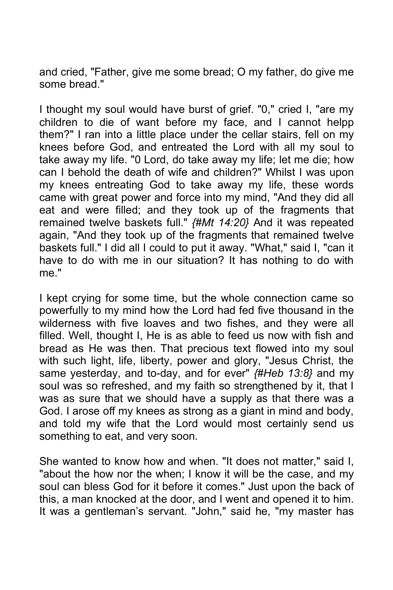and cried, "Father, give me some bread; O my father, do give me some bread."

I thought my soul would have burst of grief. "0," cried I, "are my children to die of want before my face, and I cannot helpp them?" I ran into a little place under the cellar stairs, fell on my knees before God, and entreated the Lord with all my soul to take away my life. "0 Lord, do take away my life; let me die; how can I behold the death of wife and children?" Whilst I was upon my knees entreating God to take away my life, these words came with great power and force into my mind, "And they did all eat and were filled; and they took up of the fragments that remained twelve baskets full." *{#Mt 14:20}* And it was repeated again, "And they took up of the fragments that remained twelve baskets full." I did all I could to put it away. "What," said I, "can it have to do with me in our situation? It has nothing to do with me."

I kept crying for some time, but the whole connection came so powerfully to my mind how the Lord had fed five thousand in the wilderness with five loaves and two fishes, and they were all filled. Well, thought I, He is as able to feed us now with fish and bread as He was then. That precious text flowed into my soul with such light, life, liberty, power and glory, "Jesus Christ, the same yesterday, and to-day, and for ever" *{#Heb 13:8}* and my soul was so refreshed, and my faith so strengthened by it, that I was as sure that we should have a supply as that there was a God. I arose off my knees as strong as a giant in mind and body, and told my wife that the Lord would most certainly send us something to eat, and very soon.

She wanted to know how and when. "It does not matter," said I, "about the how nor the when; I know it will be the case, and my soul can bless God for it before it comes." Just upon the back of this, a man knocked at the door, and I went and opened it to him. It was a gentleman's servant. "John," said he, "my master has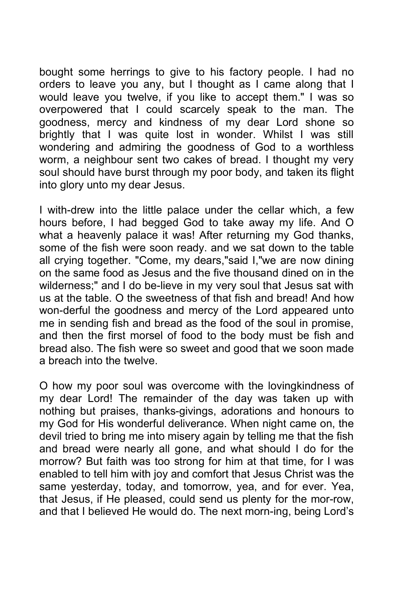bought some herrings to give to his factory people. I had no orders to leave you any, but I thought as I came along that I would leave you twelve, if you like to accept them." I was so overpowered that I could scarcely speak to the man. The goodness, mercy and kindness of my dear Lord shone so brightly that I was quite lost in wonder. Whilst I was still wondering and admiring the goodness of God to a worthless worm, a neighbour sent two cakes of bread. I thought my very soul should have burst through my poor body, and taken its flight into glory unto my dear Jesus.

I with-drew into the little palace under the cellar which, a few hours before, I had begged God to take away my life. And O what a heavenly palace it was! After returning my God thanks. some of the fish were soon ready. and we sat down to the table all crying together. "Come, my dears,"said I,"we are now dining on the same food as Jesus and the five thousand dined on in the wilderness;" and I do be-lieve in my very soul that Jesus sat with us at the table. O the sweetness of that fish and bread! And how won-derful the goodness and mercy of the Lord appeared unto me in sending fish and bread as the food of the soul in promise, and then the first morsel of food to the body must be fish and bread also. The fish were so sweet and good that we soon made a breach into the twelve.

O how my poor soul was overcome with the lovingkindness of my dear Lord! The remainder of the day was taken up with nothing but praises, thanks-givings, adorations and honours to my God for His wonderful deliverance. When night came on, the devil tried to bring me into misery again by telling me that the fish and bread were nearly all gone, and what should I do for the morrow? But faith was too strong for him at that time, for I was enabled to tell him with joy and comfort that Jesus Christ was the same yesterday, today, and tomorrow, yea, and for ever. Yea, that Jesus, if He pleased, could send us plenty for the mor-row, and that I believed He would do. The next morn-ing, being Lord's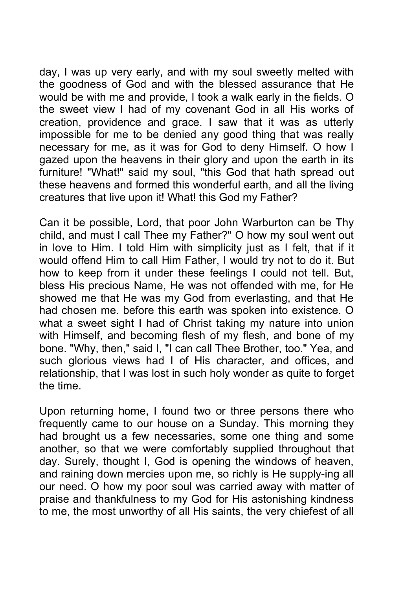day, I was up very early, and with my soul sweetly melted with the goodness of God and with the blessed assurance that He would be with me and provide, I took a walk early in the fields. O the sweet view I had of my covenant God in all His works of creation, providence and grace. I saw that it was as utterly impossible for me to be denied any good thing that was really necessary for me, as it was for God to deny Himself. O how I gazed upon the heavens in their glory and upon the earth in its furniture! "What!" said my soul, "this God that hath spread out these heavens and formed this wonderful earth, and all the living creatures that live upon it! What! this God my Father?

Can it be possible, Lord, that poor John Warburton can be Thy child, and must I call Thee my Father?" O how my soul went out in love to Him. I told Him with simplicity just as I felt, that if it would offend Him to call Him Father, I would try not to do it. But how to keep from it under these feelings I could not tell. But, bless His precious Name, He was not offended with me, for He showed me that He was my God from everlasting, and that He had chosen me. before this earth was spoken into existence. O what a sweet sight I had of Christ taking my nature into union with Himself, and becoming flesh of my flesh, and bone of my bone. "Why, then," said I, "I can call Thee Brother, too." Yea, and such glorious views had I of His character, and offices, and relationship, that I was lost in such holy wonder as quite to forget the time.

Upon returning home, I found two or three persons there who frequently came to our house on a Sunday. This morning they had brought us a few necessaries, some one thing and some another, so that we were comfortably supplied throughout that day. Surely, thought I, God is opening the windows of heaven, and raining down mercies upon me, so richly is He supply-ing all our need. O how my poor soul was carried away with matter of praise and thankfulness to my God for His astonishing kindness to me, the most unworthy of all His saints, the very chiefest of all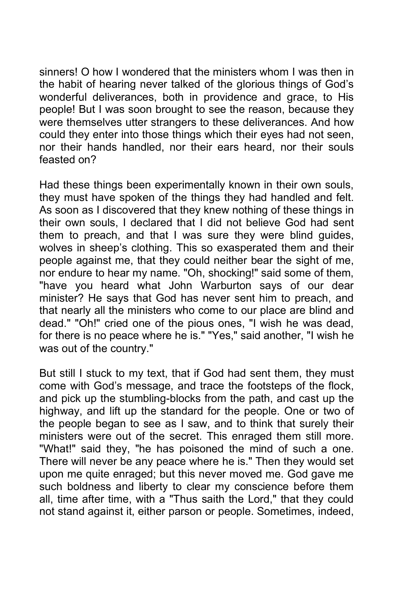sinners! O how I wondered that the ministers whom I was then in the habit of hearing never talked of the glorious things of God's wonderful deliverances, both in providence and grace, to His people! But I was soon brought to see the reason, because they were themselves utter strangers to these deliverances. And how could they enter into those things which their eyes had not seen, nor their hands handled, nor their ears heard, nor their souls feasted on?

Had these things been experimentally known in their own souls, they must have spoken of the things they had handled and felt. As soon as I discovered that they knew nothing of these things in their own souls, I declared that I did not believe God had sent them to preach, and that I was sure they were blind guides, wolves in sheep's clothing. This so exasperated them and their people against me, that they could neither bear the sight of me, nor endure to hear my name. "Oh, shocking!" said some of them, "have you heard what John Warburton says of our dear minister? He says that God has never sent him to preach, and that nearly all the ministers who come to our place are blind and dead." "Oh!" cried one of the pious ones, "I wish he was dead, for there is no peace where he is." "Yes," said another, "I wish he was out of the country."

But still I stuck to my text, that if God had sent them, they must come with God's message, and trace the footsteps of the flock, and pick up the stumbling-blocks from the path, and cast up the highway, and lift up the standard for the people. One or two of the people began to see as I saw, and to think that surely their ministers were out of the secret. This enraged them still more. "What!" said they, "he has poisoned the mind of such a one. There will never be any peace where he is." Then they would set upon me quite enraged; but this never moved me. God gave me such boldness and liberty to clear my conscience before them all, time after time, with a "Thus saith the Lord," that they could not stand against it, either parson or people. Sometimes, indeed,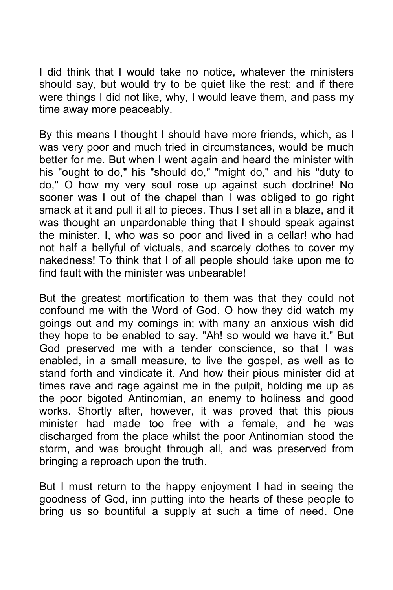I did think that I would take no notice, whatever the ministers should say, but would try to be quiet like the rest; and if there were things I did not like, why, I would leave them, and pass my time away more peaceably.

By this means I thought I should have more friends, which, as I was very poor and much tried in circumstances, would be much better for me. But when I went again and heard the minister with his "ought to do," his "should do," "might do," and his "duty to do," O how my very soul rose up against such doctrine! No sooner was I out of the chapel than I was obliged to go right smack at it and pull it all to pieces. Thus I set all in a blaze, and it was thought an unpardonable thing that I should speak against the minister. I, who was so poor and lived in a cellar! who had not half a bellyful of victuals, and scarcely clothes to cover my nakedness! To think that I of all people should take upon me to find fault with the minister was unbearable!

But the greatest mortification to them was that they could not confound me with the Word of God. O how they did watch my goings out and my comings in; with many an anxious wish did they hope to be enabled to say. "Ah! so would we have it." But God preserved me with a tender conscience, so that I was enabled, in a small measure, to live the gospel, as well as to stand forth and vindicate it. And how their pious minister did at times rave and rage against me in the pulpit, holding me up as the poor bigoted Antinomian, an enemy to holiness and good works. Shortly after, however, it was proved that this pious minister had made too free with a female, and he was discharged from the place whilst the poor Antinomian stood the storm, and was brought through all, and was preserved from bringing a reproach upon the truth.

But I must return to the happy enjoyment I had in seeing the goodness of God, inn putting into the hearts of these people to bring us so bountiful a supply at such a time of need. One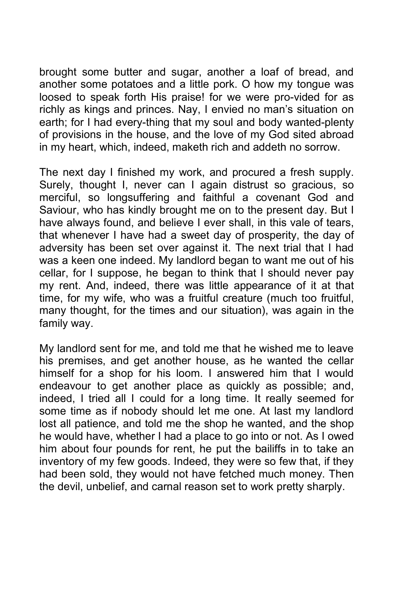brought some butter and sugar, another a loaf of bread, and another some potatoes and a little pork. O how my tongue was loosed to speak forth His praise! for we were pro-vided for as richly as kings and princes. Nay, I envied no man's situation on earth; for I had every-thing that my soul and body wanted-plenty of provisions in the house, and the love of my God sited abroad in my heart, which, indeed, maketh rich and addeth no sorrow.

The next day I finished my work, and procured a fresh supply. Surely, thought I, never can I again distrust so gracious, so merciful, so longsuffering and faithful a covenant God and Saviour, who has kindly brought me on to the present day. But I have always found, and believe I ever shall, in this vale of tears, that whenever I have had a sweet day of prosperity, the day of adversity has been set over against it. The next trial that I had was a keen one indeed. My landlord began to want me out of his cellar, for I suppose, he began to think that I should never pay my rent. And, indeed, there was little appearance of it at that time, for my wife, who was a fruitful creature (much too fruitful, many thought, for the times and our situation), was again in the family way.

My landlord sent for me, and told me that he wished me to leave his premises, and get another house, as he wanted the cellar himself for a shop for his loom. I answered him that I would endeavour to get another place as quickly as possible; and, indeed, I tried all I could for a long time. It really seemed for some time as if nobody should let me one. At last my landlord lost all patience, and told me the shop he wanted, and the shop he would have, whether I had a place to go into or not. As I owed him about four pounds for rent, he put the bailiffs in to take an inventory of my few goods. Indeed, they were so few that, if they had been sold, they would not have fetched much money. Then the devil, unbelief, and carnal reason set to work pretty sharply.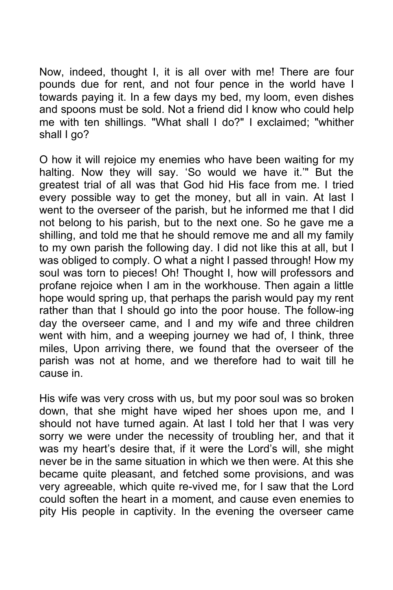Now, indeed, thought I, it is all over with me! There are four pounds due for rent, and not four pence in the world have I towards paying it. In a few days my bed, my loom, even dishes and spoons must be sold. Not a friend did I know who could help me with ten shillings. "What shall I do?" I exclaimed; "whither shall I go?

O how it will rejoice my enemies who have been waiting for my halting. Now they will say. 'So would we have it.'" But the greatest trial of all was that God hid His face from me. I tried every possible way to get the money, but all in vain. At last I went to the overseer of the parish, but he informed me that I did not belong to his parish, but to the next one. So he gave me a shilling, and told me that he should remove me and all my family to my own parish the following day. I did not like this at all, but I was obliged to comply. O what a night I passed through! How my soul was torn to pieces! Oh! Thought I, how will professors and profane rejoice when I am in the workhouse. Then again a little hope would spring up, that perhaps the parish would pay my rent rather than that I should go into the poor house. The follow-ing day the overseer came, and I and my wife and three children went with him, and a weeping journey we had of, I think, three miles, Upon arriving there, we found that the overseer of the parish was not at home, and we therefore had to wait till he cause in.

His wife was very cross with us, but my poor soul was so broken down, that she might have wiped her shoes upon me, and I should not have turned again. At last I told her that I was very sorry we were under the necessity of troubling her, and that it was my heart's desire that, if it were the Lord's will, she might never be in the same situation in which we then were. At this she became quite pleasant, and fetched some provisions, and was very agreeable, which quite re-vived me, for I saw that the Lord could soften the heart in a moment, and cause even enemies to pity His people in captivity. In the evening the overseer came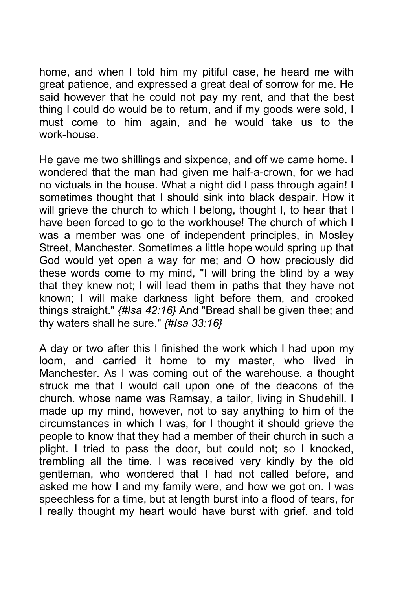home, and when I told him my pitiful case, he heard me with great patience, and expressed a great deal of sorrow for me. He said however that he could not pay my rent, and that the best thing I could do would be to return, and if my goods were sold, I must come to him again, and he would take us to the work-house.

He gave me two shillings and sixpence, and off we came home. I wondered that the man had given me half-a-crown, for we had no victuals in the house. What a night did I pass through again! I sometimes thought that I should sink into black despair. How it will grieve the church to which I belong, thought I, to hear that I have been forced to go to the workhouse! The church of which I was a member was one of independent principles, in Mosley Street, Manchester. Sometimes a little hope would spring up that God would yet open a way for me; and O how preciously did these words come to my mind, "I will bring the blind by a way that they knew not; I will lead them in paths that they have not known; I will make darkness light before them, and crooked things straight." *{#Isa 42:16}* And "Bread shall be given thee; and thy waters shall he sure." *{#Isa 33:16}*

A day or two after this I finished the work which I had upon my loom, and carried it home to my master, who lived in Manchester. As I was coming out of the warehouse, a thought struck me that I would call upon one of the deacons of the church. whose name was Ramsay, a tailor, living in Shudehill. I made up my mind, however, not to say anything to him of the circumstances in which I was, for I thought it should grieve the people to know that they had a member of their church in such a plight. I tried to pass the door, but could not; so I knocked, trembling all the time. I was received very kindly by the old gentleman, who wondered that I had not called before, and asked me how I and my family were, and how we got on. I was speechless for a time, but at length burst into a flood of tears, for I really thought my heart would have burst with grief, and told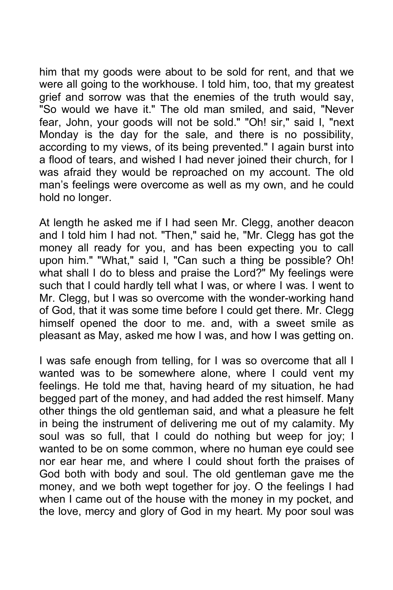him that my goods were about to be sold for rent, and that we were all going to the workhouse. I told him, too, that my greatest grief and sorrow was that the enemies of the truth would say, "So would we have it." The old man smiled, and said, "Never fear, John, your goods will not be sold." "Oh! sir," said I, "next Monday is the day for the sale, and there is no possibility, according to my views, of its being prevented." I again burst into a flood of tears, and wished I had never joined their church, for I was afraid they would be reproached on my account. The old man's feelings were overcome as well as my own, and he could hold no longer.

At length he asked me if I had seen Mr. Clegg, another deacon and I told him I had not. "Then," said he, "Mr. Clegg has got the money all ready for you, and has been expecting you to call upon him." "What," said I, "Can such a thing be possible? Oh! what shall I do to bless and praise the Lord?" My feelings were such that I could hardly tell what I was, or where I was. I went to Mr. Clegg, but I was so overcome with the wonder-working hand of God, that it was some time before I could get there. Mr. Clegg himself opened the door to me. and, with a sweet smile as pleasant as May, asked me how I was, and how I was getting on.

I was safe enough from telling, for I was so overcome that all I wanted was to be somewhere alone, where I could vent my feelings. He told me that, having heard of my situation, he had begged part of the money, and had added the rest himself. Many other things the old gentleman said, and what a pleasure he felt in being the instrument of delivering me out of my calamity. My soul was so full, that I could do nothing but weep for joy; I wanted to be on some common, where no human eye could see nor ear hear me, and where I could shout forth the praises of God both with body and soul. The old gentleman gave me the money, and we both wept together for joy. O the feelings I had when I came out of the house with the money in my pocket, and the love, mercy and glory of God in my heart. My poor soul was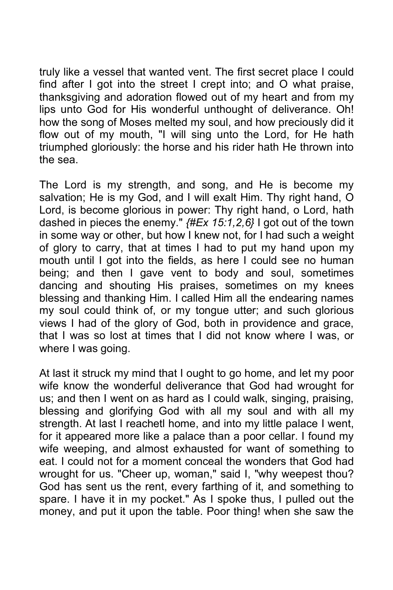truly like a vessel that wanted vent. The first secret place I could find after I got into the street I crept into; and O what praise, thanksgiving and adoration flowed out of my heart and from my lips unto God for His wonderful unthought of deliverance. Oh! how the song of Moses melted my soul, and how preciously did it flow out of my mouth, "I will sing unto the Lord, for He hath triumphed gloriously: the horse and his rider hath He thrown into the sea.

The Lord is my strength, and song, and He is become my salvation; He is my God, and I will exalt Him. Thy right hand, O Lord, is become glorious in power: Thy right hand, o Lord, hath dashed in pieces the enemy." *{#Ex 15:1,2,6}* I got out of the town in some way or other, but how I knew not, for I had such a weight of glory to carry, that at times I had to put my hand upon my mouth until I got into the fields, as here I could see no human being; and then I gave vent to body and soul, sometimes dancing and shouting His praises, sometimes on my knees blessing and thanking Him. I called Him all the endearing names my soul could think of, or my tongue utter; and such glorious views I had of the glory of God, both in providence and grace, that I was so lost at times that I did not know where I was, or where I was going.

At last it struck my mind that I ought to go home, and let my poor wife know the wonderful deliverance that God had wrought for us; and then I went on as hard as I could walk, singing, praising, blessing and glorifying God with all my soul and with all my strength. At last I reachetl home, and into my little palace I went, for it appeared more like a palace than a poor cellar. I found my wife weeping, and almost exhausted for want of something to eat. I could not for a moment conceal the wonders that God had wrought for us. "Cheer up, woman," said I, "why weepest thou? God has sent us the rent, every farthing of it, and something to spare. I have it in my pocket." As I spoke thus, I pulled out the money, and put it upon the table. Poor thing! when she saw the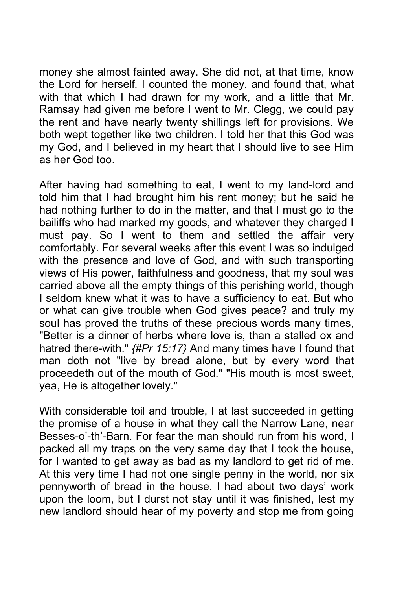money she almost fainted away. She did not, at that time, know the Lord for herself. I counted the money, and found that, what with that which I had drawn for my work, and a little that Mr. Ramsay had given me before I went to Mr. Clegg, we could pay the rent and have nearly twenty shillings left for provisions. We both wept together like two children. I told her that this God was my God, and I believed in my heart that I should live to see Him as her God too.

After having had something to eat, I went to my land-lord and told him that I had brought him his rent money; but he said he had nothing further to do in the matter, and that I must go to the bailiffs who had marked my goods, and whatever they charged I must pay. So I went to them and settled the affair very comfortably. For several weeks after this event I was so indulged with the presence and love of God, and with such transporting views of His power, faithfulness and goodness, that my soul was carried above all the empty things of this perishing world, though I seldom knew what it was to have a sufficiency to eat. But who or what can give trouble when God gives peace? and truly my soul has proved the truths of these precious words many times, "Better is a dinner of herbs where love is, than a stalled ox and hatred there-with." *{#Pr 15:17}* And many times have I found that man doth not "live by bread alone, but by every word that proceedeth out of the mouth of God." "His mouth is most sweet, yea, He is altogether lovely."

With considerable toil and trouble, I at last succeeded in getting the promise of a house in what they call the Narrow Lane, near Besses-o'-th'-Barn. For fear the man should run from his word, I packed all my traps on the very same day that I took the house, for I wanted to get away as bad as my landlord to get rid of me. At this very time I had not one single penny in the world, nor six pennyworth of bread in the house. I had about two days' work upon the loom, but I durst not stay until it was finished, lest my new landlord should hear of my poverty and stop me from going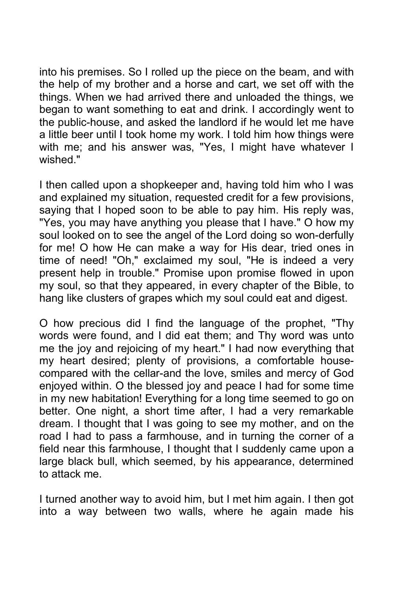into his premises. So I rolled up the piece on the beam, and with the help of my brother and a horse and cart, we set off with the things. When we had arrived there and unloaded the things, we began to want something to eat and drink. I accordingly went to the public-house, and asked the landlord if he would let me have a little beer until I took home my work. I told him how things were with me; and his answer was, "Yes, I might have whatever I wished."

I then called upon a shopkeeper and, having told him who I was and explained my situation, requested credit for a few provisions, saying that I hoped soon to be able to pay him. His reply was, "Yes, you may have anything you please that I have." O how my soul looked on to see the angel of the Lord doing so won-derfully for me! O how He can make a way for His dear, tried ones in time of need! "Oh," exclaimed my soul, "He is indeed a very present help in trouble." Promise upon promise flowed in upon my soul, so that they appeared, in every chapter of the Bible, to hang like clusters of grapes which my soul could eat and digest.

O how precious did I find the language of the prophet, "Thy words were found, and I did eat them; and Thy word was unto me the joy and rejoicing of my heart." I had now everything that my heart desired; plenty of provisions, a comfortable housecompared with the cellar-and the love, smiles and mercy of God enjoyed within. O the blessed joy and peace I had for some time in my new habitation! Everything for a long time seemed to go on better. One night, a short time after, I had a very remarkable dream. I thought that I was going to see my mother, and on the road I had to pass a farmhouse, and in turning the corner of a field near this farmhouse, I thought that I suddenly came upon a large black bull, which seemed, by his appearance, determined to attack me.

I turned another way to avoid him, but I met him again. I then got into a way between two walls, where he again made his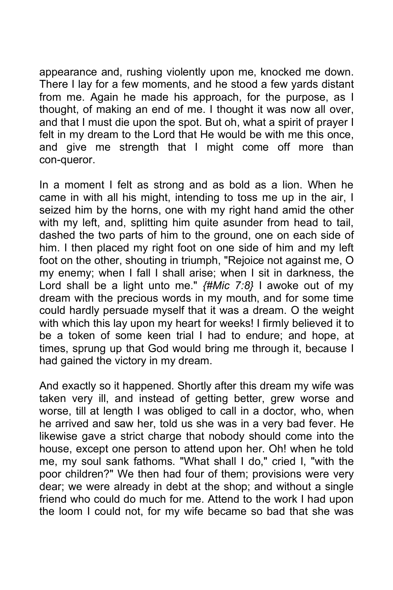appearance and, rushing violently upon me, knocked me down. There I lay for a few moments, and he stood a few yards distant from me. Again he made his approach, for the purpose, as I thought, of making an end of me. I thought it was now all over, and that I must die upon the spot. But oh, what a spirit of prayer I felt in my dream to the Lord that He would be with me this once, and give me strength that I might come off more than con-queror.

In a moment I felt as strong and as bold as a lion. When he came in with all his might, intending to toss me up in the air, I seized him by the horns, one with my right hand amid the other with my left, and, splitting him quite asunder from head to tail, dashed the two parts of him to the ground, one on each side of him. I then placed my right foot on one side of him and my left foot on the other, shouting in triumph, "Rejoice not against me, O my enemy; when I fall I shall arise; when I sit in darkness, the Lord shall be a light unto me." *{#Mic 7:8}* I awoke out of my dream with the precious words in my mouth, and for some time could hardly persuade myself that it was a dream. O the weight with which this lay upon my heart for weeks! I firmly believed it to be a token of some keen trial I had to endure; and hope, at times, sprung up that God would bring me through it, because I had gained the victory in my dream.

And exactly so it happened. Shortly after this dream my wife was taken very ill, and instead of getting better, grew worse and worse, till at length I was obliged to call in a doctor, who, when he arrived and saw her, told us she was in a very bad fever. He likewise gave a strict charge that nobody should come into the house, except one person to attend upon her. Oh! when he told me, my soul sank fathoms. "What shall I do," cried I, "with the poor children?" We then had four of them; provisions were very dear; we were already in debt at the shop; and without a single friend who could do much for me. Attend to the work I had upon the loom I could not, for my wife became so bad that she was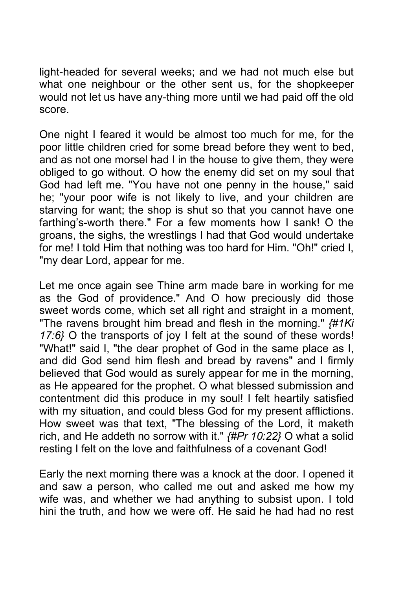light-headed for several weeks; and we had not much else but what one neighbour or the other sent us, for the shopkeeper would not let us have any-thing more until we had paid off the old score.

One night I feared it would be almost too much for me, for the poor little children cried for some bread before they went to bed, and as not one morsel had I in the house to give them, they were obliged to go without. O how the enemy did set on my soul that God had left me. "You have not one penny in the house," said he; "your poor wife is not likely to live, and your children are starving for want; the shop is shut so that you cannot have one farthing's-worth there." For a few moments how I sank! O the groans, the sighs, the wrestlings I had that God would undertake for me! I told Him that nothing was too hard for Him. "Oh!" cried I, "my dear Lord, appear for me.

Let me once again see Thine arm made bare in working for me as the God of providence." And O how preciously did those sweet words come, which set all right and straight in a moment, "The ravens brought him bread and flesh in the morning." *{#1Ki 17:6}* O the transports of joy I felt at the sound of these words! "What!" said I, "the dear prophet of God in the same place as I, and did God send him flesh and bread by ravens" and I firmly believed that God would as surely appear for me in the morning, as He appeared for the prophet. O what blessed submission and contentment did this produce in my soul! I felt heartily satisfied with my situation, and could bless God for my present afflictions. How sweet was that text, "The blessing of the Lord, it maketh rich, and He addeth no sorrow with it." *{#Pr 10:22}* O what a solid resting I felt on the love and faithfulness of a covenant God!

Early the next morning there was a knock at the door. I opened it and saw a person, who called me out and asked me how my wife was, and whether we had anything to subsist upon. I told hini the truth, and how we were off. He said he had had no rest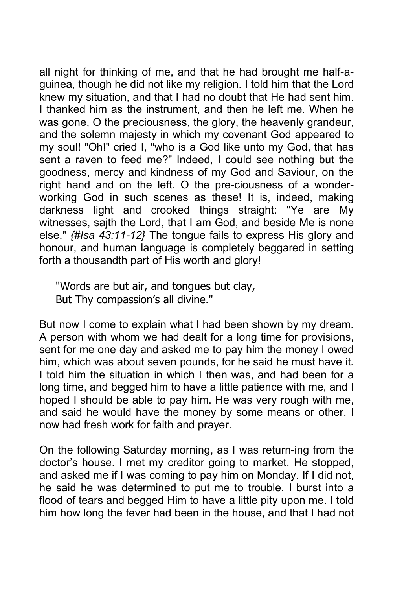all night for thinking of me, and that he had brought me half-aguinea, though he did not like my religion. I told him that the Lord knew my situation, and that I had no doubt that He had sent him. I thanked him as the instrument, and then he left me. When he was gone, O the preciousness, the glory, the heavenly grandeur, and the solemn majesty in which my covenant God appeared to my soul! "Oh!" cried I, "who is a God like unto my God, that has sent a raven to feed me?" Indeed, I could see nothing but the goodness, mercy and kindness of my God and Saviour, on the right hand and on the left. O the pre-ciousness of a wonderworking God in such scenes as these! It is, indeed, making darkness light and crooked things straight: "Ye are My witnesses, sajth the Lord, that I am God, and beside Me is none else." *{#Isa 43:11-12}* The tongue fails to express His glory and honour, and human language is completely beggared in setting forth a thousandth part of His worth and glory!

"Words are but air, and tongues but clay, But Thy compassion's all divine."

But now I come to explain what I had been shown by my dream. A person with whom we had dealt for a long time for provisions, sent for me one day and asked me to pay him the money I owed him, which was about seven pounds, for he said he must have it. I told him the situation in which I then was, and had been for a long time, and begged him to have a little patience with me, and I hoped I should be able to pay him. He was very rough with me, and said he would have the money by some means or other. I now had fresh work for faith and prayer.

On the following Saturday morning, as I was return-ing from the doctor's house. I met my creditor going to market. He stopped, and asked me if I was coming to pay him on Monday. If I did not, he said he was determined to put me to trouble. I burst into a flood of tears and begged Him to have a little pity upon me. I told him how long the fever had been in the house, and that I had not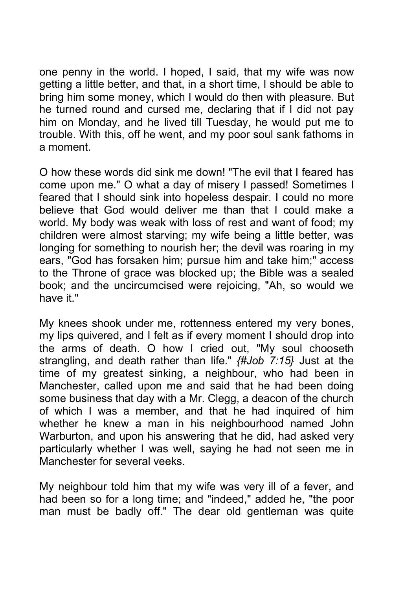one penny in the world. I hoped, I said, that my wife was now getting a little better, and that, in a short time, I should be able to bring him some money, which I would do then with pleasure. But he turned round and cursed me, declaring that if I did not pay him on Monday, and he lived till Tuesday, he would put me to trouble. With this, off he went, and my poor soul sank fathoms in a moment.

O how these words did sink me down! "The evil that I feared has come upon me." O what a day of misery I passed! Sometimes I feared that I should sink into hopeless despair. I could no more believe that God would deliver me than that I could make a world. My body was weak with loss of rest and want of food; my children were almost starving; my wife being a little better, was longing for something to nourish her; the devil was roaring in my ears, "God has forsaken him; pursue him and take him;" access to the Throne of grace was blocked up; the Bible was a sealed book; and the uncircumcised were rejoicing, "Ah, so would we have it."

My knees shook under me, rottenness entered my very bones, my lips quivered, and I felt as if every moment I should drop into the arms of death. O how I cried out, "My soul chooseth strangling, and death rather than life." *{#Job 7:15}* Just at the time of my greatest sinking, a neighbour, who had been in Manchester, called upon me and said that he had been doing some business that day with a Mr. Clegg, a deacon of the church of which I was a member, and that he had inquired of him whether he knew a man in his neighbourhood named John Warburton, and upon his answering that he did, had asked very particularly whether I was well, saying he had not seen me in Manchester for several veeks.

My neighbour told him that my wife was very ill of a fever, and had been so for a long time; and "indeed," added he, "the poor man must be badly off." The dear old gentleman was quite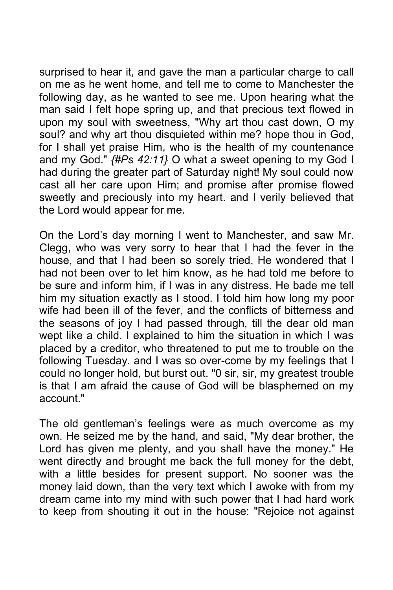surprised to hear it, and gave the man a particular charge to call on me as he went home, and tell me to come to Manchester the following day, as he wanted to see me. Upon hearing what the man said I felt hope spring up, and that precious text flowed in upon my soul with sweetness, "Why art thou cast down, O my soul? and why art thou disquieted within me? hope thou in God, for I shall yet praise Him, who is the health of my countenance and my God." *{#Ps 42:11}* O what a sweet opening to my God I had during the greater part of Saturday night! My soul could now cast all her care upon Him; and promise after promise flowed sweetly and preciously into my heart. and I verily believed that the Lord would appear for me.

On the Lord's day morning I went to Manchester, and saw Mr. Clegg, who was very sorry to hear that I had the fever in the house, and that I had been so sorely tried. He wondered that I had not been over to let him know, as he had told me before to be sure and inform him, if I was in any distress. He bade me tell him my situation exactly as I stood. I told him how long my poor wife had been ill of the fever, and the conflicts of bitterness and the seasons of joy I had passed through, till the dear old man wept like a child. I explained to him the situation in which I was placed by a creditor, who threatened to put me to trouble on the following Tuesday. and I was so over-come by my feelings that I could no longer hold, but burst out. "0 sir, sir, my greatest trouble is that I am afraid the cause of God will be blasphemed on my account."

The old gentleman's feelings were as much overcome as my own. He seized me by the hand, and said, "My dear brother, the Lord has given me plenty, and you shall have the money." He went directly and brought me back the full money for the debt, with a little besides for present support. No sooner was the money laid down, than the very text which I awoke with from my dream came into my mind with such power that I had hard work to keep from shouting it out in the house: "Rejoice not against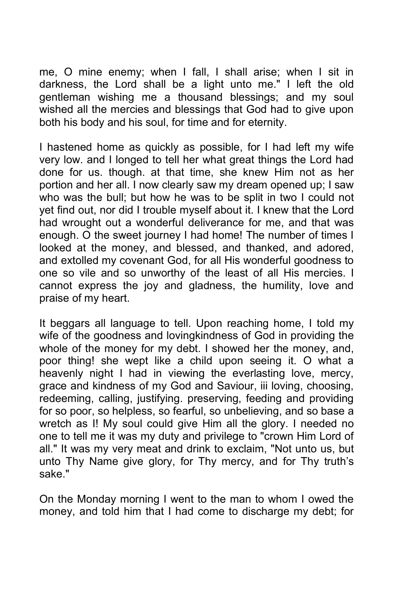me, O mine enemy; when I fall, I shall arise; when I sit in darkness, the Lord shall be a light unto me." I left the old gentleman wishing me a thousand blessings; and my soul wished all the mercies and blessings that God had to give upon both his body and his soul, for time and for eternity.

I hastened home as quickly as possible, for I had left my wife very low. and I longed to tell her what great things the Lord had done for us. though. at that time, she knew Him not as her portion and her all. I now clearly saw my dream opened up; I saw who was the bull; but how he was to be split in two I could not yet find out, nor did I trouble myself about it. I knew that the Lord had wrought out a wonderful deliverance for me, and that was enough. O the sweet journey I had home! The number of times I looked at the money, and blessed, and thanked, and adored, and extolled my covenant God, for all His wonderful goodness to one so vile and so unworthy of the least of all His mercies. I cannot express the joy and gladness, the humility, love and praise of my heart.

It beggars all language to tell. Upon reaching home, I told my wife of the goodness and lovingkindness of God in providing the whole of the money for my debt. I showed her the money, and, poor thing! she wept like a child upon seeing it. O what a heavenly night I had in viewing the everlasting love, mercy, grace and kindness of my God and Saviour, iii loving, choosing, redeeming, calling, justifying. preserving, feeding and providing for so poor, so helpless, so fearful, so unbelieving, and so base a wretch as I! My soul could give Him all the glory. I needed no one to tell me it was my duty and privilege to "crown Him Lord of all." It was my very meat and drink to exclaim, "Not unto us, but unto Thy Name give glory, for Thy mercy, and for Thy truth's sake."

On the Monday morning I went to the man to whom I owed the money, and told him that I had come to discharge my debt; for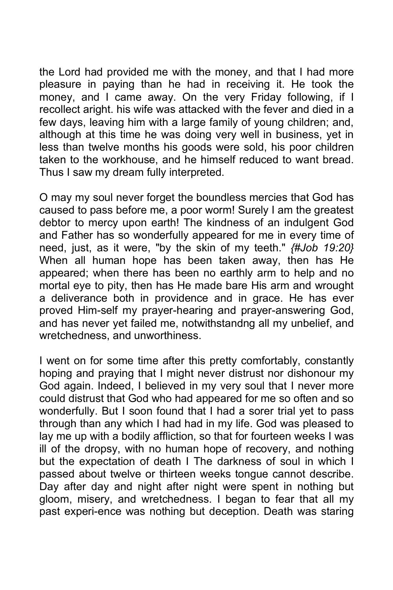the Lord had provided me with the money, and that I had more pleasure in paying than he had in receiving it. He took the money, and I came away. On the very Friday following, if I recollect aright. his wife was attacked with the fever and died in a few days, leaving him with a large family of young children; and, although at this time he was doing very well in business, yet in less than twelve months his goods were sold, his poor children taken to the workhouse, and he himself reduced to want bread. Thus I saw my dream fully interpreted.

O may my soul never forget the boundless mercies that God has caused to pass before me, a poor worm! Surely I am the greatest debtor to mercy upon earth! The kindness of an indulgent God and Father has so wonderfully appeared for me in every time of need, just, as it were, "by the skin of my teeth." *{#Job 19:20}* When all human hope has been taken away, then has He appeared; when there has been no earthly arm to help and no mortal eye to pity, then has He made bare His arm and wrought a deliverance both in providence and in grace. He has ever proved Him-self my prayer-hearing and prayer-answering God, and has never yet failed me, notwithstandng all my unbelief, and wretchedness, and unworthiness.

I went on for some time after this pretty comfortably, constantly hoping and praying that I might never distrust nor dishonour my God again. Indeed, I believed in my very soul that I never more could distrust that God who had appeared for me so often and so wonderfully. But I soon found that I had a sorer trial yet to pass through than any which I had had in my life. God was pleased to lay me up with a bodily affliction, so that for fourteen weeks I was ill of the dropsy, with no human hope of recovery, and nothing but the expectation of death I The darkness of soul in which I passed about twelve or thirteen weeks tongue cannot describe. Day after day and night after night were spent in nothing but gloom, misery, and wretchedness. I began to fear that all my past experi-ence was nothing but deception. Death was staring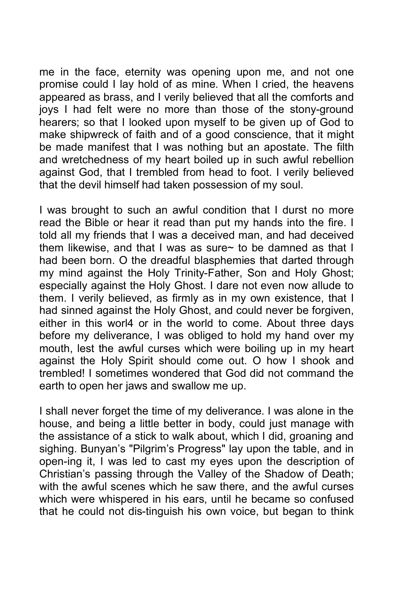me in the face, eternity was opening upon me, and not one promise could I lay hold of as mine. When I cried, the heavens appeared as brass, and I verily believed that all the comforts and joys I had felt were no more than those of the stony-ground hearers; so that I looked upon myself to be given up of God to make shipwreck of faith and of a good conscience, that it might be made manifest that I was nothing but an apostate. The filth and wretchedness of my heart boiled up in such awful rebellion against God, that I trembled from head to foot. I verily believed that the devil himself had taken possession of my soul.

I was brought to such an awful condition that I durst no more read the Bible or hear it read than put my hands into the fire. I told all my friends that I was a deceived man, and had deceived them likewise, and that I was as sure~ to be damned as that I had been born. O the dreadful blasphemies that darted through my mind against the Holy Trinity-Father, Son and Holy Ghost; especially against the Holy Ghost. I dare not even now allude to them. I verily believed, as firmly as in my own existence, that I had sinned against the Holy Ghost, and could never be forgiven, either in this worl4 or in the world to come. About three days before my deliverance, I was obliged to hold my hand over my mouth, lest the awful curses which were boiling up in my heart against the Holy Spirit should come out. O how I shook and trembled! I sometimes wondered that God did not command the earth to open her jaws and swallow me up.

I shall never forget the time of my deliverance. I was alone in the house, and being a little better in body, could just manage with the assistance of a stick to walk about, which I did, groaning and sighing. Bunyan's "Pilgrim's Progress" lay upon the table, and in open-ing it, I was led to cast my eyes upon the description of Christian's passing through the Valley of the Shadow of Death; with the awful scenes which he saw there, and the awful curses which were whispered in his ears, until he became so confused that he could not dis-tinguish his own voice, but began to think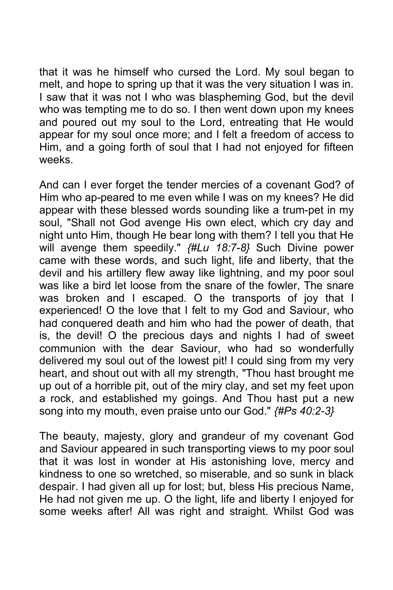that it was he himself who cursed the Lord. My soul began to melt, and hope to spring up that it was the very situation I was in. I saw that it was not I who was blaspheming God, but the devil who was tempting me to do so. I then went down upon my knees and poured out my soul to the Lord, entreating that He would appear for my soul once more; and I felt a freedom of access to Him, and a going forth of soul that I had not enjoyed for fifteen weeks.

And can I ever forget the tender mercies of a covenant God? of Him who ap-peared to me even while I was on my knees? He did appear with these blessed words sounding like a trum-pet in my soul, "Shall not God avenge His own elect, which cry day and night unto Him, though He bear long with them? I tell you that He will avenge them speedily." *{#Lu 18:7-8}* Such Divine power came with these words, and such light, life and liberty, that the devil and his artillery flew away like lightning, and my poor soul was like a bird let loose from the snare of the fowler, The snare was broken and I escaped. O the transports of joy that I experienced! O the love that I felt to my God and Saviour, who had conquered death and him who had the power of death, that is, the devil! O the precious days and nights I had of sweet communion with the dear Saviour, who had so wonderfully delivered my soul out of the lowest pit! I could sing from my very heart, and shout out with all my strength, "Thou hast brought me up out of a horrible pit, out of the miry clay, and set my feet upon a rock, and established my goings. And Thou hast put a new song into my mouth, even praise unto our God." *{#Ps 40:2-3}*

The beauty, majesty, glory and grandeur of my covenant God and Saviour appeared in such transporting views to my poor soul that it was lost in wonder at His astonishing love, mercy and kindness to one so wretched, so miserable, and so sunk in black despair. I had given all up for lost; but, bless His precious Name, He had not given me up. O the light, life and liberty I enjoyed for some weeks after! All was right and straight. Whilst God was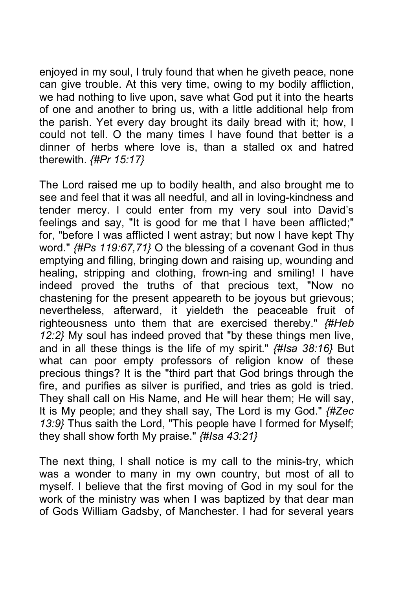enjoyed in my soul, I truly found that when he giveth peace, none can give trouble. At this very time, owing to my bodily affliction, we had nothing to live upon, save what God put it into the hearts of one and another to bring us, with a little additional help from the parish. Yet every day brought its daily bread with it; how, I could not tell. O the many times I have found that better is a dinner of herbs where love is, than a stalled ox and hatred therewith. *{#Pr 15:17}*

The Lord raised me up to bodily health, and also brought me to see and feel that it was all needful, and all in loving-kindness and tender mercy. I could enter from my very soul into David's feelings and say, "It is good for me that I have been afflicted;" for, "before I was afflicted I went astray; but now I have kept Thy word." *{#Ps 119:67,71}* O the blessing of a covenant God in thus emptying and filling, bringing down and raising up, wounding and healing, stripping and clothing, frown-ing and smiling! I have indeed proved the truths of that precious text, "Now no chastening for the present appeareth to be joyous but grievous; nevertheless, afterward, it yieldeth the peaceable fruit of righteousness unto them that are exercised thereby." *{#Heb 12:2}* My soul has indeed proved that "by these things men live, and in all these things is the life of my spirit." *{#Isa 38:16}* But what can poor empty professors of religion know of these precious things? It is the "third part that God brings through the fire, and purifies as silver is purified, and tries as gold is tried. They shall call on His Name, and He will hear them; He will say, It is My people; and they shall say, The Lord is my God." *{#Zec 13:9}* Thus saith the Lord, "This people have I formed for Myself; they shall show forth My praise." *{#Isa 43:21}*

The next thing, I shall notice is my call to the minis-try, which was a wonder to many in my own country, but most of all to myself. I believe that the first moving of God in my soul for the work of the ministry was when I was baptized by that dear man of Gods William Gadsby, of Manchester. I had for several years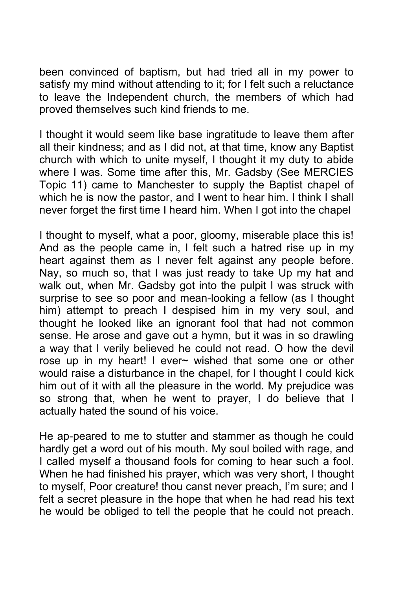been convinced of baptism, but had tried all in my power to satisfy my mind without attending to it; for I felt such a reluctance to leave the Independent church, the members of which had proved themselves such kind friends to me.

I thought it would seem like base ingratitude to leave them after all their kindness; and as I did not, at that time, know any Baptist church with which to unite myself, I thought it my duty to abide where I was. Some time after this, Mr. Gadsby (See MERCIES Topic 11) came to Manchester to supply the Baptist chapel of which he is now the pastor, and I went to hear him. I think I shall never forget the first time I heard him. When I got into the chapel

I thought to myself, what a poor, gloomy, miserable place this is! And as the people came in, I felt such a hatred rise up in my heart against them as I never felt against any people before. Nay, so much so, that I was just ready to take Up my hat and walk out, when Mr. Gadsby got into the pulpit I was struck with surprise to see so poor and mean-looking a fellow (as I thought him) attempt to preach I despised him in my very soul, and thought he looked like an ignorant fool that had not common sense. He arose and gave out a hymn, but it was in so drawling a way that I verily believed he could not read. O how the devil rose up in my heart! I ever~ wished that some one or other would raise a disturbance in the chapel, for I thought I could kick him out of it with all the pleasure in the world. My prejudice was so strong that, when he went to prayer, I do believe that I actually hated the sound of his voice.

He ap-peared to me to stutter and stammer as though he could hardly get a word out of his mouth. My soul boiled with rage, and I called myself a thousand fools for coming to hear such a fool. When he had finished his prayer, which was very short, I thought to myself, Poor creature! thou canst never preach, I'm sure; and I felt a secret pleasure in the hope that when he had read his text he would be obliged to tell the people that he could not preach.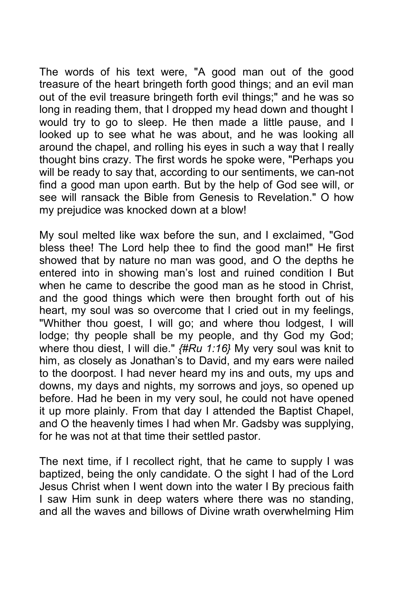The words of his text were, "A good man out of the good treasure of the heart bringeth forth good things; and an evil man out of the evil treasure bringeth forth evil things;" and he was so long in reading them, that I dropped my head down and thought I would try to go to sleep. He then made a little pause, and I looked up to see what he was about, and he was looking all around the chapel, and rolling his eyes in such a way that I really thought bins crazy. The first words he spoke were, "Perhaps you will be ready to say that, according to our sentiments, we can-not find a good man upon earth. But by the help of God see will, or see will ransack the Bible from Genesis to Revelation." O how my prejudice was knocked down at a blow!

My soul melted like wax before the sun, and I exclaimed, "God bless thee! The Lord help thee to find the good man!" He first showed that by nature no man was good, and O the depths he entered into in showing man's lost and ruined condition I But when he came to describe the good man as he stood in Christ, and the good things which were then brought forth out of his heart, my soul was so overcome that I cried out in my feelings, "Whither thou goest, I will go; and where thou lodgest, I will lodge; thy people shall be my people, and thy God my God; where thou diest, I will die." *{#Ru 1:16}* My very soul was knit to him, as closely as Jonathan's to David, and my ears were nailed to the doorpost. I had never heard my ins and outs, my ups and downs, my days and nights, my sorrows and joys, so opened up before. Had he been in my very soul, he could not have opened it up more plainly. From that day I attended the Baptist Chapel, and O the heavenly times I had when Mr. Gadsby was supplying, for he was not at that time their settled pastor.

The next time, if I recollect right, that he came to supply I was baptized, being the only candidate. O the sight I had of the Lord Jesus Christ when I went down into the water I By precious faith I saw Him sunk in deep waters where there was no standing, and all the waves and billows of Divine wrath overwhelming Him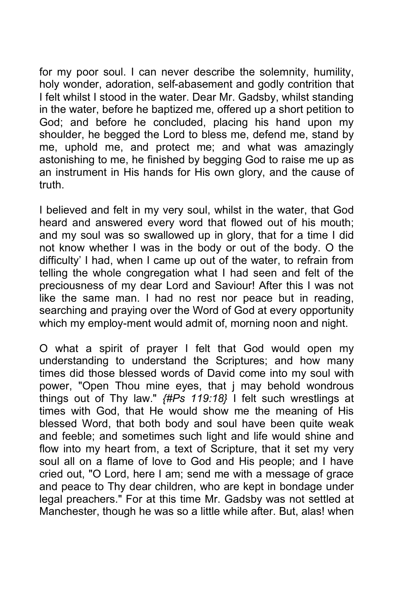for my poor soul. I can never describe the solemnity, humility, holy wonder, adoration, self-abasement and godly contrition that I felt whilst I stood in the water. Dear Mr. Gadsby, whilst standing in the water, before he baptized me, offered up a short petition to God; and before he concluded, placing his hand upon my shoulder, he begged the Lord to bless me, defend me, stand by me, uphold me, and protect me; and what was amazingly astonishing to me, he finished by begging God to raise me up as an instrument in His hands for His own glory, and the cause of truth.

I believed and felt in my very soul, whilst in the water, that God heard and answered every word that flowed out of his mouth; and my soul was so swallowed up in glory, that for a time I did not know whether I was in the body or out of the body. O the difficulty' I had, when I came up out of the water, to refrain from telling the whole congregation what I had seen and felt of the preciousness of my dear Lord and Saviour! After this I was not like the same man. I had no rest nor peace but in reading, searching and praying over the Word of God at every opportunity which my employ-ment would admit of, morning noon and night.

O what a spirit of prayer I felt that God would open my understanding to understand the Scriptures; and how many times did those blessed words of David come into my soul with power, "Open Thou mine eyes, that j may behold wondrous things out of Thy law." *{#Ps 119:18}* I felt such wrestlings at times with God, that He would show me the meaning of His blessed Word, that both body and soul have been quite weak and feeble; and sometimes such light and life would shine and flow into my heart from, a text of Scripture, that it set my very soul all on a flame of love to God and His people; and I have cried out, "O Lord, here I am; send me with a message of grace and peace to Thy dear children, who are kept in bondage under legal preachers." For at this time Mr. Gadsby was not settled at Manchester, though he was so a little while after. But, alas! when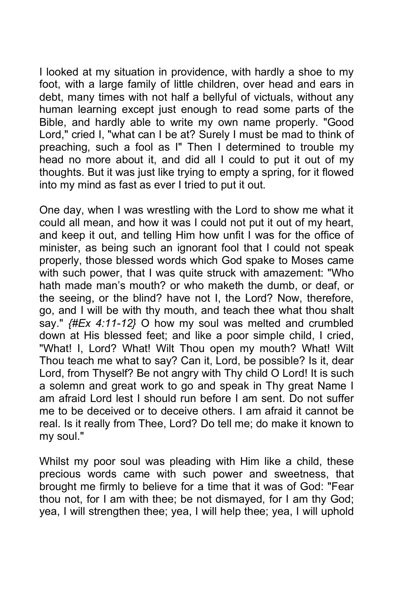I looked at my situation in providence, with hardly a shoe to my foot, with a large family of little children, over head and ears in debt, many times with not half a bellyful of victuals, without any human learning except just enough to read some parts of the Bible, and hardly able to write my own name properly. "Good Lord," cried I, "what can I be at? Surely I must be mad to think of preaching, such a fool as I" Then I determined to trouble my head no more about it, and did all I could to put it out of my thoughts. But it was just like trying to empty a spring, for it flowed into my mind as fast as ever I tried to put it out.

One day, when I was wrestling with the Lord to show me what it could all mean, and how it was I could not put it out of my heart, and keep it out, and telling Him how unfit I was for the office of minister, as being such an ignorant fool that I could not speak properly, those blessed words which God spake to Moses came with such power, that I was quite struck with amazement: "Who hath made man's mouth? or who maketh the dumb, or deaf, or the seeing, or the blind? have not I, the Lord? Now, therefore, go, and I will be with thy mouth, and teach thee what thou shalt say." *{#Ex 4:11-12}* O how my soul was melted and crumbled down at His blessed feet; and like a poor simple child, I cried, "What! I, Lord? What! Wilt Thou open my mouth? What! Wilt Thou teach me what to say? Can it, Lord, be possible? Is it, dear Lord, from Thyself? Be not angry with Thy child O Lord! It is such a solemn and great work to go and speak in Thy great Name I am afraid Lord lest I should run before I am sent. Do not suffer me to be deceived or to deceive others. I am afraid it cannot be real. Is it really from Thee, Lord? Do tell me; do make it known to my soul."

Whilst my poor soul was pleading with Him like a child, these precious words came with such power and sweetness, that brought me firmly to believe for a time that it was of God: "Fear thou not, for I am with thee; be not dismayed, for I am thy God; yea, I will strengthen thee; yea, I will help thee; yea, I will uphold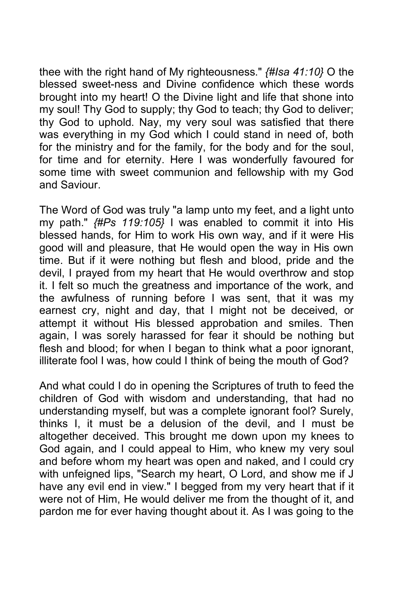thee with the right hand of My righteousness." *{#Isa 41:10}* O the blessed sweet-ness and Divine confidence which these words brought into my heart! O the Divine light and life that shone into my soul! Thy God to supply; thy God to teach; thy God to deliver; thy God to uphold. Nay, my very soul was satisfied that there was everything in my God which I could stand in need of, both for the ministry and for the family, for the body and for the soul, for time and for eternity. Here I was wonderfully favoured for some time with sweet communion and fellowship with my God and Saviour.

The Word of God was truly "a lamp unto my feet, and a light unto my path." *{#Ps 119:105}* I was enabled to commit it into His blessed hands, for Him to work His own way, and if it were His good will and pleasure, that He would open the way in His own time. But if it were nothing but flesh and blood, pride and the devil, I prayed from my heart that He would overthrow and stop it. I felt so much the greatness and importance of the work, and the awfulness of running before I was sent, that it was my earnest cry, night and day, that I might not be deceived, or attempt it without His blessed approbation and smiles. Then again, I was sorely harassed for fear it should be nothing but flesh and blood; for when I began to think what a poor ignorant, illiterate fool I was, how could I think of being the mouth of God?

And what could I do in opening the Scriptures of truth to feed the children of God with wisdom and understanding, that had no understanding myself, but was a complete ignorant fool? Surely, thinks I, it must be a delusion of the devil, and I must be altogether deceived. This brought me down upon my knees to God again, and I could appeal to Him, who knew my very soul and before whom my heart was open and naked, and I could cry with unfeigned lips, "Search my heart, O Lord, and show me if J have any evil end in view." I begged from my very heart that if it were not of Him, He would deliver me from the thought of it, and pardon me for ever having thought about it. As I was going to the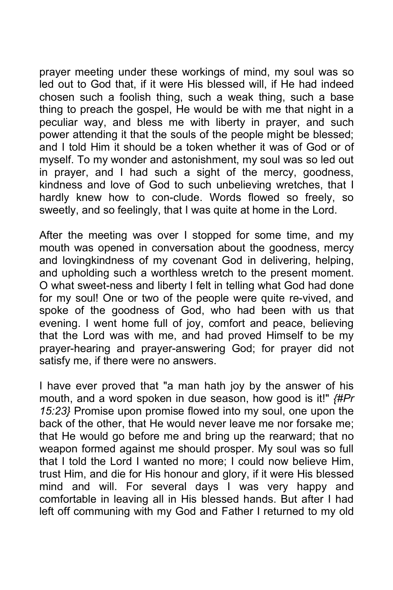prayer meeting under these workings of mind, my soul was so led out to God that, if it were His blessed will, if He had indeed chosen such a foolish thing, such a weak thing, such a base thing to preach the gospel, He would be with me that night in a peculiar way, and bless me with liberty in prayer, and such power attending it that the souls of the people might be blessed; and I told Him it should be a token whether it was of God or of myself. To my wonder and astonishment, my soul was so led out in prayer, and I had such a sight of the mercy, goodness, kindness and love of God to such unbelieving wretches, that I hardly knew how to con-clude. Words flowed so freely, so sweetly, and so feelingly, that I was quite at home in the Lord.

After the meeting was over I stopped for some time, and my mouth was opened in conversation about the goodness, mercy and lovingkindness of my covenant God in delivering, helping, and upholding such a worthless wretch to the present moment. O what sweet-ness and liberty I felt in telling what God had done for my soul! One or two of the people were quite re-vived, and spoke of the goodness of God, who had been with us that evening. I went home full of joy, comfort and peace, believing that the Lord was with me, and had proved Himself to be my prayer-hearing and prayer-answering God; for prayer did not satisfy me, if there were no answers.

I have ever proved that "a man hath joy by the answer of his mouth, and a word spoken in due season, how good is it!" *{#Pr 15:23}* Promise upon promise flowed into my soul, one upon the back of the other, that He would never leave me nor forsake me; that He would go before me and bring up the rearward; that no weapon formed against me should prosper. My soul was so full that I told the Lord I wanted no more; I could now believe Him, trust Him, and die for His honour and glory, if it were His blessed mind and will. For several days I was very happy and comfortable in leaving all in His blessed hands. But after I had left off communing with my God and Father I returned to my old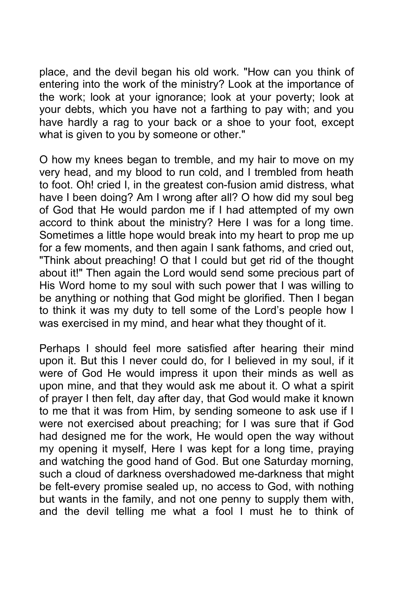place, and the devil began his old work. "How can you think of entering into the work of the ministry? Look at the importance of the work; look at your ignorance; look at your poverty; look at your debts, which you have not a farthing to pay with; and you have hardly a rag to your back or a shoe to your foot, except what is given to you by someone or other."

O how my knees began to tremble, and my hair to move on my very head, and my blood to run cold, and I trembled from heath to foot. Oh! cried I, in the greatest con-fusion amid distress, what have I been doing? Am I wrong after all? O how did my soul beg of God that He would pardon me if I had attempted of my own accord to think about the ministry? Here I was for a long time. Sometimes a little hope would break into my heart to prop me up for a few moments, and then again I sank fathoms, and cried out, "Think about preaching! O that I could but get rid of the thought about it!" Then again the Lord would send some precious part of His Word home to my soul with such power that I was willing to be anything or nothing that God might be glorified. Then I began to think it was my duty to tell some of the Lord's people how I was exercised in my mind, and hear what they thought of it.

Perhaps I should feel more satisfied after hearing their mind upon it. But this I never could do, for I believed in my soul, if it were of God He would impress it upon their minds as well as upon mine, and that they would ask me about it. O what a spirit of prayer I then felt, day after day, that God would make it known to me that it was from Him, by sending someone to ask use if I were not exercised about preaching; for I was sure that if God had designed me for the work, He would open the way without my opening it myself, Here I was kept for a long time, praying and watching the good hand of God. But one Saturday morning, such a cloud of darkness overshadowed me-darkness that might be felt-every promise sealed up, no access to God, with nothing but wants in the family, and not one penny to supply them with, and the devil telling me what a fool I must he to think of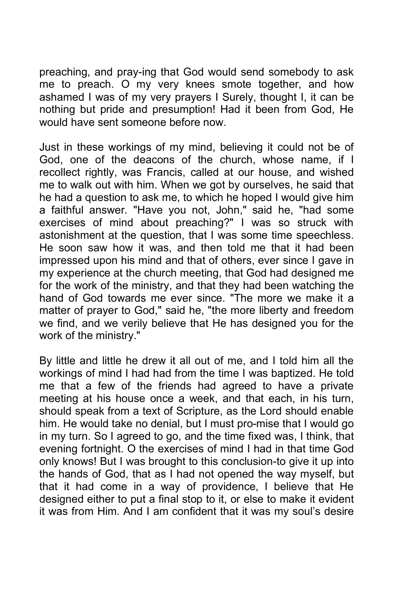preaching, and pray-ing that God would send somebody to ask me to preach. O my very knees smote together, and how ashamed I was of my very prayers I Surely, thought I, it can be nothing but pride and presumption! Had it been from God, He would have sent someone before now.

Just in these workings of my mind, believing it could not be of God, one of the deacons of the church, whose name, if I recollect rightly, was Francis, called at our house, and wished me to walk out with him. When we got by ourselves, he said that he had a question to ask me, to which he hoped I would give him a faithful answer. "Have you not, John," said he, "had some exercises of mind about preaching?" I was so struck with astonishment at the question, that I was some time speechless. He soon saw how it was, and then told me that it had been impressed upon his mind and that of others, ever since I gave in my experience at the church meeting, that God had designed me for the work of the ministry, and that they had been watching the hand of God towards me ever since. "The more we make it a matter of prayer to God," said he, "the more liberty and freedom we find, and we verily believe that He has designed you for the work of the ministry."

By little and little he drew it all out of me, and I told him all the workings of mind I had had from the time I was baptized. He told me that a few of the friends had agreed to have a private meeting at his house once a week, and that each, in his turn, should speak from a text of Scripture, as the Lord should enable him. He would take no denial, but I must pro-mise that I would go in my turn. So I agreed to go, and the time fixed was, I think, that evening fortnight. O the exercises of mind I had in that time God only knows! But I was brought to this conclusion-to give it up into the hands of God, that as I had not opened the way myself, but that it had come in a way of providence, I believe that He designed either to put a final stop to it, or else to make it evident it was from Him. And I am confident that it was my soul's desire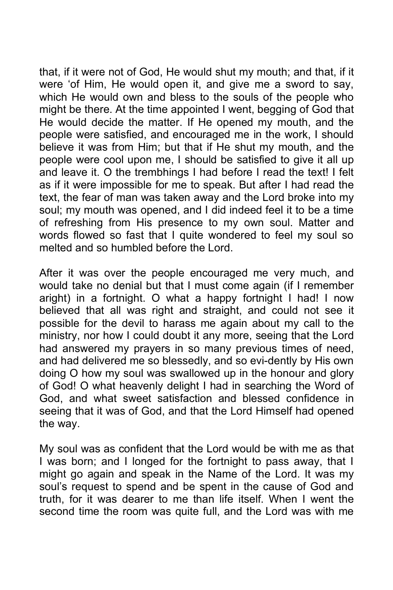that, if it were not of God, He would shut my mouth; and that, if it were 'of Him, He would open it, and give me a sword to say, which He would own and bless to the souls of the people who might be there. At the time appointed I went, begging of God that He would decide the matter. If He opened my mouth, and the people were satisfied, and encouraged me in the work, I should believe it was from Him; but that if He shut my mouth, and the people were cool upon me, I should be satisfied to give it all up and leave it. O the trembhings I had before I read the text! I felt as if it were impossible for me to speak. But after I had read the text, the fear of man was taken away and the Lord broke into my soul; my mouth was opened, and I did indeed feel it to be a time of refreshing from His presence to my own soul. Matter and words flowed so fast that I quite wondered to feel my soul so melted and so humbled before the Lord.

After it was over the people encouraged me very much, and would take no denial but that I must come again (if I remember aright) in a fortnight. O what a happy fortnight I had! I now believed that all was right and straight, and could not see it possible for the devil to harass me again about my call to the ministry, nor how I could doubt it any more, seeing that the Lord had answered my prayers in so many previous times of need, and had delivered me so blessedly, and so evi-dently by His own doing O how my soul was swallowed up in the honour and glory of God! O what heavenly delight I had in searching the Word of God, and what sweet satisfaction and blessed confidence in seeing that it was of God, and that the Lord Himself had opened the way.

My soul was as confident that the Lord would be with me as that I was born; and I longed for the fortnight to pass away, that I might go again and speak in the Name of the Lord. It was my soul's request to spend and be spent in the cause of God and truth, for it was dearer to me than life itself. When I went the second time the room was quite full, and the Lord was with me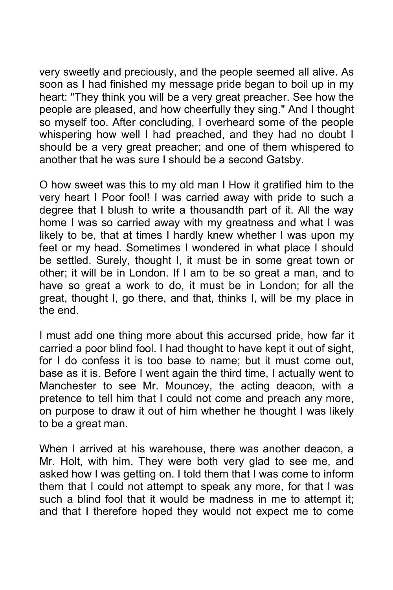very sweetly and preciously, and the people seemed all alive. As soon as I had finished my message pride began to boil up in my heart: "They think you will be a very great preacher. See how the people are pleased, and how cheerfully they sing." And I thought so myself too. After concluding, I overheard some of the people whispering how well I had preached, and they had no doubt I should be a very great preacher; and one of them whispered to another that he was sure I should be a second Gatsby.

O how sweet was this to my old man I How it gratified him to the very heart I Poor fool! I was carried away with pride to such a degree that I blush to write a thousandth part of it. All the way home I was so carried away with my greatness and what I was likely to be, that at times I hardly knew whether I was upon my feet or my head. Sometimes I wondered in what place I should be settled. Surely, thought I, it must be in some great town or other; it will be in London. If I am to be so great a man, and to have so great a work to do, it must be in London; for all the great, thought I, go there, and that, thinks I, will be my place in the end.

I must add one thing more about this accursed pride, how far it carried a poor blind fool. I had thought to have kept it out of sight, for I do confess it is too base to name; but it must come out, base as it is. Before I went again the third time, I actually went to Manchester to see Mr. Mouncey, the acting deacon, with a pretence to tell him that I could not come and preach any more, on purpose to draw it out of him whether he thought I was likely to be a great man.

When I arrived at his warehouse, there was another deacon, a Mr. Holt, with him. They were both very glad to see me, and asked how I was getting on. I told them that I was come to inform them that I could not attempt to speak any more, for that I was such a blind fool that it would be madness in me to attempt it; and that I therefore hoped they would not expect me to come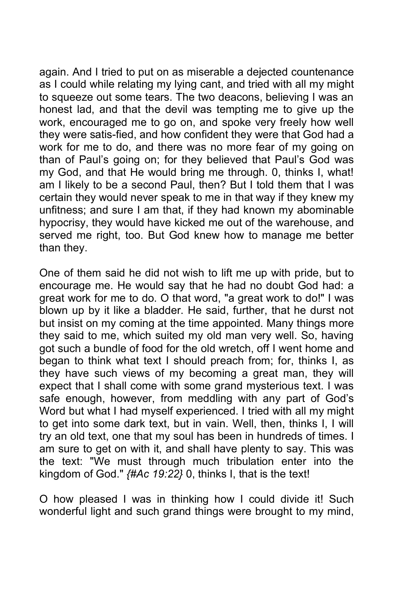again. And I tried to put on as miserable a dejected countenance as I could while relating my lying cant, and tried with all my might to squeeze out some tears. The two deacons, believing I was an honest lad, and that the devil was tempting me to give up the work, encouraged me to go on, and spoke very freely how well they were satis-fied, and how confident they were that God had a work for me to do, and there was no more fear of my going on than of Paul's going on; for they believed that Paul's God was my God, and that He would bring me through. 0, thinks I, what! am I likely to be a second Paul, then? But I told them that I was certain they would never speak to me in that way if they knew my unfitness; and sure I am that, if they had known my abominable hypocrisy, they would have kicked me out of the warehouse, and served me right, too. But God knew how to manage me better than they.

One of them said he did not wish to lift me up with pride, but to encourage me. He would say that he had no doubt God had: a great work for me to do. O that word, "a great work to do!" I was blown up by it like a bladder. He said, further, that he durst not but insist on my coming at the time appointed. Many things more they said to me, which suited my old man very well. So, having got such a bundle of food for the old wretch, off I went home and began to think what text I should preach from; for, thinks I, as they have such views of my becoming a great man, they will expect that I shall come with some grand mysterious text. I was safe enough, however, from meddling with any part of God's Word but what I had myself experienced. I tried with all my might to get into some dark text, but in vain. Well, then, thinks I, I will try an old text, one that my soul has been in hundreds of times. I am sure to get on with it, and shall have plenty to say. This was the text: "We must through much tribulation enter into the kingdom of God." *{#Ac 19:22}* 0, thinks I, that is the text!

O how pleased I was in thinking how I could divide it! Such wonderful light and such grand things were brought to my mind,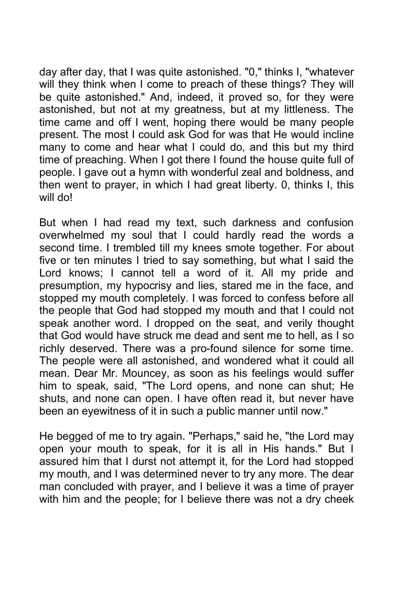day after day, that I was quite astonished. "0," thinks I, "whatever will they think when I come to preach of these things? They will be quite astonished." And, indeed, it proved so, for they were astonished, but not at my greatness, but at my littleness. The time came and off I went, hoping there would be many people present. The most I could ask God for was that He would incline many to come and hear what I could do, and this but my third time of preaching. When I got there I found the house quite full of people. I gave out a hymn with wonderful zeal and boldness, and then went to prayer, in which I had great liberty. 0, thinks I, this will do!

But when I had read my text, such darkness and confusion overwhelmed my soul that I could hardly read the words a second time. I trembled till my knees smote together. For about five or ten minutes I tried to say something, but what I said the Lord knows; I cannot tell a word of it. All my pride and presumption, my hypocrisy and lies, stared me in the face, and stopped my mouth completely. I was forced to confess before all the people that God had stopped my mouth and that I could not speak another word. I dropped on the seat, and verily thought that God would have struck me dead and sent me to hell, as I so richly deserved. There was a pro-found silence for some time. The people were all astonished, and wondered what it could all mean. Dear Mr. Mouncey, as soon as his feelings would suffer him to speak, said, "The Lord opens, and none can shut; He shuts, and none can open. I have often read it, but never have been an eyewitness of it in such a public manner until now."

He begged of me to try again. "Perhaps," said he, "the Lord may open your mouth to speak, for it is all in His hands." But I assured him that I durst not attempt it, for the Lord had stopped my mouth, and I was determined never to try any more. The dear man concluded with prayer, and I believe it was a time of prayer with him and the people; for I believe there was not a dry cheek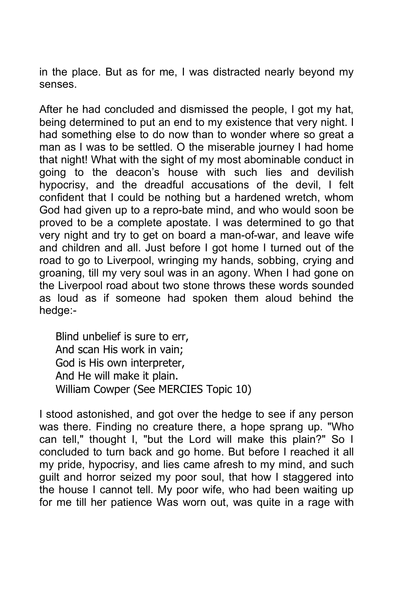in the place. But as for me, I was distracted nearly beyond my senses.

After he had concluded and dismissed the people, I got my hat, being determined to put an end to my existence that very night. I had something else to do now than to wonder where so great a man as I was to be settled. O the miserable journey I had home that night! What with the sight of my most abominable conduct in going to the deacon's house with such lies and devilish hypocrisy, and the dreadful accusations of the devil, I felt confident that I could be nothing but a hardened wretch, whom God had given up to a repro-bate mind, and who would soon be proved to be a complete apostate. I was determined to go that very night and try to get on board a man-of-war, and leave wife and children and all. Just before I got home I turned out of the road to go to Liverpool, wringing my hands, sobbing, crying and groaning, till my very soul was in an agony. When I had gone on the Liverpool road about two stone throws these words sounded as loud as if someone had spoken them aloud behind the hedge:-

Blind unbelief is sure to err, And scan His work in vain; God is His own interpreter, And He will make it plain. William Cowper (See MERCIES Topic 10)

I stood astonished, and got over the hedge to see if any person was there. Finding no creature there, a hope sprang up. "Who can tell," thought I, "but the Lord will make this plain?" So I concluded to turn back and go home. But before I reached it all my pride, hypocrisy, and lies came afresh to my mind, and such guilt and horror seized my poor soul, that how I staggered into the house I cannot tell. My poor wife, who had been waiting up for me till her patience Was worn out, was quite in a rage with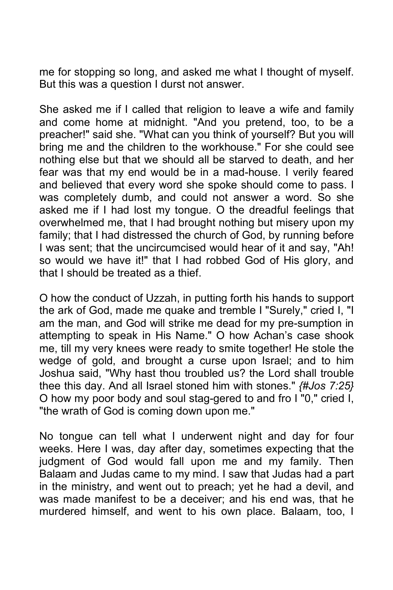me for stopping so long, and asked me what I thought of myself. But this was a question I durst not answer.

She asked me if I called that religion to leave a wife and family and come home at midnight. "And you pretend, too, to be a preacher!" said she. "What can you think of yourself? But you will bring me and the children to the workhouse." For she could see nothing else but that we should all be starved to death, and her fear was that my end would be in a mad-house. I verily feared and believed that every word she spoke should come to pass. I was completely dumb, and could not answer a word. So she asked me if I had lost my tongue. O the dreadful feelings that overwhelmed me, that I had brought nothing but misery upon my family; that I had distressed the church of God, by running before I was sent; that the uncircumcised would hear of it and say, "Ah! so would we have it!" that I had robbed God of His glory, and that I should be treated as a thief.

O how the conduct of Uzzah, in putting forth his hands to support the ark of God, made me quake and tremble I "Surely," cried I, "I am the man, and God will strike me dead for my pre-sumption in attempting to speak in His Name." O how Achan's case shook me, till my very knees were ready to smite together! He stole the wedge of gold, and brought a curse upon Israel; and to him Joshua said, "Why hast thou troubled us? the Lord shall trouble thee this day. And all Israel stoned him with stones." *{#Jos 7:25}* O how my poor body and soul stag-gered to and fro I "0," cried I, "the wrath of God is coming down upon me."

No tongue can tell what I underwent night and day for four weeks. Here I was, day after day, sometimes expecting that the judgment of God would fall upon me and my family. Then Balaam and Judas came to my mind. I saw that Judas had a part in the ministry, and went out to preach; yet he had a devil, and was made manifest to be a deceiver; and his end was, that he murdered himself, and went to his own place. Balaam, too, I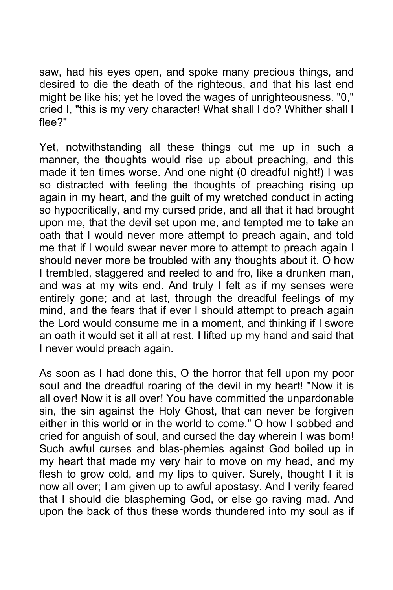saw, had his eyes open, and spoke many precious things, and desired to die the death of the righteous, and that his last end might be like his; yet he loved the wages of unrighteousness. "0," cried I, "this is my very character! What shall I do? Whither shall I flee?"

Yet, notwithstanding all these things cut me up in such a manner, the thoughts would rise up about preaching, and this made it ten times worse. And one night (0 dreadful night!) I was so distracted with feeling the thoughts of preaching rising up again in my heart, and the guilt of my wretched conduct in acting so hypocritically, and my cursed pride, and all that it had brought upon me, that the devil set upon me, and tempted me to take an oath that I would never more attempt to preach again, and told me that if I would swear never more to attempt to preach again I should never more be troubled with any thoughts about it. O how I trembled, staggered and reeled to and fro, like a drunken man, and was at my wits end. And truly I felt as if my senses were entirely gone; and at last, through the dreadful feelings of my mind, and the fears that if ever I should attempt to preach again the Lord would consume me in a moment, and thinking if I swore an oath it would set it all at rest. I lifted up my hand and said that I never would preach again.

As soon as I had done this, O the horror that fell upon my poor soul and the dreadful roaring of the devil in my heart! "Now it is all over! Now it is all over! You have committed the unpardonable sin, the sin against the Holy Ghost, that can never be forgiven either in this world or in the world to come." O how I sobbed and cried for anguish of soul, and cursed the day wherein I was born! Such awful curses and blas-phemies against God boiled up in my heart that made my very hair to move on my head, and my flesh to grow cold, and my lips to quiver. Surely, thought I it is now all over; I am given up to awful apostasy. And I verily feared that I should die blaspheming God, or else go raving mad. And upon the back of thus these words thundered into my soul as if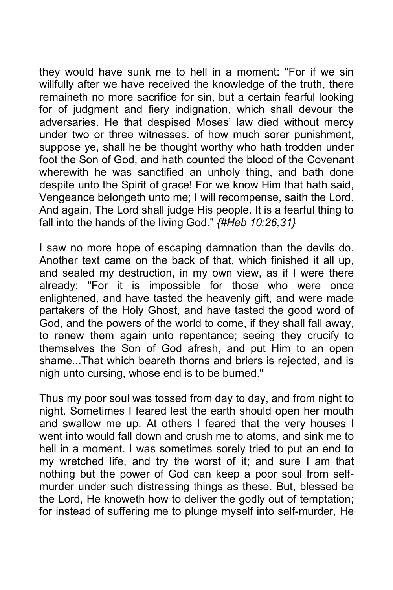they would have sunk me to hell in a moment: "For if we sin willfully after we have received the knowledge of the truth, there remaineth no more sacrifice for sin, but a certain fearful looking for of judgment and fiery indignation, which shall devour the adversaries. He that despised Moses' law died without mercy under two or three witnesses. of how much sorer punishment, suppose ye, shall he be thought worthy who hath trodden under foot the Son of God, and hath counted the blood of the Covenant wherewith he was sanctified an unholy thing, and bath done despite unto the Spirit of grace! For we know Him that hath said, Vengeance belongeth unto me; I will recompense, saith the Lord. And again, The Lord shall judge His people. It is a fearful thing to fall into the hands of the living God." *{#Heb 10:26,31}*

I saw no more hope of escaping damnation than the devils do. Another text came on the back of that, which finished it all up, and sealed my destruction, in my own view, as if I were there already: "For it is impossible for those who were once enlightened, and have tasted the heavenly gift, and were made partakers of the Holy Ghost, and have tasted the good word of God, and the powers of the world to come, if they shall fall away, to renew them again unto repentance; seeing they crucify to themselves the Son of God afresh, and put Him to an open shame...That which beareth thorns and briers is rejected, and is nigh unto cursing, whose end is to be burned."

Thus my poor soul was tossed from day to day, and from night to night. Sometimes I feared lest the earth should open her mouth and swallow me up. At others I feared that the very houses I went into would fall down and crush me to atoms, and sink me to hell in a moment. I was sometimes sorely tried to put an end to my wretched life, and try the worst of it; and sure I am that nothing but the power of God can keep a poor soul from selfmurder under such distressing things as these. But, blessed be the Lord, He knoweth how to deliver the godly out of temptation; for instead of suffering me to plunge myself into self-murder, He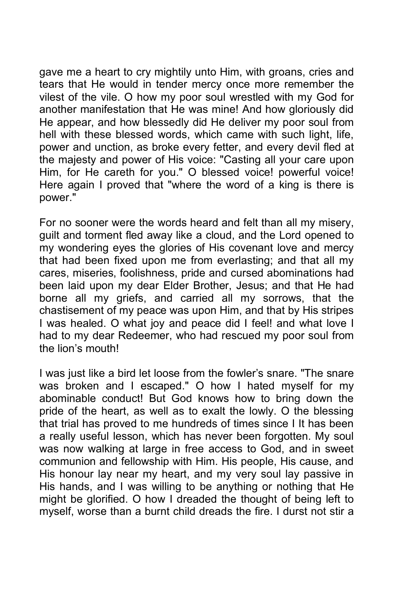gave me a heart to cry mightily unto Him, with groans, cries and tears that He would in tender mercy once more remember the vilest of the vile. O how my poor soul wrestled with my God for another manifestation that He was mine! And how gloriously did He appear, and how blessedly did He deliver my poor soul from hell with these blessed words, which came with such light, life, power and unction, as broke every fetter, and every devil fled at the majesty and power of His voice: "Casting all your care upon Him, for He careth for you." O blessed voice! powerful voice! Here again I proved that "where the word of a king is there is power."

For no sooner were the words heard and felt than all my misery, guilt and torment fled away like a cloud, and the Lord opened to my wondering eyes the glories of His covenant love and mercy that had been fixed upon me from everlasting; and that all my cares, miseries, foolishness, pride and cursed abominations had been laid upon my dear Elder Brother, Jesus; and that He had borne all my griefs, and carried all my sorrows, that the chastisement of my peace was upon Him, and that by His stripes I was healed. O what joy and peace did I feel! and what love I had to my dear Redeemer, who had rescued my poor soul from the lion's mouth!

I was just like a bird let loose from the fowler's snare. "The snare was broken and I escaped." O how I hated myself for my abominable conduct! But God knows how to bring down the pride of the heart, as well as to exalt the lowly. O the blessing that trial has proved to me hundreds of times since I It has been a really useful lesson, which has never been forgotten. My soul was now walking at large in free access to God, and in sweet communion and fellowship with Him. His people, His cause, and His honour lay near my heart, and my very soul lay passive in His hands, and I was willing to be anything or nothing that He might be glorified. O how I dreaded the thought of being left to myself, worse than a burnt child dreads the fire. I durst not stir a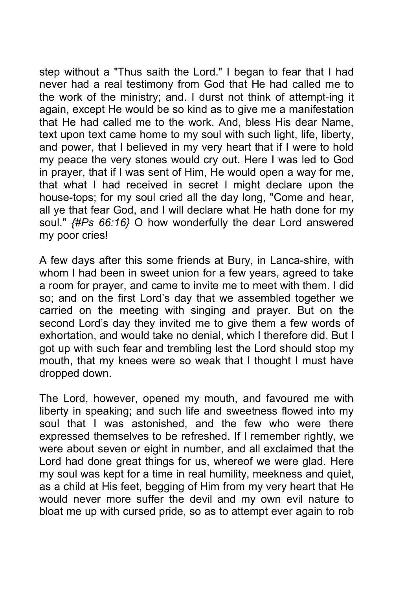step without a "Thus saith the Lord." I began to fear that I had never had a real testimony from God that He had called me to the work of the ministry; and. I durst not think of attempt-ing it again, except He would be so kind as to give me a manifestation that He had called me to the work. And, bless His dear Name, text upon text came home to my soul with such light, life, liberty, and power, that I believed in my very heart that if I were to hold my peace the very stones would cry out. Here I was led to God in prayer, that if I was sent of Him, He would open a way for me, that what I had received in secret I might declare upon the house-tops; for my soul cried all the day long, "Come and hear, all ye that fear God, and I will declare what He hath done for my soul." *{#Ps 66:16}* O how wonderfully the dear Lord answered my poor cries!

A few days after this some friends at Bury, in Lanca-shire, with whom I had been in sweet union for a few years, agreed to take a room for prayer, and came to invite me to meet with them. I did so; and on the first Lord's day that we assembled together we carried on the meeting with singing and prayer. But on the second Lord's day they invited me to give them a few words of exhortation, and would take no denial, which I therefore did. But I got up with such fear and trembling lest the Lord should stop my mouth, that my knees were so weak that I thought I must have dropped down.

The Lord, however, opened my mouth, and favoured me with liberty in speaking; and such life and sweetness flowed into my soul that I was astonished, and the few who were there expressed themselves to be refreshed. If I remember rightly, we were about seven or eight in number, and all exclaimed that the Lord had done great things for us, whereof we were glad. Here my soul was kept for a time in real humility, meekness and quiet, as a child at His feet, begging of Him from my very heart that He would never more suffer the devil and my own evil nature to bloat me up with cursed pride, so as to attempt ever again to rob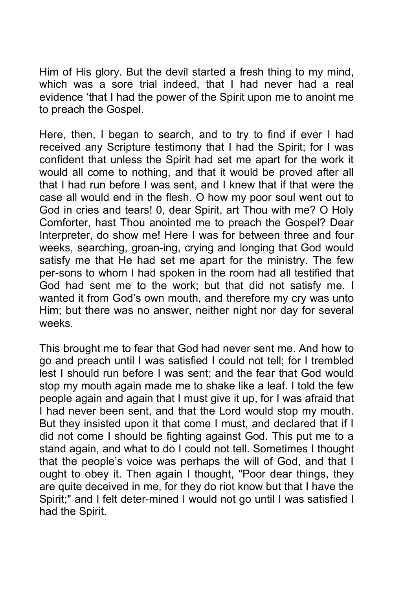Him of His glory. But the devil started a fresh thing to my mind, which was a sore trial indeed, that I had never had a real evidence 'that I had the power of the Spirit upon me to anoint me to preach the Gospel.

Here, then, I began to search, and to try to find if ever I had received any Scripture testimony that I had the Spirit; for I was confident that unless the Spirit had set me apart for the work it would all come to nothing, and that it would be proved after all that I had run before I was sent, and I knew that if that were the case all would end in the flesh. O how my poor soul went out to God in cries and tears! 0, dear Spirit, art Thou with me? O Holy Comforter, hast Thou anointed me to preach the Gospel? Dear Interpreter, do show me! Here I was for between three and four weeks, searching, groan-ing, crying and longing that God would satisfy me that He had set me apart for the ministry. The few per-sons to whom I had spoken in the room had all testified that God had sent me to the work; but that did not satisfy me. I wanted it from God's own mouth, and therefore my cry was unto Him; but there was no answer, neither night nor day for several weeks.

This brought me to fear that God had never sent me. And how to go and preach until I was satisfied I could not tell; for I trembled lest I should run before I was sent; and the fear that God would stop my mouth again made me to shake like a leaf. I told the few people again and again that I must give it up, for I was afraid that I had never been sent, and that the Lord would stop my mouth. But they insisted upon it that come I must, and declared that if I did not come I should be fighting against God. This put me to a stand again, and what to do I could not tell. Sometimes I thought that the people's voice was perhaps the will of God, and that I ought to obey it. Then again I thought, "Poor dear things, they are quite deceived in me, for they do riot know but that I have the Spirit;" and I felt deter-mined I would not go until I was satisfied I had the Spirit.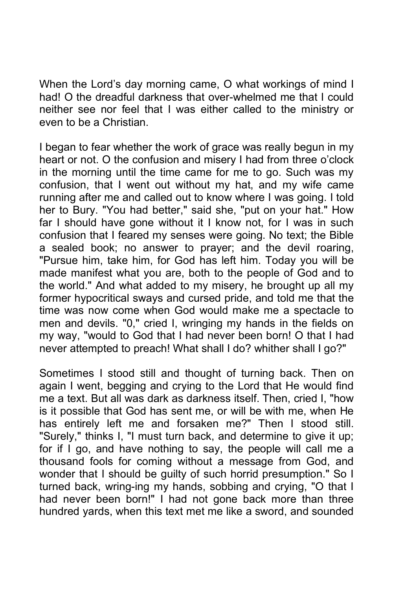When the Lord's day morning came, O what workings of mind I had! O the dreadful darkness that over-whelmed me that I could neither see nor feel that I was either called to the ministry or even to be a Christian.

I began to fear whether the work of grace was really begun in my heart or not. O the confusion and misery I had from three o'clock in the morning until the time came for me to go. Such was my confusion, that I went out without my hat, and my wife came running after me and called out to know where I was going. I told her to Bury. "You had better," said she, "put on your hat." How far I should have gone without it I know not, for I was in such confusion that I feared my senses were going. No text; the Bible a sealed book; no answer to prayer; and the devil roaring, "Pursue him, take him, for God has left him. Today you will be made manifest what you are, both to the people of God and to the world." And what added to my misery, he brought up all my former hypocritical sways and cursed pride, and told me that the time was now come when God would make me a spectacle to men and devils. "0," cried I, wringing my hands in the fields on my way, "would to God that I had never been born! O that I had never attempted to preach! What shall I do? whither shall I go?"

Sometimes I stood still and thought of turning back. Then on again I went, begging and crying to the Lord that He would find me a text. But all was dark as darkness itself. Then, cried I, "how is it possible that God has sent me, or will be with me, when He has entirely left me and forsaken me?" Then I stood still. "Surely," thinks I, "I must turn back, and determine to give it up; for if I go, and have nothing to say, the people will call me a thousand fools for coming without a message from God, and wonder that I should be guilty of such horrid presumption." So I turned back, wring-ing my hands, sobbing and crying, "O that I had never been born!" I had not gone back more than three hundred yards, when this text met me like a sword, and sounded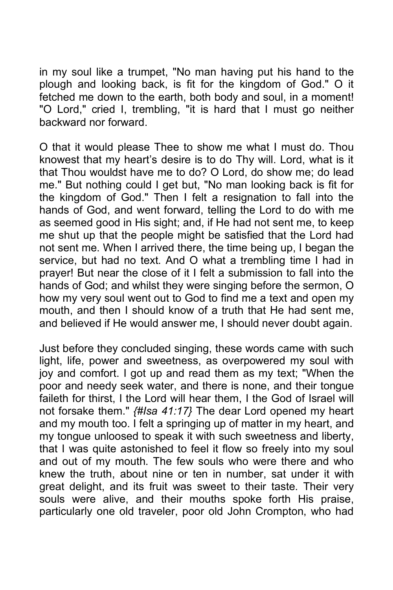in my soul like a trumpet, "No man having put his hand to the plough and looking back, is fit for the kingdom of God." O it fetched me down to the earth, both body and soul, in a moment! "O Lord," cried I, trembling, "it is hard that I must go neither backward nor forward.

O that it would please Thee to show me what I must do. Thou knowest that my heart's desire is to do Thy will. Lord, what is it that Thou wouldst have me to do? O Lord, do show me; do lead me." But nothing could I get but, "No man looking back is fit for the kingdom of God." Then I felt a resignation to fall into the hands of God, and went forward, telling the Lord to do with me as seemed good in His sight; and, if He had not sent me, to keep me shut up that the people might be satisfied that the Lord had not sent me. When I arrived there, the time being up, I began the service, but had no text. And O what a trembling time I had in prayer! But near the close of it I felt a submission to fall into the hands of God; and whilst they were singing before the sermon, O how my very soul went out to God to find me a text and open my mouth, and then I should know of a truth that He had sent me, and believed if He would answer me, I should never doubt again.

Just before they concluded singing, these words came with such light, life, power and sweetness, as overpowered my soul with joy and comfort. I got up and read them as my text; "When the poor and needy seek water, and there is none, and their tongue faileth for thirst, I the Lord will hear them, I the God of Israel will not forsake them." *{#Isa 41:17}* The dear Lord opened my heart and my mouth too. I felt a springing up of matter in my heart, and my tongue unloosed to speak it with such sweetness and liberty, that I was quite astonished to feel it flow so freely into my soul and out of my mouth. The few souls who were there and who knew the truth, about nine or ten in number, sat under it with great delight, and its fruit was sweet to their taste. Their very souls were alive, and their mouths spoke forth His praise, particularly one old traveler, poor old John Crompton, who had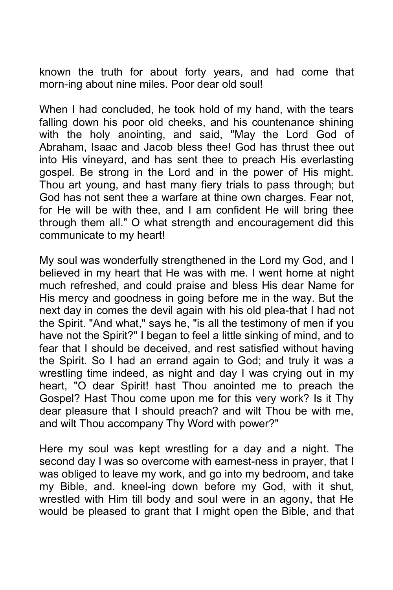known the truth for about forty years, and had come that morn-ing about nine miles. Poor dear old soul!

When I had concluded, he took hold of my hand, with the tears falling down his poor old cheeks, and his countenance shining with the holy anointing, and said, "May the Lord God of Abraham, Isaac and Jacob bless thee! God has thrust thee out into His vineyard, and has sent thee to preach His everlasting gospel. Be strong in the Lord and in the power of His might. Thou art young, and hast many fiery trials to pass through; but God has not sent thee a warfare at thine own charges. Fear not, for He will be with thee, and I am confident He will bring thee through them all." O what strength and encouragement did this communicate to my heart!

My soul was wonderfully strengthened in the Lord my God, and I believed in my heart that He was with me. I went home at night much refreshed, and could praise and bless His dear Name for His mercy and goodness in going before me in the way. But the next day in comes the devil again with his old plea-that I had not the Spirit. "And what," says he, "is all the testimony of men if you have not the Spirit?" I began to feel a little sinking of mind, and to fear that I should be deceived, and rest satisfied without having the Spirit. So I had an errand again to God; and truly it was a wrestling time indeed, as night and day I was crying out in my heart, "O dear Spirit! hast Thou anointed me to preach the Gospel? Hast Thou come upon me for this very work? Is it Thy dear pleasure that I should preach? and wilt Thou be with me, and wilt Thou accompany Thy Word with power?"

Here my soul was kept wrestling for a day and a night. The second day I was so overcome with earnest-ness in prayer, that I was obliged to leave my work, and go into my bedroom, and take my Bible, and. kneel-ing down before my God, with it shut, wrestled with Him till body and soul were in an agony, that He would be pleased to grant that I might open the Bible, and that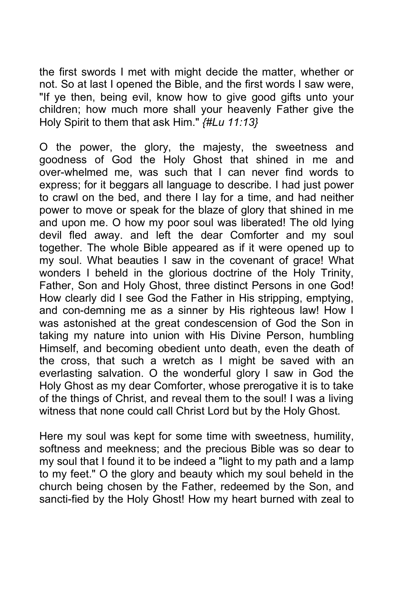the first swords I met with might decide the matter, whether or not. So at last I opened the Bible, and the first words I saw were, "If ye then, being evil, know how to give good gifts unto your children; how much more shall your heavenly Father give the Holy Spirit to them that ask Him." *{#Lu 11:13}*

O the power, the glory, the majesty, the sweetness and goodness of God the Holy Ghost that shined in me and over-whelmed me, was such that I can never find words to express; for it beggars all language to describe. I had just power to crawl on the bed, and there I lay for a time, and had neither power to move or speak for the blaze of glory that shined in me and upon me. O how my poor soul was liberated! The old lying devil fled away. and left the dear Comforter and my soul together. The whole Bible appeared as if it were opened up to my soul. What beauties I saw in the covenant of grace! What wonders I beheld in the glorious doctrine of the Holy Trinity, Father, Son and Holy Ghost, three distinct Persons in one God! How clearly did I see God the Father in His stripping, emptying, and con-demning me as a sinner by His righteous law! How I was astonished at the great condescension of God the Son in taking my nature into union with His Divine Person, humbling Himself, and becoming obedient unto death, even the death of the cross, that such a wretch as I might be saved with an everlasting salvation. O the wonderful glory I saw in God the Holy Ghost as my dear Comforter, whose prerogative it is to take of the things of Christ, and reveal them to the soul! I was a living witness that none could call Christ Lord but by the Holy Ghost.

Here my soul was kept for some time with sweetness, humility, softness and meekness; and the precious Bible was so dear to my soul that I found it to be indeed a "light to my path and a lamp to my feet." O the glory and beauty which my soul beheld in the church being chosen by the Father, redeemed by the Son, and sancti-fied by the Holy Ghost! How my heart burned with zeal to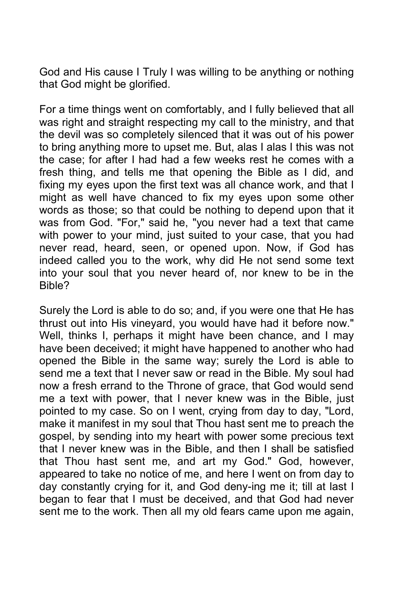God and His cause I Truly I was willing to be anything or nothing that God might be glorified.

For a time things went on comfortably, and I fully believed that all was right and straight respecting my call to the ministry, and that the devil was so completely silenced that it was out of his power to bring anything more to upset me. But, alas I alas I this was not the case; for after I had had a few weeks rest he comes with a fresh thing, and tells me that opening the Bible as I did, and fixing my eyes upon the first text was all chance work, and that I might as well have chanced to fix my eyes upon some other words as those; so that could be nothing to depend upon that it was from God. "For," said he, "you never had a text that came with power to your mind, just suited to your case, that you had never read, heard, seen, or opened upon. Now, if God has indeed called you to the work, why did He not send some text into your soul that you never heard of, nor knew to be in the Bible?

Surely the Lord is able to do so; and, if you were one that He has thrust out into His vineyard, you would have had it before now." Well, thinks I, perhaps it might have been chance, and I may have been deceived; it might have happened to another who had opened the Bible in the same way; surely the Lord is able to send me a text that I never saw or read in the Bible. My soul had now a fresh errand to the Throne of grace, that God would send me a text with power, that I never knew was in the Bible, just pointed to my case. So on I went, crying from day to day, "Lord, make it manifest in my soul that Thou hast sent me to preach the gospel, by sending into my heart with power some precious text that I never knew was in the Bible, and then I shall be satisfied that Thou hast sent me, and art my God." God, however, appeared to take no notice of me, and here I went on from day to day constantly crying for it, and God deny-ing me it; till at last I began to fear that I must be deceived, and that God had never sent me to the work. Then all my old fears came upon me again,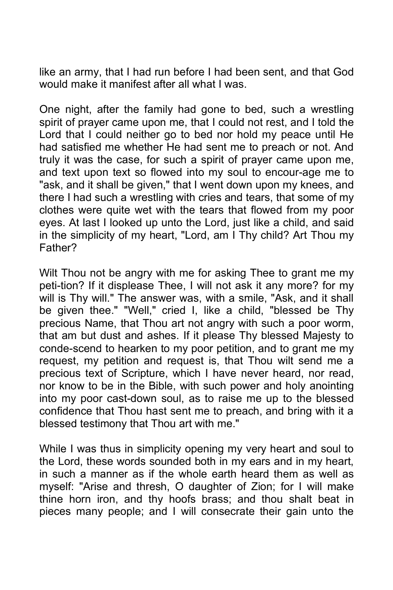like an army, that I had run before I had been sent, and that God would make it manifest after all what I was.

One night, after the family had gone to bed, such a wrestling spirit of prayer came upon me, that I could not rest, and I told the Lord that I could neither go to bed nor hold my peace until He had satisfied me whether He had sent me to preach or not. And truly it was the case, for such a spirit of prayer came upon me, and text upon text so flowed into my soul to encour-age me to "ask, and it shall be given," that I went down upon my knees, and there I had such a wrestling with cries and tears, that some of my clothes were quite wet with the tears that flowed from my poor eyes. At last I looked up unto the Lord, just like a child, and said in the simplicity of my heart, "Lord, am I Thy child? Art Thou my Father?

Wilt Thou not be angry with me for asking Thee to grant me my peti-tion? If it displease Thee, I will not ask it any more? for my will is Thy will." The answer was, with a smile, "Ask, and it shall be given thee." "Well," cried I, like a child, "blessed be Thy precious Name, that Thou art not angry with such a poor worm, that am but dust and ashes. If it please Thy blessed Majesty to conde-scend to hearken to my poor petition, and to grant me my request, my petition and request is, that Thou wilt send me a precious text of Scripture, which I have never heard, nor read, nor know to be in the Bible, with such power and holy anointing into my poor cast-down soul, as to raise me up to the blessed confidence that Thou hast sent me to preach, and bring with it a blessed testimony that Thou art with me."

While I was thus in simplicity opening my very heart and soul to the Lord, these words sounded both in my ears and in my heart, in such a manner as if the whole earth heard them as well as myself: "Arise and thresh, O daughter of Zion; for I will make thine horn iron, and thy hoofs brass; and thou shalt beat in pieces many people; and I will consecrate their gain unto the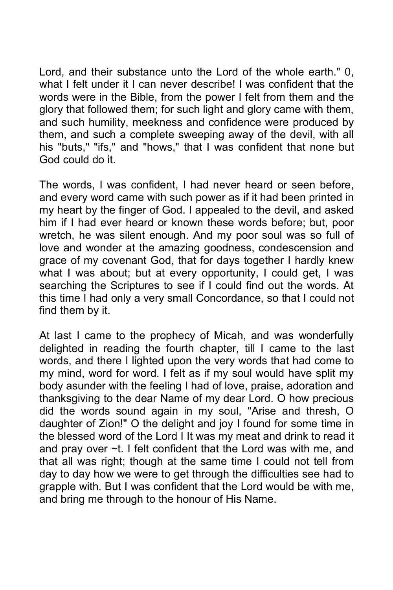Lord, and their substance unto the Lord of the whole earth." 0, what I felt under it I can never describe! I was confident that the words were in the Bible, from the power I felt from them and the glory that followed them; for such light and glory came with them, and such humility, meekness and confidence were produced by them, and such a complete sweeping away of the devil, with all his "buts," "ifs," and "hows," that I was confident that none but God could do it.

The words, I was confident, I had never heard or seen before, and every word came with such power as if it had been printed in my heart by the finger of God. I appealed to the devil, and asked him if I had ever heard or known these words before; but, poor wretch, he was silent enough. And my poor soul was so full of love and wonder at the amazing goodness, condescension and grace of my covenant God, that for days together I hardly knew what I was about; but at every opportunity, I could get, I was searching the Scriptures to see if I could find out the words. At this time I had only a very small Concordance, so that I could not find them by it.

At last I came to the prophecy of Micah, and was wonderfully delighted in reading the fourth chapter, till I came to the last words, and there I lighted upon the very words that had come to my mind, word for word. I felt as if my soul would have split my body asunder with the feeling I had of love, praise, adoration and thanksgiving to the dear Name of my dear Lord. O how precious did the words sound again in my soul, "Arise and thresh, O daughter of Zion!" O the delight and joy I found for some time in the blessed word of the Lord I It was my meat and drink to read it and pray over ~t. I felt confident that the Lord was with me, and that all was right; though at the same time I could not tell from day to day how we were to get through the difficulties see had to grapple with. But I was confident that the Lord would be with me, and bring me through to the honour of His Name.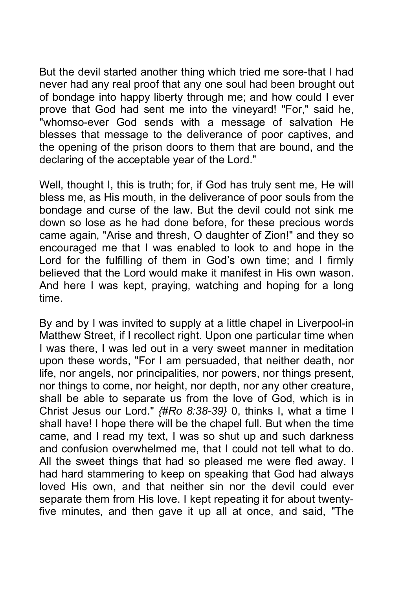But the devil started another thing which tried me sore-that I had never had any real proof that any one soul had been brought out of bondage into happy liberty through me; and how could I ever prove that God had sent me into the vineyard! "For," said he, "whomso-ever God sends with a message of salvation He blesses that message to the deliverance of poor captives, and the opening of the prison doors to them that are bound, and the declaring of the acceptable year of the Lord."

Well, thought I, this is truth; for, if God has truly sent me, He will bless me, as His mouth, in the deliverance of poor souls from the bondage and curse of the law. But the devil could not sink me down so lose as he had done before, for these precious words came again, "Arise and thresh, O daughter of Zion!" and they so encouraged me that I was enabled to look to and hope in the Lord for the fulfilling of them in God's own time; and I firmly believed that the Lord would make it manifest in His own wason. And here I was kept, praying, watching and hoping for a long time.

By and by I was invited to supply at a little chapel in Liverpool-in Matthew Street, if I recollect right. Upon one particular time when I was there, I was led out in a very sweet manner in meditation upon these words, "For I am persuaded, that neither death, nor life, nor angels, nor principalities, nor powers, nor things present, nor things to come, nor height, nor depth, nor any other creature, shall be able to separate us from the love of God, which is in Christ Jesus our Lord." *{#Ro 8:38-39}* 0, thinks I, what a time I shall have! I hope there will be the chapel full. But when the time came, and I read my text, I was so shut up and such darkness and confusion overwhelmed me, that I could not tell what to do. All the sweet things that had so pleased me were fled away. I had hard stammering to keep on speaking that God had always loved His own, and that neither sin nor the devil could ever separate them from His love. I kept repeating it for about twentyfive minutes, and then gave it up all at once, and said, "The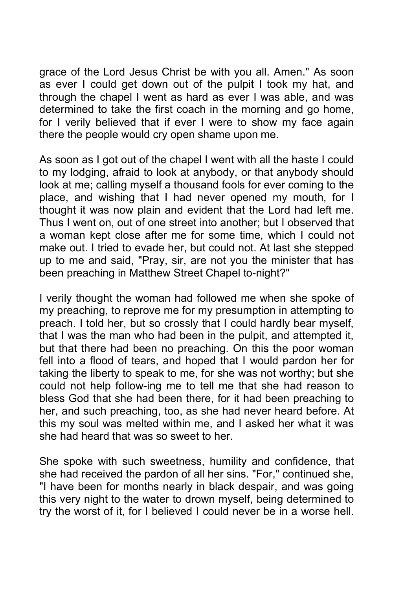grace of the Lord Jesus Christ be with you all. Amen." As soon as ever I could get down out of the pulpit I took my hat, and through the chapel I went as hard as ever I was able, and was determined to take the first coach in the morning and go home, for I verily believed that if ever I were to show my face again there the people would cry open shame upon me.

As soon as I got out of the chapel I went with all the haste I could to my lodging, afraid to look at anybody, or that anybody should look at me; calling myself a thousand fools for ever coming to the place, and wishing that I had never opened my mouth, for I thought it was now plain and evident that the Lord had left me. Thus I went on, out of one street into another; but I observed that a woman kept close after me for some time, which I could not make out. I tried to evade her, but could not. At last she stepped up to me and said, "Pray, sir, are not you the minister that has been preaching in Matthew Street Chapel to-night?"

I verily thought the woman had followed me when she spoke of my preaching, to reprove me for my presumption in attempting to preach. I told her, but so crossly that I could hardly bear myself, that I was the man who had been in the pulpit, and attempted it, but that there had been no preaching. On this the poor woman fell into a flood of tears, and hoped that I would pardon her for taking the liberty to speak to me, for she was not worthy; but she could not help follow-ing me to tell me that she had reason to bless God that she had been there, for it had been preaching to her, and such preaching, too, as she had never heard before. At this my soul was melted within me, and I asked her what it was she had heard that was so sweet to her.

She spoke with such sweetness, humility and confidence, that she had received the pardon of all her sins. "For," continued she, "I have been for months nearly in black despair, and was going this very night to the water to drown myself, being determined to try the worst of it, for I believed I could never be in a worse hell.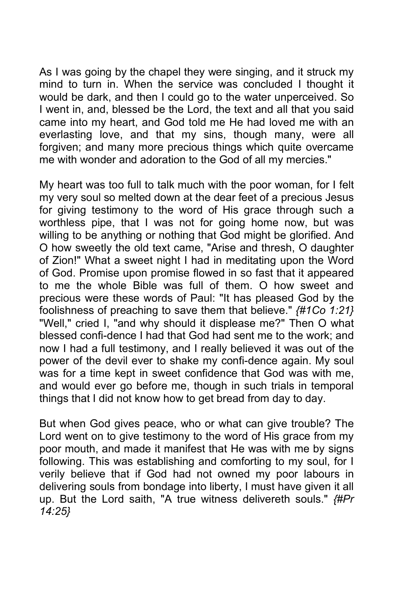As I was going by the chapel they were singing, and it struck my mind to turn in. When the service was concluded I thought it would be dark, and then I could go to the water unperceived. So I went in, and, blessed be the Lord, the text and all that you said came into my heart, and God told me He had loved me with an everlasting love, and that my sins, though many, were all forgiven; and many more precious things which quite overcame me with wonder and adoration to the God of all my mercies."

My heart was too full to talk much with the poor woman, for I felt my very soul so melted down at the dear feet of a precious Jesus for giving testimony to the word of His grace through such a worthless pipe, that I was not for going home now, but was willing to be anything or nothing that God might be glorified. And O how sweetly the old text came, "Arise and thresh, O daughter of Zion!" What a sweet night I had in meditating upon the Word of God. Promise upon promise flowed in so fast that it appeared to me the whole Bible was full of them. O how sweet and precious were these words of Paul: "It has pleased God by the foolishness of preaching to save them that believe." *{#1Co 1:21}* "Well," cried I, "and why should it displease me?" Then O what blessed confi-dence I had that God had sent me to the work; and now I had a full testimony, and I really believed it was out of the power of the devil ever to shake my confi-dence again. My soul was for a time kept in sweet confidence that God was with me, and would ever go before me, though in such trials in temporal things that I did not know how to get bread from day to day.

But when God gives peace, who or what can give trouble? The Lord went on to give testimony to the word of His grace from my poor mouth, and made it manifest that He was with me by signs following. This was establishing and comforting to my soul, for I verily believe that if God had not owned my poor labours in delivering souls from bondage into liberty, I must have given it all up. But the Lord saith, "A true witness delivereth souls." *{#Pr 14:25}*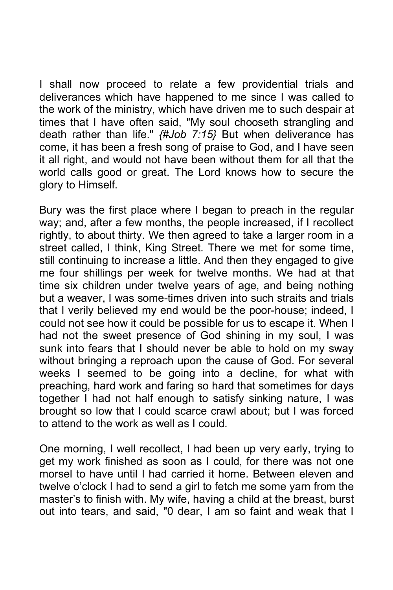I shall now proceed to relate a few providential trials and deliverances which have happened to me since I was called to the work of the ministry, which have driven me to such despair at times that I have often said, "My soul chooseth strangling and death rather than life." *{#Job 7:15}* But when deliverance has come, it has been a fresh song of praise to God, and I have seen it all right, and would not have been without them for all that the world calls good or great. The Lord knows how to secure the glory to Himself.

Bury was the first place where I began to preach in the regular way; and, after a few months, the people increased, if I recollect rightly, to about thirty. We then agreed to take a larger room in a street called, I think, King Street. There we met for some time, still continuing to increase a little. And then they engaged to give me four shillings per week for twelve months. We had at that time six children under twelve years of age, and being nothing but a weaver, I was some-times driven into such straits and trials that I verily believed my end would be the poor-house; indeed, I could not see how it could be possible for us to escape it. When I had not the sweet presence of God shining in my soul, I was sunk into fears that I should never be able to hold on my sway without bringing a reproach upon the cause of God. For several weeks I seemed to be going into a decline, for what with preaching, hard work and faring so hard that sometimes for days together I had not half enough to satisfy sinking nature, I was brought so low that I could scarce crawl about; but I was forced to attend to the work as well as I could.

One morning, I well recollect, I had been up very early, trying to get my work finished as soon as I could, for there was not one morsel to have until I had carried it home. Between eleven and twelve o'clock I had to send a girl to fetch me some yarn from the master's to finish with. My wife, having a child at the breast, burst out into tears, and said, "0 dear, I am so faint and weak that I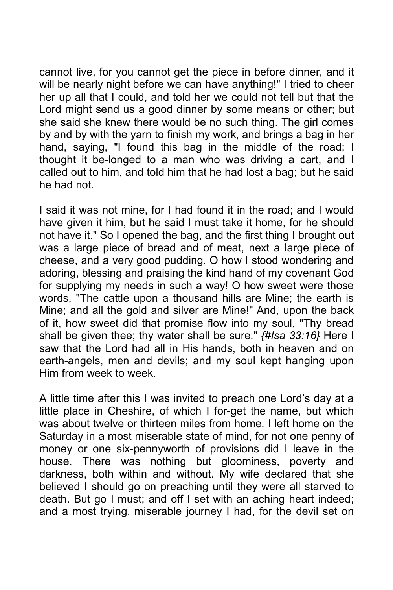cannot live, for you cannot get the piece in before dinner, and it will be nearly night before we can have anything!" I tried to cheer her up all that I could, and told her we could not tell but that the Lord might send us a good dinner by some means or other; but she said she knew there would be no such thing. The girl comes by and by with the yarn to finish my work, and brings a bag in her hand, saying, "I found this bag in the middle of the road; I thought it be-longed to a man who was driving a cart, and I called out to him, and told him that he had lost a bag; but he said he had not.

I said it was not mine, for I had found it in the road; and I would have given it him, but he said I must take it home, for he should not have it." So I opened the bag, and the first thing I brought out was a large piece of bread and of meat, next a large piece of cheese, and a very good pudding. O how I stood wondering and adoring, blessing and praising the kind hand of my covenant God for supplying my needs in such a way! O how sweet were those words, "The cattle upon a thousand hills are Mine; the earth is Mine; and all the gold and silver are Mine!" And, upon the back of it, how sweet did that promise flow into my soul, "Thy bread shall be given thee; thy water shall be sure." *{#Isa 33:16}* Here I saw that the Lord had all in His hands, both in heaven and on earth-angels, men and devils; and my soul kept hanging upon Him from week to week.

A little time after this I was invited to preach one Lord's day at a little place in Cheshire, of which I for-get the name, but which was about twelve or thirteen miles from home. I left home on the Saturday in a most miserable state of mind, for not one penny of money or one six-pennyworth of provisions did I leave in the house. There was nothing but gloominess, poverty and darkness, both within and without. My wife declared that she believed I should go on preaching until they were all starved to death. But go I must; and off I set with an aching heart indeed; and a most trying, miserable journey I had, for the devil set on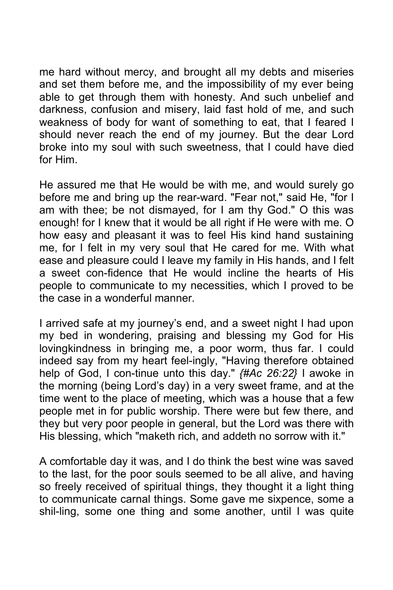me hard without mercy, and brought all my debts and miseries and set them before me, and the impossibility of my ever being able to get through them with honesty. And such unbelief and darkness, confusion and misery, laid fast hold of me, and such weakness of body for want of something to eat, that I feared I should never reach the end of my journey. But the dear Lord broke into my soul with such sweetness, that I could have died for Him.

He assured me that He would be with me, and would surely go before me and bring up the rear-ward. "Fear not," said He, "for I am with thee; be not dismayed, for I am thy God." O this was enough! for I knew that it would be all right if He were with me. O how easy and pleasant it was to feel His kind hand sustaining me, for I felt in my very soul that He cared for me. With what ease and pleasure could I leave my family in His hands, and I felt a sweet con-fidence that He would incline the hearts of His people to communicate to my necessities, which I proved to be the case in a wonderful manner.

I arrived safe at my journey's end, and a sweet night I had upon my bed in wondering, praising and blessing my God for His lovingkindness in bringing me, a poor worm, thus far. I could indeed say from my heart feel-ingly, "Having therefore obtained help of God, I con-tinue unto this day." *{#Ac 26:22}* I awoke in the morning (being Lord's day) in a very sweet frame, and at the time went to the place of meeting, which was a house that a few people met in for public worship. There were but few there, and they but very poor people in general, but the Lord was there with His blessing, which "maketh rich, and addeth no sorrow with it."

A comfortable day it was, and I do think the best wine was saved to the last, for the poor souls seemed to be all alive, and having so freely received of spiritual things, they thought it a light thing to communicate carnal things. Some gave me sixpence, some a shil-ling, some one thing and some another, until I was quite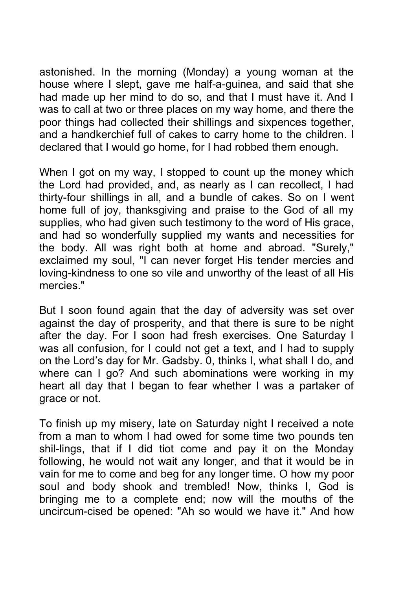astonished. In the morning (Monday) a young woman at the house where I slept, gave me half-a-guinea, and said that she had made up her mind to do so, and that I must have it. And I was to call at two or three places on my way home, and there the poor things had collected their shillings and sixpences together, and a handkerchief full of cakes to carry home to the children. I declared that I would go home, for I had robbed them enough.

When I got on my way, I stopped to count up the money which the Lord had provided, and, as nearly as I can recollect, I had thirty-four shillings in all, and a bundle of cakes. So on I went home full of joy, thanksgiving and praise to the God of all my supplies, who had given such testimony to the word of His grace, and had so wonderfully supplied my wants and necessities for the body. All was right both at home and abroad. "Surely," exclaimed my soul, "I can never forget His tender mercies and loving-kindness to one so vile and unworthy of the least of all His mercies."

But I soon found again that the day of adversity was set over against the day of prosperity, and that there is sure to be night after the day. For I soon had fresh exercises. One Saturday I was all confusion, for I could not get a text, and I had to supply on the Lord's day for Mr. Gadsby. 0, thinks I, what shall I do, and where can I go? And such abominations were working in my heart all day that I began to fear whether I was a partaker of grace or not.

To finish up my misery, late on Saturday night I received a note from a man to whom I had owed for some time two pounds ten shil-lings, that if I did tiot come and pay it on the Monday following, he would not wait any longer, and that it would be in vain for me to come and beg for any longer time. O how my poor soul and body shook and trembled! Now, thinks I, God is bringing me to a complete end; now will the mouths of the uncircum-cised be opened: "Ah so would we have it." And how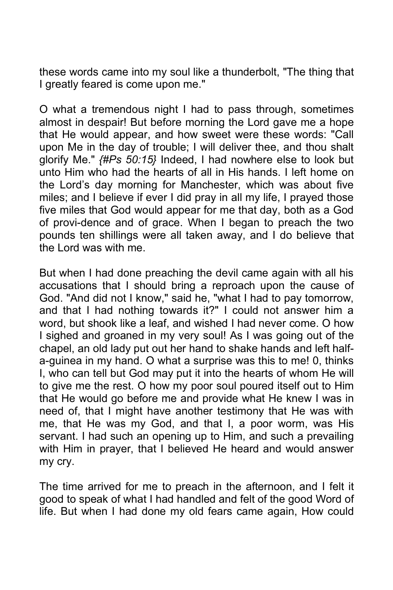these words came into my soul like a thunderbolt, "The thing that I greatly feared is come upon me."

O what a tremendous night I had to pass through, sometimes almost in despair! But before morning the Lord gave me a hope that He would appear, and how sweet were these words: "Call upon Me in the day of trouble; I will deliver thee, and thou shalt glorify Me." *{#Ps 50:15}* Indeed, I had nowhere else to look but unto Him who had the hearts of all in His hands. I left home on the Lord's day morning for Manchester, which was about five miles; and I believe if ever I did pray in all my life, I prayed those five miles that God would appear for me that day, both as a God of provi-dence and of grace. When I began to preach the two pounds ten shillings were all taken away, and I do believe that the Lord was with me.

But when I had done preaching the devil came again with all his accusations that I should bring a reproach upon the cause of God. "And did not I know," said he, "what I had to pay tomorrow, and that I had nothing towards it?" I could not answer him a word, but shook like a leaf, and wished I had never come. O how I sighed and groaned in my very soul! As I was going out of the chapel, an old lady put out her hand to shake hands and left halfa-guinea in my hand. O what a surprise was this to me! 0, thinks I, who can tell but God may put it into the hearts of whom He will to give me the rest. O how my poor soul poured itself out to Him that He would go before me and provide what He knew I was in need of, that I might have another testimony that He was with me, that He was my God, and that I, a poor worm, was His servant. I had such an opening up to Him, and such a prevailing with Him in prayer, that I believed He heard and would answer my cry.

The time arrived for me to preach in the afternoon, and I felt it good to speak of what I had handled and felt of the good Word of life. But when I had done my old fears came again, How could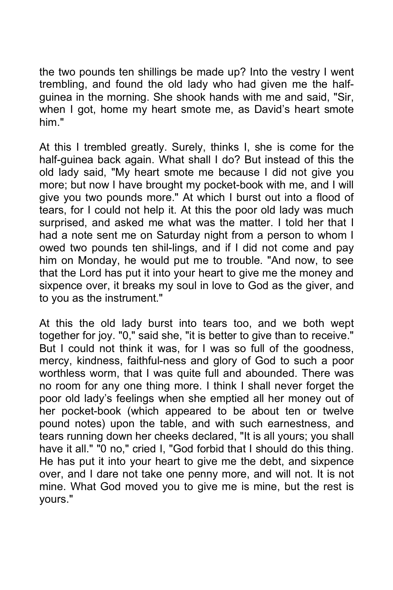the two pounds ten shillings be made up? Into the vestry I went trembling, and found the old lady who had given me the halfguinea in the morning. She shook hands with me and said, "Sir, when I got, home my heart smote me, as David's heart smote him."

At this I trembled greatly. Surely, thinks I, she is come for the half-guinea back again. What shall I do? But instead of this the old lady said, "My heart smote me because I did not give you more; but now I have brought my pocket-book with me, and I will give you two pounds more." At which I burst out into a flood of tears, for I could not help it. At this the poor old lady was much surprised, and asked me what was the matter. I told her that I had a note sent me on Saturday night from a person to whom I owed two pounds ten shil-lings, and if I did not come and pay him on Monday, he would put me to trouble. "And now, to see that the Lord has put it into your heart to give me the money and sixpence over, it breaks my soul in love to God as the giver, and to you as the instrument."

At this the old lady burst into tears too, and we both wept together for joy. "0," said she, "it is better to give than to receive." But I could not think it was, for I was so full of the goodness, mercy, kindness, faithful-ness and glory of God to such a poor worthless worm, that I was quite full and abounded. There was no room for any one thing more. I think I shall never forget the poor old lady's feelings when she emptied all her money out of her pocket-book (which appeared to be about ten or twelve pound notes) upon the table, and with such earnestness, and tears running down her cheeks declared, "It is all yours; you shall have it all." "0 no," cried I, "God forbid that I should do this thing. He has put it into your heart to give me the debt, and sixpence over, and I dare not take one penny more, and will not. It is not mine. What God moved you to give me is mine, but the rest is yours."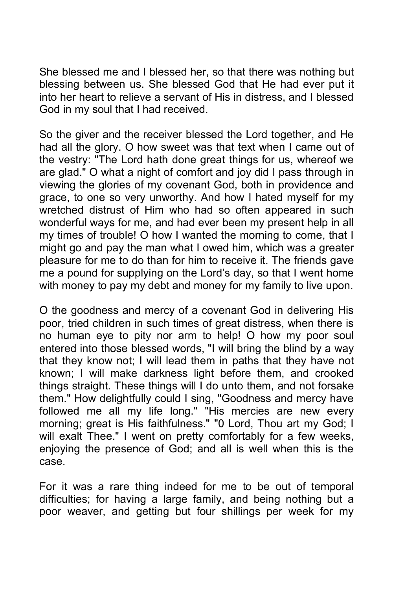She blessed me and I blessed her, so that there was nothing but blessing between us. She blessed God that He had ever put it into her heart to relieve a servant of His in distress, and I blessed God in my soul that I had received.

So the giver and the receiver blessed the Lord together, and He had all the glory. O how sweet was that text when I came out of the vestry: "The Lord hath done great things for us, whereof we are glad." O what a night of comfort and joy did I pass through in viewing the glories of my covenant God, both in providence and grace, to one so very unworthy. And how I hated myself for my wretched distrust of Him who had so often appeared in such wonderful ways for me, and had ever been my present help in all my times of trouble! O how I wanted the morning to come, that I might go and pay the man what I owed him, which was a greater pleasure for me to do than for him to receive it. The friends gave me a pound for supplying on the Lord's day, so that I went home with money to pay my debt and money for my family to live upon.

O the goodness and mercy of a covenant God in delivering His poor, tried children in such times of great distress, when there is no human eye to pity nor arm to help! O how my poor soul entered into those blessed words, "I will bring the blind by a way that they know not; I will lead them in paths that they have not known; I will make darkness light before them, and crooked things straight. These things will I do unto them, and not forsake them." How delightfully could I sing, "Goodness and mercy have followed me all my life long." "His mercies are new every morning; great is His faithfulness." "0 Lord, Thou art my God; I will exalt Thee." I went on pretty comfortably for a few weeks, enjoying the presence of God; and all is well when this is the case.

For it was a rare thing indeed for me to be out of temporal difficulties; for having a large family, and being nothing but a poor weaver, and getting but four shillings per week for my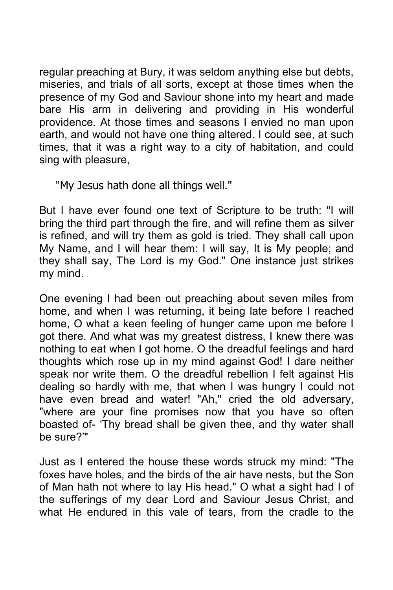regular preaching at Bury, it was seldom anything else but debts, miseries, and trials of all sorts, except at those times when the presence of my God and Saviour shone into my heart and made bare His arm in delivering and providing in His wonderful providence. At those times and seasons I envied no man upon earth, and would not have one thing altered. I could see, at such times, that it was a right way to a city of habitation, and could sing with pleasure,

"My Jesus hath done all things well."

But I have ever found one text of Scripture to be truth: "I will bring the third part through the fire, and will refine them as silver is refined, and will try them as gold is tried. They shall call upon My Name, and I will hear them: I will say, It is My people; and they shall say, The Lord is my God." One instance just strikes my mind.

One evening I had been out preaching about seven miles from home, and when I was returning, it being late before I reached home, O what a keen feeling of hunger came upon me before I got there. And what was my greatest distress, I knew there was nothing to eat when I got home. O the dreadful feelings and hard thoughts which rose up in my mind against God! I dare neither speak nor write them. O the dreadful rebellion I felt against His dealing so hardly with me, that when I was hungry I could not have even bread and water! "Ah," cried the old adversary, "where are your fine promises now that you have so often boasted of- 'Thy bread shall be given thee, and thy water shall be sure?'"

Just as I entered the house these words struck my mind: "The foxes have holes, and the birds of the air have nests, but the Son of Man hath not where to lay His head." O what a sight had I of the sufferings of my dear Lord and Saviour Jesus Christ, and what He endured in this vale of tears, from the cradle to the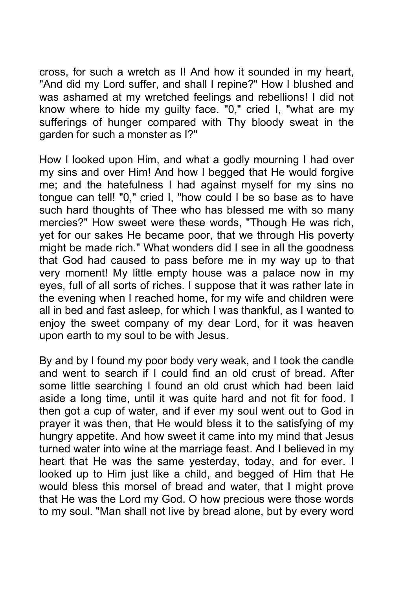cross, for such a wretch as I! And how it sounded in my heart, "And did my Lord suffer, and shall I repine?" How I blushed and was ashamed at my wretched feelings and rebellions! I did not know where to hide my guilty face. "0," cried I, "what are my sufferings of hunger compared with Thy bloody sweat in the garden for such a monster as I?"

How I looked upon Him, and what a godly mourning I had over my sins and over Him! And how I begged that He would forgive me; and the hatefulness I had against myself for my sins no tongue can tell! "0," cried I, "how could I be so base as to have such hard thoughts of Thee who has blessed me with so many mercies?" How sweet were these words, "Though He was rich, yet for our sakes He became poor, that we through His poverty might be made rich." What wonders did I see in all the goodness that God had caused to pass before me in my way up to that very moment! My little empty house was a palace now in my eyes, full of all sorts of riches. I suppose that it was rather late in the evening when I reached home, for my wife and children were all in bed and fast asleep, for which I was thankful, as I wanted to enjoy the sweet company of my dear Lord, for it was heaven upon earth to my soul to be with Jesus.

By and by I found my poor body very weak, and I took the candle and went to search if I could find an old crust of bread. After some little searching I found an old crust which had been laid aside a long time, until it was quite hard and not fit for food. I then got a cup of water, and if ever my soul went out to God in prayer it was then, that He would bless it to the satisfying of my hungry appetite. And how sweet it came into my mind that Jesus turned water into wine at the marriage feast. And I believed in my heart that He was the same yesterday, today, and for ever. I looked up to Him just like a child, and begged of Him that He would bless this morsel of bread and water, that I might prove that He was the Lord my God. O how precious were those words to my soul. "Man shall not live by bread alone, but by every word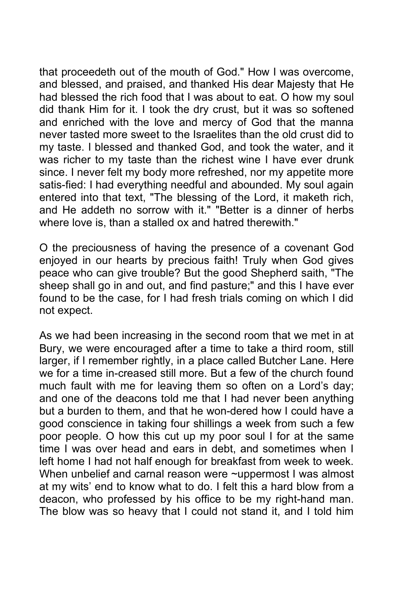that proceedeth out of the mouth of God." How I was overcome, and blessed, and praised, and thanked His dear Majesty that He had blessed the rich food that I was about to eat. O how my soul did thank Him for it. I took the dry crust, but it was so softened and enriched with the love and mercy of God that the manna never tasted more sweet to the Israelites than the old crust did to my taste. I blessed and thanked God, and took the water, and it was richer to my taste than the richest wine I have ever drunk since. I never felt my body more refreshed, nor my appetite more satis-fied: I had everything needful and abounded. My soul again entered into that text, "The blessing of the Lord, it maketh rich, and He addeth no sorrow with it." "Better is a dinner of herbs where love is, than a stalled ox and hatred therewith."

O the preciousness of having the presence of a covenant God enjoyed in our hearts by precious faith! Truly when God gives peace who can give trouble? But the good Shepherd saith, "The sheep shall go in and out, and find pasture;" and this I have ever found to be the case, for I had fresh trials coming on which I did not expect.

As we had been increasing in the second room that we met in at Bury, we were encouraged after a time to take a third room, still larger, if I remember rightly, in a place called Butcher Lane. Here we for a time in-creased still more. But a few of the church found much fault with me for leaving them so often on a Lord's day; and one of the deacons told me that I had never been anything but a burden to them, and that he won-dered how I could have a good conscience in taking four shillings a week from such a few poor people. O how this cut up my poor soul I for at the same time I was over head and ears in debt, and sometimes when I left home I had not half enough for breakfast from week to week. When unbelief and carnal reason were ~uppermost I was almost at my wits' end to know what to do. I felt this a hard blow from a deacon, who professed by his office to be my right-hand man. The blow was so heavy that I could not stand it, and I told him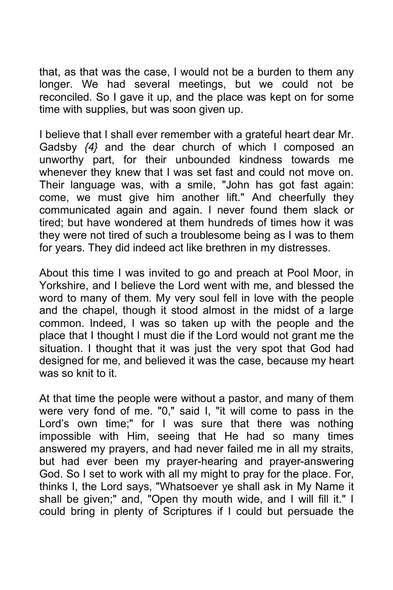that, as that was the case, I would not be a burden to them any longer. We had several meetings, but we could not be reconciled. So I gave it up, and the place was kept on for some time with supplies, but was soon given up.

I believe that I shall ever remember with a grateful heart dear Mr. Gadsby *{4}* and the dear church of which I composed an unworthy part, for their unbounded kindness towards me whenever they knew that I was set fast and could not move on. Their language was, with a smile, "John has got fast again: come, we must give him another lift." And cheerfully they communicated again and again. I never found them slack or tired; but have wondered at them hundreds of times how it was they were not tired of such a troublesome being as I was to them for years. They did indeed act like brethren in my distresses.

About this time I was invited to go and preach at Pool Moor, in Yorkshire, and I believe the Lord went with me, and blessed the word to many of them. My very soul fell in love with the people and the chapel, though it stood almost in the midst of a large common. Indeed, I was so taken up with the people and the place that I thought I must die if the Lord would not grant me the situation. I thought that it was just the very spot that God had designed for me, and believed it was the case, because my heart was so knit to it.

At that time the people were without a pastor, and many of them were very fond of me. "0," said I, "it will come to pass in the Lord's own time;" for I was sure that there was nothing impossible with Him, seeing that He had so many times answered my prayers, and had never failed me in all my straits, but had ever been my prayer-hearing and prayer-answering God. So I set to work with all my might to pray for the place. For, thinks I, the Lord says, "Whatsoever ye shall ask in My Name it shall be given;" and, "Open thy mouth wide, and I will fill it." I could bring in plenty of Scriptures if I could but persuade the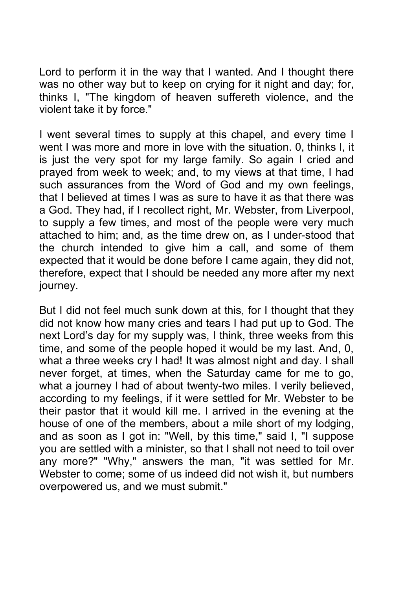Lord to perform it in the way that I wanted. And I thought there was no other way but to keep on crying for it night and day; for, thinks I, "The kingdom of heaven suffereth violence, and the violent take it by force."

I went several times to supply at this chapel, and every time I went I was more and more in love with the situation. 0, thinks I, it is just the very spot for my large family. So again I cried and prayed from week to week; and, to my views at that time, I had such assurances from the Word of God and my own feelings, that I believed at times I was as sure to have it as that there was a God. They had, if I recollect right, Mr. Webster, from Liverpool, to supply a few times, and most of the people were very much attached to him; and, as the time drew on, as I under-stood that the church intended to give him a call, and some of them expected that it would be done before I came again, they did not, therefore, expect that I should be needed any more after my next journey.

But I did not feel much sunk down at this, for I thought that they did not know how many cries and tears I had put up to God. The next Lord's day for my supply was, I think, three weeks from this time, and some of the people hoped it would be my last. And, 0, what a three weeks cry I had! It was almost night and day. I shall never forget, at times, when the Saturday came for me to go, what a journey I had of about twenty-two miles. I verily believed, according to my feelings, if it were settled for Mr. Webster to be their pastor that it would kill me. I arrived in the evening at the house of one of the members, about a mile short of my lodging, and as soon as I got in: "Well, by this time," said I, "I suppose you are settled with a minister, so that I shall not need to toil over any more?" "Why," answers the man, "it was settled for Mr. Webster to come; some of us indeed did not wish it, but numbers overpowered us, and we must submit."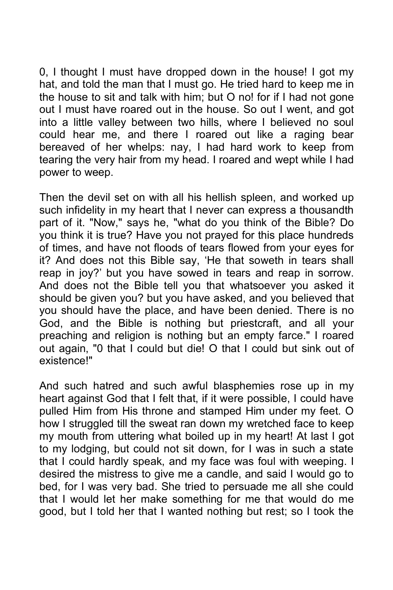0, I thought I must have dropped down in the house! I got my hat, and told the man that I must go. He tried hard to keep me in the house to sit and talk with him; but O no! for if I had not gone out I must have roared out in the house. So out I went, and got into a little valley between two hills, where I believed no soul could hear me, and there I roared out like a raging bear bereaved of her whelps: nay, I had hard work to keep from tearing the very hair from my head. I roared and wept while I had power to weep.

Then the devil set on with all his hellish spleen, and worked up such infidelity in my heart that I never can express a thousandth part of it. "Now," says he, "what do you think of the Bible? Do you think it is true? Have you not prayed for this place hundreds of times, and have not floods of tears flowed from your eyes for it? And does not this Bible say, 'He that soweth in tears shall reap in joy?' but you have sowed in tears and reap in sorrow. And does not the Bible tell you that whatsoever you asked it should be given you? but you have asked, and you believed that you should have the place, and have been denied. There is no God, and the Bible is nothing but priestcraft, and all your preaching and religion is nothing but an empty farce." I roared out again, "0 that I could but die! O that I could but sink out of existence!"

And such hatred and such awful blasphemies rose up in my heart against God that I felt that, if it were possible, I could have pulled Him from His throne and stamped Him under my feet. O how I struggled till the sweat ran down my wretched face to keep my mouth from uttering what boiled up in my heart! At last I got to my lodging, but could not sit down, for I was in such a state that I could hardly speak, and my face was foul with weeping. I desired the mistress to give me a candle, and said I would go to bed, for I was very bad. She tried to persuade me all she could that I would let her make something for me that would do me good, but I told her that I wanted nothing but rest; so I took the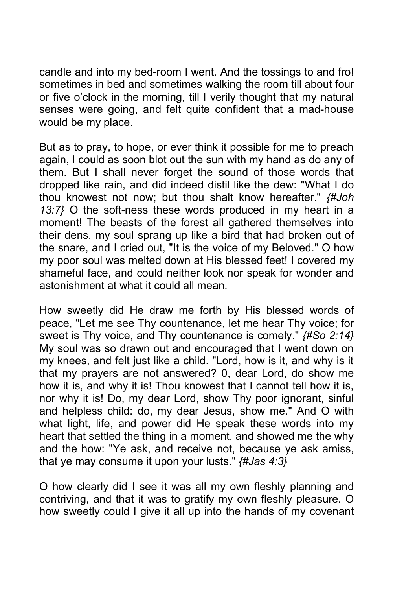candle and into my bed-room I went. And the tossings to and fro! sometimes in bed and sometimes walking the room till about four or five o'clock in the morning, till I verily thought that my natural senses were going, and felt quite confident that a mad-house would be my place.

But as to pray, to hope, or ever think it possible for me to preach again, I could as soon blot out the sun with my hand as do any of them. But I shall never forget the sound of those words that dropped like rain, and did indeed distil like the dew: "What I do thou knowest not now; but thou shalt know hereafter." *{#Joh 13:7}* O the soft-ness these words produced in my heart in a moment! The beasts of the forest all gathered themselves into their dens, my soul sprang up like a bird that had broken out of the snare, and I cried out, "It is the voice of my Beloved." O how my poor soul was melted down at His blessed feet! I covered my shameful face, and could neither look nor speak for wonder and astonishment at what it could all mean.

How sweetly did He draw me forth by His blessed words of peace, "Let me see Thy countenance, let me hear Thy voice; for sweet is Thy voice, and Thy countenance is comely." *{#So 2:14}* My soul was so drawn out and encouraged that I went down on my knees, and felt just like a child. "Lord, how is it, and why is it that my prayers are not answered? 0, dear Lord, do show me how it is, and why it is! Thou knowest that I cannot tell how it is, nor why it is! Do, my dear Lord, show Thy poor ignorant, sinful and helpless child: do, my dear Jesus, show me." And O with what light, life, and power did He speak these words into my heart that settled the thing in a moment, and showed me the why and the how: "Ye ask, and receive not, because ye ask amiss, that ye may consume it upon your lusts." *{#Jas 4:3}*

O how clearly did I see it was all my own fleshly planning and contriving, and that it was to gratify my own fleshly pleasure. O how sweetly could I give it all up into the hands of my covenant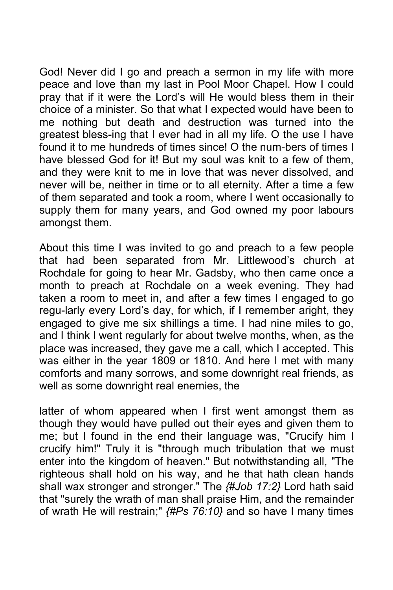God! Never did I go and preach a sermon in my life with more peace and love than my last in Pool Moor Chapel. How I could pray that if it were the Lord's will He would bless them in their choice of a minister. So that what I expected would have been to me nothing but death and destruction was turned into the greatest bless-ing that I ever had in all my life. O the use I have found it to me hundreds of times since! O the num-bers of times I have blessed God for it! But my soul was knit to a few of them, and they were knit to me in love that was never dissolved, and never will be, neither in time or to all eternity. After a time a few of them separated and took a room, where I went occasionally to supply them for many years, and God owned my poor labours amongst them.

About this time I was invited to go and preach to a few people that had been separated from Mr. Littlewood's church at Rochdale for going to hear Mr. Gadsby, who then came once a month to preach at Rochdale on a week evening. They had taken a room to meet in, and after a few times I engaged to go regu-larly every Lord's day, for which, if I remember aright, they engaged to give me six shillings a time. I had nine miles to go, and I think I went regularly for about twelve months, when, as the place was increased, they gave me a call, which I accepted. This was either in the year 1809 or 1810. And here I met with many comforts and many sorrows, and some downright real friends, as well as some downright real enemies, the

latter of whom appeared when I first went amongst them as though they would have pulled out their eyes and given them to me; but I found in the end their language was, "Crucify him I crucify him!" Truly it is "through much tribulation that we must enter into the kingdom of heaven." But notwithstanding all, "The righteous shall hold on his way, and he that hath clean hands shall wax stronger and stronger." The *{#Job 17:2}* Lord hath said that "surely the wrath of man shall praise Him, and the remainder of wrath He will restrain;" *{#Ps 76:10}* and so have I many times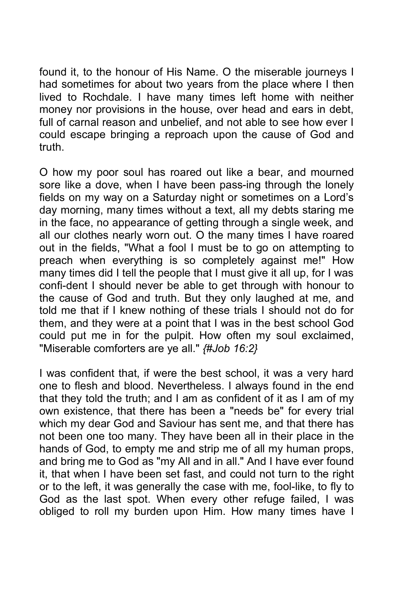found it, to the honour of His Name. O the miserable journeys I had sometimes for about two years from the place where I then lived to Rochdale. I have many times left home with neither money nor provisions in the house, over head and ears in debt, full of carnal reason and unbelief, and not able to see how ever I could escape bringing a reproach upon the cause of God and truth.

O how my poor soul has roared out like a bear, and mourned sore like a dove, when I have been pass-ing through the lonely fields on my way on a Saturday night or sometimes on a Lord's day morning, many times without a text, all my debts staring me in the face, no appearance of getting through a single week, and all our clothes nearly worn out. O the many times I have roared out in the fields, "What a fool I must be to go on attempting to preach when everything is so completely against me!" How many times did I tell the people that I must give it all up, for I was confi-dent I should never be able to get through with honour to the cause of God and truth. But they only laughed at me, and told me that if I knew nothing of these trials I should not do for them, and they were at a point that I was in the best school God could put me in for the pulpit. How often my soul exclaimed, "Miserable comforters are ye all." *{#Job 16:2}*

I was confident that, if were the best school, it was a very hard one to flesh and blood. Nevertheless. I always found in the end that they told the truth; and I am as confident of it as I am of my own existence, that there has been a "needs be" for every trial which my dear God and Saviour has sent me, and that there has not been one too many. They have been all in their place in the hands of God, to empty me and strip me of all my human props, and bring me to God as "my All and in all." And I have ever found it, that when I have been set fast, and could not turn to the right or to the left, it was generally the case with me, fool-like, to fly to God as the last spot. When every other refuge failed, I was obliged to roll my burden upon Him. How many times have I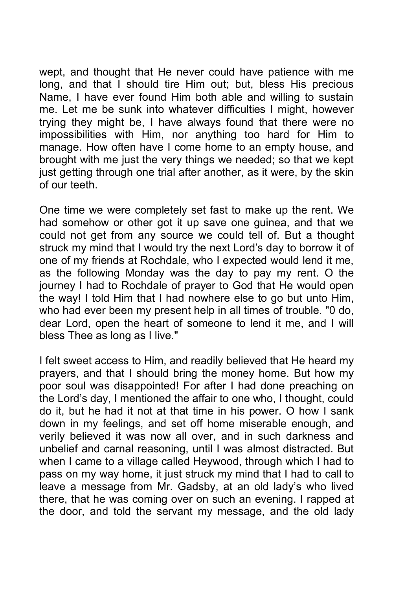wept, and thought that He never could have patience with me long, and that I should tire Him out; but, bless His precious Name, I have ever found Him both able and willing to sustain me. Let me be sunk into whatever difficulties I might, however trying they might be, I have always found that there were no impossibilities with Him, nor anything too hard for Him to manage. How often have I come home to an empty house, and brought with me just the very things we needed; so that we kept just getting through one trial after another, as it were, by the skin of our teeth.

One time we were completely set fast to make up the rent. We had somehow or other got it up save one guinea, and that we could not get from any source we could tell of. But a thought struck my mind that I would try the next Lord's day to borrow it of one of my friends at Rochdale, who I expected would lend it me, as the following Monday was the day to pay my rent. O the journey I had to Rochdale of prayer to God that He would open the way! I told Him that I had nowhere else to go but unto Him, who had ever been my present help in all times of trouble. "0 do, dear Lord, open the heart of someone to lend it me, and I will bless Thee as long as I live."

I felt sweet access to Him, and readily believed that He heard my prayers, and that I should bring the money home. But how my poor soul was disappointed! For after I had done preaching on the Lord's day, I mentioned the affair to one who, I thought, could do it, but he had it not at that time in his power. O how I sank down in my feelings, and set off home miserable enough, and verily believed it was now all over, and in such darkness and unbelief and carnal reasoning, until I was almost distracted. But when I came to a village called Heywood, through which I had to pass on my way home, it just struck my mind that I had to call to leave a message from Mr. Gadsby, at an old lady's who lived there, that he was coming over on such an evening. I rapped at the door, and told the servant my message, and the old lady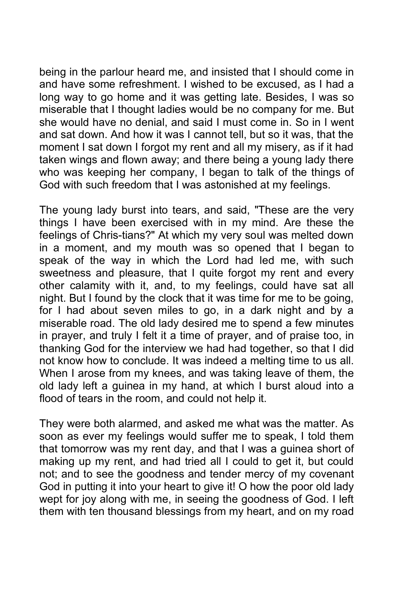being in the parlour heard me, and insisted that I should come in and have some refreshment. I wished to be excused, as I had a long way to go home and it was getting late. Besides, I was so miserable that I thought ladies would be no company for me. But she would have no denial, and said I must come in. So in I went and sat down. And how it was I cannot tell, but so it was, that the moment I sat down I forgot my rent and all my misery, as if it had taken wings and flown away; and there being a young lady there who was keeping her company, I began to talk of the things of God with such freedom that I was astonished at my feelings.

The young lady burst into tears, and said, "These are the very things I have been exercised with in my mind. Are these the feelings of Chris-tians?" At which my very soul was melted down in a moment, and my mouth was so opened that I began to speak of the way in which the Lord had led me, with such sweetness and pleasure, that I quite forgot my rent and every other calamity with it, and, to my feelings, could have sat all night. But I found by the clock that it was time for me to be going, for I had about seven miles to go, in a dark night and by a miserable road. The old lady desired me to spend a few minutes in prayer, and truly I felt it a time of prayer, and of praise too, in thanking God for the interview we had had together, so that I did not know how to conclude. It was indeed a melting time to us all. When I arose from my knees, and was taking leave of them, the old lady left a guinea in my hand, at which I burst aloud into a flood of tears in the room, and could not help it.

They were both alarmed, and asked me what was the matter. As soon as ever my feelings would suffer me to speak, I told them that tomorrow was my rent day, and that I was a guinea short of making up my rent, and had tried all I could to get it, but could not; and to see the goodness and tender mercy of my covenant God in putting it into your heart to give it! O how the poor old lady wept for joy along with me, in seeing the goodness of God. I left them with ten thousand blessings from my heart, and on my road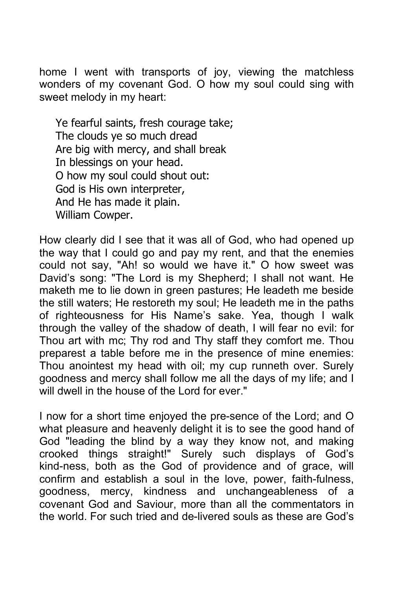home I went with transports of joy, viewing the matchless wonders of my covenant God. O how my soul could sing with sweet melody in my heart:

Ye fearful saints, fresh courage take; The clouds ye so much dread Are big with mercy, and shall break In blessings on your head. O how my soul could shout out: God is His own interpreter, And He has made it plain. William Cowper.

How clearly did I see that it was all of God, who had opened up the way that I could go and pay my rent, and that the enemies could not say, "Ah! so would we have it." O how sweet was David's song: "The Lord is my Shepherd; I shall not want. He maketh me to lie down in green pastures; He leadeth me beside the still waters; He restoreth my soul; He leadeth me in the paths of righteousness for His Name's sake. Yea, though I walk through the valley of the shadow of death, I will fear no evil: for Thou art with mc; Thy rod and Thy staff they comfort me. Thou preparest a table before me in the presence of mine enemies: Thou anointest my head with oil; my cup runneth over. Surely goodness and mercy shall follow me all the days of my life; and I will dwell in the house of the Lord for ever."

I now for a short time enjoyed the pre-sence of the Lord; and O what pleasure and heavenly delight it is to see the good hand of God "leading the blind by a way they know not, and making crooked things straight!" Surely such displays of God's kind-ness, both as the God of providence and of grace, will confirm and establish a soul in the love, power, faith-fulness, goodness, mercy, kindness and unchangeableness of a covenant God and Saviour, more than all the commentators in the world. For such tried and de-livered souls as these are God's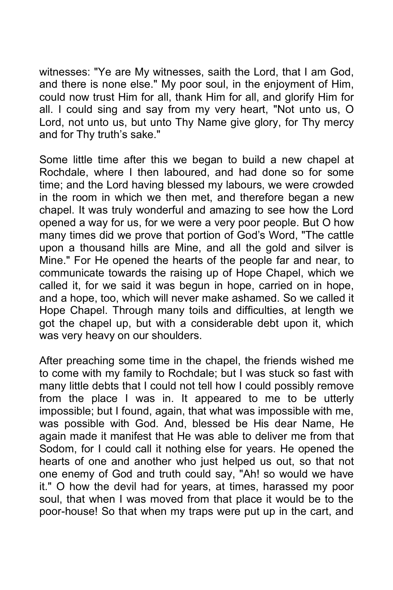witnesses: "Ye are My witnesses, saith the Lord, that I am God, and there is none else." My poor soul, in the enjoyment of Him, could now trust Him for all, thank Him for all, and glorify Him for all. I could sing and say from my very heart, "Not unto us, O Lord, not unto us, but unto Thy Name give glory, for Thy mercy and for Thy truth's sake."

Some little time after this we began to build a new chapel at Rochdale, where I then laboured, and had done so for some time; and the Lord having blessed my labours, we were crowded in the room in which we then met, and therefore began a new chapel. It was truly wonderful and amazing to see how the Lord opened a way for us, for we were a very poor people. But O how many times did we prove that portion of God's Word, "The cattle upon a thousand hills are Mine, and all the gold and silver is Mine." For He opened the hearts of the people far and near, to communicate towards the raising up of Hope Chapel, which we called it, for we said it was begun in hope, carried on in hope, and a hope, too, which will never make ashamed. So we called it Hope Chapel. Through many toils and difficulties, at length we got the chapel up, but with a considerable debt upon it, which was very heavy on our shoulders.

After preaching some time in the chapel, the friends wished me to come with my family to Rochdale; but I was stuck so fast with many little debts that I could not tell how I could possibly remove from the place I was in. It appeared to me to be utterly impossible; but I found, again, that what was impossible with me, was possible with God. And, blessed be His dear Name, He again made it manifest that He was able to deliver me from that Sodom, for I could call it nothing else for years. He opened the hearts of one and another who just helped us out, so that not one enemy of God and truth could say, "Ah! so would we have it." O how the devil had for years, at times, harassed my poor soul, that when I was moved from that place it would be to the poor-house! So that when my traps were put up in the cart, and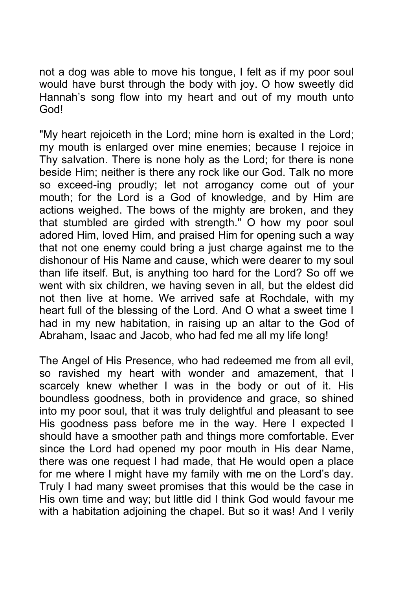not a dog was able to move his tongue, I felt as if my poor soul would have burst through the body with joy. O how sweetly did Hannah's song flow into my heart and out of my mouth unto God!

"My heart rejoiceth in the Lord; mine horn is exalted in the Lord; my mouth is enlarged over mine enemies; because I rejoice in Thy salvation. There is none holy as the Lord; for there is none beside Him; neither is there any rock like our God. Talk no more so exceed-ing proudly; let not arrogancy come out of your mouth; for the Lord is a God of knowledge, and by Him are actions weighed. The bows of the mighty are broken, and they that stumbled are girded with strength." O how my poor soul adored Him, loved Him, and praised Him for opening such a way that not one enemy could bring a just charge against me to the dishonour of His Name and cause, which were dearer to my soul than life itself. But, is anything too hard for the Lord? So off we went with six children, we having seven in all, but the eldest did not then live at home. We arrived safe at Rochdale, with my heart full of the blessing of the Lord. And O what a sweet time I had in my new habitation, in raising up an altar to the God of Abraham, Isaac and Jacob, who had fed me all my life long!

The Angel of His Presence, who had redeemed me from all evil, so ravished my heart with wonder and amazement, that I scarcely knew whether I was in the body or out of it. His boundless goodness, both in providence and grace, so shined into my poor soul, that it was truly delightful and pleasant to see His goodness pass before me in the way. Here I expected I should have a smoother path and things more comfortable. Ever since the Lord had opened my poor mouth in His dear Name, there was one request I had made, that He would open a place for me where I might have my family with me on the Lord's day. Truly I had many sweet promises that this would be the case in His own time and way; but little did I think God would favour me with a habitation adjoining the chapel. But so it was! And I verily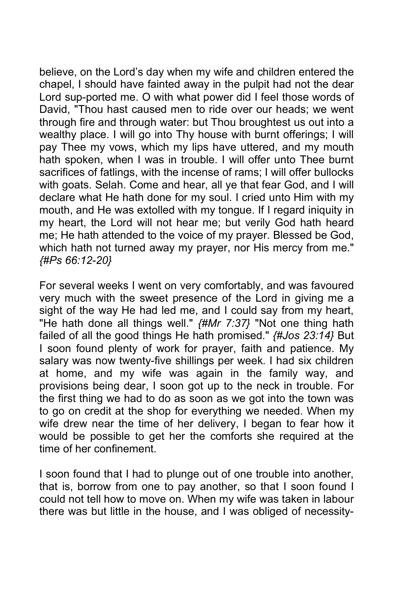believe, on the Lord's day when my wife and children entered the chapel, I should have fainted away in the pulpit had not the dear Lord sup-ported me. O with what power did I feel those words of David, "Thou hast caused men to ride over our heads; we went through fire and through water: but Thou broughtest us out into a wealthy place. I will go into Thy house with burnt offerings; I will pay Thee my vows, which my lips have uttered, and my mouth hath spoken, when I was in trouble. I will offer unto Thee burnt sacrifices of fatlings, with the incense of rams; I will offer bullocks with goats. Selah. Come and hear, all ye that fear God, and I will declare what He hath done for my soul. I cried unto Him with my mouth, and He was extolled with my tongue. If I regard iniquity in my heart, the Lord will not hear me; but verily God hath heard me; He hath attended to the voice of my prayer. Blessed be God, which hath not turned away my prayer, nor His mercy from me." *{#Ps 66:12-20}*

For several weeks I went on very comfortably, and was favoured very much with the sweet presence of the Lord in giving me a sight of the way He had led me, and I could say from my heart, "He hath done all things well." *{#Mr 7:37}* "Not one thing hath failed of all the good things He hath promised." *{#Jos 23:14}* But I soon found plenty of work for prayer, faith and patience. My salary was now twenty-five shillings per week. I had six children at home, and my wife was again in the family way, and provisions being dear, I soon got up to the neck in trouble. For the first thing we had to do as soon as we got into the town was to go on credit at the shop for everything we needed. When my wife drew near the time of her delivery, I began to fear how it would be possible to get her the comforts she required at the time of her confinement.

I soon found that I had to plunge out of one trouble into another, that is, borrow from one to pay another, so that I soon found I could not tell how to move on. When my wife was taken in labour there was but little in the house, and I was obliged of necessity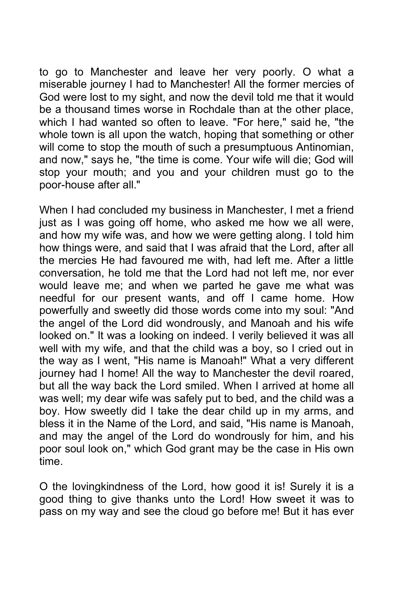to go to Manchester and leave her very poorly. O what a miserable journey I had to Manchester! All the former mercies of God were lost to my sight, and now the devil told me that it would be a thousand times worse in Rochdale than at the other place, which I had wanted so often to leave. "For here," said he, "the whole town is all upon the watch, hoping that something or other will come to stop the mouth of such a presumptuous Antinomian, and now," says he, "the time is come. Your wife will die; God will stop your mouth; and you and your children must go to the poor-house after all."

When I had concluded my business in Manchester, I met a friend just as I was going off home, who asked me how we all were, and how my wife was, and how we were getting along. I told him how things were, and said that I was afraid that the Lord, after all the mercies He had favoured me with, had left me. After a little conversation, he told me that the Lord had not left me, nor ever would leave me; and when we parted he gave me what was needful for our present wants, and off I came home. How powerfully and sweetly did those words come into my soul: "And the angel of the Lord did wondrously, and Manoah and his wife looked on." It was a looking on indeed. I verily believed it was all well with my wife, and that the child was a boy, so I cried out in the way as I went, "His name is Manoah!" What a very different journey had I home! All the way to Manchester the devil roared, but all the way back the Lord smiled. When I arrived at home all was well; my dear wife was safely put to bed, and the child was a boy. How sweetly did I take the dear child up in my arms, and bless it in the Name of the Lord, and said, "His name is Manoah, and may the angel of the Lord do wondrously for him, and his poor soul look on," which God grant may be the case in His own time.

O the lovingkindness of the Lord, how good it is! Surely it is a good thing to give thanks unto the Lord! How sweet it was to pass on my way and see the cloud go before me! But it has ever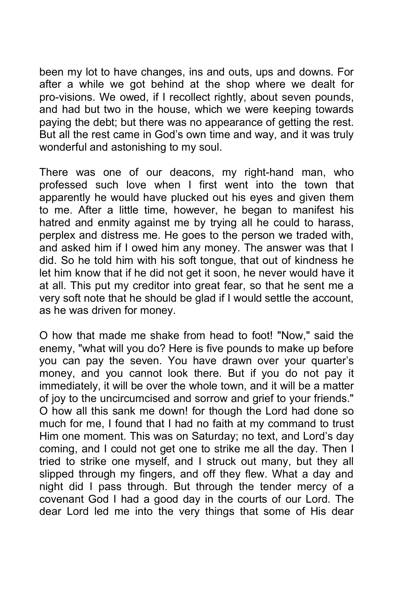been my lot to have changes, ins and outs, ups and downs. For after a while we got behind at the shop where we dealt for pro-visions. We owed, if I recollect rightly, about seven pounds, and had but two in the house, which we were keeping towards paying the debt; but there was no appearance of getting the rest. But all the rest came in God's own time and way, and it was truly wonderful and astonishing to my soul.

There was one of our deacons, my right-hand man, who professed such love when I first went into the town that apparently he would have plucked out his eyes and given them to me. After a little time, however, he began to manifest his hatred and enmity against me by trying all he could to harass, perplex and distress me. He goes to the person we traded with, and asked him if I owed him any money. The answer was that I did. So he told him with his soft tongue, that out of kindness he let him know that if he did not get it soon, he never would have it at all. This put my creditor into great fear, so that he sent me a very soft note that he should be glad if I would settle the account, as he was driven for money.

O how that made me shake from head to foot! "Now," said the enemy, "what will you do? Here is five pounds to make up before you can pay the seven. You have drawn over your quarter's money, and you cannot look there. But if you do not pay it immediately, it will be over the whole town, and it will be a matter of joy to the uncircumcised and sorrow and grief to your friends." O how all this sank me down! for though the Lord had done so much for me, I found that I had no faith at my command to trust Him one moment. This was on Saturday; no text, and Lord's day coming, and I could not get one to strike me all the day. Then I tried to strike one myself, and I struck out many, but they all slipped through my fingers, and off they flew. What a day and night did I pass through. But through the tender mercy of a covenant God I had a good day in the courts of our Lord. The dear Lord led me into the very things that some of His dear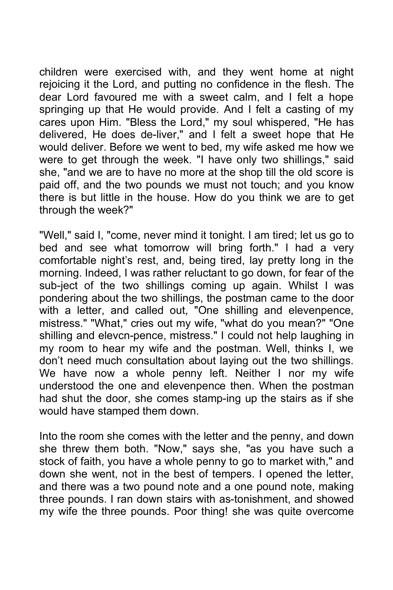children were exercised with, and they went home at night rejoicing it the Lord, and putting no confidence in the flesh. The dear Lord favoured me with a sweet calm, and I felt a hope springing up that He would provide. And I felt a casting of my cares upon Him. "Bless the Lord," my soul whispered, "He has delivered, He does de-liver," and I felt a sweet hope that He would deliver. Before we went to bed, my wife asked me how we were to get through the week. "I have only two shillings," said she, "and we are to have no more at the shop till the old score is paid off, and the two pounds we must not touch; and you know there is but little in the house. How do you think we are to get through the week?"

"Well," said I, "come, never mind it tonight. I am tired; let us go to bed and see what tomorrow will bring forth." I had a very comfortable night's rest, and, being tired, lay pretty long in the morning. Indeed, I was rather reluctant to go down, for fear of the sub-ject of the two shillings coming up again. Whilst I was pondering about the two shillings, the postman came to the door with a letter, and called out, "One shilling and elevenpence, mistress." "What," cries out my wife, "what do you mean?" "One shilling and elevcn-pence, mistress." I could not help laughing in my room to hear my wife and the postman. Well, thinks I, we don't need much consultation about laying out the two shillings. We have now a whole penny left. Neither I nor my wife understood the one and elevenpence then. When the postman had shut the door, she comes stamp-ing up the stairs as if she would have stamped them down.

Into the room she comes with the letter and the penny, and down she threw them both. "Now," says she, "as you have such a stock of faith, you have a whole penny to go to market with," and down she went, not in the best of tempers. I opened the letter, and there was a two pound note and a one pound note, making three pounds. I ran down stairs with as-tonishment, and showed my wife the three pounds. Poor thing! she was quite overcome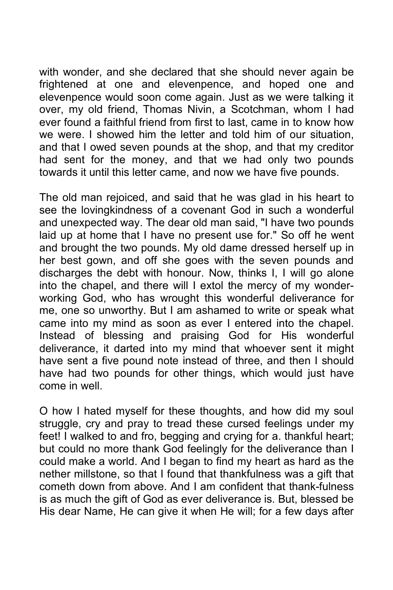with wonder, and she declared that she should never again be frightened at one and elevenpence, and hoped one and elevenpence would soon come again. Just as we were talking it over, my old friend, Thomas Nivin, a Scotchman, whom I had ever found a faithful friend from first to last, came in to know how we were. I showed him the letter and told him of our situation, and that I owed seven pounds at the shop, and that my creditor had sent for the money, and that we had only two pounds towards it until this letter came, and now we have five pounds.

The old man rejoiced, and said that he was glad in his heart to see the lovingkindness of a covenant God in such a wonderful and unexpected way. The dear old man said, "I have two pounds laid up at home that I have no present use for." So off he went and brought the two pounds. My old dame dressed herself up in her best gown, and off she goes with the seven pounds and discharges the debt with honour. Now, thinks I, I will go alone into the chapel, and there will I extol the mercy of my wonderworking God, who has wrought this wonderful deliverance for me, one so unworthy. But I am ashamed to write or speak what came into my mind as soon as ever I entered into the chapel. Instead of blessing and praising God for His wonderful deliverance, it darted into my mind that whoever sent it might have sent a five pound note instead of three, and then I should have had two pounds for other things, which would just have come in well.

O how I hated myself for these thoughts, and how did my soul struggle, cry and pray to tread these cursed feelings under my feet! I walked to and fro, begging and crying for a. thankful heart; but could no more thank God feelingly for the deliverance than I could make a world. And I began to find my heart as hard as the nether millstone, so that I found that thankfulness was a gift that cometh down from above. And I am confident that thank-fulness is as much the gift of God as ever deliverance is. But, blessed be His dear Name, He can give it when He will; for a few days after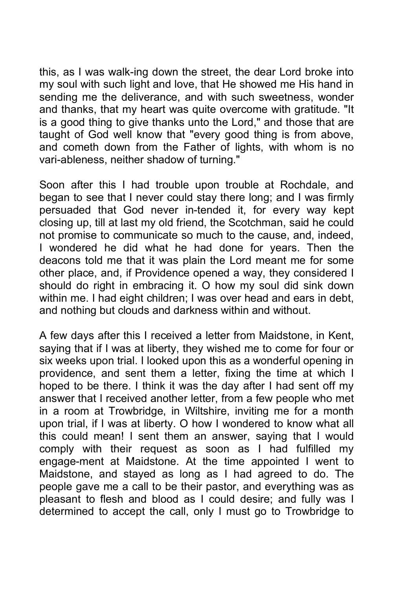this, as I was walk-ing down the street, the dear Lord broke into my soul with such light and love, that He showed me His hand in sending me the deliverance, and with such sweetness, wonder and thanks, that my heart was quite overcome with gratitude. "It is a good thing to give thanks unto the Lord," and those that are taught of God well know that "every good thing is from above, and cometh down from the Father of lights, with whom is no vari-ableness, neither shadow of turning."

Soon after this I had trouble upon trouble at Rochdale, and began to see that I never could stay there long; and I was firmly persuaded that God never in-tended it, for every way kept closing up, till at last my old friend, the Scotchman, said he could not promise to communicate so much to the cause, and, indeed, I wondered he did what he had done for years. Then the deacons told me that it was plain the Lord meant me for some other place, and, if Providence opened a way, they considered I should do right in embracing it. O how my soul did sink down within me. I had eight children; I was over head and ears in debt, and nothing but clouds and darkness within and without.

A few days after this I received a letter from Maidstone, in Kent, saying that if I was at liberty, they wished me to come for four or six weeks upon trial. I looked upon this as a wonderful opening in providence, and sent them a letter, fixing the time at which I hoped to be there. I think it was the day after I had sent off my answer that I received another letter, from a few people who met in a room at Trowbridge, in Wiltshire, inviting me for a month upon trial, if I was at liberty. O how I wondered to know what all this could mean! I sent them an answer, saying that I would comply with their request as soon as I had fulfilled my engage-ment at Maidstone. At the time appointed I went to Maidstone, and stayed as long as I had agreed to do. The people gave me a call to be their pastor, and everything was as pleasant to flesh and blood as I could desire; and fully was I determined to accept the call, only I must go to Trowbridge to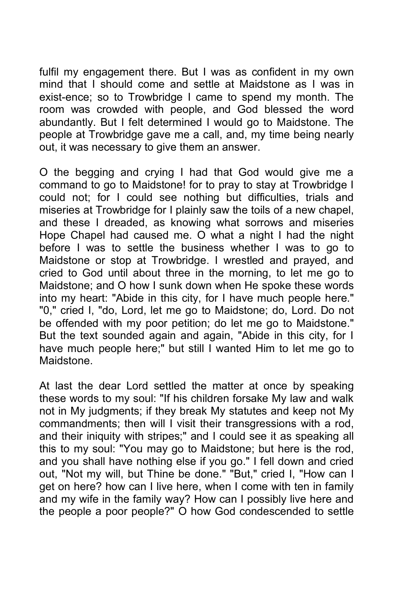fulfil my engagement there. But I was as confident in my own mind that I should come and settle at Maidstone as I was in exist-ence; so to Trowbridge I came to spend my month. The room was crowded with people, and God blessed the word abundantly. But I felt determined I would go to Maidstone. The people at Trowbridge gave me a call, and, my time being nearly out, it was necessary to give them an answer.

O the begging and crying I had that God would give me a command to go to Maidstone! for to pray to stay at Trowbridge I could not; for I could see nothing but difficulties, trials and miseries at Trowbridge for I plainly saw the toils of a new chapel, and these I dreaded, as knowing what sorrows and miseries Hope Chapel had caused me. O what a night I had the night before I was to settle the business whether I was to go to Maidstone or stop at Trowbridge. I wrestled and prayed, and cried to God until about three in the morning, to let me go to Maidstone; and O how I sunk down when He spoke these words into my heart: "Abide in this city, for I have much people here." "0," cried I, "do, Lord, let me go to Maidstone; do, Lord. Do not be offended with my poor petition; do let me go to Maidstone." But the text sounded again and again, "Abide in this city, for I have much people here;" but still I wanted Him to let me go to Maidstone.

At last the dear Lord settled the matter at once by speaking these words to my soul: "If his children forsake My law and walk not in My judgments; if they break My statutes and keep not My commandments; then will I visit their transgressions with a rod, and their iniquity with stripes;" and I could see it as speaking all this to my soul: "You may go to Maidstone; but here is the rod, and you shall have nothing else if you go." I fell down and cried out, "Not my will, but Thine be done." "But," cried I, "How can I get on here? how can I live here, when I come with ten in family and my wife in the family way? How can I possibly live here and the people a poor people?" O how God condescended to settle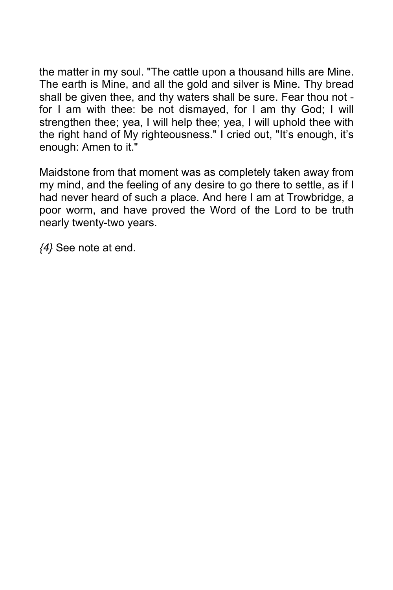the matter in my soul. "The cattle upon a thousand hills are Mine. The earth is Mine, and all the gold and silver is Mine. Thy bread shall be given thee, and thy waters shall be sure. Fear thou not for I am with thee: be not dismayed, for I am thy God; I will strengthen thee; yea, I will help thee; yea, I will uphold thee with the right hand of My righteousness." I cried out, "It's enough, it's enough: Amen to it."

Maidstone from that moment was as completely taken away from my mind, and the feeling of any desire to go there to settle, as if I had never heard of such a place. And here I am at Trowbridge, a poor worm, and have proved the Word of the Lord to be truth nearly twenty-two years.

*{4}* See note at end.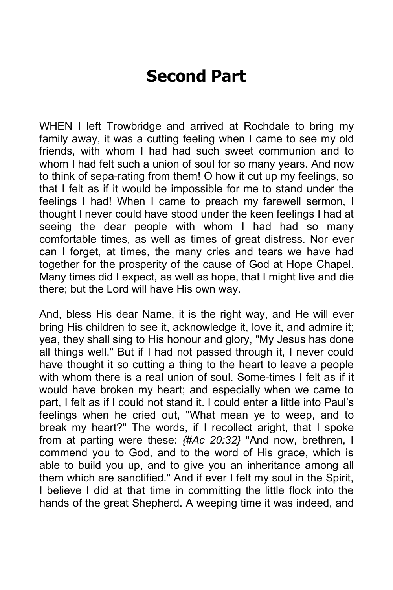## **Second Part**

WHEN I left Trowbridge and arrived at Rochdale to bring my family away, it was a cutting feeling when I came to see my old friends, with whom I had had such sweet communion and to whom I had felt such a union of soul for so many years. And now to think of sepa-rating from them! O how it cut up my feelings, so that I felt as if it would be impossible for me to stand under the feelings I had! When I came to preach my farewell sermon, I thought I never could have stood under the keen feelings I had at seeing the dear people with whom I had had so many comfortable times, as well as times of great distress. Nor ever can I forget, at times, the many cries and tears we have had together for the prosperity of the cause of God at Hope Chapel. Many times did I expect, as well as hope, that I might live and die there; but the Lord will have His own way.

And, bless His dear Name, it is the right way, and He will ever bring His children to see it, acknowledge it, love it, and admire it; yea, they shall sing to His honour and glory, "My Jesus has done all things well." But if I had not passed through it, I never could have thought it so cutting a thing to the heart to leave a people with whom there is a real union of soul. Some-times I felt as if it would have broken my heart; and especially when we came to part, I felt as if I could not stand it. I could enter a little into Paul's feelings when he cried out, "What mean ye to weep, and to break my heart?" The words, if I recollect aright, that I spoke from at parting were these: *{#Ac 20:32}* "And now, brethren, I commend you to God, and to the word of His grace, which is able to build you up, and to give you an inheritance among all them which are sanctified." And if ever I felt my soul in the Spirit, I believe I did at that time in committing the little flock into the hands of the great Shepherd. A weeping time it was indeed, and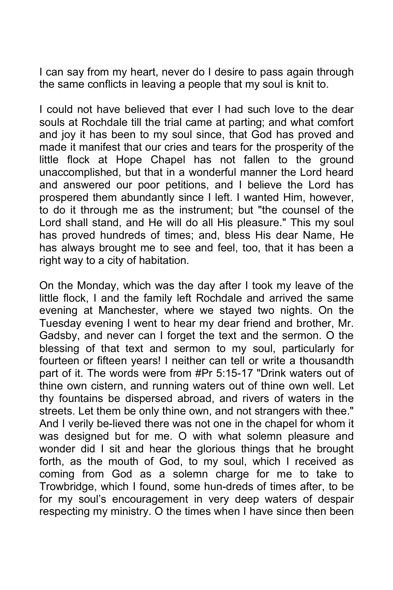I can say from my heart, never do I desire to pass again through the same conflicts in leaving a people that my soul is knit to.

I could not have believed that ever I had such love to the dear souls at Rochdale till the trial came at parting; and what comfort and joy it has been to my soul since, that God has proved and made it manifest that our cries and tears for the prosperity of the little flock at Hope Chapel has not fallen to the ground unaccomplished, but that in a wonderful manner the Lord heard and answered our poor petitions, and I believe the Lord has prospered them abundantly since I left. I wanted Him, however, to do it through me as the instrument; but "the counsel of the Lord shall stand, and He will do all His pleasure." This my soul has proved hundreds of times; and, bless His dear Name, He has always brought me to see and feel, too, that it has been a right way to a city of habitation.

On the Monday, which was the day after I took my leave of the little flock, I and the family left Rochdale and arrived the same evening at Manchester, where we stayed two nights. On the Tuesday evening I went to hear my dear friend and brother, Mr. Gadsby, and never can I forget the text and the sermon. O the blessing of that text and sermon to my soul, particularly for fourteen or fifteen years! I neither can tell or write a thousandth part of it. The words were from #Pr 5:15-17 "Drink waters out of thine own cistern, and running waters out of thine own well. Let thy fountains be dispersed abroad, and rivers of waters in the streets. Let them be only thine own, and not strangers with thee." And I verily be-lieved there was not one in the chapel for whom it was designed but for me. O with what solemn pleasure and wonder did I sit and hear the glorious things that he brought forth, as the mouth of God, to my soul, which I received as coming from God as a solemn charge for me to take to Trowbridge, which I found, some hun-dreds of times after, to be for my soul's encouragement in very deep waters of despair respecting my ministry. O the times when I have since then been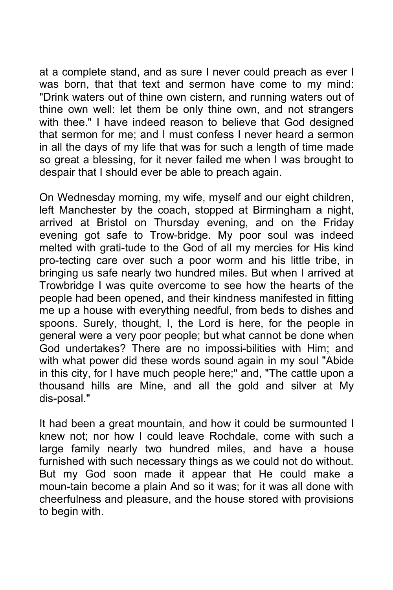at a complete stand, and as sure I never could preach as ever I was born, that that text and sermon have come to my mind: "Drink waters out of thine own cistern, and running waters out of thine own well: let them be only thine own, and not strangers with thee." I have indeed reason to believe that God designed that sermon for me; and I must confess I never heard a sermon in all the days of my life that was for such a length of time made so great a blessing, for it never failed me when I was brought to despair that I should ever be able to preach again.

On Wednesday morning, my wife, myself and our eight children, left Manchester by the coach, stopped at Birmingham a night, arrived at Bristol on Thursday evening, and on the Friday evening got safe to Trow-bridge. My poor soul was indeed melted with grati-tude to the God of all my mercies for His kind pro-tecting care over such a poor worm and his little tribe, in bringing us safe nearly two hundred miles. But when I arrived at Trowbridge I was quite overcome to see how the hearts of the people had been opened, and their kindness manifested in fitting me up a house with everything needful, from beds to dishes and spoons. Surely, thought, I, the Lord is here, for the people in general were a very poor people; but what cannot be done when God undertakes? There are no impossi-bilities with Him; and with what power did these words sound again in my soul "Abide in this city, for I have much people here;" and, "The cattle upon a thousand hills are Mine, and all the gold and silver at My dis-posal."

It had been a great mountain, and how it could be surmounted I knew not; nor how I could leave Rochdale, come with such a large family nearly two hundred miles, and have a house furnished with such necessary things as we could not do without. But my God soon made it appear that He could make a moun-tain become a plain And so it was; for it was all done with cheerfulness and pleasure, and the house stored with provisions to begin with.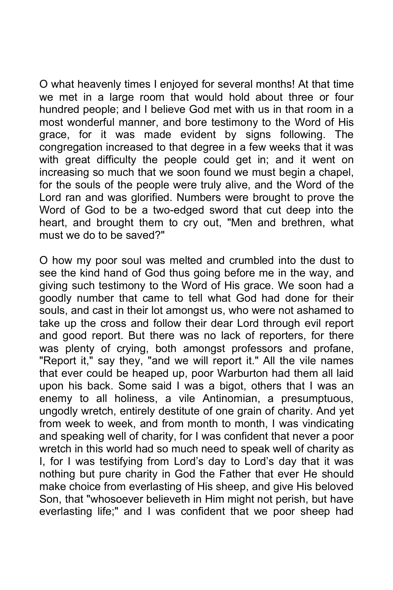O what heavenly times I enjoyed for several months! At that time we met in a large room that would hold about three or four hundred people; and I believe God met with us in that room in a most wonderful manner, and bore testimony to the Word of His grace, for it was made evident by signs following. The congregation increased to that degree in a few weeks that it was with great difficulty the people could get in; and it went on increasing so much that we soon found we must begin a chapel, for the souls of the people were truly alive, and the Word of the Lord ran and was glorified. Numbers were brought to prove the Word of God to be a two-edged sword that cut deep into the heart, and brought them to cry out, "Men and brethren, what must we do to be saved?"

O how my poor soul was melted and crumbled into the dust to see the kind hand of God thus going before me in the way, and giving such testimony to the Word of His grace. We soon had a goodly number that came to tell what God had done for their souls, and cast in their lot amongst us, who were not ashamed to take up the cross and follow their dear Lord through evil report and good report. But there was no lack of reporters, for there was plenty of crying, both amongst professors and profane, "Report it," say they, "and we will report it." All the vile names that ever could be heaped up, poor Warburton had them all laid upon his back. Some said I was a bigot, others that I was an enemy to all holiness, a vile Antinomian, a presumptuous, ungodly wretch, entirely destitute of one grain of charity. And yet from week to week, and from month to month, I was vindicating and speaking well of charity, for I was confident that never a poor wretch in this world had so much need to speak well of charity as I, for I was testifying from Lord's day to Lord's day that it was nothing but pure charity in God the Father that ever He should make choice from everlasting of His sheep, and give His beloved Son, that "whosoever believeth in Him might not perish, but have everlasting life;" and I was confident that we poor sheep had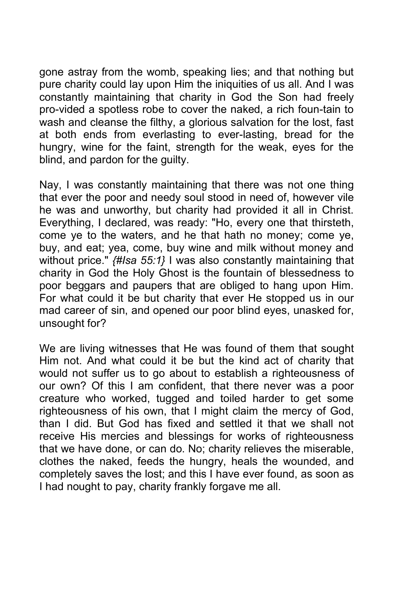gone astray from the womb, speaking lies; and that nothing but pure charity could lay upon Him the iniquities of us all. And I was constantly maintaining that charity in God the Son had freely pro-vided a spotless robe to cover the naked, a rich foun-tain to wash and cleanse the filthy, a glorious salvation for the lost, fast at both ends from everlasting to ever-lasting, bread for the hungry, wine for the faint, strength for the weak, eyes for the blind, and pardon for the guilty.

Nay, I was constantly maintaining that there was not one thing that ever the poor and needy soul stood in need of, however vile he was and unworthy, but charity had provided it all in Christ. Everything, I declared, was ready: "Ho, every one that thirsteth, come ye to the waters, and he that hath no money; come ye, buy, and eat; yea, come, buy wine and milk without money and without price." *{#Isa 55:1}* I was also constantly maintaining that charity in God the Holy Ghost is the fountain of blessedness to poor beggars and paupers that are obliged to hang upon Him. For what could it be but charity that ever He stopped us in our mad career of sin, and opened our poor blind eyes, unasked for, unsought for?

We are living witnesses that He was found of them that sought Him not. And what could it be but the kind act of charity that would not suffer us to go about to establish a righteousness of our own? Of this I am confident, that there never was a poor creature who worked, tugged and toiled harder to get some righteousness of his own, that I might claim the mercy of God, than I did. But God has fixed and settled it that we shall not receive His mercies and blessings for works of righteousness that we have done, or can do. No; charity relieves the miserable, clothes the naked, feeds the hungry, heals the wounded, and completely saves the lost; and this I have ever found, as soon as I had nought to pay, charity frankly forgave me all.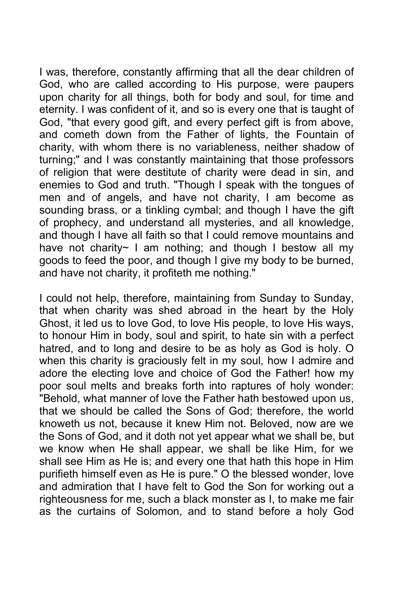I was, therefore, constantly affirming that all the dear children of God, who are called according to His purpose, were paupers upon charity for all things, both for body and soul, for time and eternity. I was confident of it, and so is every one that is taught of God, "that every good gift, and every perfect gift is from above, and cometh down from the Father of lights, the Fountain of charity, with whom there is no variableness, neither shadow of turning;" and I was constantly maintaining that those professors of religion that were destitute of charity were dead in sin, and enemies to God and truth. "Though I speak with the tongues of men and of angels, and have not charity, I am become as sounding brass, or a tinkling cymbal; and though I have the gift of prophecy, and understand all mysteries, and all knowledge, and though I have all faith so that I could remove mountains and have not charity~ I am nothing; and though I bestow all my goods to feed the poor, and though I give my body to be burned, and have not charity, it profiteth me nothing."

I could not help, therefore, maintaining from Sunday to Sunday, that when charity was shed abroad in the heart by the Holy Ghost, it led us to love God, to love His people, to love His ways, to honour Him in body, soul and spirit, to hate sin with a perfect hatred, and to long and desire to be as holy as God is holy. O when this charity is graciously felt in my soul, how I admire and adore the electing love and choice of God the Father! how my poor soul melts and breaks forth into raptures of holy wonder: "Behold, what manner of love the Father hath bestowed upon us, that we should be called the Sons of God; therefore, the world knoweth us not, because it knew Him not. Beloved, now are we the Sons of God, and it doth not yet appear what we shall be, but we know when He shall appear, we shall be like Him, for we shall see Him as He is; and every one that hath this hope in Him purifieth himself even as He is pure." O the blessed wonder, love and admiration that I have felt to God the Son for working out a righteousness for me, such a black monster as I, to make me fair as the curtains of Solomon, and to stand before a holy God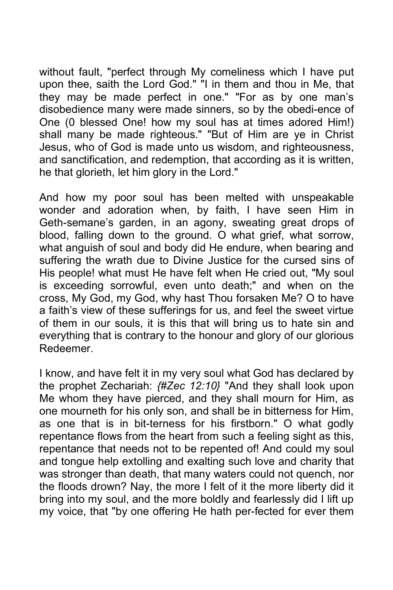without fault, "perfect through My comeliness which I have put upon thee, saith the Lord God." "I in them and thou in Me, that they may be made perfect in one." "For as by one man's disobedience many were made sinners, so by the obedi-ence of One (0 blessed One! how my soul has at times adored Him!) shall many be made righteous." "But of Him are ye in Christ Jesus, who of God is made unto us wisdom, and righteousness, and sanctification, and redemption, that according as it is written, he that glorieth, let him glory in the Lord."

And how my poor soul has been melted with unspeakable wonder and adoration when, by faith, I have seen Him in Geth-semane's garden, in an agony, sweating great drops of blood, falling down to the ground. O what grief, what sorrow, what anguish of soul and body did He endure, when bearing and suffering the wrath due to Divine Justice for the cursed sins of His people! what must He have felt when He cried out, "My soul is exceeding sorrowful, even unto death;" and when on the cross, My God, my God, why hast Thou forsaken Me? O to have a faith's view of these sufferings for us, and feel the sweet virtue of them in our souls, it is this that will bring us to hate sin and everything that is contrary to the honour and glory of our glorious Redeemer.

I know, and have felt it in my very soul what God has declared by the prophet Zechariah: *{#Zec 12:10}* "And they shall look upon Me whom they have pierced, and they shall mourn for Him, as one mourneth for his only son, and shall be in bitterness for Him, as one that is in bit-terness for his firstborn." O what godly repentance flows from the heart from such a feeling sight as this, repentance that needs not to be repented of! And could my soul and tongue help extolling and exalting such love and charity that was stronger than death, that many waters could not quench, nor the floods drown? Nay, the more I felt of it the more liberty did it bring into my soul, and the more boldly and fearlessly did I lift up my voice, that "by one offering He hath per-fected for ever them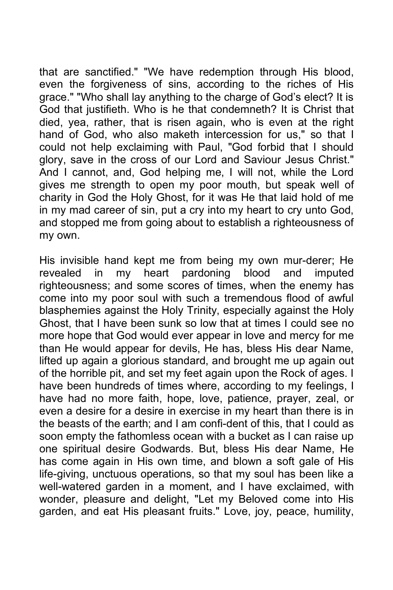that are sanctified." "We have redemption through His blood, even the forgiveness of sins, according to the riches of His grace." "Who shall lay anything to the charge of God's elect? It is God that justifieth. Who is he that condemneth? It is Christ that died, yea, rather, that is risen again, who is even at the right hand of God, who also maketh intercession for us," so that I could not help exclaiming with Paul, "God forbid that I should glory, save in the cross of our Lord and Saviour Jesus Christ." And I cannot, and, God helping me, I will not, while the Lord gives me strength to open my poor mouth, but speak well of charity in God the Holy Ghost, for it was He that laid hold of me in my mad career of sin, put a cry into my heart to cry unto God, and stopped me from going about to establish a righteousness of my own.

His invisible hand kept me from being my own mur-derer; He revealed in my heart pardoning blood and imputed righteousness; and some scores of times, when the enemy has come into my poor soul with such a tremendous flood of awful blasphemies against the Holy Trinity, especially against the Holy Ghost, that I have been sunk so low that at times I could see no more hope that God would ever appear in love and mercy for me than He would appear for devils, He has, bless His dear Name, lifted up again a glorious standard, and brought me up again out of the horrible pit, and set my feet again upon the Rock of ages. I have been hundreds of times where, according to my feelings, I have had no more faith, hope, love, patience, prayer, zeal, or even a desire for a desire in exercise in my heart than there is in the beasts of the earth; and I am confi-dent of this, that I could as soon empty the fathomless ocean with a bucket as I can raise up one spiritual desire Godwards. But, bless His dear Name, He has come again in His own time, and blown a soft gale of His life-giving, unctuous operations, so that my soul has been like a well-watered garden in a moment, and I have exclaimed, with wonder, pleasure and delight, "Let my Beloved come into His garden, and eat His pleasant fruits." Love, joy, peace, humility,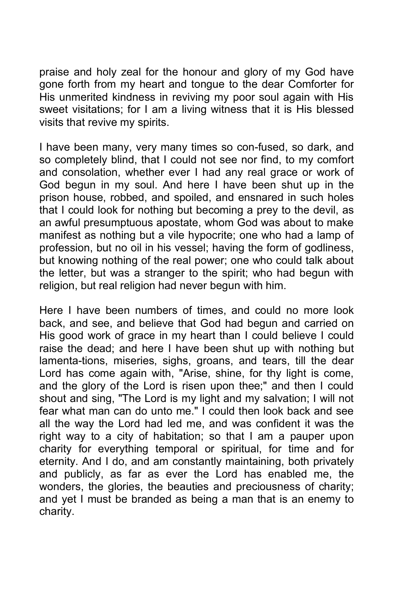praise and holy zeal for the honour and glory of my God have gone forth from my heart and tongue to the dear Comforter for His unmerited kindness in reviving my poor soul again with His sweet visitations; for I am a living witness that it is His blessed visits that revive my spirits.

I have been many, very many times so con-fused, so dark, and so completely blind, that I could not see nor find, to my comfort and consolation, whether ever I had any real grace or work of God begun in my soul. And here I have been shut up in the prison house, robbed, and spoiled, and ensnared in such holes that I could look for nothing but becoming a prey to the devil, as an awful presumptuous apostate, whom God was about to make manifest as nothing but a vile hypocrite; one who had a lamp of profession, but no oil in his vessel; having the form of godliness, but knowing nothing of the real power; one who could talk about the letter, but was a stranger to the spirit; who had begun with religion, but real religion had never begun with him.

Here I have been numbers of times, and could no more look back, and see, and believe that God had begun and carried on His good work of grace in my heart than I could believe I could raise the dead; and here I have been shut up with nothing but lamenta-tions, miseries, sighs, groans, and tears, till the dear Lord has come again with, "Arise, shine, for thy light is come, and the glory of the Lord is risen upon thee;" and then I could shout and sing, "The Lord is my light and my salvation; I will not fear what man can do unto me." I could then look back and see all the way the Lord had led me, and was confident it was the right way to a city of habitation; so that I am a pauper upon charity for everything temporal or spiritual, for time and for eternity. And I do, and am constantly maintaining, both privately and publicly, as far as ever the Lord has enabled me, the wonders, the glories, the beauties and preciousness of charity; and yet I must be branded as being a man that is an enemy to charity.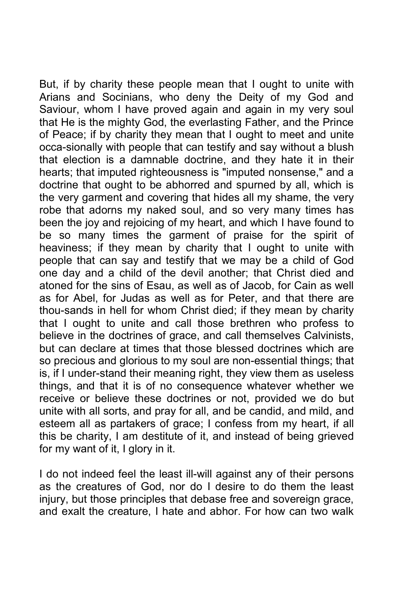But, if by charity these people mean that I ought to unite with Arians and Socinians, who deny the Deity of my God and Saviour, whom I have proved again and again in my very soul that He is the mighty God, the everlasting Father, and the Prince of Peace; if by charity they mean that I ought to meet and unite occa-sionally with people that can testify and say without a blush that election is a damnable doctrine, and they hate it in their hearts; that imputed righteousness is "imputed nonsense," and a doctrine that ought to be abhorred and spurned by all, which is the very garment and covering that hides all my shame, the very robe that adorns my naked soul, and so very many times has been the joy and rejoicing of my heart, and which I have found to be so many times the garment of praise for the spirit of heaviness; if they mean by charity that I ought to unite with people that can say and testify that we may be a child of God one day and a child of the devil another; that Christ died and atoned for the sins of Esau, as well as of Jacob, for Cain as well as for Abel, for Judas as well as for Peter, and that there are thou-sands in hell for whom Christ died; if they mean by charity that I ought to unite and call those brethren who profess to believe in the doctrines of grace, and call themselves Calvinists, but can declare at times that those blessed doctrines which are so precious and glorious to my soul are non-essential things; that is, if I under-stand their meaning right, they view them as useless things, and that it is of no consequence whatever whether we receive or believe these doctrines or not, provided we do but unite with all sorts, and pray for all, and be candid, and mild, and esteem all as partakers of grace; I confess from my heart, if all this be charity, I am destitute of it, and instead of being grieved for my want of it, I glory in it.

I do not indeed feel the least ill-will against any of their persons as the creatures of God, nor do I desire to do them the least injury, but those principles that debase free and sovereign grace, and exalt the creature, I hate and abhor. For how can two walk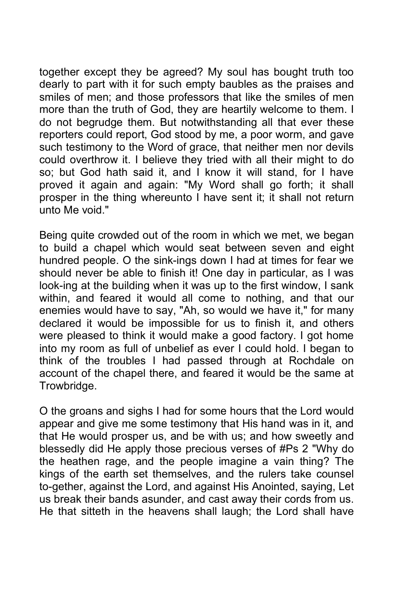together except they be agreed? My soul has bought truth too dearly to part with it for such empty baubles as the praises and smiles of men; and those professors that like the smiles of men more than the truth of God, they are heartily welcome to them. I do not begrudge them. But notwithstanding all that ever these reporters could report, God stood by me, a poor worm, and gave such testimony to the Word of grace, that neither men nor devils could overthrow it. I believe they tried with all their might to do so; but God hath said it, and I know it will stand, for I have proved it again and again: "My Word shall go forth; it shall prosper in the thing whereunto I have sent it; it shall not return unto Me void."

Being quite crowded out of the room in which we met, we began to build a chapel which would seat between seven and eight hundred people. O the sink-ings down I had at times for fear we should never be able to finish it! One day in particular, as I was look-ing at the building when it was up to the first window, I sank within, and feared it would all come to nothing, and that our enemies would have to say, "Ah, so would we have it," for many declared it would be impossible for us to finish it, and others were pleased to think it would make a good factory. I got home into my room as full of unbelief as ever I could hold. I began to think of the troubles I had passed through at Rochdale on account of the chapel there, and feared it would be the same at Trowbridge.

O the groans and sighs I had for some hours that the Lord would appear and give me some testimony that His hand was in it, and that He would prosper us, and be with us; and how sweetly and blessedly did He apply those precious verses of #Ps 2 "Why do the heathen rage, and the people imagine a vain thing? The kings of the earth set themselves, and the rulers take counsel to-gether, against the Lord, and against His Anointed, saying, Let us break their bands asunder, and cast away their cords from us. He that sitteth in the heavens shall laugh; the Lord shall have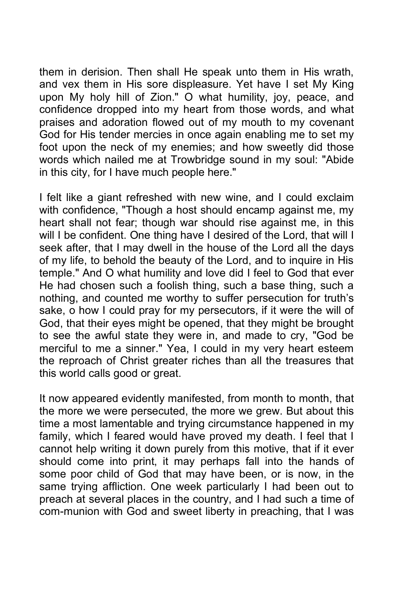them in derision. Then shall He speak unto them in His wrath, and vex them in His sore displeasure. Yet have I set My King upon My holy hill of Zion." O what humility, joy, peace, and confidence dropped into my heart from those words, and what praises and adoration flowed out of my mouth to my covenant God for His tender mercies in once again enabling me to set my foot upon the neck of my enemies; and how sweetly did those words which nailed me at Trowbridge sound in my soul: "Abide in this city, for I have much people here."

I felt like a giant refreshed with new wine, and I could exclaim with confidence, "Though a host should encamp against me, my heart shall not fear; though war should rise against me, in this will I be confident. One thing have I desired of the Lord, that will I seek after, that I may dwell in the house of the Lord all the days of my life, to behold the beauty of the Lord, and to inquire in His temple." And O what humility and love did I feel to God that ever He had chosen such a foolish thing, such a base thing, such a nothing, and counted me worthy to suffer persecution for truth's sake, o how I could pray for my persecutors, if it were the will of God, that their eyes might be opened, that they might be brought to see the awful state they were in, and made to cry, "God be merciful to me a sinner." Yea, I could in my very heart esteem the reproach of Christ greater riches than all the treasures that this world calls good or great.

It now appeared evidently manifested, from month to month, that the more we were persecuted, the more we grew. But about this time a most lamentable and trying circumstance happened in my family, which I feared would have proved my death. I feel that I cannot help writing it down purely from this motive, that if it ever should come into print, it may perhaps fall into the hands of some poor child of God that may have been, or is now, in the same trying affliction. One week particularly I had been out to preach at several places in the country, and I had such a time of com-munion with God and sweet liberty in preaching, that I was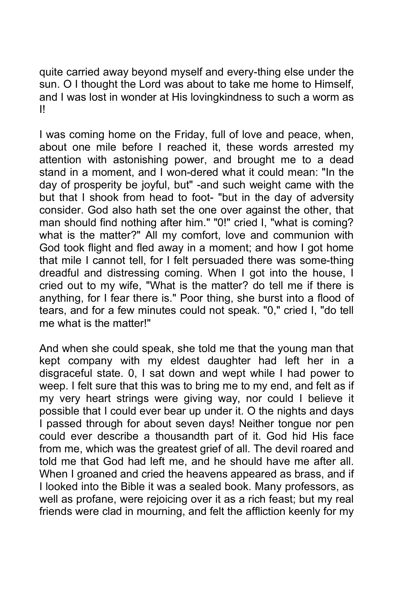quite carried away beyond myself and every-thing else under the sun. O I thought the Lord was about to take me home to Himself, and I was lost in wonder at His lovingkindness to such a worm as I!

I was coming home on the Friday, full of love and peace, when, about one mile before I reached it, these words arrested my attention with astonishing power, and brought me to a dead stand in a moment, and I won-dered what it could mean: "In the day of prosperity be joyful, but" -and such weight came with the but that I shook from head to foot- "but in the day of adversity consider. God also hath set the one over against the other, that man should find nothing after him." "0!" cried I, "what is coming? what is the matter?" All my comfort, love and communion with God took flight and fled away in a moment; and how I got home that mile I cannot tell, for I felt persuaded there was some-thing dreadful and distressing coming. When I got into the house, I cried out to my wife, "What is the matter? do tell me if there is anything, for I fear there is." Poor thing, she burst into a flood of tears, and for a few minutes could not speak. "0," cried I, "do tell me what is the matter!"

And when she could speak, she told me that the young man that kept company with my eldest daughter had left her in a disgraceful state. 0, I sat down and wept while I had power to weep. I felt sure that this was to bring me to my end, and felt as if my very heart strings were giving way, nor could I believe it possible that I could ever bear up under it. O the nights and days I passed through for about seven days! Neither tongue nor pen could ever describe a thousandth part of it. God hid His face from me, which was the greatest grief of all. The devil roared and told me that God had left me, and he should have me after all. When I groaned and cried the heavens appeared as brass, and if I looked into the Bible it was a sealed book. Many professors, as well as profane, were rejoicing over it as a rich feast; but my real friends were clad in mourning, and felt the affliction keenly for my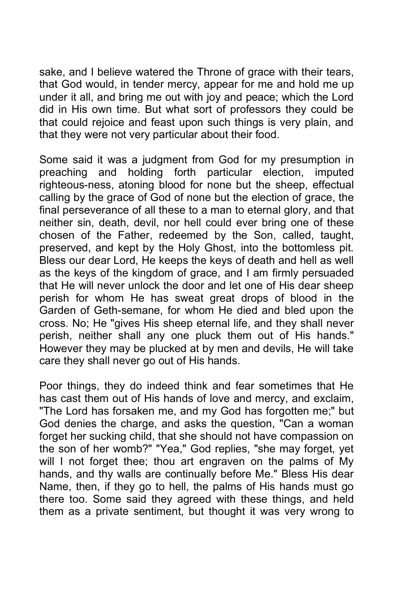sake, and I believe watered the Throne of grace with their tears, that God would, in tender mercy, appear for me and hold me up under it all, and bring me out with joy and peace; which the Lord did in His own time. But what sort of professors they could be that could rejoice and feast upon such things is very plain, and that they were not very particular about their food.

Some said it was a judgment from God for my presumption in preaching and holding forth particular election, imputed righteous-ness, atoning blood for none but the sheep, effectual calling by the grace of God of none but the election of grace, the final perseverance of all these to a man to eternal glory, and that neither sin, death, devil, nor hell could ever bring one of these chosen of the Father, redeemed by the Son, called, taught, preserved, and kept by the Holy Ghost, into the bottomless pit. Bless our dear Lord, He keeps the keys of death and hell as well as the keys of the kingdom of grace, and I am firmly persuaded that He will never unlock the door and let one of His dear sheep perish for whom He has sweat great drops of blood in the Garden of Geth-semane, for whom He died and bled upon the cross. No; He "gives His sheep eternal life, and they shall never perish, neither shall any one pluck them out of His hands." However they may be plucked at by men and devils, He will take care they shall never go out of His hands.

Poor things, they do indeed think and fear sometimes that He has cast them out of His hands of love and mercy, and exclaim, "The Lord has forsaken me, and my God has forgotten me;" but God denies the charge, and asks the question, "Can a woman forget her sucking child, that she should not have compassion on the son of her womb?" "Yea," God replies, "she may forget, yet will I not forget thee; thou art engraven on the palms of My hands, and thy walls are continually before Me." Bless His dear Name, then, if they go to hell, the palms of His hands must go there too. Some said they agreed with these things, and held them as a private sentiment, but thought it was very wrong to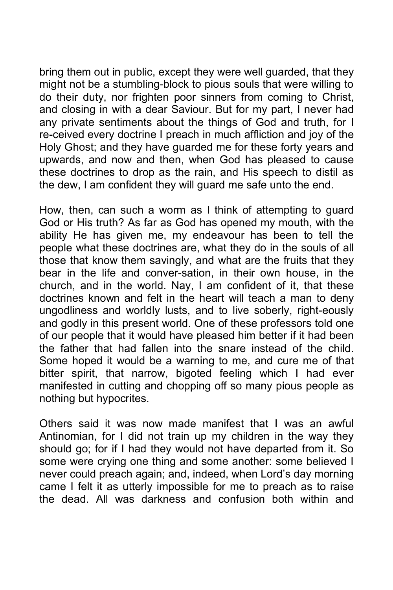bring them out in public, except they were well guarded, that they might not be a stumbling-block to pious souls that were willing to do their duty, nor frighten poor sinners from coming to Christ, and closing in with a dear Saviour. But for my part, I never had any private sentiments about the things of God and truth, for I re-ceived every doctrine I preach in much affliction and joy of the Holy Ghost; and they have guarded me for these forty years and upwards, and now and then, when God has pleased to cause these doctrines to drop as the rain, and His speech to distil as the dew, I am confident they will guard me safe unto the end.

How, then, can such a worm as I think of attempting to guard God or His truth? As far as God has opened my mouth, with the ability He has given me, my endeavour has been to tell the people what these doctrines are, what they do in the souls of all those that know them savingly, and what are the fruits that they bear in the life and conver-sation, in their own house, in the church, and in the world. Nay, I am confident of it, that these doctrines known and felt in the heart will teach a man to deny ungodliness and worldly lusts, and to live soberly, right-eously and godly in this present world. One of these professors told one of our people that it would have pleased him better if it had been the father that had fallen into the snare instead of the child. Some hoped it would be a warning to me, and cure me of that bitter spirit, that narrow, bigoted feeling which I had ever manifested in cutting and chopping off so many pious people as nothing but hypocrites.

Others said it was now made manifest that I was an awful Antinomian, for I did not train up my children in the way they should go; for if I had they would not have departed from it. So some were crying one thing and some another: some believed I never could preach again; and, indeed, when Lord's day morning came I felt it as utterly impossible for me to preach as to raise the dead. All was darkness and confusion both within and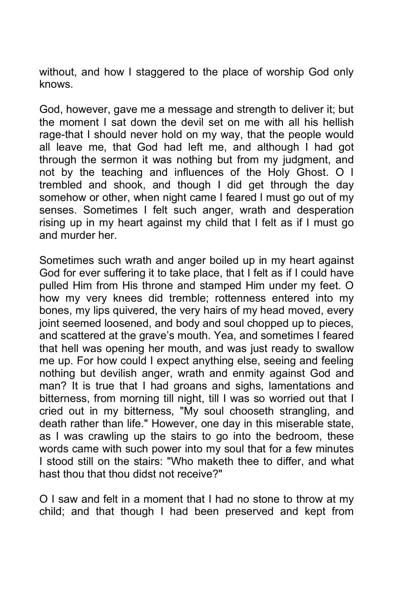without, and how I staggered to the place of worship God only knows.

God, however, gave me a message and strength to deliver it; but the moment I sat down the devil set on me with all his hellish rage-that I should never hold on my way, that the people would all leave me, that God had left me, and although I had got through the sermon it was nothing but from my judgment, and not by the teaching and influences of the Holy Ghost. O I trembled and shook, and though I did get through the day somehow or other, when night came I feared I must go out of my senses. Sometimes I felt such anger, wrath and desperation rising up in my heart against my child that I felt as if I must go and murder her.

Sometimes such wrath and anger boiled up in my heart against God for ever suffering it to take place, that I felt as if I could have pulled Him from His throne and stamped Him under my feet. O how my very knees did tremble; rottenness entered into my bones, my lips quivered, the very hairs of my head moved, every joint seemed loosened, and body and soul chopped up to pieces, and scattered at the grave's mouth. Yea, and sometimes I feared that hell was opening her mouth, and was just ready to swallow me up. For how could I expect anything else, seeing and feeling nothing but devilish anger, wrath and enmity against God and man? It is true that I had groans and sighs, lamentations and bitterness, from morning till night, till I was so worried out that I cried out in my bitterness, "My soul chooseth strangling, and death rather than life." However, one day in this miserable state, as I was crawling up the stairs to go into the bedroom, these words came with such power into my soul that for a few minutes I stood still on the stairs: "Who maketh thee to differ, and what hast thou that thou didst not receive?"

O I saw and felt in a moment that I had no stone to throw at my child; and that though I had been preserved and kept from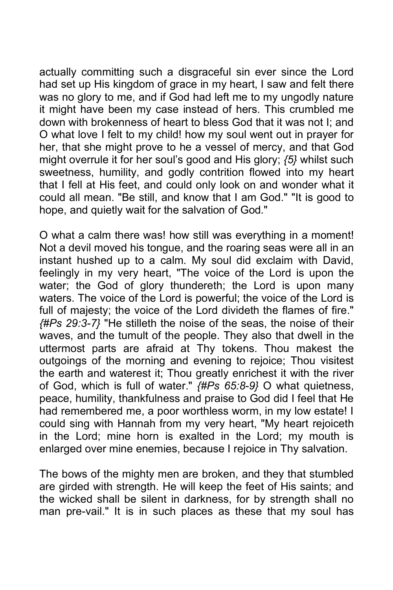actually committing such a disgraceful sin ever since the Lord had set up His kingdom of grace in my heart, I saw and felt there was no glory to me, and if God had left me to my ungodly nature it might have been my case instead of hers. This crumbled me down with brokenness of heart to bless God that it was not I; and O what love I felt to my child! how my soul went out in prayer for her, that she might prove to he a vessel of mercy, and that God might overrule it for her soul's good and His glory; *{5}* whilst such sweetness, humility, and godly contrition flowed into my heart that I fell at His feet, and could only look on and wonder what it could all mean. "Be still, and know that I am God." "It is good to hope, and quietly wait for the salvation of God."

O what a calm there was! how still was everything in a moment! Not a devil moved his tongue, and the roaring seas were all in an instant hushed up to a calm. My soul did exclaim with David, feelingly in my very heart, "The voice of the Lord is upon the water; the God of glory thundereth; the Lord is upon many waters. The voice of the Lord is powerful; the voice of the Lord is full of majesty; the voice of the Lord divideth the flames of fire." *{#Ps 29:3-7}* "He stilleth the noise of the seas, the noise of their waves, and the tumult of the people. They also that dwell in the uttermost parts are afraid at Thy tokens. Thou makest the outgoings of the morning and evening to rejoice; Thou visitest the earth and waterest it; Thou greatly enrichest it with the river of God, which is full of water." *{#Ps 65:8-9}* O what quietness, peace, humility, thankfulness and praise to God did I feel that He had remembered me, a poor worthless worm, in my low estate! I could sing with Hannah from my very heart, "My heart rejoiceth in the Lord; mine horn is exalted in the Lord; my mouth is enlarged over mine enemies, because I rejoice in Thy salvation.

The bows of the mighty men are broken, and they that stumbled are girded with strength. He will keep the feet of His saints; and the wicked shall be silent in darkness, for by strength shall no man pre-vail." It is in such places as these that my soul has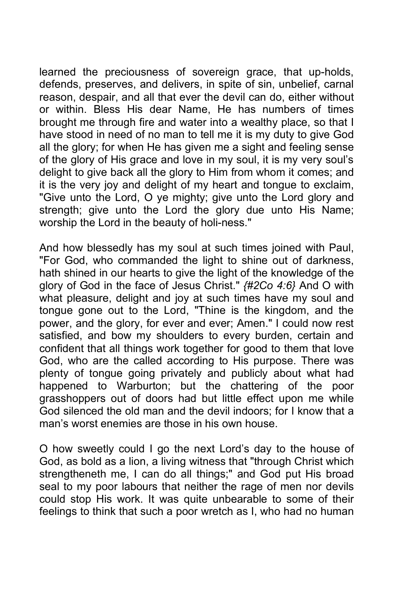learned the preciousness of sovereign grace, that up-holds, defends, preserves, and delivers, in spite of sin, unbelief, carnal reason, despair, and all that ever the devil can do, either without or within. Bless His dear Name, He has numbers of times brought me through fire and water into a wealthy place, so that I have stood in need of no man to tell me it is my duty to give God all the glory; for when He has given me a sight and feeling sense of the glory of His grace and love in my soul, it is my very soul's delight to give back all the glory to Him from whom it comes; and it is the very joy and delight of my heart and tongue to exclaim, "Give unto the Lord, O ye mighty; give unto the Lord glory and strength; give unto the Lord the glory due unto His Name; worship the Lord in the beauty of holi-ness."

And how blessedly has my soul at such times joined with Paul, "For God, who commanded the light to shine out of darkness, hath shined in our hearts to give the light of the knowledge of the glory of God in the face of Jesus Christ." *{#2Co 4:6}* And O with what pleasure, delight and joy at such times have my soul and tongue gone out to the Lord, "Thine is the kingdom, and the power, and the glory, for ever and ever; Amen." I could now rest satisfied, and bow my shoulders to every burden, certain and confident that all things work together for good to them that love God, who are the called according to His purpose. There was plenty of tongue going privately and publicly about what had happened to Warburton; but the chattering of the poor grasshoppers out of doors had but little effect upon me while God silenced the old man and the devil indoors; for I know that a man's worst enemies are those in his own house.

O how sweetly could I go the next Lord's day to the house of God, as bold as a lion, a living witness that "through Christ which strengtheneth me, I can do all things;" and God put His broad seal to my poor labours that neither the rage of men nor devils could stop His work. It was quite unbearable to some of their feelings to think that such a poor wretch as I, who had no human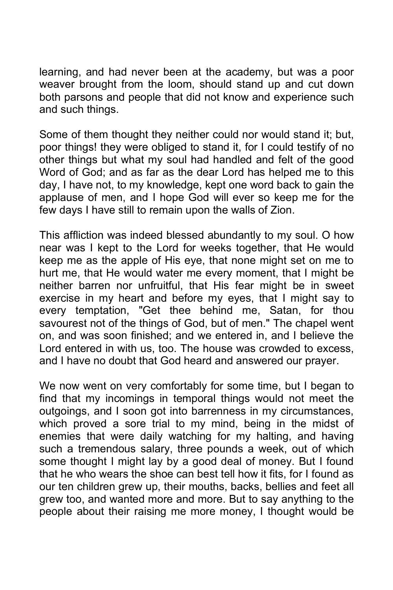learning, and had never been at the academy, but was a poor weaver brought from the loom, should stand up and cut down both parsons and people that did not know and experience such and such things.

Some of them thought they neither could nor would stand it; but, poor things! they were obliged to stand it, for I could testify of no other things but what my soul had handled and felt of the good Word of God; and as far as the dear Lord has helped me to this day, I have not, to my knowledge, kept one word back to gain the applause of men, and I hope God will ever so keep me for the few days I have still to remain upon the walls of Zion.

This affliction was indeed blessed abundantly to my soul. O how near was I kept to the Lord for weeks together, that He would keep me as the apple of His eye, that none might set on me to hurt me, that He would water me every moment, that I might be neither barren nor unfruitful, that His fear might be in sweet exercise in my heart and before my eyes, that I might say to every temptation, "Get thee behind me, Satan, for thou savourest not of the things of God, but of men." The chapel went on, and was soon finished; and we entered in, and I believe the Lord entered in with us, too. The house was crowded to excess, and I have no doubt that God heard and answered our prayer.

We now went on very comfortably for some time, but I began to find that my incomings in temporal things would not meet the outgoings, and I soon got into barrenness in my circumstances, which proved a sore trial to my mind, being in the midst of enemies that were daily watching for my halting, and having such a tremendous salary, three pounds a week, out of which some thought I might lay by a good deal of money. But I found that he who wears the shoe can best tell how it fits, for I found as our ten children grew up, their mouths, backs, bellies and feet all grew too, and wanted more and more. But to say anything to the people about their raising me more money, I thought would be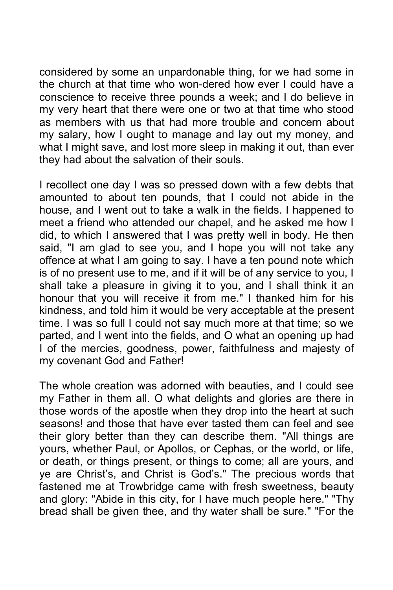considered by some an unpardonable thing, for we had some in the church at that time who won-dered how ever I could have a conscience to receive three pounds a week; and I do believe in my very heart that there were one or two at that time who stood as members with us that had more trouble and concern about my salary, how I ought to manage and lay out my money, and what I might save, and lost more sleep in making it out, than ever they had about the salvation of their souls.

I recollect one day I was so pressed down with a few debts that amounted to about ten pounds, that I could not abide in the house, and I went out to take a walk in the fields. I happened to meet a friend who attended our chapel, and he asked me how I did, to which I answered that I was pretty well in body. He then said, "I am glad to see you, and I hope you will not take any offence at what I am going to say. I have a ten pound note which is of no present use to me, and if it will be of any service to you, I shall take a pleasure in giving it to you, and I shall think it an honour that you will receive it from me." I thanked him for his kindness, and told him it would be very acceptable at the present time. I was so full I could not say much more at that time; so we parted, and I went into the fields, and O what an opening up had I of the mercies, goodness, power, faithfulness and majesty of my covenant God and Father!

The whole creation was adorned with beauties, and I could see my Father in them all. O what delights and glories are there in those words of the apostle when they drop into the heart at such seasons! and those that have ever tasted them can feel and see their glory better than they can describe them. "All things are yours, whether Paul, or Apollos, or Cephas, or the world, or life, or death, or things present, or things to come; all are yours, and ye are Christ's, and Christ is God's." The precious words that fastened me at Trowbridge came with fresh sweetness, beauty and glory: "Abide in this city, for I have much people here." "Thy bread shall be given thee, and thy water shall be sure." "For the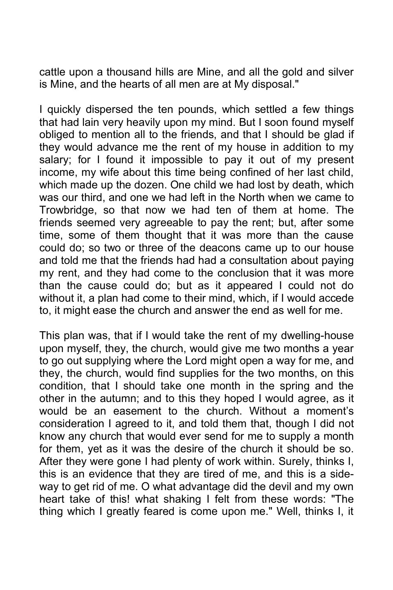cattle upon a thousand hills are Mine, and all the gold and silver is Mine, and the hearts of all men are at My disposal."

I quickly dispersed the ten pounds, which settled a few things that had lain very heavily upon my mind. But I soon found myself obliged to mention all to the friends, and that I should be glad if they would advance me the rent of my house in addition to my salary; for I found it impossible to pay it out of my present income, my wife about this time being confined of her last child, which made up the dozen. One child we had lost by death, which was our third, and one we had left in the North when we came to Trowbridge, so that now we had ten of them at home. The friends seemed very agreeable to pay the rent; but, after some time, some of them thought that it was more than the cause could do; so two or three of the deacons came up to our house and told me that the friends had had a consultation about paying my rent, and they had come to the conclusion that it was more than the cause could do; but as it appeared I could not do without it, a plan had come to their mind, which, if I would accede to, it might ease the church and answer the end as well for me.

This plan was, that if I would take the rent of my dwelling-house upon myself, they, the church, would give me two months a year to go out supplying where the Lord might open a way for me, and they, the church, would find supplies for the two months, on this condition, that I should take one month in the spring and the other in the autumn; and to this they hoped I would agree, as it would be an easement to the church. Without a moment's consideration I agreed to it, and told them that, though I did not know any church that would ever send for me to supply a month for them, yet as it was the desire of the church it should be so. After they were gone I had plenty of work within. Surely, thinks I, this is an evidence that they are tired of me, and this is a sideway to get rid of me. O what advantage did the devil and my own heart take of this! what shaking I felt from these words: "The thing which I greatly feared is come upon me." Well, thinks I, it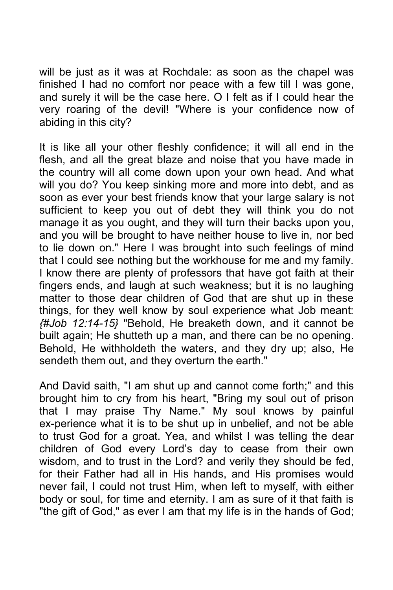will be just as it was at Rochdale: as soon as the chapel was finished I had no comfort nor peace with a few till I was gone, and surely it will be the case here. O I felt as if I could hear the very roaring of the devil! "Where is your confidence now of abiding in this city?

It is like all your other fleshly confidence; it will all end in the flesh, and all the great blaze and noise that you have made in the country will all come down upon your own head. And what will you do? You keep sinking more and more into debt, and as soon as ever your best friends know that your large salary is not sufficient to keep you out of debt they will think you do not manage it as you ought, and they will turn their backs upon you, and you will be brought to have neither house to live in, nor bed to lie down on." Here I was brought into such feelings of mind that I could see nothing but the workhouse for me and my family. I know there are plenty of professors that have got faith at their fingers ends, and laugh at such weakness; but it is no laughing matter to those dear children of God that are shut up in these things, for they well know by soul experience what Job meant: *{#Job 12:14-15}* "Behold, He breaketh down, and it cannot be built again; He shutteth up a man, and there can be no opening. Behold, He withholdeth the waters, and they dry up; also, He sendeth them out, and they overturn the earth."

And David saith, "I am shut up and cannot come forth;" and this brought him to cry from his heart, "Bring my soul out of prison that I may praise Thy Name." My soul knows by painful ex-perience what it is to be shut up in unbelief, and not be able to trust God for a groat. Yea, and whilst I was telling the dear children of God every Lord's day to cease from their own wisdom, and to trust in the Lord? and verily they should be fed, for their Father had all in His hands, and His promises would never fail, I could not trust Him, when left to myself, with either body or soul, for time and eternity. I am as sure of it that faith is "the gift of God," as ever I am that my life is in the hands of God;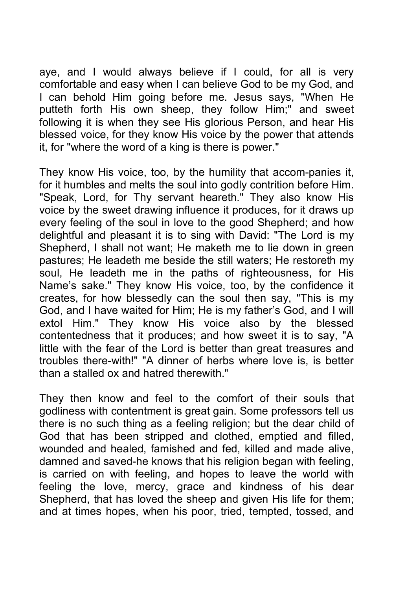aye, and I would always believe if I could, for all is very comfortable and easy when I can believe God to be my God, and I can behold Him going before me. Jesus says, "When He putteth forth His own sheep, they follow Him;" and sweet following it is when they see His glorious Person, and hear His blessed voice, for they know His voice by the power that attends it, for "where the word of a king is there is power."

They know His voice, too, by the humility that accom-panies it, for it humbles and melts the soul into godly contrition before Him. "Speak, Lord, for Thy servant heareth." They also know His voice by the sweet drawing influence it produces, for it draws up every feeling of the soul in love to the good Shepherd; and how delightful and pleasant it is to sing with David: "The Lord is my Shepherd, I shall not want; He maketh me to lie down in green pastures; He leadeth me beside the still waters; He restoreth my soul, He leadeth me in the paths of righteousness, for His Name's sake." They know His voice, too, by the confidence it creates, for how blessedly can the soul then say, "This is my God, and I have waited for Him; He is my father's God, and I will extol Him." They know His voice also by the blessed contentedness that it produces; and how sweet it is to say, "A little with the fear of the Lord is better than great treasures and troubles there-with!" "A dinner of herbs where love is, is better than a stalled ox and hatred therewith."

They then know and feel to the comfort of their souls that godliness with contentment is great gain. Some professors tell us there is no such thing as a feeling religion; but the dear child of God that has been stripped and clothed, emptied and filled, wounded and healed, famished and fed, killed and made alive, damned and saved-he knows that his religion began with feeling, is carried on with feeling, and hopes to leave the world with feeling the love, mercy, grace and kindness of his dear Shepherd, that has loved the sheep and given His life for them; and at times hopes, when his poor, tried, tempted, tossed, and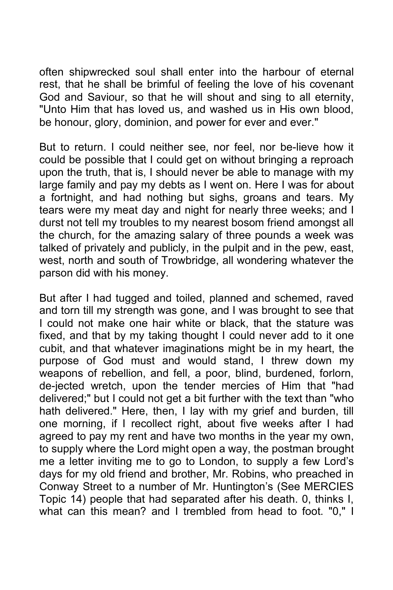often shipwrecked soul shall enter into the harbour of eternal rest, that he shall be brimful of feeling the love of his covenant God and Saviour, so that he will shout and sing to all eternity, "Unto Him that has loved us, and washed us in His own blood, be honour, glory, dominion, and power for ever and ever."

But to return. I could neither see, nor feel, nor be-lieve how it could be possible that I could get on without bringing a reproach upon the truth, that is, I should never be able to manage with my large family and pay my debts as I went on. Here I was for about a fortnight, and had nothing but sighs, groans and tears. My tears were my meat day and night for nearly three weeks; and I durst not tell my troubles to my nearest bosom friend amongst all the church, for the amazing salary of three pounds a week was talked of privately and publicly, in the pulpit and in the pew, east, west, north and south of Trowbridge, all wondering whatever the parson did with his money.

But after I had tugged and toiled, planned and schemed, raved and torn till my strength was gone, and I was brought to see that I could not make one hair white or black, that the stature was fixed, and that by my taking thought I could never add to it one cubit, and that whatever imaginations might be in my heart, the purpose of God must and would stand, I threw down my weapons of rebellion, and fell, a poor, blind, burdened, forlorn, de-jected wretch, upon the tender mercies of Him that "had delivered;" but I could not get a bit further with the text than "who hath delivered." Here, then, I lay with my grief and burden, till one morning, if I recollect right, about five weeks after I had agreed to pay my rent and have two months in the year my own, to supply where the Lord might open a way, the postman brought me a letter inviting me to go to London, to supply a few Lord's days for my old friend and brother, Mr. Robins, who preached in Conway Street to a number of Mr. Huntington's (See MERCIES Topic 14) people that had separated after his death. 0, thinks I, what can this mean? and I trembled from head to foot. "0," I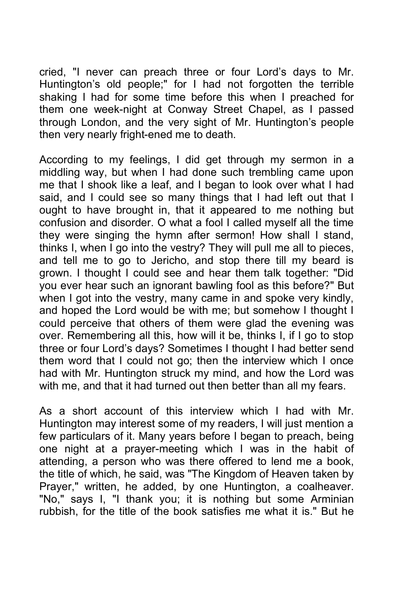cried, "I never can preach three or four Lord's days to Mr. Huntington's old people;" for I had not forgotten the terrible shaking I had for some time before this when I preached for them one week-night at Conway Street Chapel, as I passed through London, and the very sight of Mr. Huntington's people then very nearly fright-ened me to death.

According to my feelings, I did get through my sermon in a middling way, but when I had done such trembling came upon me that I shook like a leaf, and I began to look over what I had said, and I could see so many things that I had left out that I ought to have brought in, that it appeared to me nothing but confusion and disorder. O what a fool I called myself all the time they were singing the hymn after sermon! How shall I stand, thinks I, when I go into the vestry? They will pull me all to pieces, and tell me to go to Jericho, and stop there till my beard is grown. I thought I could see and hear them talk together: "Did you ever hear such an ignorant bawling fool as this before?" But when I got into the vestry, many came in and spoke very kindly, and hoped the Lord would be with me; but somehow I thought I could perceive that others of them were glad the evening was over. Remembering all this, how will it be, thinks I, if I go to stop three or four Lord's days? Sometimes I thought I had better send them word that I could not go; then the interview which I once had with Mr. Huntington struck my mind, and how the Lord was with me, and that it had turned out then better than all my fears.

As a short account of this interview which I had with Mr. Huntington may interest some of my readers, I will just mention a few particulars of it. Many years before I began to preach, being one night at a prayer-meeting which I was in the habit of attending, a person who was there offered to lend me a book, the title of which, he said, was "The Kingdom of Heaven taken by Prayer," written, he added, by one Huntington, a coalheaver. "No," says I, "I thank you; it is nothing but some Arminian rubbish, for the title of the book satisfies me what it is." But he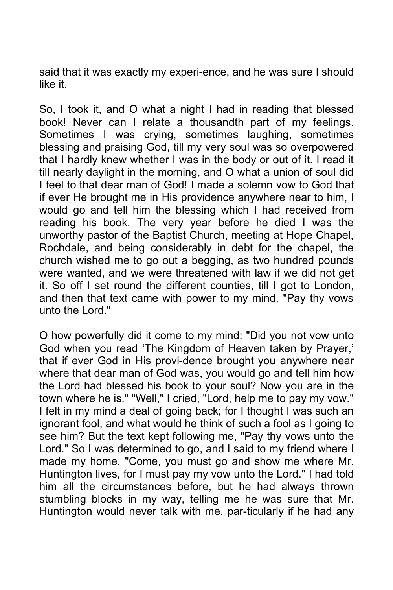said that it was exactly my experi-ence, and he was sure I should like it.

So, I took it, and O what a night I had in reading that blessed book! Never can I relate a thousandth part of my feelings. Sometimes I was crying, sometimes laughing, sometimes blessing and praising God, till my very soul was so overpowered that I hardly knew whether I was in the body or out of it. I read it till nearly daylight in the morning, and O what a union of soul did I feel to that dear man of God! I made a solemn vow to God that if ever He brought me in His providence anywhere near to him, I would go and tell him the blessing which I had received from reading his book. The very year before he died I was the unworthy pastor of the Baptist Church, meeting at Hope Chapel, Rochdale, and being considerably in debt for the chapel, the church wished me to go out a begging, as two hundred pounds were wanted, and we were threatened with law if we did not get it. So off I set round the different counties, till I got to London, and then that text came with power to my mind, "Pay thy vows unto the Lord."

O how powerfully did it come to my mind: "Did you not vow unto God when you read 'The Kingdom of Heaven taken by Prayer,' that if ever God in His provi-dence brought you anywhere near where that dear man of God was, you would go and tell him how the Lord had blessed his book to your soul? Now you are in the town where he is." "Well," I cried, "Lord, help me to pay my vow." I felt in my mind a deal of going back; for I thought I was such an ignorant fool, and what would he think of such a fool as I going to see him? But the text kept following me, "Pay thy vows unto the Lord." So I was determined to go, and I said to my friend where I made my home, "Come, you must go and show me where Mr. Huntington lives, for I must pay my vow unto the Lord." I had told him all the circumstances before, but he had always thrown stumbling blocks in my way, telling me he was sure that Mr. Huntington would never talk with me, par-ticularly if he had any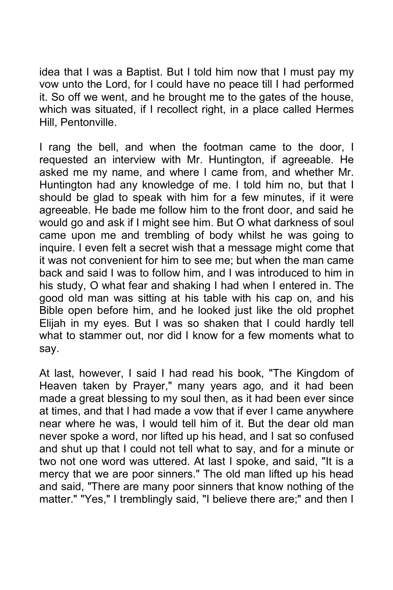idea that I was a Baptist. But I told him now that I must pay my vow unto the Lord, for I could have no peace till I had performed it. So off we went, and he brought me to the gates of the house, which was situated, if I recollect right, in a place called Hermes Hill, Pentonville.

I rang the bell, and when the footman came to the door, I requested an interview with Mr. Huntington, if agreeable. He asked me my name, and where I came from, and whether Mr. Huntington had any knowledge of me. I told him no, but that I should be glad to speak with him for a few minutes, if it were agreeable. He bade me follow him to the front door, and said he would go and ask if I might see him. But O what darkness of soul came upon me and trembling of body whilst he was going to inquire. I even felt a secret wish that a message might come that it was not convenient for him to see me; but when the man came back and said I was to follow him, and I was introduced to him in his study, O what fear and shaking I had when I entered in. The good old man was sitting at his table with his cap on, and his Bible open before him, and he looked just like the old prophet Elijah in my eyes. But I was so shaken that I could hardly tell what to stammer out, nor did I know for a few moments what to say.

At last, however, I said I had read his book, "The Kingdom of Heaven taken by Prayer," many years ago, and it had been made a great blessing to my soul then, as it had been ever since at times, and that I had made a vow that if ever I came anywhere near where he was, I would tell him of it. But the dear old man never spoke a word, nor lifted up his head, and I sat so confused and shut up that I could not tell what to say, and for a minute or two not one word was uttered. At last I spoke, and said, "It is a mercy that we are poor sinners." The old man lifted up his head and said, "There are many poor sinners that know nothing of the matter." "Yes," I tremblingly said, "I believe there are;" and then I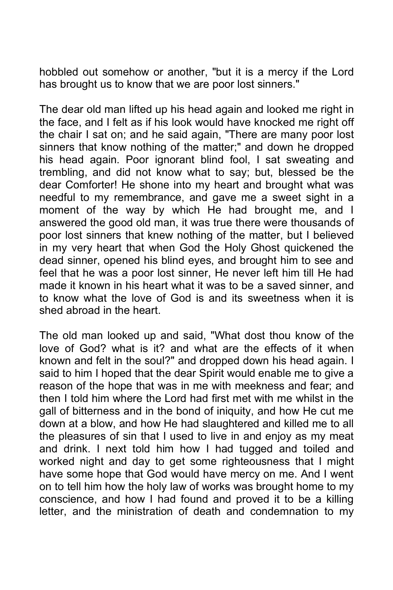hobbled out somehow or another, "but it is a mercy if the Lord has brought us to know that we are poor lost sinners."

The dear old man lifted up his head again and looked me right in the face, and I felt as if his look would have knocked me right off the chair I sat on; and he said again, "There are many poor lost sinners that know nothing of the matter;" and down he dropped his head again. Poor ignorant blind fool, I sat sweating and trembling, and did not know what to say; but, blessed be the dear Comforter! He shone into my heart and brought what was needful to my remembrance, and gave me a sweet sight in a moment of the way by which He had brought me, and I answered the good old man, it was true there were thousands of poor lost sinners that knew nothing of the matter, but I believed in my very heart that when God the Holy Ghost quickened the dead sinner, opened his blind eyes, and brought him to see and feel that he was a poor lost sinner, He never left him till He had made it known in his heart what it was to be a saved sinner, and to know what the love of God is and its sweetness when it is shed abroad in the heart.

The old man looked up and said, "What dost thou know of the love of God? what is it? and what are the effects of it when known and felt in the soul?" and dropped down his head again. I said to him I hoped that the dear Spirit would enable me to give a reason of the hope that was in me with meekness and fear; and then I told him where the Lord had first met with me whilst in the gall of bitterness and in the bond of iniquity, and how He cut me down at a blow, and how He had slaughtered and killed me to all the pleasures of sin that I used to live in and enjoy as my meat and drink. I next told him how I had tugged and toiled and worked night and day to get some righteousness that I might have some hope that God would have mercy on me. And I went on to tell him how the holy law of works was brought home to my conscience, and how I had found and proved it to be a killing letter, and the ministration of death and condemnation to my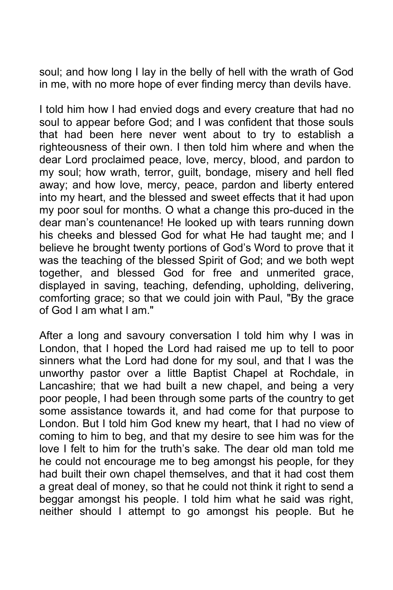soul; and how long I lay in the belly of hell with the wrath of God in me, with no more hope of ever finding mercy than devils have.

I told him how I had envied dogs and every creature that had no soul to appear before God; and I was confident that those souls that had been here never went about to try to establish a righteousness of their own. I then told him where and when the dear Lord proclaimed peace, love, mercy, blood, and pardon to my soul; how wrath, terror, guilt, bondage, misery and hell fled away; and how love, mercy, peace, pardon and liberty entered into my heart, and the blessed and sweet effects that it had upon my poor soul for months. O what a change this pro-duced in the dear man's countenance! He looked up with tears running down his cheeks and blessed God for what He had taught me; and I believe he brought twenty portions of God's Word to prove that it was the teaching of the blessed Spirit of God; and we both wept together, and blessed God for free and unmerited grace, displayed in saving, teaching, defending, upholding, delivering, comforting grace; so that we could join with Paul, "By the grace of God I am what I am."

After a long and savoury conversation I told him why I was in London, that I hoped the Lord had raised me up to tell to poor sinners what the Lord had done for my soul, and that I was the unworthy pastor over a little Baptist Chapel at Rochdale, in Lancashire; that we had built a new chapel, and being a very poor people, I had been through some parts of the country to get some assistance towards it, and had come for that purpose to London. But I told him God knew my heart, that I had no view of coming to him to beg, and that my desire to see him was for the love I felt to him for the truth's sake. The dear old man told me he could not encourage me to beg amongst his people, for they had built their own chapel themselves, and that it had cost them a great deal of money, so that he could not think it right to send a beggar amongst his people. I told him what he said was right, neither should I attempt to go amongst his people. But he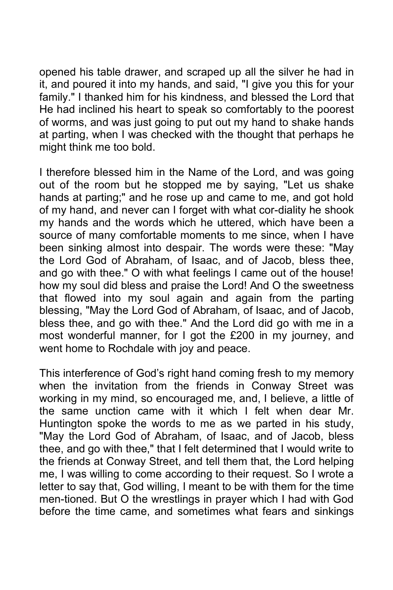opened his table drawer, and scraped up all the silver he had in it, and poured it into my hands, and said, "I give you this for your family." I thanked him for his kindness, and blessed the Lord that He had inclined his heart to speak so comfortably to the poorest of worms, and was just going to put out my hand to shake hands at parting, when I was checked with the thought that perhaps he might think me too bold.

I therefore blessed him in the Name of the Lord, and was going out of the room but he stopped me by saying, "Let us shake hands at parting;" and he rose up and came to me, and got hold of my hand, and never can I forget with what cor-diality he shook my hands and the words which he uttered, which have been a source of many comfortable moments to me since, when I have been sinking almost into despair. The words were these: "May the Lord God of Abraham, of Isaac, and of Jacob, bless thee, and go with thee." O with what feelings I came out of the house! how my soul did bless and praise the Lord! And O the sweetness that flowed into my soul again and again from the parting blessing, "May the Lord God of Abraham, of Isaac, and of Jacob, bless thee, and go with thee." And the Lord did go with me in a most wonderful manner, for I got the £200 in my journey, and went home to Rochdale with joy and peace.

This interference of God's right hand coming fresh to my memory when the invitation from the friends in Conway Street was working in my mind, so encouraged me, and, I believe, a little of the same unction came with it which I felt when dear Mr. Huntington spoke the words to me as we parted in his study, "May the Lord God of Abraham, of Isaac, and of Jacob, bless thee, and go with thee," that I felt determined that I would write to the friends at Conway Street, and tell them that, the Lord helping me, I was willing to come according to their request. So I wrote a letter to say that, God willing, I meant to be with them for the time men-tioned. But O the wrestlings in prayer which I had with God before the time came, and sometimes what fears and sinkings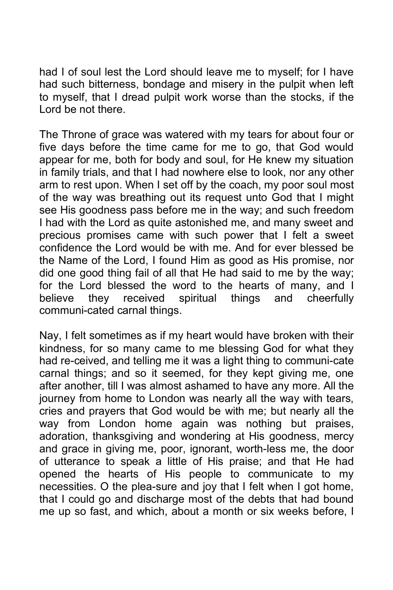had I of soul lest the Lord should leave me to myself; for I have had such bitterness, bondage and misery in the pulpit when left to myself, that I dread pulpit work worse than the stocks, if the Lord be not there.

The Throne of grace was watered with my tears for about four or five days before the time came for me to go, that God would appear for me, both for body and soul, for He knew my situation in family trials, and that I had nowhere else to look, nor any other arm to rest upon. When I set off by the coach, my poor soul most of the way was breathing out its request unto God that I might see His goodness pass before me in the way; and such freedom I had with the Lord as quite astonished me, and many sweet and precious promises came with such power that I felt a sweet confidence the Lord would be with me. And for ever blessed be the Name of the Lord, I found Him as good as His promise, nor did one good thing fail of all that He had said to me by the way; for the Lord blessed the word to the hearts of many, and I believe they received spiritual things and cheerfully communi-cated carnal things.

Nay, I felt sometimes as if my heart would have broken with their kindness, for so many came to me blessing God for what they had re-ceived, and telling me it was a light thing to communi-cate carnal things; and so it seemed, for they kept giving me, one after another, till I was almost ashamed to have any more. All the journey from home to London was nearly all the way with tears, cries and prayers that God would be with me; but nearly all the way from London home again was nothing but praises, adoration, thanksgiving and wondering at His goodness, mercy and grace in giving me, poor, ignorant, worth-less me, the door of utterance to speak a little of His praise; and that He had opened the hearts of His people to communicate to my necessities. O the plea-sure and joy that I felt when I got home, that I could go and discharge most of the debts that had bound me up so fast, and which, about a month or six weeks before, I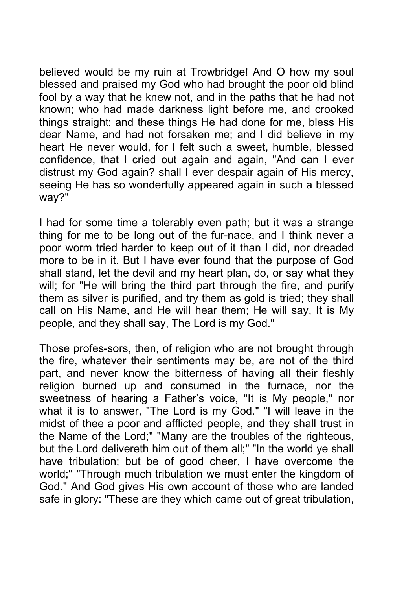believed would be my ruin at Trowbridge! And O how my soul blessed and praised my God who had brought the poor old blind fool by a way that he knew not, and in the paths that he had not known; who had made darkness light before me, and crooked things straight; and these things He had done for me, bless His dear Name, and had not forsaken me; and I did believe in my heart He never would, for I felt such a sweet, humble, blessed confidence, that I cried out again and again, "And can I ever distrust my God again? shall I ever despair again of His mercy, seeing He has so wonderfully appeared again in such a blessed way?"

I had for some time a tolerably even path; but it was a strange thing for me to be long out of the fur-nace, and I think never a poor worm tried harder to keep out of it than I did, nor dreaded more to be in it. But I have ever found that the purpose of God shall stand, let the devil and my heart plan, do, or say what they will; for "He will bring the third part through the fire, and purify them as silver is purified, and try them as gold is tried; they shall call on His Name, and He will hear them; He will say, It is My people, and they shall say, The Lord is my God."

Those profes-sors, then, of religion who are not brought through the fire, whatever their sentiments may be, are not of the third part, and never know the bitterness of having all their fleshly religion burned up and consumed in the furnace, nor the sweetness of hearing a Father's voice, "It is My people," nor what it is to answer, "The Lord is my God." "I will leave in the midst of thee a poor and afflicted people, and they shall trust in the Name of the Lord;" "Many are the troubles of the righteous, but the Lord delivereth him out of them all;" "In the world ye shall have tribulation; but be of good cheer, I have overcome the world;" "Through much tribulation we must enter the kingdom of God." And God gives His own account of those who are landed safe in glory: "These are they which came out of great tribulation,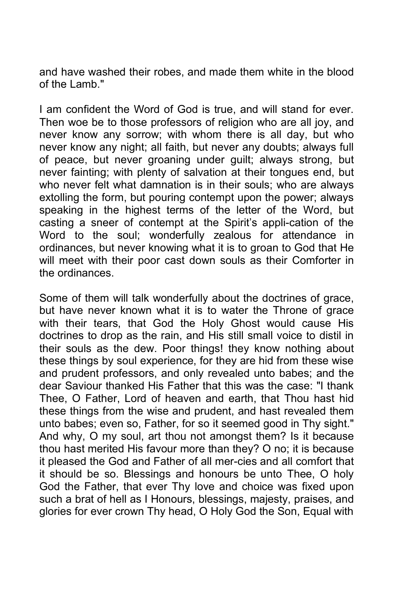and have washed their robes, and made them white in the blood of the Lamb."

I am confident the Word of God is true, and will stand for ever. Then woe be to those professors of religion who are all joy, and never know any sorrow; with whom there is all day, but who never know any night; all faith, but never any doubts; always full of peace, but never groaning under guilt; always strong, but never fainting; with plenty of salvation at their tongues end, but who never felt what damnation is in their souls; who are always extolling the form, but pouring contempt upon the power; always speaking in the highest terms of the letter of the Word, but casting a sneer of contempt at the Spirit's appli-cation of the Word to the soul; wonderfully zealous for attendance in ordinances, but never knowing what it is to groan to God that He will meet with their poor cast down souls as their Comforter in the ordinances.

Some of them will talk wonderfully about the doctrines of grace, but have never known what it is to water the Throne of grace with their tears, that God the Holy Ghost would cause His doctrines to drop as the rain, and His still small voice to distil in their souls as the dew. Poor things! they know nothing about these things by soul experience, for they are hid from these wise and prudent professors, and only revealed unto babes; and the dear Saviour thanked His Father that this was the case: "I thank Thee, O Father, Lord of heaven and earth, that Thou hast hid these things from the wise and prudent, and hast revealed them unto babes; even so, Father, for so it seemed good in Thy sight." And why, O my soul, art thou not amongst them? Is it because thou hast merited His favour more than they? O no; it is because it pleased the God and Father of all mer-cies and all comfort that it should be so. Blessings and honours be unto Thee, O holy God the Father, that ever Thy love and choice was fixed upon such a brat of hell as I Honours, blessings, majesty, praises, and glories for ever crown Thy head, O Holy God the Son, Equal with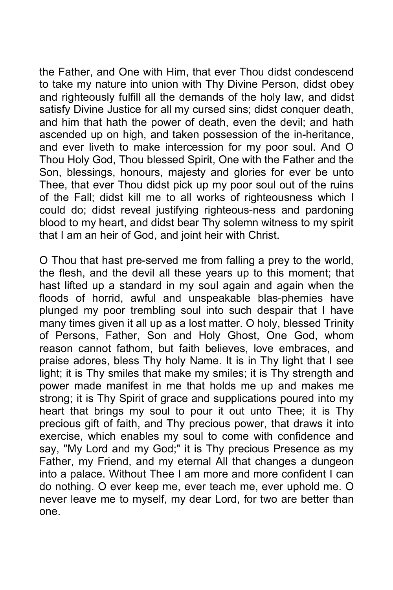the Father, and One with Him, that ever Thou didst condescend to take my nature into union with Thy Divine Person, didst obey and righteously fulfill all the demands of the holy law, and didst satisfy Divine Justice for all my cursed sins; didst conquer death, and him that hath the power of death, even the devil; and hath ascended up on high, and taken possession of the in-heritance, and ever liveth to make intercession for my poor soul. And O Thou Holy God, Thou blessed Spirit, One with the Father and the Son, blessings, honours, majesty and glories for ever be unto Thee, that ever Thou didst pick up my poor soul out of the ruins of the Fall; didst kill me to all works of righteousness which I could do; didst reveal justifying righteous-ness and pardoning blood to my heart, and didst bear Thy solemn witness to my spirit that I am an heir of God, and joint heir with Christ.

O Thou that hast pre-served me from falling a prey to the world, the flesh, and the devil all these years up to this moment; that hast lifted up a standard in my soul again and again when the floods of horrid, awful and unspeakable blas-phemies have plunged my poor trembling soul into such despair that I have many times given it all up as a lost matter. O holy, blessed Trinity of Persons, Father, Son and Holy Ghost, One God, whom reason cannot fathom, but faith believes, love embraces, and praise adores, bless Thy holy Name. It is in Thy light that I see light; it is Thy smiles that make my smiles; it is Thy strength and power made manifest in me that holds me up and makes me strong; it is Thy Spirit of grace and supplications poured into my heart that brings my soul to pour it out unto Thee; it is Thy precious gift of faith, and Thy precious power, that draws it into exercise, which enables my soul to come with confidence and say, "My Lord and my God;" it is Thy precious Presence as my Father, my Friend, and my eternal All that changes a dungeon into a palace. Without Thee I am more and more confident I can do nothing. O ever keep me, ever teach me, ever uphold me. O never leave me to myself, my dear Lord, for two are better than one.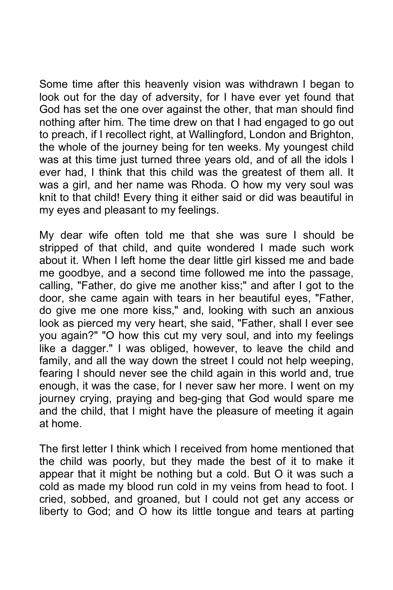Some time after this heavenly vision was withdrawn I began to look out for the day of adversity, for I have ever yet found that God has set the one over against the other, that man should find nothing after him. The time drew on that I had engaged to go out to preach, if I recollect right, at Wallingford, London and Brighton, the whole of the journey being for ten weeks. My youngest child was at this time just turned three years old, and of all the idols I ever had, I think that this child was the greatest of them all. It was a girl, and her name was Rhoda. O how my very soul was knit to that child! Every thing it either said or did was beautiful in my eyes and pleasant to my feelings.

My dear wife often told me that she was sure I should be stripped of that child, and quite wondered I made such work about it. When I left home the dear little girl kissed me and bade me goodbye, and a second time followed me into the passage, calling, "Father, do give me another kiss;" and after I got to the door, she came again with tears in her beautiful eyes, "Father, do give me one more kiss," and, looking with such an anxious look as pierced my very heart, she said, "Father, shall I ever see you again?" "O how this cut my very soul, and into my feelings like a dagger." I was obliged, however, to leave the child and family, and all the way down the street I could not help weeping, fearing I should never see the child again in this world and, true enough, it was the case, for I never saw her more. I went on my journey crying, praying and beg-ging that God would spare me and the child, that I might have the pleasure of meeting it again at home.

The first letter I think which I received from home mentioned that the child was poorly, but they made the best of it to make it appear that it might be nothing but a cold. But O it was such a cold as made my blood run cold in my veins from head to foot. I cried, sobbed, and groaned, but I could not get any access or liberty to God; and O how its little tongue and tears at parting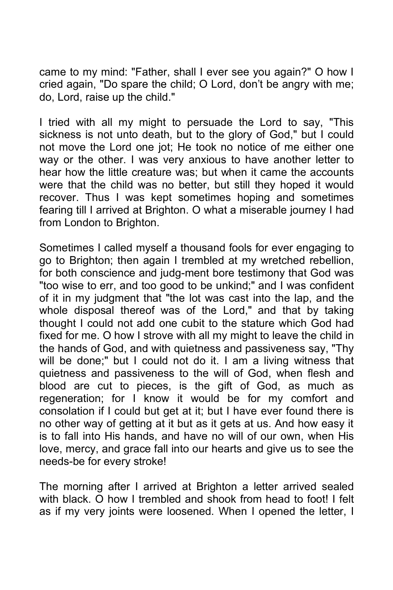came to my mind: "Father, shall I ever see you again?" O how I cried again, "Do spare the child; O Lord, don't be angry with me; do, Lord, raise up the child."

I tried with all my might to persuade the Lord to say, "This sickness is not unto death, but to the glory of God," but I could not move the Lord one jot; He took no notice of me either one way or the other. I was very anxious to have another letter to hear how the little creature was; but when it came the accounts were that the child was no better, but still they hoped it would recover. Thus I was kept sometimes hoping and sometimes fearing till I arrived at Brighton. O what a miserable journey I had from London to Brighton.

Sometimes I called myself a thousand fools for ever engaging to go to Brighton; then again I trembled at my wretched rebellion, for both conscience and judg-ment bore testimony that God was "too wise to err, and too good to be unkind;" and I was confident of it in my judgment that "the lot was cast into the lap, and the whole disposal thereof was of the Lord," and that by taking thought I could not add one cubit to the stature which God had fixed for me. O how I strove with all my might to leave the child in the hands of God, and with quietness and passiveness say, "Thy will be done;" but I could not do it. I am a living witness that quietness and passiveness to the will of God, when flesh and blood are cut to pieces, is the gift of God, as much as regeneration; for I know it would be for my comfort and consolation if I could but get at it; but I have ever found there is no other way of getting at it but as it gets at us. And how easy it is to fall into His hands, and have no will of our own, when His love, mercy, and grace fall into our hearts and give us to see the needs-be for every stroke!

The morning after I arrived at Brighton a letter arrived sealed with black. O how I trembled and shook from head to foot! I felt as if my very joints were loosened. When I opened the letter, I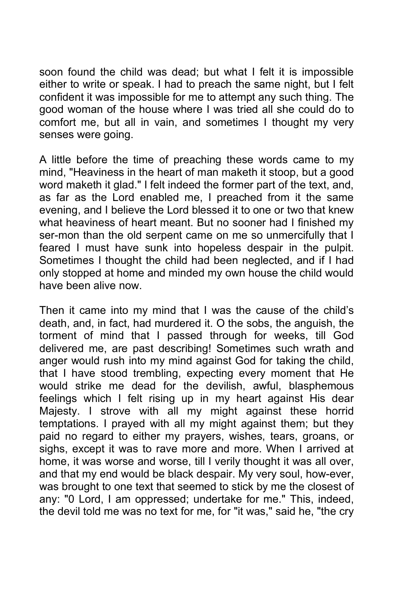soon found the child was dead; but what I felt it is impossible either to write or speak. I had to preach the same night, but I felt confident it was impossible for me to attempt any such thing. The good woman of the house where I was tried all she could do to comfort me, but all in vain, and sometimes I thought my very senses were going.

A little before the time of preaching these words came to my mind, "Heaviness in the heart of man maketh it stoop, but a good word maketh it glad." I felt indeed the former part of the text, and, as far as the Lord enabled me, I preached from it the same evening, and I believe the Lord blessed it to one or two that knew what heaviness of heart meant. But no sooner had I finished my ser-mon than the old serpent came on me so unmercifully that I feared I must have sunk into hopeless despair in the pulpit. Sometimes I thought the child had been neglected, and if I had only stopped at home and minded my own house the child would have been alive now.

Then it came into my mind that I was the cause of the child's death, and, in fact, had murdered it. O the sobs, the anguish, the torment of mind that I passed through for weeks, till God delivered me, are past describing! Sometimes such wrath and anger would rush into my mind against God for taking the child, that I have stood trembling, expecting every moment that He would strike me dead for the devilish, awful, blasphemous feelings which I felt rising up in my heart against His dear Majesty. I strove with all my might against these horrid temptations. I prayed with all my might against them; but they paid no regard to either my prayers, wishes, tears, groans, or sighs, except it was to rave more and more. When I arrived at home, it was worse and worse, till I verily thought it was all over, and that my end would be black despair. My very soul, how-ever, was brought to one text that seemed to stick by me the closest of any: "0 Lord, I am oppressed; undertake for me." This, indeed, the devil told me was no text for me, for "it was," said he, "the cry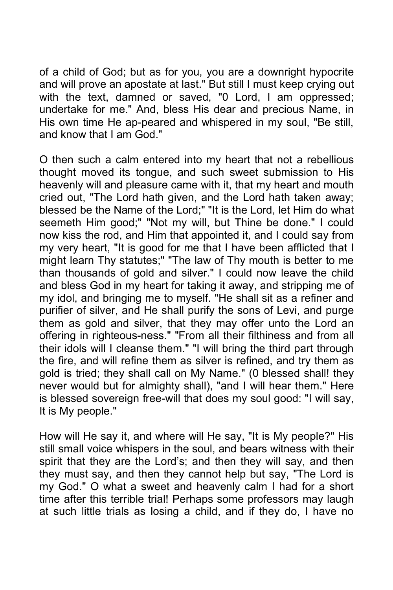of a child of God; but as for you, you are a downright hypocrite and will prove an apostate at last." But still I must keep crying out with the text, damned or saved, "0 Lord, I am oppressed; undertake for me." And, bless His dear and precious Name, in His own time He ap-peared and whispered in my soul, "Be still, and know that I am God."

O then such a calm entered into my heart that not a rebellious thought moved its tongue, and such sweet submission to His heavenly will and pleasure came with it, that my heart and mouth cried out, "The Lord hath given, and the Lord hath taken away; blessed be the Name of the Lord;" "It is the Lord, let Him do what seemeth Him good;" "Not my will, but Thine be done." I could now kiss the rod, and Him that appointed it, and I could say from my very heart, "It is good for me that I have been afflicted that I might learn Thy statutes;" "The law of Thy mouth is better to me than thousands of gold and silver." I could now leave the child and bless God in my heart for taking it away, and stripping me of my idol, and bringing me to myself. "He shall sit as a refiner and purifier of silver, and He shall purify the sons of Levi, and purge them as gold and silver, that they may offer unto the Lord an offering in righteous-ness." "From all their filthiness and from all their idols will I cleanse them." "I will bring the third part through the fire, and will refine them as silver is refined, and try them as gold is tried; they shall call on My Name." (0 blessed shall! they never would but for almighty shall), "and I will hear them." Here is blessed sovereign free-will that does my soul good: "I will say, It is My people."

How will He say it, and where will He say, "It is My people?" His still small voice whispers in the soul, and bears witness with their spirit that they are the Lord's; and then they will say, and then they must say, and then they cannot help but say, "The Lord is my God." O what a sweet and heavenly calm I had for a short time after this terrible trial! Perhaps some professors may laugh at such little trials as losing a child, and if they do, I have no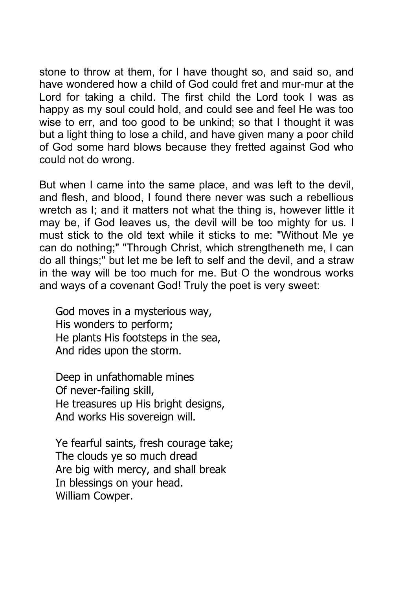stone to throw at them, for I have thought so, and said so, and have wondered how a child of God could fret and mur-mur at the Lord for taking a child. The first child the Lord took I was as happy as my soul could hold, and could see and feel He was too wise to err, and too good to be unkind; so that I thought it was but a light thing to lose a child, and have given many a poor child of God some hard blows because they fretted against God who could not do wrong.

But when I came into the same place, and was left to the devil, and flesh, and blood, I found there never was such a rebellious wretch as I; and it matters not what the thing is, however little it may be, if God leaves us, the devil will be too mighty for us. I must stick to the old text while it sticks to me: "Without Me ye can do nothing;" "Through Christ, which strengtheneth me, I can do all things;" but let me be left to self and the devil, and a straw in the way will be too much for me. But O the wondrous works and ways of a covenant God! Truly the poet is very sweet:

God moves in a mysterious way, His wonders to perform; He plants His footsteps in the sea, And rides upon the storm.

Deep in unfathomable mines Of never-failing skill, He treasures up His bright designs, And works His sovereign will.

Ye fearful saints, fresh courage take; The clouds ye so much dread Are big with mercy, and shall break In blessings on your head. William Cowper.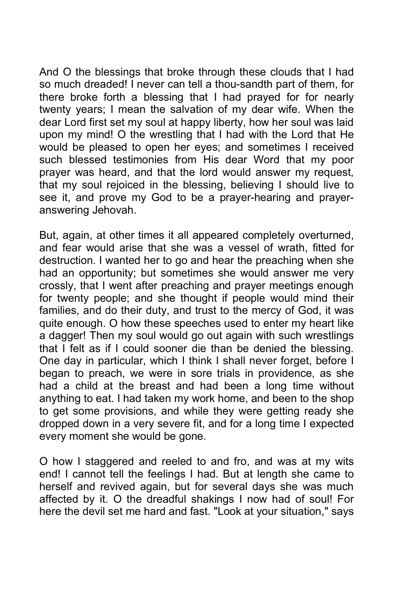And O the blessings that broke through these clouds that I had so much dreaded! I never can tell a thou-sandth part of them, for there broke forth a blessing that I had prayed for for nearly twenty years; I mean the salvation of my dear wife. When the dear Lord first set my soul at happy liberty, how her soul was laid upon my mind! O the wrestling that I had with the Lord that He would be pleased to open her eyes; and sometimes I received such blessed testimonies from His dear Word that my poor prayer was heard, and that the lord would answer my request, that my soul rejoiced in the blessing, believing I should live to see it, and prove my God to be a prayer-hearing and prayeranswering Jehovah.

But, again, at other times it all appeared completely overturned, and fear would arise that she was a vessel of wrath, fitted for destruction. I wanted her to go and hear the preaching when she had an opportunity; but sometimes she would answer me very crossly, that I went after preaching and prayer meetings enough for twenty people; and she thought if people would mind their families, and do their duty, and trust to the mercy of God, it was quite enough. O how these speeches used to enter my heart like a dagger! Then my soul would go out again with such wrestlings that I felt as if I could sooner die than be denied the blessing. One day in particular, which I think I shall never forget, before I began to preach, we were in sore trials in providence, as she had a child at the breast and had been a long time without anything to eat. I had taken my work home, and been to the shop to get some provisions, and while they were getting ready she dropped down in a very severe fit, and for a long time I expected every moment she would be gone.

O how I staggered and reeled to and fro, and was at my wits end! I cannot tell the feelings I had. But at length she came to herself and revived again, but for several days she was much affected by it. O the dreadful shakings I now had of soul! For here the devil set me hard and fast. "Look at your situation," says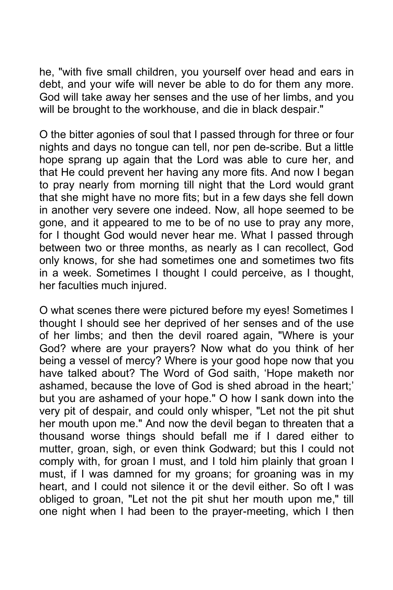he, "with five small children, you yourself over head and ears in debt, and your wife will never be able to do for them any more. God will take away her senses and the use of her limbs, and you will be brought to the workhouse, and die in black despair."

O the bitter agonies of soul that I passed through for three or four nights and days no tongue can tell, nor pen de-scribe. But a little hope sprang up again that the Lord was able to cure her, and that He could prevent her having any more fits. And now I began to pray nearly from morning till night that the Lord would grant that she might have no more fits; but in a few days she fell down in another very severe one indeed. Now, all hope seemed to be gone, and it appeared to me to be of no use to pray any more, for I thought God would never hear me. What I passed through between two or three months, as nearly as I can recollect, God only knows, for she had sometimes one and sometimes two fits in a week. Sometimes I thought I could perceive, as I thought, her faculties much injured.

O what scenes there were pictured before my eyes! Sometimes I thought I should see her deprived of her senses and of the use of her limbs; and then the devil roared again, "Where is your God? where are your prayers? Now what do you think of her being a vessel of mercy? Where is your good hope now that you have talked about? The Word of God saith, 'Hope maketh nor ashamed, because the love of God is shed abroad in the heart;' but you are ashamed of your hope." O how I sank down into the very pit of despair, and could only whisper, "Let not the pit shut her mouth upon me." And now the devil began to threaten that a thousand worse things should befall me if I dared either to mutter, groan, sigh, or even think Godward; but this I could not comply with, for groan I must, and I told him plainly that groan I must, if I was damned for my groans; for groaning was in my heart, and I could not silence it or the devil either. So oft I was obliged to groan, "Let not the pit shut her mouth upon me," till one night when I had been to the prayer-meeting, which I then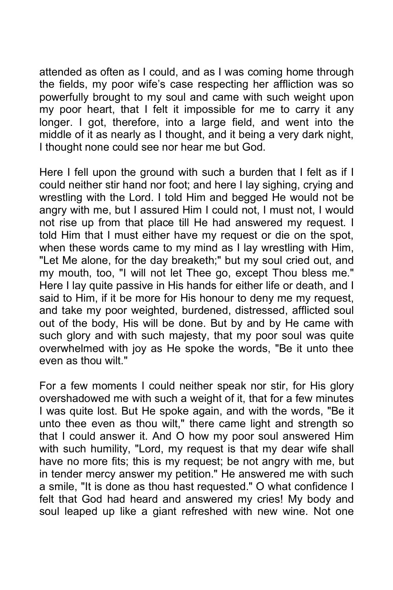attended as often as I could, and as I was coming home through the fields, my poor wife's case respecting her affliction was so powerfully brought to my soul and came with such weight upon my poor heart, that I felt it impossible for me to carry it any longer. I got, therefore, into a large field, and went into the middle of it as nearly as I thought, and it being a very dark night, I thought none could see nor hear me but God.

Here I fell upon the ground with such a burden that I felt as if I could neither stir hand nor foot; and here I lay sighing, crying and wrestling with the Lord. I told Him and begged He would not be angry with me, but I assured Him I could not, I must not, I would not rise up from that place till He had answered my request. I told Him that I must either have my request or die on the spot, when these words came to my mind as I lay wrestling with Him, "Let Me alone, for the day breaketh;" but my soul cried out, and my mouth, too, "I will not let Thee go, except Thou bless me." Here I lay quite passive in His hands for either life or death, and I said to Him, if it be more for His honour to deny me my request, and take my poor weighted, burdened, distressed, afflicted soul out of the body, His will be done. But by and by He came with such glory and with such majesty, that my poor soul was quite overwhelmed with joy as He spoke the words, "Be it unto thee even as thou wilt."

For a few moments I could neither speak nor stir, for His glory overshadowed me with such a weight of it, that for a few minutes I was quite lost. But He spoke again, and with the words, "Be it unto thee even as thou wilt," there came light and strength so that I could answer it. And O how my poor soul answered Him with such humility, "Lord, my request is that my dear wife shall have no more fits; this is my request; be not angry with me, but in tender mercy answer my petition." He answered me with such a smile, "It is done as thou hast requested." O what confidence I felt that God had heard and answered my cries! My body and soul leaped up like a giant refreshed with new wine. Not one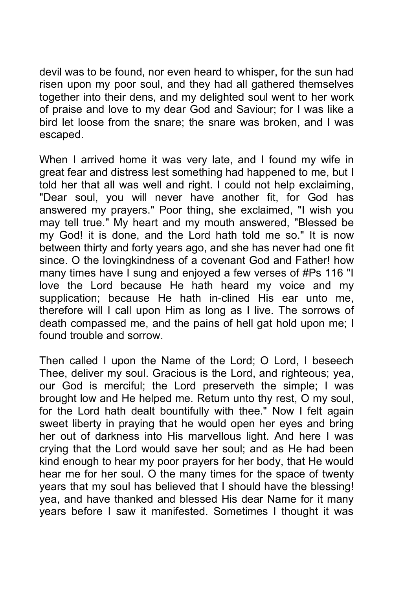devil was to be found, nor even heard to whisper, for the sun had risen upon my poor soul, and they had all gathered themselves together into their dens, and my delighted soul went to her work of praise and love to my dear God and Saviour; for I was like a bird let loose from the snare; the snare was broken, and I was escaped.

When I arrived home it was very late, and I found my wife in great fear and distress lest something had happened to me, but I told her that all was well and right. I could not help exclaiming, "Dear soul, you will never have another fit, for God has answered my prayers." Poor thing, she exclaimed, "I wish you may tell true." My heart and my mouth answered, "Blessed be my God! it is done, and the Lord hath told me so." It is now between thirty and forty years ago, and she has never had one fit since. O the lovingkindness of a covenant God and Father! how many times have I sung and enjoyed a few verses of #Ps 116 "I love the Lord because He hath heard my voice and my supplication; because He hath in-clined His ear unto me, therefore will I call upon Him as long as I live. The sorrows of death compassed me, and the pains of hell gat hold upon me; I found trouble and sorrow.

Then called I upon the Name of the Lord; O Lord, I beseech Thee, deliver my soul. Gracious is the Lord, and righteous; yea, our God is merciful; the Lord preserveth the simple; I was brought low and He helped me. Return unto thy rest, O my soul, for the Lord hath dealt bountifully with thee." Now I felt again sweet liberty in praying that he would open her eyes and bring her out of darkness into His marvellous light. And here I was crying that the Lord would save her soul; and as He had been kind enough to hear my poor prayers for her body, that He would hear me for her soul. O the many times for the space of twenty years that my soul has believed that I should have the blessing! yea, and have thanked and blessed His dear Name for it many years before I saw it manifested. Sometimes I thought it was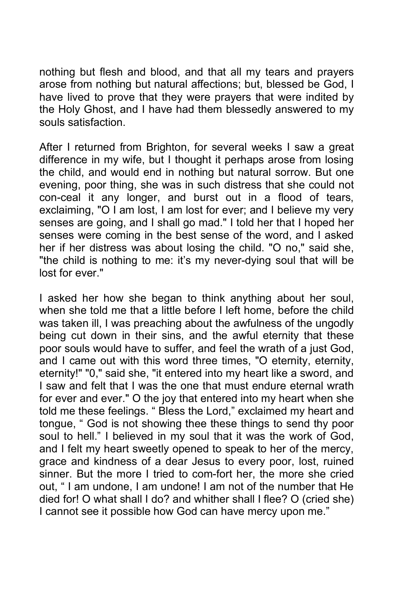nothing but flesh and blood, and that all my tears and prayers arose from nothing but natural affections; but, blessed be God, I have lived to prove that they were prayers that were indited by the Holy Ghost, and I have had them blessedly answered to my souls satisfaction.

After I returned from Brighton, for several weeks I saw a great difference in my wife, but I thought it perhaps arose from losing the child, and would end in nothing but natural sorrow. But one evening, poor thing, she was in such distress that she could not con-ceal it any longer, and burst out in a flood of tears, exclaiming, "O I am lost, I am lost for ever; and I believe my very senses are going, and I shall go mad." I told her that I hoped her senses were coming in the best sense of the word, and I asked her if her distress was about losing the child. "O no," said she, "the child is nothing to me: it's my never-dying soul that will be lost for ever."

I asked her how she began to think anything about her soul, when she told me that a little before I left home, before the child was taken ill, I was preaching about the awfulness of the ungodly being cut down in their sins, and the awful eternity that these poor souls would have to suffer, and feel the wrath of a just God, and I came out with this word three times, "O eternity, eternity, eternity!" "0," said she, "it entered into my heart like a sword, and I saw and felt that I was the one that must endure eternal wrath for ever and ever." O the joy that entered into my heart when she told me these feelings. " Bless the Lord," exclaimed my heart and tongue, " God is not showing thee these things to send thy poor soul to hell." I believed in my soul that it was the work of God, and I felt my heart sweetly opened to speak to her of the mercy, grace and kindness of a dear Jesus to every poor, lost, ruined sinner. But the more I tried to com-fort her, the more she cried out, " I am undone, I am undone! I am not of the number that He died for! O what shall I do? and whither shall I flee? O (cried she) I cannot see it possible how God can have mercy upon me."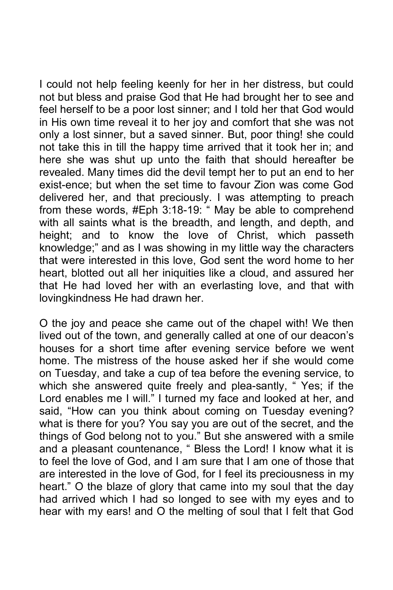I could not help feeling keenly for her in her distress, but could not but bless and praise God that He had brought her to see and feel herself to be a poor lost sinner; and I told her that God would in His own time reveal it to her joy and comfort that she was not only a lost sinner, but a saved sinner. But, poor thing! she could not take this in till the happy time arrived that it took her in; and here she was shut up unto the faith that should hereafter be revealed. Many times did the devil tempt her to put an end to her exist-ence; but when the set time to favour Zion was come God delivered her, and that preciously. I was attempting to preach from these words, #Eph 3:18-19: " May be able to comprehend with all saints what is the breadth, and length, and depth, and height; and to know the love of Christ, which passeth knowledge;" and as I was showing in my little way the characters that were interested in this love, God sent the word home to her heart, blotted out all her iniquities like a cloud, and assured her that He had loved her with an everlasting love, and that with lovingkindness He had drawn her.

O the joy and peace she came out of the chapel with! We then lived out of the town, and generally called at one of our deacon's houses for a short time after evening service before we went home. The mistress of the house asked her if she would come on Tuesday, and take a cup of tea before the evening service, to which she answered quite freely and plea-santly, " Yes; if the Lord enables me I will." I turned my face and looked at her, and said, "How can you think about coming on Tuesday evening? what is there for you? You say you are out of the secret, and the things of God belong not to you." But she answered with a smile and a pleasant countenance, " Bless the Lord! I know what it is to feel the love of God, and I am sure that I am one of those that are interested in the love of God, for I feel its preciousness in my heart." O the blaze of glory that came into my soul that the day had arrived which I had so longed to see with my eyes and to hear with my ears! and O the melting of soul that I felt that God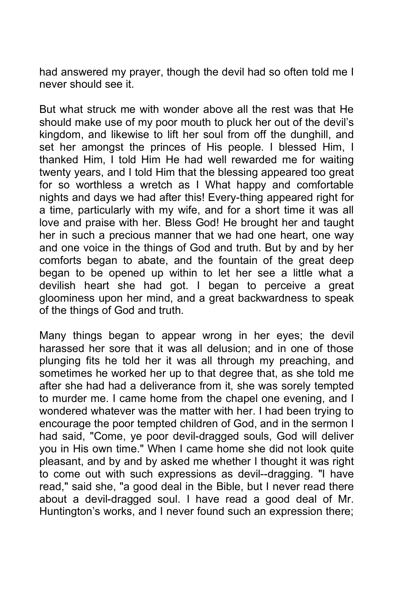had answered my prayer, though the devil had so often told me I never should see it.

But what struck me with wonder above all the rest was that He should make use of my poor mouth to pluck her out of the devil's kingdom, and likewise to lift her soul from off the dunghill, and set her amongst the princes of His people. I blessed Him, I thanked Him, I told Him He had well rewarded me for waiting twenty years, and I told Him that the blessing appeared too great for so worthless a wretch as I What happy and comfortable nights and days we had after this! Every-thing appeared right for a time, particularly with my wife, and for a short time it was all love and praise with her. Bless God! He brought her and taught her in such a precious manner that we had one heart, one way and one voice in the things of God and truth. But by and by her comforts began to abate, and the fountain of the great deep began to be opened up within to let her see a little what a devilish heart she had got. I began to perceive a great gloominess upon her mind, and a great backwardness to speak of the things of God and truth.

Many things began to appear wrong in her eyes; the devil harassed her sore that it was all delusion; and in one of those plunging fits he told her it was all through my preaching, and sometimes he worked her up to that degree that, as she told me after she had had a deliverance from it, she was sorely tempted to murder me. I came home from the chapel one evening, and I wondered whatever was the matter with her. I had been trying to encourage the poor tempted children of God, and in the sermon I had said, "Come, ye poor devil-dragged souls, God will deliver you in His own time." When I came home she did not look quite pleasant, and by and by asked me whether I thought it was right to come out with such expressions as devil--dragging. "I have read," said she, "a good deal in the Bible, but I never read there about a devil-dragged soul. I have read a good deal of Mr. Huntington's works, and I never found such an expression there;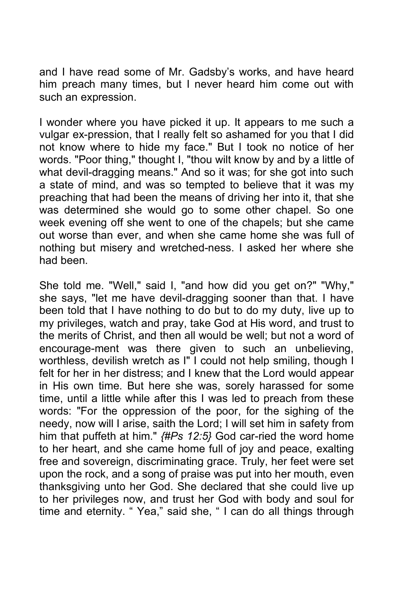and I have read some of Mr. Gadsby's works, and have heard him preach many times, but I never heard him come out with such an expression.

I wonder where you have picked it up. It appears to me such a vulgar ex-pression, that I really felt so ashamed for you that I did not know where to hide my face." But I took no notice of her words. "Poor thing," thought I, "thou wilt know by and by a little of what devil-dragging means." And so it was; for she got into such a state of mind, and was so tempted to believe that it was my preaching that had been the means of driving her into it, that she was determined she would go to some other chapel. So one week evening off she went to one of the chapels; but she came out worse than ever, and when she came home she was full of nothing but misery and wretched-ness. I asked her where she had been.

She told me. "Well," said I, "and how did you get on?" "Why," she says, "let me have devil-dragging sooner than that. I have been told that I have nothing to do but to do my duty, live up to my privileges, watch and pray, take God at His word, and trust to the merits of Christ, and then all would be well; but not a word of encourage-ment was there given to such an unbelieving, worthless, devilish wretch as I" I could not help smiling, though I felt for her in her distress; and I knew that the Lord would appear in His own time. But here she was, sorely harassed for some time, until a little while after this I was led to preach from these words: "For the oppression of the poor, for the sighing of the needy, now will I arise, saith the Lord; I will set him in safety from him that puffeth at him." *{#Ps 12:5}* God car-ried the word home to her heart, and she came home full of joy and peace, exalting free and sovereign, discriminating grace. Truly, her feet were set upon the rock, and a song of praise was put into her mouth, even thanksgiving unto her God. She declared that she could live up to her privileges now, and trust her God with body and soul for time and eternity. " Yea," said she, " I can do all things through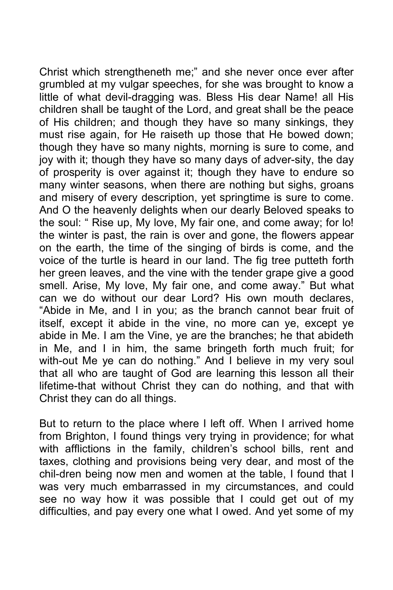Christ which strengtheneth me;" and she never once ever after grumbled at my vulgar speeches, for she was brought to know a little of what devil-dragging was. Bless His dear Name! all His children shall be taught of the Lord, and great shall be the peace of His children; and though they have so many sinkings, they must rise again, for He raiseth up those that He bowed down; though they have so many nights, morning is sure to come, and joy with it; though they have so many days of adver-sity, the day of prosperity is over against it; though they have to endure so many winter seasons, when there are nothing but sighs, groans and misery of every description, yet springtime is sure to come. And O the heavenly delights when our dearly Beloved speaks to the soul: " Rise up, My love, My fair one, and come away; for lo! the winter is past, the rain is over and gone, the flowers appear on the earth, the time of the singing of birds is come, and the voice of the turtle is heard in our land. The fig tree putteth forth her green leaves, and the vine with the tender grape give a good smell. Arise, My love, My fair one, and come away." But what can we do without our dear Lord? His own mouth declares, "Abide in Me, and I in you; as the branch cannot bear fruit of itself, except it abide in the vine, no more can ye, except ye abide in Me. I am the Vine, ye are the branches; he that abideth in Me, and I in him, the same bringeth forth much fruit; for with-out Me ye can do nothing." And I believe in my very soul that all who are taught of God are learning this lesson all their lifetime-that without Christ they can do nothing, and that with Christ they can do all things.

But to return to the place where I left off. When I arrived home from Brighton, I found things very trying in providence; for what with afflictions in the family, children's school bills, rent and taxes, clothing and provisions being very dear, and most of the chil-dren being now men and women at the table, I found that I was very much embarrassed in my circumstances, and could see no way how it was possible that I could get out of my difficulties, and pay every one what I owed. And yet some of my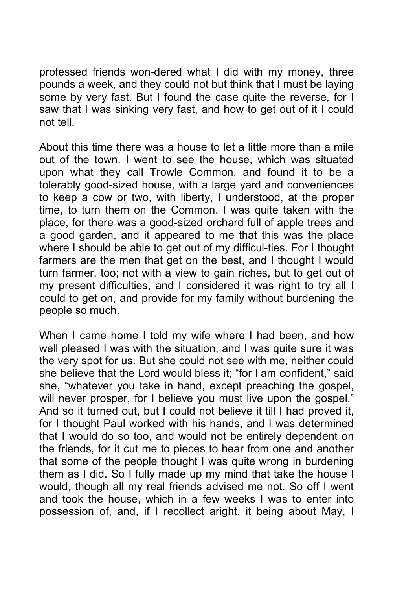professed friends won-dered what I did with my money, three pounds a week, and they could not but think that I must be laying some by very fast. But I found the case quite the reverse, for I saw that I was sinking very fast, and how to get out of it I could not tell.

About this time there was a house to let a little more than a mile out of the town. I went to see the house, which was situated upon what they call Trowle Common, and found it to be a tolerably good-sized house, with a large yard and conveniences to keep a cow or two, with liberty, I understood, at the proper time, to turn them on the Common. I was quite taken with the place, for there was a good-sized orchard full of apple trees and a good garden, and it appeared to me that this was the place where I should be able to get out of my difficul-ties. For I thought farmers are the men that get on the best, and I thought I would turn farmer, too; not with a view to gain riches, but to get out of my present difficulties, and I considered it was right to try all I could to get on, and provide for my family without burdening the people so much.

When I came home I told my wife where I had been, and how well pleased I was with the situation, and I was quite sure it was the very spot for us. But she could not see with me, neither could she believe that the Lord would bless it; "for I am confident," said she, "whatever you take in hand, except preaching the gospel, will never prosper, for I believe you must live upon the gospel." And so it turned out, but I could not believe it till I had proved it, for I thought Paul worked with his hands, and I was determined that I would do so too, and would not be entirely dependent on the friends, for it cut me to pieces to hear from one and another that some of the people thought I was quite wrong in burdening them as I did. So I fully made up my mind that take the house I would, though all my real friends advised me not. So off I went and took the house, which in a few weeks I was to enter into possession of, and, if I recollect aright, it being about May, I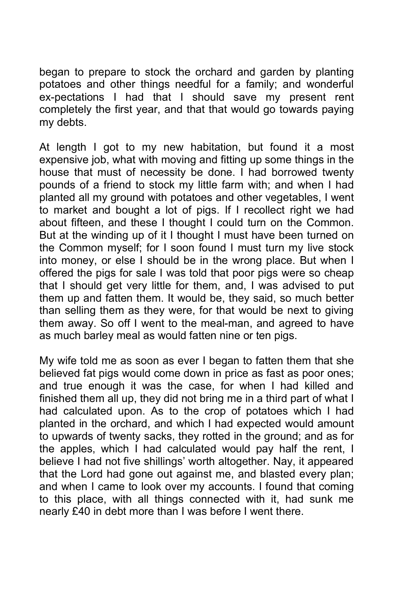began to prepare to stock the orchard and garden by planting potatoes and other things needful for a family; and wonderful ex-pectations I had that I should save my present rent completely the first year, and that that would go towards paying my debts.

At length I got to my new habitation, but found it a most expensive job, what with moving and fitting up some things in the house that must of necessity be done. I had borrowed twenty pounds of a friend to stock my little farm with; and when I had planted all my ground with potatoes and other vegetables, I went to market and bought a lot of pigs. If I recollect right we had about fifteen, and these I thought I could turn on the Common. But at the winding up of it I thought I must have been turned on the Common myself; for I soon found I must turn my live stock into money, or else I should be in the wrong place. But when I offered the pigs for sale I was told that poor pigs were so cheap that I should get very little for them, and, I was advised to put them up and fatten them. It would be, they said, so much better than selling them as they were, for that would be next to giving them away. So off I went to the meal-man, and agreed to have as much barley meal as would fatten nine or ten pigs.

My wife told me as soon as ever I began to fatten them that she believed fat pigs would come down in price as fast as poor ones; and true enough it was the case, for when I had killed and finished them all up, they did not bring me in a third part of what I had calculated upon. As to the crop of potatoes which I had planted in the orchard, and which I had expected would amount to upwards of twenty sacks, they rotted in the ground; and as for the apples, which I had calculated would pay half the rent, I believe I had not five shillings' worth altogether. Nay, it appeared that the Lord had gone out against me, and blasted every plan; and when I came to look over my accounts. I found that coming to this place, with all things connected with it, had sunk me nearly £40 in debt more than I was before I went there.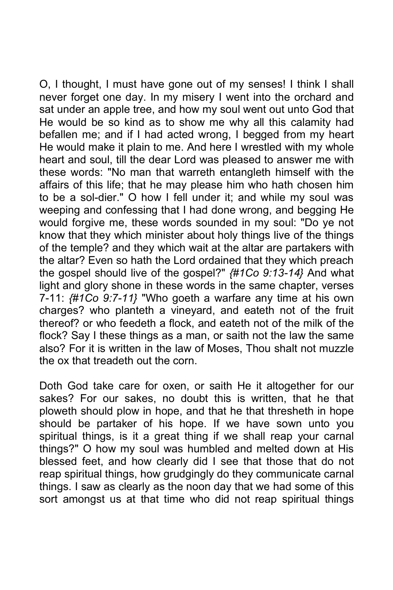O, I thought, I must have gone out of my senses! I think I shall never forget one day. In my misery I went into the orchard and sat under an apple tree, and how my soul went out unto God that He would be so kind as to show me why all this calamity had befallen me; and if I had acted wrong, I begged from my heart He would make it plain to me. And here I wrestled with my whole heart and soul, till the dear Lord was pleased to answer me with these words: "No man that warreth entangleth himself with the affairs of this life; that he may please him who hath chosen him to be a sol-dier." O how I fell under it; and while my soul was weeping and confessing that I had done wrong, and begging He would forgive me, these words sounded in my soul: "Do ye not know that they which minister about holy things live of the things of the temple? and they which wait at the altar are partakers with the altar? Even so hath the Lord ordained that they which preach the gospel should live of the gospel?" *{#1Co 9:13-14}* And what light and glory shone in these words in the same chapter, verses 7-11: *{#1Co 9:7-11}* "Who goeth a warfare any time at his own charges? who planteth a vineyard, and eateth not of the fruit thereof? or who feedeth a flock, and eateth not of the milk of the flock? Say I these things as a man, or saith not the law the same also? For it is written in the law of Moses, Thou shalt not muzzle the ox that treadeth out the corn.

Doth God take care for oxen, or saith He it altogether for our sakes? For our sakes, no doubt this is written, that he that ploweth should plow in hope, and that he that thresheth in hope should be partaker of his hope. If we have sown unto you spiritual things, is it a great thing if we shall reap your carnal things?" O how my soul was humbled and melted down at His blessed feet, and how clearly did I see that those that do not reap spiritual things, how grudgingly do they communicate carnal things. I saw as clearly as the noon day that we had some of this sort amongst us at that time who did not reap spiritual things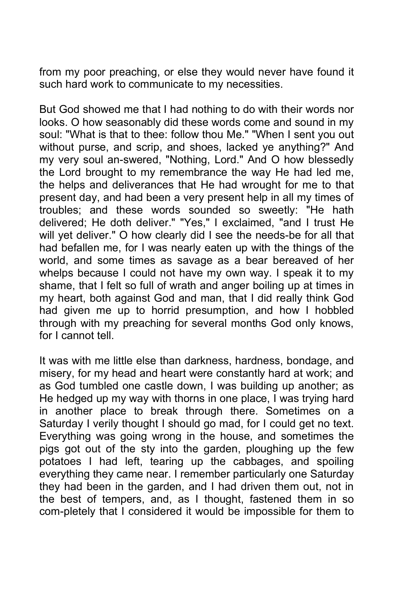from my poor preaching, or else they would never have found it such hard work to communicate to my necessities.

But God showed me that I had nothing to do with their words nor looks. O how seasonably did these words come and sound in my soul: "What is that to thee: follow thou Me." "When I sent you out without purse, and scrip, and shoes, lacked ye anything?" And my very soul an-swered, "Nothing, Lord." And O how blessedly the Lord brought to my remembrance the way He had led me, the helps and deliverances that He had wrought for me to that present day, and had been a very present help in all my times of troubles; and these words sounded so sweetly: "He hath delivered; He doth deliver." "Yes," I exclaimed, "and I trust He will yet deliver." O how clearly did I see the needs-be for all that had befallen me, for I was nearly eaten up with the things of the world, and some times as savage as a bear bereaved of her whelps because I could not have my own way. I speak it to my shame, that I felt so full of wrath and anger boiling up at times in my heart, both against God and man, that I did really think God had given me up to horrid presumption, and how I hobbled through with my preaching for several months God only knows, for I cannot tell.

It was with me little else than darkness, hardness, bondage, and misery, for my head and heart were constantly hard at work; and as God tumbled one castle down, I was building up another; as He hedged up my way with thorns in one place, I was trying hard in another place to break through there. Sometimes on a Saturday I verily thought I should go mad, for I could get no text. Everything was going wrong in the house, and sometimes the pigs got out of the sty into the garden, ploughing up the few potatoes I had left, tearing up the cabbages, and spoiling everything they came near. I remember particularly one Saturday they had been in the garden, and I had driven them out, not in the best of tempers, and, as I thought, fastened them in so com-pletely that I considered it would be impossible for them to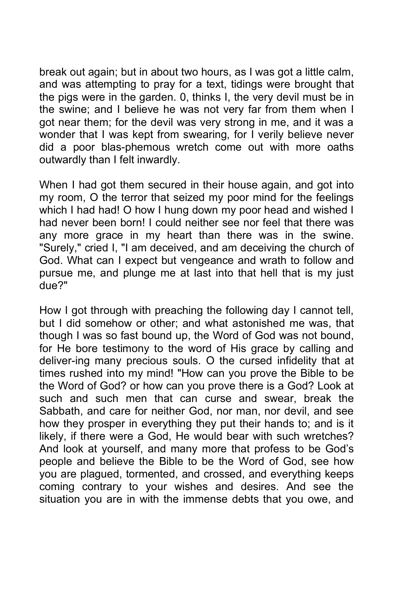break out again; but in about two hours, as I was got a little calm, and was attempting to pray for a text, tidings were brought that the pigs were in the garden. 0, thinks I, the very devil must be in the swine; and I believe he was not very far from them when I got near them; for the devil was very strong in me, and it was a wonder that I was kept from swearing, for I verily believe never did a poor blas-phemous wretch come out with more oaths outwardly than I felt inwardly.

When I had got them secured in their house again, and got into my room, O the terror that seized my poor mind for the feelings which I had had! O how I hung down my poor head and wished I had never been born! I could neither see nor feel that there was any more grace in my heart than there was in the swine. "Surely," cried I, "I am deceived, and am deceiving the church of God. What can I expect but vengeance and wrath to follow and pursue me, and plunge me at last into that hell that is my just due?"

How I got through with preaching the following day I cannot tell, but I did somehow or other; and what astonished me was, that though I was so fast bound up, the Word of God was not bound, for He bore testimony to the word of His grace by calling and deliver-ing many precious souls. O the cursed infidelity that at times rushed into my mind! "How can you prove the Bible to be the Word of God? or how can you prove there is a God? Look at such and such men that can curse and swear, break the Sabbath, and care for neither God, nor man, nor devil, and see how they prosper in everything they put their hands to; and is it likely, if there were a God, He would bear with such wretches? And look at yourself, and many more that profess to be God's people and believe the Bible to be the Word of God, see how you are plagued, tormented, and crossed, and everything keeps coming contrary to your wishes and desires. And see the situation you are in with the immense debts that you owe, and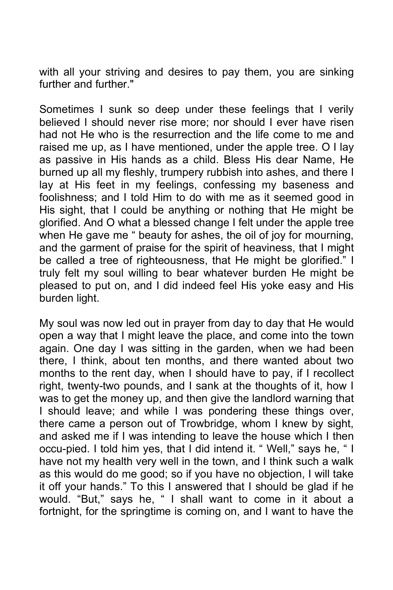with all your striving and desires to pay them, you are sinking further and further."

Sometimes I sunk so deep under these feelings that I verily believed I should never rise more; nor should I ever have risen had not He who is the resurrection and the life come to me and raised me up, as I have mentioned, under the apple tree. O I lay as passive in His hands as a child. Bless His dear Name, He burned up all my fleshly, trumpery rubbish into ashes, and there I lay at His feet in my feelings, confessing my baseness and foolishness; and I told Him to do with me as it seemed good in His sight, that I could be anything or nothing that He might be glorified. And O what a blessed change I felt under the apple tree when He gave me " beauty for ashes, the oil of joy for mourning, and the garment of praise for the spirit of heaviness, that I might be called a tree of righteousness, that He might be glorified." I truly felt my soul willing to bear whatever burden He might be pleased to put on, and I did indeed feel His yoke easy and His burden light.

My soul was now led out in prayer from day to day that He would open a way that I might leave the place, and come into the town again. One day I was sitting in the garden, when we had been there, I think, about ten months, and there wanted about two months to the rent day, when I should have to pay, if I recollect right, twenty-two pounds, and I sank at the thoughts of it, how I was to get the money up, and then give the landlord warning that I should leave; and while I was pondering these things over, there came a person out of Trowbridge, whom I knew by sight, and asked me if I was intending to leave the house which I then occu-pied. I told him yes, that I did intend it. " Well," says he, " I have not my health very well in the town, and I think such a walk as this would do me good; so if you have no objection, I will take it off your hands." To this I answered that I should be glad if he would. "But," says he, " I shall want to come in it about a fortnight, for the springtime is coming on, and I want to have the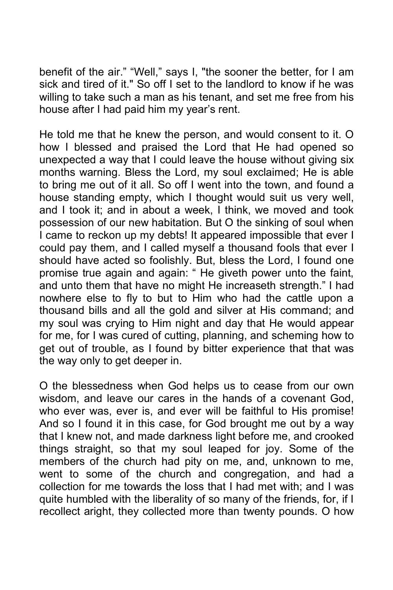benefit of the air." "Well," says I, "the sooner the better, for I am sick and tired of it." So off I set to the landlord to know if he was willing to take such a man as his tenant, and set me free from his house after I had paid him my year's rent.

He told me that he knew the person, and would consent to it. O how I blessed and praised the Lord that He had opened so unexpected a way that I could leave the house without giving six months warning. Bless the Lord, my soul exclaimed; He is able to bring me out of it all. So off I went into the town, and found a house standing empty, which I thought would suit us very well, and I took it; and in about a week, I think, we moved and took possession of our new habitation. But O the sinking of soul when I came to reckon up my debts! It appeared impossible that ever I could pay them, and I called myself a thousand fools that ever I should have acted so foolishly. But, bless the Lord, I found one promise true again and again: " He giveth power unto the faint, and unto them that have no might He increaseth strength." I had nowhere else to fly to but to Him who had the cattle upon a thousand bills and all the gold and silver at His command; and my soul was crying to Him night and day that He would appear for me, for I was cured of cutting, planning, and scheming how to get out of trouble, as I found by bitter experience that that was the way only to get deeper in.

O the blessedness when God helps us to cease from our own wisdom, and leave our cares in the hands of a covenant God, who ever was, ever is, and ever will be faithful to His promise! And so I found it in this case, for God brought me out by a way that I knew not, and made darkness light before me, and crooked things straight, so that my soul leaped for joy. Some of the members of the church had pity on me, and, unknown to me, went to some of the church and congregation, and had a collection for me towards the loss that I had met with; and I was quite humbled with the liberality of so many of the friends, for, if I recollect aright, they collected more than twenty pounds. O how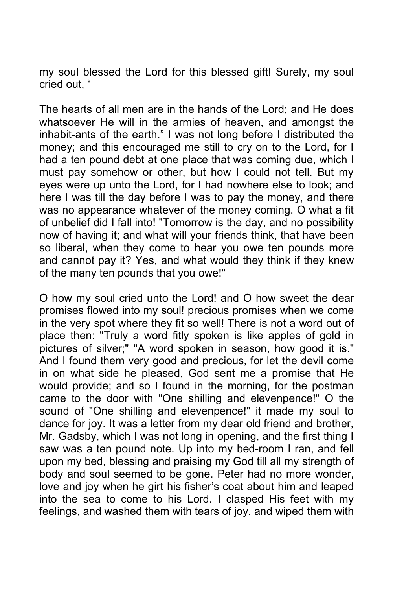my soul blessed the Lord for this blessed gift! Surely, my soul cried out, "

The hearts of all men are in the hands of the Lord; and He does whatsoever He will in the armies of heaven, and amongst the inhabit-ants of the earth." I was not long before I distributed the money; and this encouraged me still to cry on to the Lord, for I had a ten pound debt at one place that was coming due, which I must pay somehow or other, but how I could not tell. But my eyes were up unto the Lord, for I had nowhere else to look; and here I was till the day before I was to pay the money, and there was no appearance whatever of the money coming. O what a fit of unbelief did I fall into! "Tomorrow is the day, and no possibility now of having it; and what will your friends think, that have been so liberal, when they come to hear you owe ten pounds more and cannot pay it? Yes, and what would they think if they knew of the many ten pounds that you owe!"

O how my soul cried unto the Lord! and O how sweet the dear promises flowed into my soul! precious promises when we come in the very spot where they fit so well! There is not a word out of place then: "Truly a word fitly spoken is like apples of gold in pictures of silver;" "A word spoken in season, how good it is." And I found them very good and precious, for let the devil come in on what side he pleased, God sent me a promise that He would provide; and so I found in the morning, for the postman came to the door with "One shilling and elevenpence!" O the sound of "One shilling and elevenpence!" it made my soul to dance for joy. It was a letter from my dear old friend and brother, Mr. Gadsby, which I was not long in opening, and the first thing I saw was a ten pound note. Up into my bed-room I ran, and fell upon my bed, blessing and praising my God till all my strength of body and soul seemed to be gone. Peter had no more wonder, love and joy when he girt his fisher's coat about him and leaped into the sea to come to his Lord. I clasped His feet with my feelings, and washed them with tears of joy, and wiped them with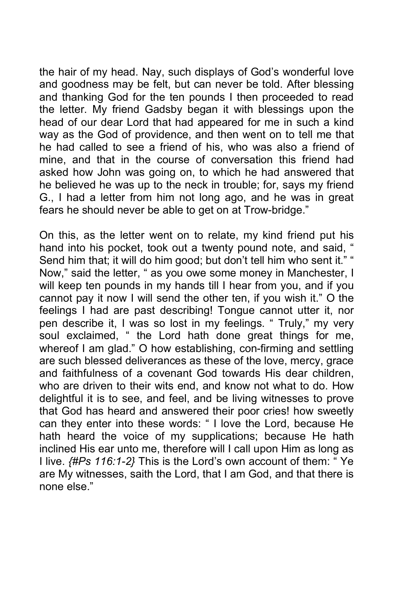the hair of my head. Nay, such displays of God's wonderful love and goodness may be felt, but can never be told. After blessing and thanking God for the ten pounds I then proceeded to read the letter. My friend Gadsby began it with blessings upon the head of our dear Lord that had appeared for me in such a kind way as the God of providence, and then went on to tell me that he had called to see a friend of his, who was also a friend of mine, and that in the course of conversation this friend had asked how John was going on, to which he had answered that he believed he was up to the neck in trouble; for, says my friend G., I had a letter from him not long ago, and he was in great fears he should never be able to get on at Trow-bridge."

On this, as the letter went on to relate, my kind friend put his hand into his pocket, took out a twenty pound note, and said, " Send him that; it will do him good; but don't tell him who sent it." " Now," said the letter, " as you owe some money in Manchester, I will keep ten pounds in my hands till I hear from you, and if you cannot pay it now I will send the other ten, if you wish it." O the feelings I had are past describing! Tongue cannot utter it, nor pen describe it, I was so lost in my feelings. " Truly," my very soul exclaimed, " the Lord hath done great things for me, whereof I am glad." O how establishing, con-firming and settling are such blessed deliverances as these of the love, mercy, grace and faithfulness of a covenant God towards His dear children, who are driven to their wits end, and know not what to do. How delightful it is to see, and feel, and be living witnesses to prove that God has heard and answered their poor cries! how sweetly can they enter into these words: " I love the Lord, because He hath heard the voice of my supplications; because He hath inclined His ear unto me, therefore will I call upon Him as long as I live. *{#Ps 116:1-2}* This is the Lord's own account of them: " Ye are My witnesses, saith the Lord, that I am God, and that there is none else."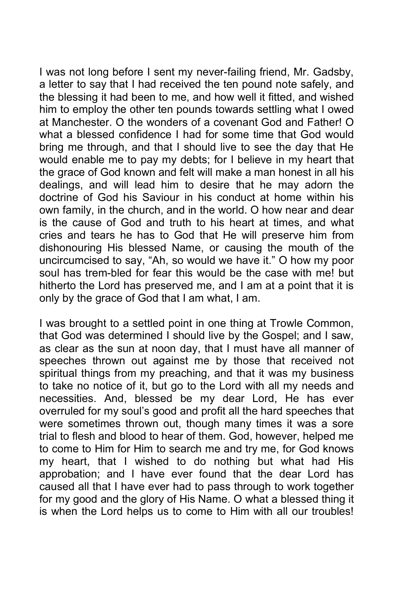I was not long before I sent my never-failing friend, Mr. Gadsby, a letter to say that I had received the ten pound note safely, and the blessing it had been to me, and how well it fitted, and wished him to employ the other ten pounds towards settling what I owed at Manchester. O the wonders of a covenant God and Father! O what a blessed confidence I had for some time that God would bring me through, and that I should live to see the day that He would enable me to pay my debts; for I believe in my heart that the grace of God known and felt will make a man honest in all his dealings, and will lead him to desire that he may adorn the doctrine of God his Saviour in his conduct at home within his own family, in the church, and in the world. O how near and dear is the cause of God and truth to his heart at times, and what cries and tears he has to God that He will preserve him from dishonouring His blessed Name, or causing the mouth of the uncircumcised to say, "Ah, so would we have it." O how my poor soul has trem-bled for fear this would be the case with me! but hitherto the Lord has preserved me, and I am at a point that it is only by the grace of God that I am what, I am.

I was brought to a settled point in one thing at Trowle Common, that God was determined I should live by the Gospel; and I saw, as clear as the sun at noon day, that I must have all manner of speeches thrown out against me by those that received not spiritual things from my preaching, and that it was my business to take no notice of it, but go to the Lord with all my needs and necessities. And, blessed be my dear Lord, He has ever overruled for my soul's good and profit all the hard speeches that were sometimes thrown out, though many times it was a sore trial to flesh and blood to hear of them. God, however, helped me to come to Him for Him to search me and try me, for God knows my heart, that I wished to do nothing but what had His approbation; and I have ever found that the dear Lord has caused all that I have ever had to pass through to work together for my good and the glory of His Name. O what a blessed thing it is when the Lord helps us to come to Him with all our troubles!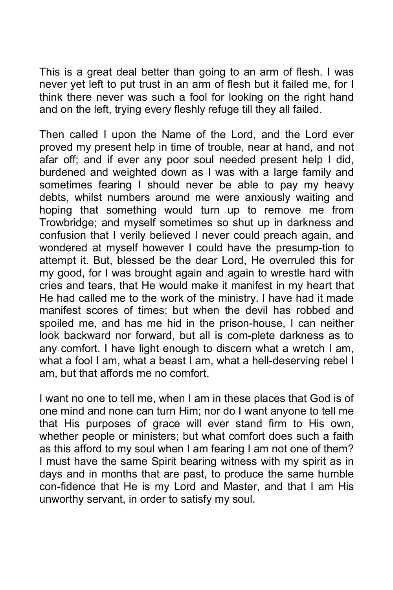This is a great deal better than going to an arm of flesh. I was never yet left to put trust in an arm of flesh but it failed me, for I think there never was such a fool for looking on the right hand and on the left, trying every fleshly refuge till they all failed.

Then called I upon the Name of the Lord, and the Lord ever proved my present help in time of trouble, near at hand, and not afar off; and if ever any poor soul needed present help I did, burdened and weighted down as I was with a large family and sometimes fearing I should never be able to pay my heavy debts, whilst numbers around me were anxiously waiting and hoping that something would turn up to remove me from Trowbridge; and myself sometimes so shut up in darkness and confusion that I verily believed I never could preach again, and wondered at myself however I could have the presump-tion to attempt it. But, blessed be the dear Lord, He overruled this for my good, for I was brought again and again to wrestle hard with cries and tears, that He would make it manifest in my heart that He had called me to the work of the ministry. I have had it made manifest scores of times; but when the devil has robbed and spoiled me, and has me hid in the prison-house, I can neither look backward nor forward, but all is com-plete darkness as to any comfort. I have light enough to discern what a wretch I am, what a fool I am, what a beast I am, what a hell-deserving rebel I am, but that affords me no comfort.

I want no one to tell me, when I am in these places that God is of one mind and none can turn Him; nor do I want anyone to tell me that His purposes of grace will ever stand firm to His own, whether people or ministers; but what comfort does such a faith as this afford to my soul when I am fearing I am not one of them? I must have the same Spirit bearing witness with my spirit as in days and in months that are past, to produce the same humble con-fidence that He is my Lord and Master, and that I am His unworthy servant, in order to satisfy my soul.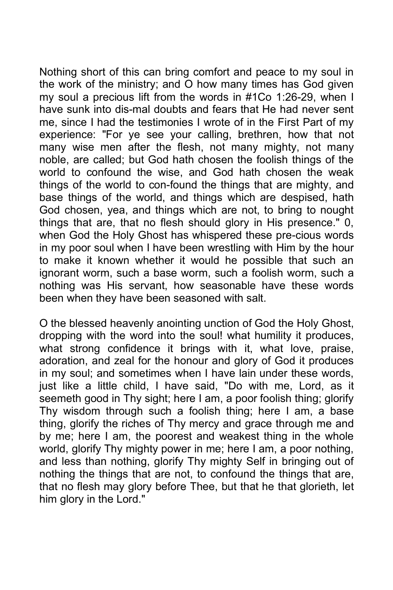Nothing short of this can bring comfort and peace to my soul in the work of the ministry; and O how many times has God given my soul a precious lift from the words in #1Co 1:26-29, when I have sunk into dis-mal doubts and fears that He had never sent me, since I had the testimonies I wrote of in the First Part of my experience: "For ye see your calling, brethren, how that not many wise men after the flesh, not many mighty, not many noble, are called; but God hath chosen the foolish things of the world to confound the wise, and God hath chosen the weak things of the world to con-found the things that are mighty, and base things of the world, and things which are despised, hath God chosen, yea, and things which are not, to bring to nought things that are, that no flesh should glory in His presence." 0, when God the Holy Ghost has whispered these pre-cious words in my poor soul when I have been wrestling with Him by the hour to make it known whether it would he possible that such an ignorant worm, such a base worm, such a foolish worm, such a nothing was His servant, how seasonable have these words been when they have been seasoned with salt.

O the blessed heavenly anointing unction of God the Holy Ghost, dropping with the word into the soul! what humility it produces, what strong confidence it brings with it, what love, praise, adoration, and zeal for the honour and glory of God it produces in my soul; and sometimes when I have lain under these words, just like a little child, I have said, "Do with me, Lord, as it seemeth good in Thy sight; here I am, a poor foolish thing; glorify Thy wisdom through such a foolish thing; here I am, a base thing, glorify the riches of Thy mercy and grace through me and by me; here I am, the poorest and weakest thing in the whole world, glorify Thy mighty power in me; here I am, a poor nothing, and less than nothing, glorify Thy mighty Self in bringing out of nothing the things that are not, to confound the things that are, that no flesh may glory before Thee, but that he that glorieth, let him glory in the Lord."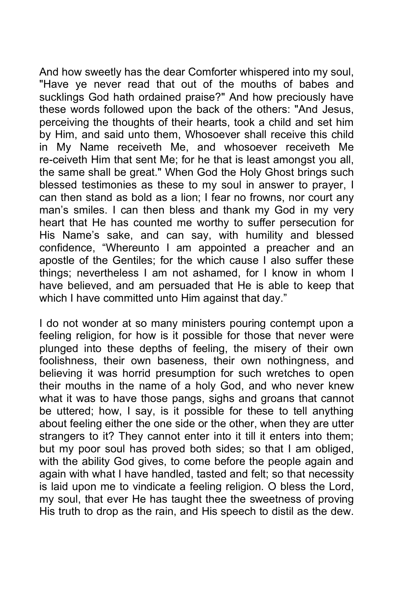And how sweetly has the dear Comforter whispered into my soul, "Have ye never read that out of the mouths of babes and sucklings God hath ordained praise?" And how preciously have these words followed upon the back of the others: "And Jesus, perceiving the thoughts of their hearts, took a child and set him by Him, and said unto them, Whosoever shall receive this child in My Name receiveth Me, and whosoever receiveth Me re-ceiveth Him that sent Me; for he that is least amongst you all, the same shall be great." When God the Holy Ghost brings such blessed testimonies as these to my soul in answer to prayer, I can then stand as bold as a lion; I fear no frowns, nor court any man's smiles. I can then bless and thank my God in my very heart that He has counted me worthy to suffer persecution for His Name's sake, and can say, with humility and blessed confidence, "Whereunto I am appointed a preacher and an apostle of the Gentiles; for the which cause I also suffer these things; nevertheless I am not ashamed, for I know in whom I have believed, and am persuaded that He is able to keep that which I have committed unto Him against that day."

I do not wonder at so many ministers pouring contempt upon a feeling religion, for how is it possible for those that never were plunged into these depths of feeling, the misery of their own foolishness, their own baseness, their own nothingness, and believing it was horrid presumption for such wretches to open their mouths in the name of a holy God, and who never knew what it was to have those pangs, sighs and groans that cannot be uttered; how, I say, is it possible for these to tell anything about feeling either the one side or the other, when they are utter strangers to it? They cannot enter into it till it enters into them; but my poor soul has proved both sides; so that I am obliged, with the ability God gives, to come before the people again and again with what I have handled, tasted and felt; so that necessity is laid upon me to vindicate a feeling religion. O bless the Lord, my soul, that ever He has taught thee the sweetness of proving His truth to drop as the rain, and His speech to distil as the dew.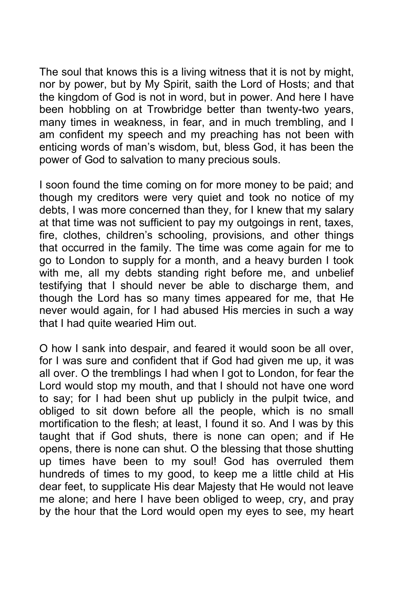The soul that knows this is a living witness that it is not by might, nor by power, but by My Spirit, saith the Lord of Hosts; and that the kingdom of God is not in word, but in power. And here I have been hobbling on at Trowbridge better than twenty-two years, many times in weakness, in fear, and in much trembling, and I am confident my speech and my preaching has not been with enticing words of man's wisdom, but, bless God, it has been the power of God to salvation to many precious souls.

I soon found the time coming on for more money to be paid; and though my creditors were very quiet and took no notice of my debts, I was more concerned than they, for I knew that my salary at that time was not sufficient to pay my outgoings in rent, taxes, fire, clothes, children's schooling, provisions, and other things that occurred in the family. The time was come again for me to go to London to supply for a month, and a heavy burden I took with me, all my debts standing right before me, and unbelief testifying that I should never be able to discharge them, and though the Lord has so many times appeared for me, that He never would again, for I had abused His mercies in such a way that I had quite wearied Him out.

O how I sank into despair, and feared it would soon be all over, for I was sure and confident that if God had given me up, it was all over. O the tremblings I had when I got to London, for fear the Lord would stop my mouth, and that I should not have one word to say; for I had been shut up publicly in the pulpit twice, and obliged to sit down before all the people, which is no small mortification to the flesh; at least, I found it so. And I was by this taught that if God shuts, there is none can open; and if He opens, there is none can shut. O the blessing that those shutting up times have been to my soul! God has overruled them hundreds of times to my good, to keep me a little child at His dear feet, to supplicate His dear Majesty that He would not leave me alone; and here I have been obliged to weep, cry, and pray by the hour that the Lord would open my eyes to see, my heart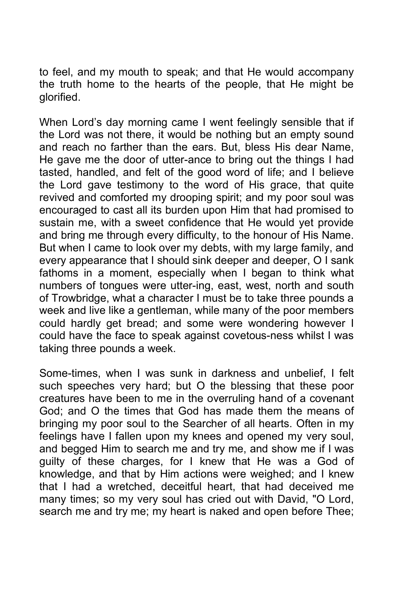to feel, and my mouth to speak; and that He would accompany the truth home to the hearts of the people, that He might be glorified.

When Lord's day morning came I went feelingly sensible that if the Lord was not there, it would be nothing but an empty sound and reach no farther than the ears. But, bless His dear Name, He gave me the door of utter-ance to bring out the things I had tasted, handled, and felt of the good word of life; and I believe the Lord gave testimony to the word of His grace, that quite revived and comforted my drooping spirit; and my poor soul was encouraged to cast all its burden upon Him that had promised to sustain me, with a sweet confidence that He would yet provide and bring me through every difficulty, to the honour of His Name. But when I came to look over my debts, with my large family, and every appearance that I should sink deeper and deeper, O I sank fathoms in a moment, especially when I began to think what numbers of tongues were utter-ing, east, west, north and south of Trowbridge, what a character I must be to take three pounds a week and live like a gentleman, while many of the poor members could hardly get bread; and some were wondering however I could have the face to speak against covetous-ness whilst I was taking three pounds a week.

Some-times, when I was sunk in darkness and unbelief, I felt such speeches very hard; but O the blessing that these poor creatures have been to me in the overruling hand of a covenant God; and O the times that God has made them the means of bringing my poor soul to the Searcher of all hearts. Often in my feelings have I fallen upon my knees and opened my very soul, and begged Him to search me and try me, and show me if I was guilty of these charges, for I knew that He was a God of knowledge, and that by Him actions were weighed; and I knew that I had a wretched, deceitful heart, that had deceived me many times; so my very soul has cried out with David, "O Lord, search me and try me; my heart is naked and open before Thee;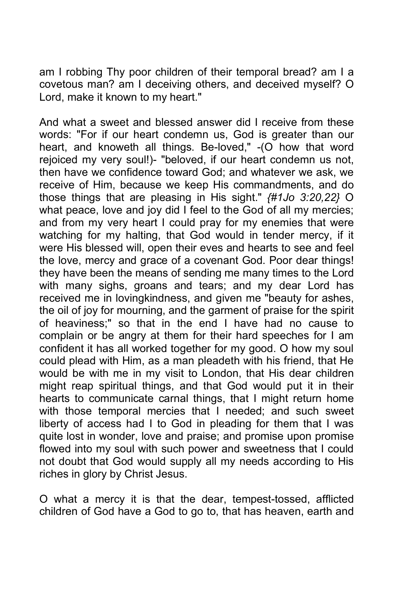am I robbing Thy poor children of their temporal bread? am I a covetous man? am I deceiving others, and deceived myself? O Lord, make it known to my heart."

And what a sweet and blessed answer did I receive from these words: "For if our heart condemn us, God is greater than our heart, and knoweth all things. Be-loved," -(O how that word rejoiced my very soul!)- "beloved, if our heart condemn us not, then have we confidence toward God; and whatever we ask, we receive of Him, because we keep His commandments, and do those things that are pleasing in His sight." *{#1Jo 3:20,22}* O what peace, love and joy did I feel to the God of all my mercies; and from my very heart I could pray for my enemies that were watching for my halting, that God would in tender mercy, if it were His blessed will, open their eves and hearts to see and feel the love, mercy and grace of a covenant God. Poor dear things! they have been the means of sending me many times to the Lord with many sighs, groans and tears; and my dear Lord has received me in lovingkindness, and given me "beauty for ashes, the oil of joy for mourning, and the garment of praise for the spirit of heaviness;" so that in the end I have had no cause to complain or be angry at them for their hard speeches for I am confident it has all worked together for my good. O how my soul could plead with Him, as a man pleadeth with his friend, that He would be with me in my visit to London, that His dear children might reap spiritual things, and that God would put it in their hearts to communicate carnal things, that I might return home with those temporal mercies that I needed; and such sweet liberty of access had I to God in pleading for them that I was quite lost in wonder, love and praise; and promise upon promise flowed into my soul with such power and sweetness that I could not doubt that God would supply all my needs according to His riches in glory by Christ Jesus.

O what a mercy it is that the dear, tempest-tossed, afflicted children of God have a God to go to, that has heaven, earth and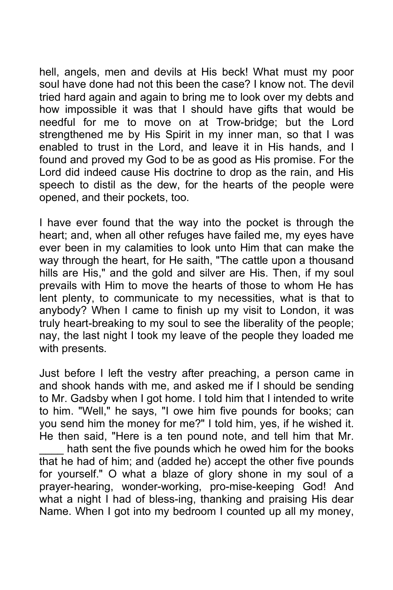hell, angels, men and devils at His beck! What must my poor soul have done had not this been the case? I know not. The devil tried hard again and again to bring me to look over my debts and how impossible it was that I should have gifts that would be needful for me to move on at Trow-bridge; but the Lord strengthened me by His Spirit in my inner man, so that I was enabled to trust in the Lord, and leave it in His hands, and I found and proved my God to be as good as His promise. For the Lord did indeed cause His doctrine to drop as the rain, and His speech to distil as the dew, for the hearts of the people were opened, and their pockets, too.

I have ever found that the way into the pocket is through the heart; and, when all other refuges have failed me, my eyes have ever been in my calamities to look unto Him that can make the way through the heart, for He saith, "The cattle upon a thousand hills are His," and the gold and silver are His. Then, if my soul prevails with Him to move the hearts of those to whom He has lent plenty, to communicate to my necessities, what is that to anybody? When I came to finish up my visit to London, it was truly heart-breaking to my soul to see the liberality of the people; nay, the last night I took my leave of the people they loaded me with presents.

Just before I left the vestry after preaching, a person came in and shook hands with me, and asked me if I should be sending to Mr. Gadsby when I got home. I told him that I intended to write to him. "Well," he says, "I owe him five pounds for books; can you send him the money for me?" I told him, yes, if he wished it. He then said, "Here is a ten pound note, and tell him that Mr. hath sent the five pounds which he owed him for the books that he had of him; and (added he) accept the other five pounds for yourself." O what a blaze of glory shone in my soul of a prayer-hearing, wonder-working, pro-mise-keeping God! And what a night I had of bless-ing, thanking and praising His dear Name. When I got into my bedroom I counted up all my money,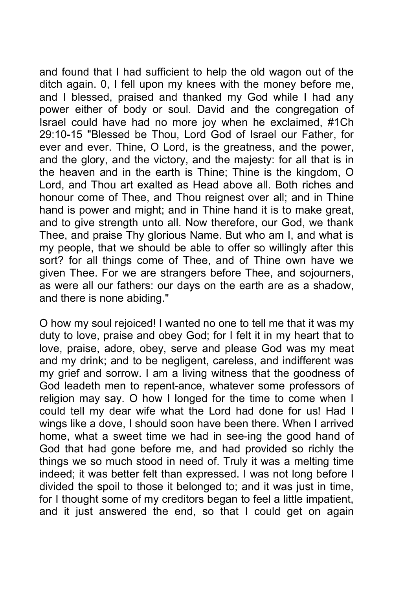and found that I had sufficient to help the old wagon out of the ditch again. 0, I fell upon my knees with the money before me, and I blessed, praised and thanked my God while I had any power either of body or soul. David and the congregation of Israel could have had no more joy when he exclaimed, #1Ch 29:10-15 "Blessed be Thou, Lord God of Israel our Father, for ever and ever. Thine, O Lord, is the greatness, and the power, and the glory, and the victory, and the majesty: for all that is in the heaven and in the earth is Thine; Thine is the kingdom, O Lord, and Thou art exalted as Head above all. Both riches and honour come of Thee, and Thou reignest over all; and in Thine hand is power and might; and in Thine hand it is to make great, and to give strength unto all. Now therefore, our God, we thank Thee, and praise Thy glorious Name. But who am I, and what is my people, that we should be able to offer so willingly after this sort? for all things come of Thee, and of Thine own have we given Thee. For we are strangers before Thee, and sojourners, as were all our fathers: our days on the earth are as a shadow, and there is none abiding."

O how my soul rejoiced! I wanted no one to tell me that it was my duty to love, praise and obey God; for I felt it in my heart that to love, praise, adore, obey, serve and please God was my meat and my drink; and to be negligent, careless, and indifferent was my grief and sorrow. I am a living witness that the goodness of God leadeth men to repent-ance, whatever some professors of religion may say. O how I longed for the time to come when I could tell my dear wife what the Lord had done for us! Had I wings like a dove, I should soon have been there. When I arrived home, what a sweet time we had in see-ing the good hand of God that had gone before me, and had provided so richly the things we so much stood in need of. Truly it was a melting time indeed; it was better felt than expressed. I was not long before I divided the spoil to those it belonged to; and it was just in time, for I thought some of my creditors began to feel a little impatient, and it just answered the end, so that I could get on again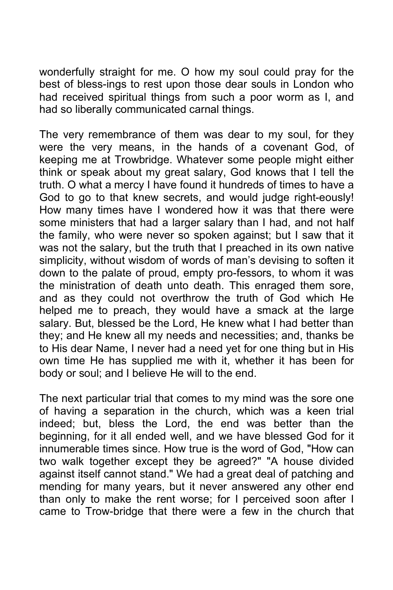wonderfully straight for me. O how my soul could pray for the best of bless-ings to rest upon those dear souls in London who had received spiritual things from such a poor worm as I, and had so liberally communicated carnal things.

The very remembrance of them was dear to my soul, for they were the very means, in the hands of a covenant God, of keeping me at Trowbridge. Whatever some people might either think or speak about my great salary, God knows that I tell the truth. O what a mercy I have found it hundreds of times to have a God to go to that knew secrets, and would judge right-eously! How many times have I wondered how it was that there were some ministers that had a larger salary than I had, and not half the family, who were never so spoken against; but I saw that it was not the salary, but the truth that I preached in its own native simplicity, without wisdom of words of man's devising to soften it down to the palate of proud, empty pro-fessors, to whom it was the ministration of death unto death. This enraged them sore, and as they could not overthrow the truth of God which He helped me to preach, they would have a smack at the large salary. But, blessed be the Lord, He knew what I had better than they; and He knew all my needs and necessities; and, thanks be to His dear Name, I never had a need yet for one thing but in His own time He has supplied me with it, whether it has been for body or soul; and I believe He will to the end.

The next particular trial that comes to my mind was the sore one of having a separation in the church, which was a keen trial indeed; but, bless the Lord, the end was better than the beginning, for it all ended well, and we have blessed God for it innumerable times since. How true is the word of God, "How can two walk together except they be agreed?" "A house divided against itself cannot stand." We had a great deal of patching and mending for many years, but it never answered any other end than only to make the rent worse; for I perceived soon after I came to Trow-bridge that there were a few in the church that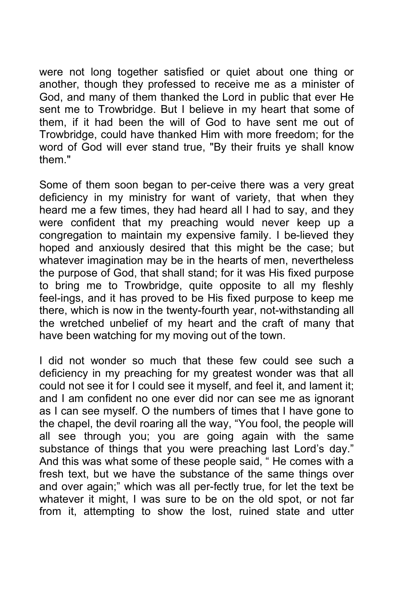were not long together satisfied or quiet about one thing or another, though they professed to receive me as a minister of God, and many of them thanked the Lord in public that ever He sent me to Trowbridge. But I believe in my heart that some of them, if it had been the will of God to have sent me out of Trowbridge, could have thanked Him with more freedom; for the word of God will ever stand true, "By their fruits ye shall know them."

Some of them soon began to per-ceive there was a very great deficiency in my ministry for want of variety, that when they heard me a few times, they had heard all I had to say, and they were confident that my preaching would never keep up a congregation to maintain my expensive family. I be-lieved they hoped and anxiously desired that this might be the case; but whatever imagination may be in the hearts of men, nevertheless the purpose of God, that shall stand; for it was His fixed purpose to bring me to Trowbridge, quite opposite to all my fleshly feel-ings, and it has proved to be His fixed purpose to keep me there, which is now in the twenty-fourth year, not-withstanding all the wretched unbelief of my heart and the craft of many that have been watching for my moving out of the town.

I did not wonder so much that these few could see such a deficiency in my preaching for my greatest wonder was that all could not see it for I could see it myself, and feel it, and lament it; and I am confident no one ever did nor can see me as ignorant as I can see myself. O the numbers of times that I have gone to the chapel, the devil roaring all the way, "You fool, the people will all see through you; you are going again with the same substance of things that you were preaching last Lord's day." And this was what some of these people said, " He comes with a fresh text, but we have the substance of the same things over and over again;" which was all per-fectly true, for let the text be whatever it might, I was sure to be on the old spot, or not far from it, attempting to show the lost, ruined state and utter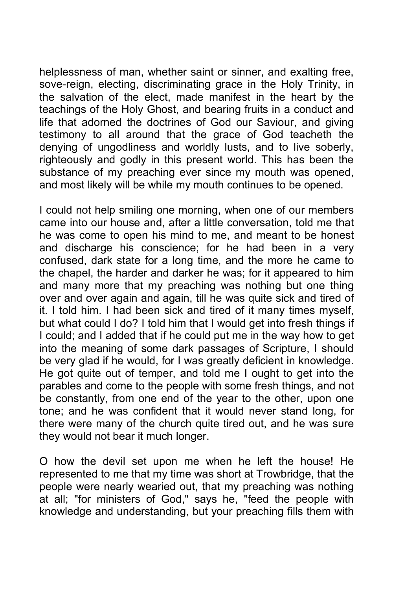helplessness of man, whether saint or sinner, and exalting free, sove-reign, electing, discriminating grace in the Holy Trinity, in the salvation of the elect, made manifest in the heart by the teachings of the Holy Ghost, and bearing fruits in a conduct and life that adorned the doctrines of God our Saviour, and giving testimony to all around that the grace of God teacheth the denying of ungodliness and worldly lusts, and to live soberly, righteously and godly in this present world. This has been the substance of my preaching ever since my mouth was opened, and most likely will be while my mouth continues to be opened.

I could not help smiling one morning, when one of our members came into our house and, after a little conversation, told me that he was come to open his mind to me, and meant to be honest and discharge his conscience; for he had been in a very confused, dark state for a long time, and the more he came to the chapel, the harder and darker he was; for it appeared to him and many more that my preaching was nothing but one thing over and over again and again, till he was quite sick and tired of it. I told him. I had been sick and tired of it many times myself, but what could I do? I told him that I would get into fresh things if I could; and I added that if he could put me in the way how to get into the meaning of some dark passages of Scripture, I should be very glad if he would, for I was greatly deficient in knowledge. He got quite out of temper, and told me I ought to get into the parables and come to the people with some fresh things, and not be constantly, from one end of the year to the other, upon one tone; and he was confident that it would never stand long, for there were many of the church quite tired out, and he was sure they would not bear it much longer.

O how the devil set upon me when he left the house! He represented to me that my time was short at Trowbridge, that the people were nearly wearied out, that my preaching was nothing at all; "for ministers of God," says he, "feed the people with knowledge and understanding, but your preaching fills them with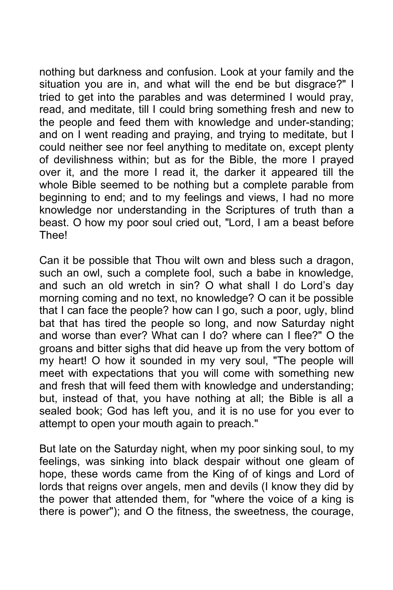nothing but darkness and confusion. Look at your family and the situation you are in, and what will the end be but disgrace?" I tried to get into the parables and was determined I would pray, read, and meditate, till I could bring something fresh and new to the people and feed them with knowledge and under-standing; and on I went reading and praying, and trying to meditate, but I could neither see nor feel anything to meditate on, except plenty of devilishness within; but as for the Bible, the more I prayed over it, and the more I read it, the darker it appeared till the whole Bible seemed to be nothing but a complete parable from beginning to end; and to my feelings and views, I had no more knowledge nor understanding in the Scriptures of truth than a beast. O how my poor soul cried out, "Lord, I am a beast before Thee!

Can it be possible that Thou wilt own and bless such a dragon, such an owl, such a complete fool, such a babe in knowledge, and such an old wretch in sin? O what shall I do Lord's day morning coming and no text, no knowledge? O can it be possible that I can face the people? how can I go, such a poor, ugly, blind bat that has tired the people so long, and now Saturday night and worse than ever? What can I do? where can I flee?" O the groans and bitter sighs that did heave up from the very bottom of my heart! O how it sounded in my very soul, "The people will meet with expectations that you will come with something new and fresh that will feed them with knowledge and understanding; but, instead of that, you have nothing at all; the Bible is all a sealed book; God has left you, and it is no use for you ever to attempt to open your mouth again to preach."

But late on the Saturday night, when my poor sinking soul, to my feelings, was sinking into black despair without one gleam of hope, these words came from the King of of kings and Lord of lords that reigns over angels, men and devils (I know they did by the power that attended them, for "where the voice of a king is there is power"); and O the fitness, the sweetness, the courage,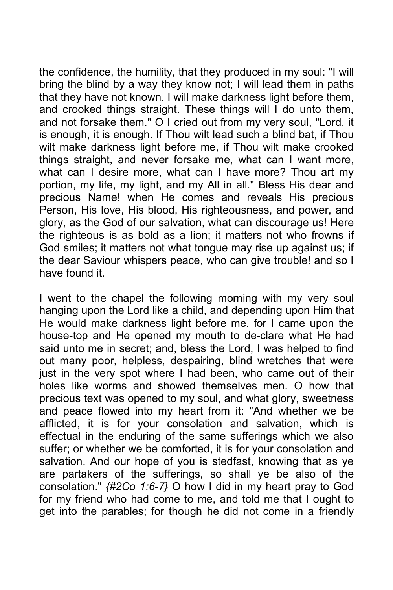the confidence, the humility, that they produced in my soul: "I will bring the blind by a way they know not; I will lead them in paths that they have not known. I will make darkness light before them, and crooked things straight. These things will I do unto them, and not forsake them." O I cried out from my very soul, "Lord, it is enough, it is enough. If Thou wilt lead such a blind bat, if Thou wilt make darkness light before me, if Thou wilt make crooked things straight, and never forsake me, what can I want more, what can I desire more, what can I have more? Thou art my portion, my life, my light, and my All in all." Bless His dear and precious Name! when He comes and reveals His precious Person, His love, His blood, His righteousness, and power, and glory, as the God of our salvation, what can discourage us! Here the righteous is as bold as a lion; it matters not who frowns if God smiles; it matters not what tongue may rise up against us; if the dear Saviour whispers peace, who can give trouble! and so I have found it.

I went to the chapel the following morning with my very soul hanging upon the Lord like a child, and depending upon Him that He would make darkness light before me, for I came upon the house-top and He opened my mouth to de-clare what He had said unto me in secret; and, bless the Lord, I was helped to find out many poor, helpless, despairing, blind wretches that were just in the very spot where I had been, who came out of their holes like worms and showed themselves men. O how that precious text was opened to my soul, and what glory, sweetness and peace flowed into my heart from it: "And whether we be afflicted, it is for your consolation and salvation, which is effectual in the enduring of the same sufferings which we also suffer; or whether we be comforted, it is for your consolation and salvation. And our hope of you is stedfast, knowing that as ye are partakers of the sufferings, so shall ye be also of the consolation." *{#2Co 1:6-7}* O how I did in my heart pray to God for my friend who had come to me, and told me that I ought to get into the parables; for though he did not come in a friendly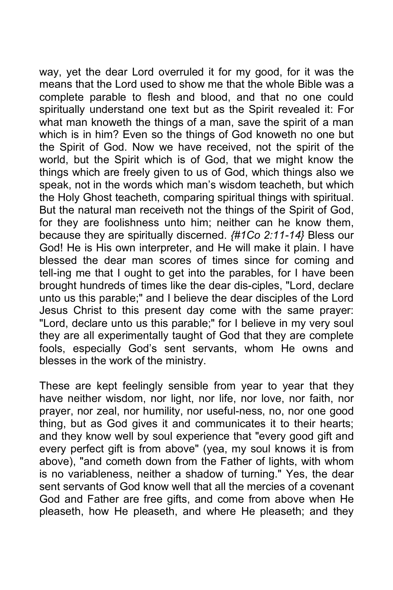way, yet the dear Lord overruled it for my good, for it was the means that the Lord used to show me that the whole Bible was a complete parable to flesh and blood, and that no one could spiritually understand one text but as the Spirit revealed it: For what man knoweth the things of a man, save the spirit of a man which is in him? Even so the things of God knoweth no one but the Spirit of God. Now we have received, not the spirit of the world, but the Spirit which is of God, that we might know the things which are freely given to us of God, which things also we speak, not in the words which man's wisdom teacheth, but which the Holy Ghost teacheth, comparing spiritual things with spiritual. But the natural man receiveth not the things of the Spirit of God, for they are foolishness unto him; neither can he know them, because they are spiritually discerned. *{#1Co 2:11-14}* Bless our God! He is His own interpreter, and He will make it plain. I have blessed the dear man scores of times since for coming and tell-ing me that I ought to get into the parables, for I have been brought hundreds of times like the dear dis-ciples, "Lord, declare unto us this parable;" and I believe the dear disciples of the Lord Jesus Christ to this present day come with the same prayer: "Lord, declare unto us this parable;" for I believe in my very soul they are all experimentally taught of God that they are complete fools, especially God's sent servants, whom He owns and blesses in the work of the ministry.

These are kept feelingly sensible from year to year that they have neither wisdom, nor light, nor life, nor love, nor faith, nor prayer, nor zeal, nor humility, nor useful-ness, no, nor one good thing, but as God gives it and communicates it to their hearts; and they know well by soul experience that "every good gift and every perfect gift is from above" (yea, my soul knows it is from above), "and cometh down from the Father of lights, with whom is no variableness, neither a shadow of turning." Yes, the dear sent servants of God know well that all the mercies of a covenant God and Father are free gifts, and come from above when He pleaseth, how He pleaseth, and where He pleaseth; and they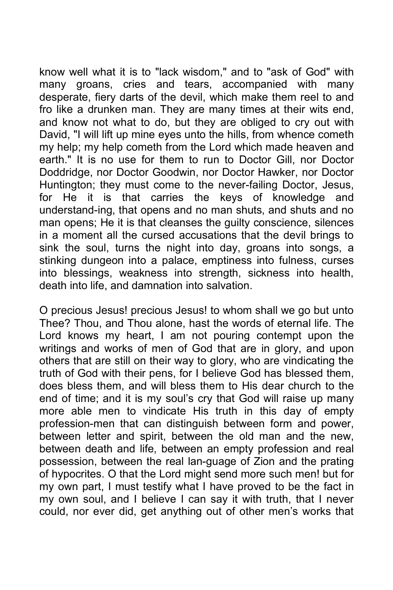know well what it is to "lack wisdom," and to "ask of God" with many groans, cries and tears, accompanied with many desperate, fiery darts of the devil, which make them reel to and fro like a drunken man. They are many times at their wits end, and know not what to do, but they are obliged to cry out with David, "I will lift up mine eyes unto the hills, from whence cometh my help; my help cometh from the Lord which made heaven and earth." It is no use for them to run to Doctor Gill, nor Doctor Doddridge, nor Doctor Goodwin, nor Doctor Hawker, nor Doctor Huntington; they must come to the never-failing Doctor, Jesus, for He it is that carries the keys of knowledge and understand-ing, that opens and no man shuts, and shuts and no man opens; He it is that cleanses the guilty conscience, silences in a moment all the cursed accusations that the devil brings to sink the soul, turns the night into day, groans into songs, a stinking dungeon into a palace, emptiness into fulness, curses into blessings, weakness into strength, sickness into health, death into life, and damnation into salvation.

O precious Jesus! precious Jesus! to whom shall we go but unto Thee? Thou, and Thou alone, hast the words of eternal life. The Lord knows my heart, I am not pouring contempt upon the writings and works of men of God that are in glory, and upon others that are still on their way to glory, who are vindicating the truth of God with their pens, for I believe God has blessed them, does bless them, and will bless them to His dear church to the end of time; and it is my soul's cry that God will raise up many more able men to vindicate His truth in this day of empty profession-men that can distinguish between form and power, between letter and spirit, between the old man and the new, between death and life, between an empty profession and real possession, between the real lan-guage of Zion and the prating of hypocrites. O that the Lord might send more such men! but for my own part, I must testify what I have proved to be the fact in my own soul, and I believe I can say it with truth, that I never could, nor ever did, get anything out of other men's works that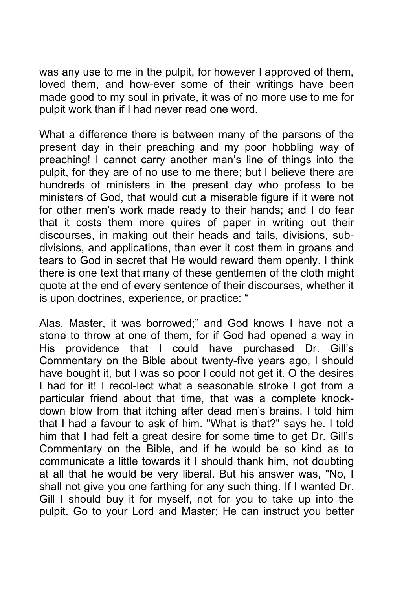was any use to me in the pulpit, for however I approved of them, loved them, and how-ever some of their writings have been made good to my soul in private, it was of no more use to me for pulpit work than if I had never read one word.

What a difference there is between many of the parsons of the present day in their preaching and my poor hobbling way of preaching! I cannot carry another man's line of things into the pulpit, for they are of no use to me there; but I believe there are hundreds of ministers in the present day who profess to be ministers of God, that would cut a miserable figure if it were not for other men's work made ready to their hands; and I do fear that it costs them more quires of paper in writing out their discourses, in making out their heads and tails, divisions, subdivisions, and applications, than ever it cost them in groans and tears to God in secret that He would reward them openly. I think there is one text that many of these gentlemen of the cloth might quote at the end of every sentence of their discourses, whether it is upon doctrines, experience, or practice: "

Alas, Master, it was borrowed;" and God knows I have not a stone to throw at one of them, for if God had opened a way in His providence that I could have purchased Dr. Gill's Commentary on the Bible about twenty-five years ago, I should have bought it, but I was so poor I could not get it. O the desires I had for it! I recol-lect what a seasonable stroke I got from a particular friend about that time, that was a complete knockdown blow from that itching after dead men's brains. I told him that I had a favour to ask of him. "What is that?" says he. I told him that I had felt a great desire for some time to get Dr. Gill's Commentary on the Bible, and if he would be so kind as to communicate a little towards it I should thank him, not doubting at all that he would be very liberal. But his answer was, "No, I shall not give you one farthing for any such thing. If I wanted Dr. Gill I should buy it for myself, not for you to take up into the pulpit. Go to your Lord and Master; He can instruct you better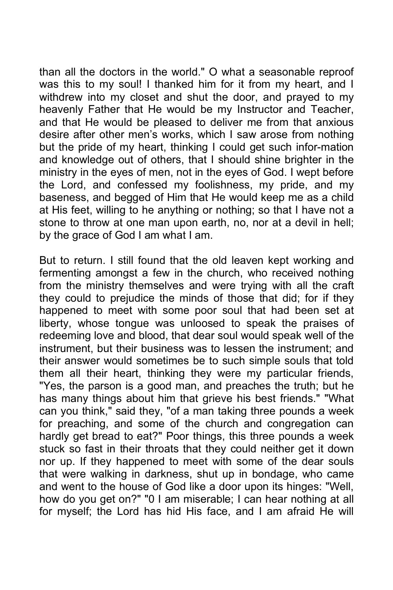than all the doctors in the world." O what a seasonable reproof was this to my soul! I thanked him for it from my heart, and I withdrew into my closet and shut the door, and prayed to my heavenly Father that He would be my Instructor and Teacher, and that He would be pleased to deliver me from that anxious desire after other men's works, which I saw arose from nothing but the pride of my heart, thinking I could get such infor-mation and knowledge out of others, that I should shine brighter in the ministry in the eyes of men, not in the eyes of God. I wept before the Lord, and confessed my foolishness, my pride, and my baseness, and begged of Him that He would keep me as a child at His feet, willing to he anything or nothing; so that I have not a stone to throw at one man upon earth, no, nor at a devil in hell; by the grace of God I am what I am.

But to return. I still found that the old leaven kept working and fermenting amongst a few in the church, who received nothing from the ministry themselves and were trying with all the craft they could to prejudice the minds of those that did; for if they happened to meet with some poor soul that had been set at liberty, whose tongue was unloosed to speak the praises of redeeming love and blood, that dear soul would speak well of the instrument, but their business was to lessen the instrument; and their answer would sometimes be to such simple souls that told them all their heart, thinking they were my particular friends, "Yes, the parson is a good man, and preaches the truth; but he has many things about him that grieve his best friends." "What can you think," said they, "of a man taking three pounds a week for preaching, and some of the church and congregation can hardly get bread to eat?" Poor things, this three pounds a week stuck so fast in their throats that they could neither get it down nor up. If they happened to meet with some of the dear souls that were walking in darkness, shut up in bondage, who came and went to the house of God like a door upon its hinges: "Well, how do you get on?" "0 I am miserable; I can hear nothing at all for myself; the Lord has hid His face, and I am afraid He will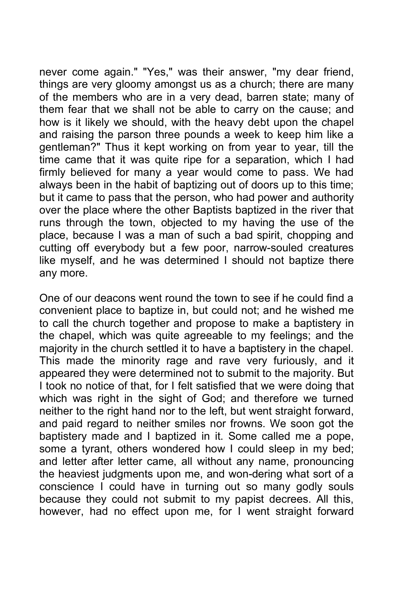never come again." "Yes," was their answer, "my dear friend, things are very gloomy amongst us as a church; there are many of the members who are in a very dead, barren state; many of them fear that we shall not be able to carry on the cause; and how is it likely we should, with the heavy debt upon the chapel and raising the parson three pounds a week to keep him like a gentleman?" Thus it kept working on from year to year, till the time came that it was quite ripe for a separation, which I had firmly believed for many a year would come to pass. We had always been in the habit of baptizing out of doors up to this time; but it came to pass that the person, who had power and authority over the place where the other Baptists baptized in the river that runs through the town, objected to my having the use of the place, because I was a man of such a bad spirit, chopping and cutting off everybody but a few poor, narrow-souled creatures like myself, and he was determined I should not baptize there any more.

One of our deacons went round the town to see if he could find a convenient place to baptize in, but could not; and he wished me to call the church together and propose to make a baptistery in the chapel, which was quite agreeable to my feelings; and the majority in the church settled it to have a baptistery in the chapel. This made the minority rage and rave very furiously, and it appeared they were determined not to submit to the majority. But I took no notice of that, for I felt satisfied that we were doing that which was right in the sight of God; and therefore we turned neither to the right hand nor to the left, but went straight forward, and paid regard to neither smiles nor frowns. We soon got the baptistery made and I baptized in it. Some called me a pope, some a tyrant, others wondered how I could sleep in my bed; and letter after letter came, all without any name, pronouncing the heaviest judgments upon me, and won-dering what sort of a conscience I could have in turning out so many godly souls because they could not submit to my papist decrees. All this, however, had no effect upon me, for I went straight forward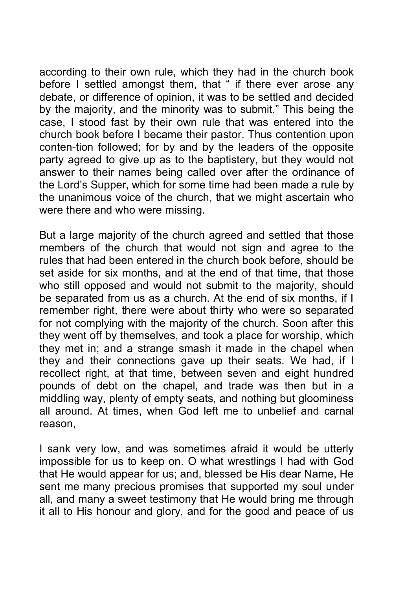according to their own rule, which they had in the church book before I settled amongst them, that " if there ever arose any debate, or difference of opinion, it was to be settled and decided by the majority, and the minority was to submit." This being the case, I stood fast by their own rule that was entered into the church book before I became their pastor. Thus contention upon conten-tion followed; for by and by the leaders of the opposite party agreed to give up as to the baptistery, but they would not answer to their names being called over after the ordinance of the Lord's Supper, which for some time had been made a rule by the unanimous voice of the church, that we might ascertain who were there and who were missing.

But a large majority of the church agreed and settled that those members of the church that would not sign and agree to the rules that had been entered in the church book before, should be set aside for six months, and at the end of that time, that those who still opposed and would not submit to the majority, should be separated from us as a church. At the end of six months, if I remember right, there were about thirty who were so separated for not complying with the majority of the church. Soon after this they went off by themselves, and took a place for worship, which they met in; and a strange smash it made in the chapel when they and their connections gave up their seats. We had, if I recollect right, at that time, between seven and eight hundred pounds of debt on the chapel, and trade was then but in a middling way, plenty of empty seats, and nothing but gloominess all around. At times, when God left me to unbelief and carnal reason,

I sank very low, and was sometimes afraid it would be utterly impossible for us to keep on. O what wrestlings I had with God that He would appear for us; and, blessed be His dear Name, He sent me many precious promises that supported my soul under all, and many a sweet testimony that He would bring me through it all to His honour and glory, and for the good and peace of us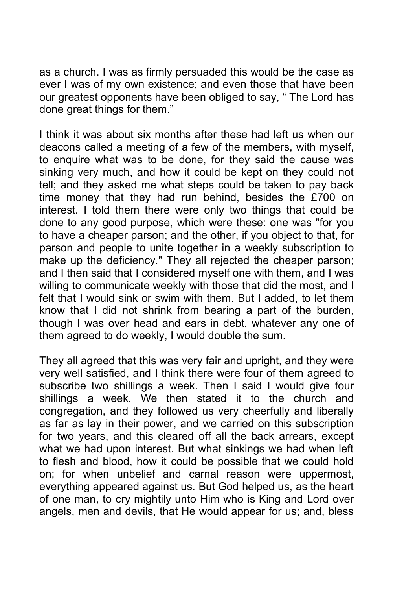as a church. I was as firmly persuaded this would be the case as ever I was of my own existence; and even those that have been our greatest opponents have been obliged to say, " The Lord has done great things for them."

I think it was about six months after these had left us when our deacons called a meeting of a few of the members, with myself, to enquire what was to be done, for they said the cause was sinking very much, and how it could be kept on they could not tell; and they asked me what steps could be taken to pay back time money that they had run behind, besides the £700 on interest. I told them there were only two things that could be done to any good purpose, which were these: one was "for you to have a cheaper parson; and the other, if you object to that, for parson and people to unite together in a weekly subscription to make up the deficiency." They all rejected the cheaper parson; and I then said that I considered myself one with them, and I was willing to communicate weekly with those that did the most, and I felt that I would sink or swim with them. But I added, to let them know that I did not shrink from bearing a part of the burden, though I was over head and ears in debt, whatever any one of them agreed to do weekly, I would double the sum.

They all agreed that this was very fair and upright, and they were very well satisfied, and I think there were four of them agreed to subscribe two shillings a week. Then I said I would give four shillings a week. We then stated it to the church and congregation, and they followed us very cheerfully and liberally as far as lay in their power, and we carried on this subscription for two years, and this cleared off all the back arrears, except what we had upon interest. But what sinkings we had when left to flesh and blood, how it could be possible that we could hold on; for when unbelief and carnal reason were uppermost, everything appeared against us. But God helped us, as the heart of one man, to cry mightily unto Him who is King and Lord over angels, men and devils, that He would appear for us; and, bless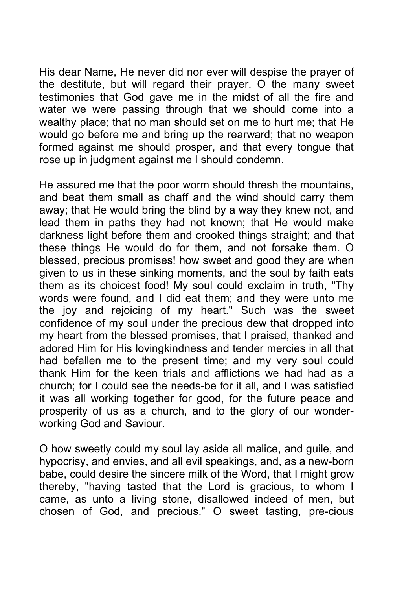His dear Name, He never did nor ever will despise the prayer of the destitute, but will regard their prayer. O the many sweet testimonies that God gave me in the midst of all the fire and water we were passing through that we should come into a wealthy place; that no man should set on me to hurt me; that He would go before me and bring up the rearward; that no weapon formed against me should prosper, and that every tongue that rose up in judgment against me I should condemn.

He assured me that the poor worm should thresh the mountains, and beat them small as chaff and the wind should carry them away; that He would bring the blind by a way they knew not, and lead them in paths they had not known; that He would make darkness light before them and crooked things straight; and that these things He would do for them, and not forsake them. O blessed, precious promises! how sweet and good they are when given to us in these sinking moments, and the soul by faith eats them as its choicest food! My soul could exclaim in truth, "Thy words were found, and I did eat them; and they were unto me the joy and rejoicing of my heart." Such was the sweet confidence of my soul under the precious dew that dropped into my heart from the blessed promises, that I praised, thanked and adored Him for His lovingkindness and tender mercies in all that had befallen me to the present time; and my very soul could thank Him for the keen trials and afflictions we had had as a church; for I could see the needs-be for it all, and I was satisfied it was all working together for good, for the future peace and prosperity of us as a church, and to the glory of our wonderworking God and Saviour.

O how sweetly could my soul lay aside all malice, and guile, and hypocrisy, and envies, and all evil speakings, and, as a new-born babe, could desire the sincere milk of the Word, that I might grow thereby, "having tasted that the Lord is gracious, to whom I came, as unto a living stone, disallowed indeed of men, but chosen of God, and precious." O sweet tasting, pre-cious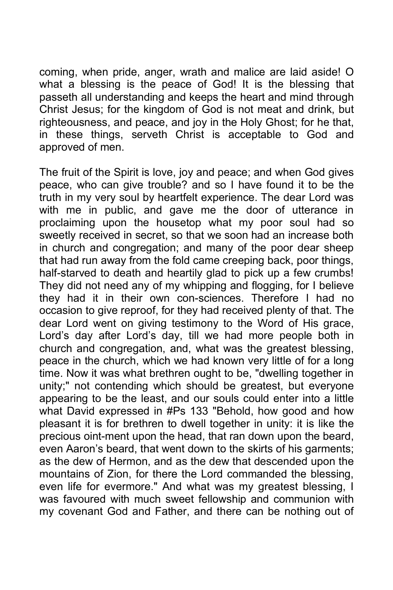coming, when pride, anger, wrath and malice are laid aside! O what a blessing is the peace of God! It is the blessing that passeth all understanding and keeps the heart and mind through Christ Jesus; for the kingdom of God is not meat and drink, but righteousness, and peace, and joy in the Holy Ghost; for he that, in these things, serveth Christ is acceptable to God and approved of men.

The fruit of the Spirit is love, joy and peace; and when God gives peace, who can give trouble? and so I have found it to be the truth in my very soul by heartfelt experience. The dear Lord was with me in public, and gave me the door of utterance in proclaiming upon the housetop what my poor soul had so sweetly received in secret, so that we soon had an increase both in church and congregation; and many of the poor dear sheep that had run away from the fold came creeping back, poor things, half-starved to death and heartily glad to pick up a few crumbs! They did not need any of my whipping and flogging, for I believe they had it in their own con-sciences. Therefore I had no occasion to give reproof, for they had received plenty of that. The dear Lord went on giving testimony to the Word of His grace, Lord's day after Lord's day, till we had more people both in church and congregation, and, what was the greatest blessing, peace in the church, which we had known very little of for a long time. Now it was what brethren ought to be, "dwelling together in unity;" not contending which should be greatest, but everyone appearing to be the least, and our souls could enter into a little what David expressed in #Ps 133 "Behold, how good and how pleasant it is for brethren to dwell together in unity: it is like the precious oint-ment upon the head, that ran down upon the beard, even Aaron's beard, that went down to the skirts of his garments; as the dew of Hermon, and as the dew that descended upon the mountains of Zion, for there the Lord commanded the blessing, even life for evermore." And what was my greatest blessing, I was favoured with much sweet fellowship and communion with my covenant God and Father, and there can be nothing out of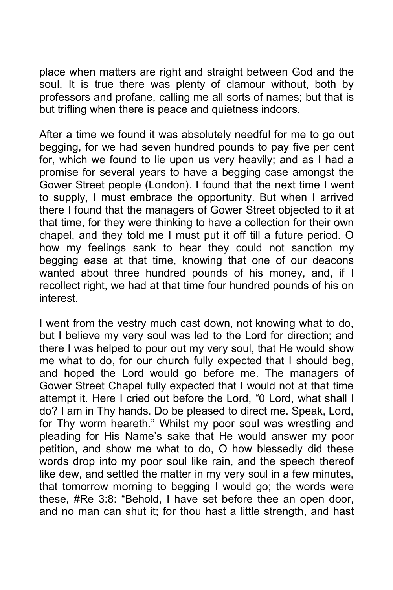place when matters are right and straight between God and the soul. It is true there was plenty of clamour without, both by professors and profane, calling me all sorts of names; but that is but trifling when there is peace and quietness indoors.

After a time we found it was absolutely needful for me to go out begging, for we had seven hundred pounds to pay five per cent for, which we found to lie upon us very heavily; and as I had a promise for several years to have a begging case amongst the Gower Street people (London). I found that the next time I went to supply, I must embrace the opportunity. But when I arrived there I found that the managers of Gower Street objected to it at that time, for they were thinking to have a collection for their own chapel, and they told me I must put it off till a future period. O how my feelings sank to hear they could not sanction my begging ease at that time, knowing that one of our deacons wanted about three hundred pounds of his money, and, if I recollect right, we had at that time four hundred pounds of his on interest.

I went from the vestry much cast down, not knowing what to do, but I believe my very soul was led to the Lord for direction; and there I was helped to pour out my very soul, that He would show me what to do, for our church fully expected that I should beg, and hoped the Lord would go before me. The managers of Gower Street Chapel fully expected that I would not at that time attempt it. Here I cried out before the Lord, "0 Lord, what shall I do? I am in Thy hands. Do be pleased to direct me. Speak, Lord, for Thy worm heareth." Whilst my poor soul was wrestling and pleading for His Name's sake that He would answer my poor petition, and show me what to do, O how blessedly did these words drop into my poor soul like rain, and the speech thereof like dew, and settled the matter in my very soul in a few minutes, that tomorrow morning to begging I would go; the words were these, #Re 3:8: "Behold, I have set before thee an open door, and no man can shut it; for thou hast a little strength, and hast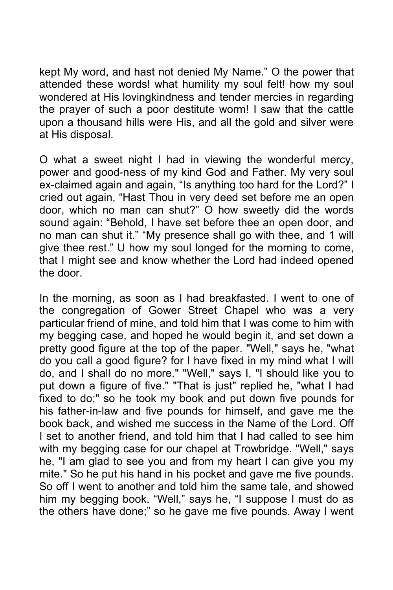kept My word, and hast not denied My Name." O the power that attended these words! what humility my soul felt! how my soul wondered at His lovingkindness and tender mercies in regarding the prayer of such a poor destitute worm! I saw that the cattle upon a thousand hills were His, and all the gold and silver were at His disposal.

O what a sweet night I had in viewing the wonderful mercy, power and good-ness of my kind God and Father. My very soul ex-claimed again and again, "Is anything too hard for the Lord?" I cried out again, "Hast Thou in very deed set before me an open door, which no man can shut?" O how sweetly did the words sound again: "Behold, I have set before thee an open door, and no man can shut it." "My presence shall go with thee, and 1 will give thee rest." U how my soul longed for the morning to come, that I might see and know whether the Lord had indeed opened the door.

In the morning, as soon as I had breakfasted. I went to one of the congregation of Gower Street Chapel who was a very particular friend of mine, and told him that I was come to him with my begging case, and hoped he would begin it, and set down a pretty good figure at the top of the paper. "Well," says he, "what do you call a good figure? for I have fixed in my mind what I will do, and I shall do no more." "Well," says I, "I should like you to put down a figure of five." "That is just" replied he, "what I had fixed to do;" so he took my book and put down five pounds for his father-in-law and five pounds for himself, and gave me the book back, and wished me success in the Name of the Lord. Off I set to another friend, and told him that I had called to see him with my begging case for our chapel at Trowbridge. "Well," says he, "I am glad to see you and from my heart I can give you my mite." So he put his hand in his pocket and gave me five pounds. So off I went to another and told him the same tale, and showed him my begging book. "Well," says he, "I suppose I must do as the others have done;" so he gave me five pounds. Away I went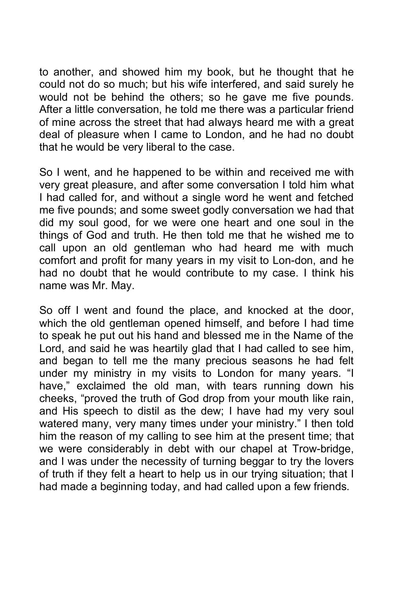to another, and showed him my book, but he thought that he could not do so much; but his wife interfered, and said surely he would not be behind the others; so he gave me five pounds. After a little conversation, he told me there was a particular friend of mine across the street that had aIways heard me with a great deal of pleasure when I came to London, and he had no doubt that he would be very liberal to the case.

So I went, and he happened to be within and received me with very great pleasure, and after some conversation I told him what I had called for, and without a single word he went and fetched me five pounds; and some sweet godly conversation we had that did my soul good, for we were one heart and one soul in the things of God and truth. He then told me that he wished me to call upon an old gentleman who had heard me with much comfort and profit for many years in my visit to Lon-don, and he had no doubt that he would contribute to my case. I think his name was Mr. May.

So off I went and found the place, and knocked at the door, which the old gentleman opened himself, and before I had time to speak he put out his hand and blessed me in the Name of the Lord, and said he was heartily glad that I had called to see him, and began to tell me the many precious seasons he had felt under my ministry in my visits to London for many years. "I have," exclaimed the old man, with tears running down his cheeks, "proved the truth of God drop from your mouth like rain, and His speech to distil as the dew; I have had my very soul watered many, very many times under your ministry." I then told him the reason of my calling to see him at the present time; that we were considerably in debt with our chapel at Trow-bridge, and I was under the necessity of turning beggar to try the lovers of truth if they felt a heart to help us in our trying situation; that I had made a beginning today, and had called upon a few friends.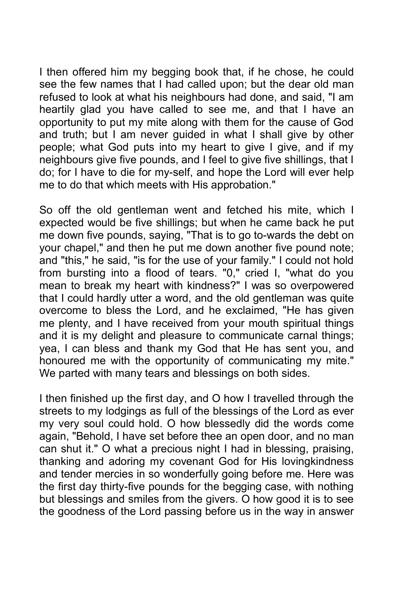I then offered him my begging book that, if he chose, he could see the few names that I had called upon; but the dear old man refused to look at what his neighbours had done, and said, "I am heartily glad you have called to see me, and that I have an opportunity to put my mite along with them for the cause of God and truth; but I am never guided in what I shall give by other people; what God puts into my heart to give I give, and if my neighbours give five pounds, and I feel to give five shillings, that I do; for I have to die for my-self, and hope the Lord will ever help me to do that which meets with His approbation."

So off the old gentleman went and fetched his mite, which I expected would be five shillings; but when he came back he put me down five pounds, saying, "That is to go to-wards the debt on your chapel," and then he put me down another five pound note; and "this," he said, "is for the use of your family." I could not hold from bursting into a flood of tears. "0," cried I, "what do you mean to break my heart with kindness?" I was so overpowered that I could hardly utter a word, and the old gentleman was quite overcome to bless the Lord, and he exclaimed, "He has given me plenty, and I have received from your mouth spiritual things and it is my delight and pleasure to communicate carnal things; yea, I can bless and thank my God that He has sent you, and honoured me with the opportunity of communicating my mite." We parted with many tears and blessings on both sides.

I then finished up the first day, and O how I travelled through the streets to my lodgings as full of the blessings of the Lord as ever my very soul could hold. O how blessedly did the words come again, "Behold, I have set before thee an open door, and no man can shut it." O what a precious night I had in blessing, praising, thanking and adoring my covenant God for His lovingkindness and tender mercies in so wonderfully going before me. Here was the first day thirty-five pounds for the begging case, with nothing but blessings and smiles from the givers. O how good it is to see the goodness of the Lord passing before us in the way in answer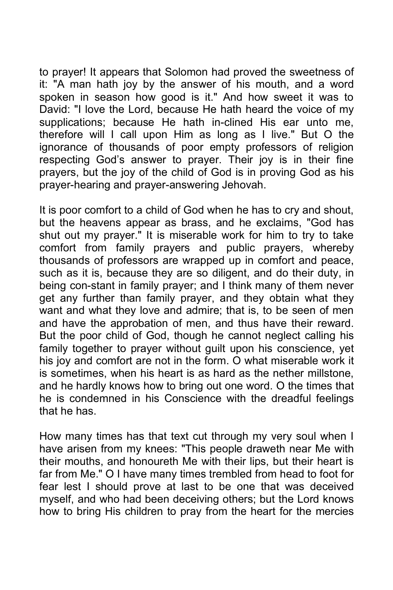to prayer! It appears that Solomon had proved the sweetness of it: "A man hath joy by the answer of his mouth, and a word spoken in season how good is it." And how sweet it was to David: "I love the Lord, because He hath heard the voice of my supplications; because He hath in-clined His ear unto me, therefore will I call upon Him as long as I live." But O the ignorance of thousands of poor empty professors of religion respecting God's answer to prayer. Their joy is in their fine prayers, but the joy of the child of God is in proving God as his prayer-hearing and prayer-answering Jehovah.

It is poor comfort to a child of God when he has to cry and shout, but the heavens appear as brass, and he exclaims, "God has shut out my prayer." It is miserable work for him to try to take comfort from family prayers and public prayers, whereby thousands of professors are wrapped up in comfort and peace, such as it is, because they are so diligent, and do their duty, in being con-stant in family prayer; and I think many of them never get any further than family prayer, and they obtain what they want and what they love and admire; that is, to be seen of men and have the approbation of men, and thus have their reward. But the poor child of God, though he cannot neglect calling his family together to prayer without guilt upon his conscience, yet his joy and comfort are not in the form. O what miserable work it is sometimes, when his heart is as hard as the nether millstone, and he hardly knows how to bring out one word. O the times that he is condemned in his Conscience with the dreadful feelings that he has.

How many times has that text cut through my very soul when I have arisen from my knees: "This people draweth near Me with their mouths, and honoureth Me with their lips, but their heart is far from Me." O I have many times trembled from head to foot for fear lest I should prove at last to be one that was deceived myself, and who had been deceiving others; but the Lord knows how to bring His children to pray from the heart for the mercies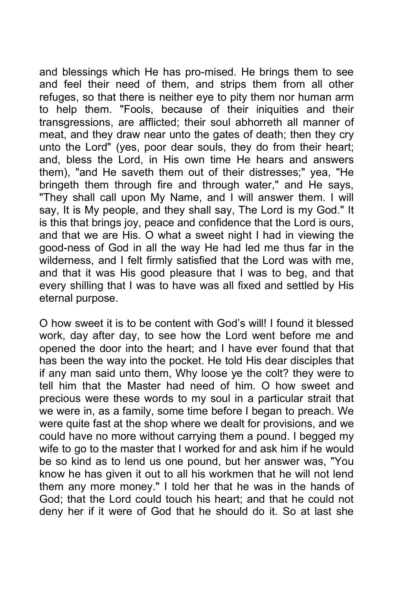and blessings which He has pro-mised. He brings them to see and feel their need of them, and strips them from all other refuges, so that there is neither eye to pity them nor human arm to help them. "Fools, because of their iniquities and their transgressions, are afflicted; their soul abhorreth all manner of meat, and they draw near unto the gates of death; then they cry unto the Lord" (yes, poor dear souls, they do from their heart; and, bless the Lord, in His own time He hears and answers them), "and He saveth them out of their distresses;" yea, "He bringeth them through fire and through water," and He says, "They shall call upon My Name, and I will answer them. I will say, It is My people, and they shall say, The Lord is my God." It is this that brings joy, peace and confidence that the Lord is ours, and that we are His. O what a sweet night I had in viewing the good-ness of God in all the way He had led me thus far in the wilderness, and I felt firmly satisfied that the Lord was with me, and that it was His good pleasure that I was to beg, and that every shilling that I was to have was all fixed and settled by His eternal purpose.

O how sweet it is to be content with God's will! I found it blessed work, day after day, to see how the Lord went before me and opened the door into the heart; and I have ever found that that has been the way into the pocket. He told His dear disciples that if any man said unto them, Why loose ye the colt? they were to tell him that the Master had need of him. O how sweet and precious were these words to my soul in a particular strait that we were in, as a family, some time before I began to preach. We were quite fast at the shop where we dealt for provisions, and we could have no more without carrying them a pound. I begged my wife to go to the master that I worked for and ask him if he would be so kind as to lend us one pound, but her answer was, "You know he has given it out to all his workmen that he will not lend them any more money." I told her that he was in the hands of God; that the Lord could touch his heart; and that he could not deny her if it were of God that he should do it. So at last she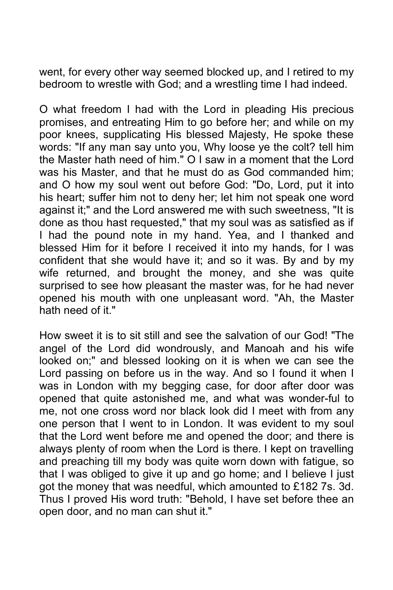went, for every other way seemed blocked up, and I retired to my bedroom to wrestle with God; and a wrestling time I had indeed.

O what freedom I had with the Lord in pleading His precious promises, and entreating Him to go before her; and while on my poor knees, supplicating His blessed Majesty, He spoke these words: "If any man say unto you, Why loose ye the colt? tell him the Master hath need of him." O I saw in a moment that the Lord was his Master, and that he must do as God commanded him; and O how my soul went out before God: "Do, Lord, put it into his heart; suffer him not to deny her; let him not speak one word against it;" and the Lord answered me with such sweetness, "It is done as thou hast requested," that my soul was as satisfied as if I had the pound note in my hand. Yea, and I thanked and blessed Him for it before I received it into my hands, for I was confident that she would have it; and so it was. By and by my wife returned, and brought the money, and she was quite surprised to see how pleasant the master was, for he had never opened his mouth with one unpleasant word. "Ah, the Master hath need of it."

How sweet it is to sit still and see the salvation of our God! "The angel of the Lord did wondrously, and Manoah and his wife looked on;" and blessed looking on it is when we can see the Lord passing on before us in the way. And so I found it when I was in London with my begging case, for door after door was opened that quite astonished me, and what was wonder-ful to me, not one cross word nor black look did I meet with from any one person that I went to in London. It was evident to my soul that the Lord went before me and opened the door; and there is always plenty of room when the Lord is there. I kept on travelling and preaching till my body was quite worn down with fatigue, so that I was obliged to give it up and go home; and I believe I just got the money that was needful, which amounted to £182 7s. 3d. Thus I proved His word truth: "Behold, I have set before thee an open door, and no man can shut it."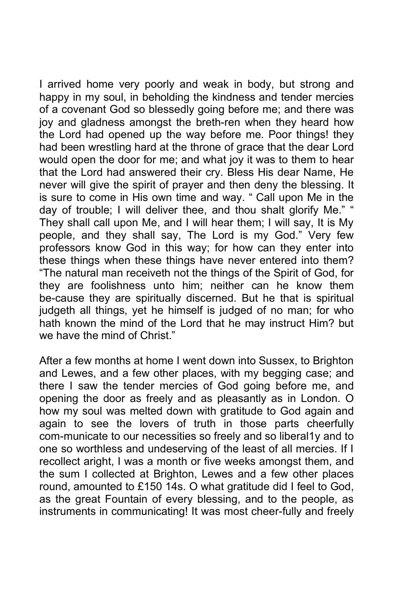I arrived home very poorly and weak in body, but strong and happy in my soul, in beholding the kindness and tender mercies of a covenant God so blessedly going before me; and there was joy and gladness amongst the breth-ren when they heard how the Lord had opened up the way before me. Poor things! they had been wrestling hard at the throne of grace that the dear Lord would open the door for me; and what joy it was to them to hear that the Lord had answered their cry. Bless His dear Name, He never will give the spirit of prayer and then deny the blessing. It is sure to come in His own time and way. " Call upon Me in the day of trouble; I will deliver thee, and thou shalt glorify Me." " They shall call upon Me, and I will hear them; I will say, It is My people, and they shall say, The Lord is my God." Very few professors know God in this way; for how can they enter into these things when these things have never entered into them? "The natural man receiveth not the things of the Spirit of God, for they are foolishness unto him; neither can he know them be-cause they are spiritually discerned. But he that is spiritual judgeth all things, yet he himself is judged of no man; for who hath known the mind of the Lord that he may instruct Him? but we have the mind of Christ."

After a few months at home I went down into Sussex, to Brighton and Lewes, and a few other places, with my begging case; and there I saw the tender mercies of God going before me, and opening the door as freely and as pleasantly as in London. O how my soul was melted down with gratitude to God again and again to see the lovers of truth in those parts cheerfully com-municate to our necessities so freely and so liberal1y and to one so worthless and undeserving of the least of all mercies. If I recollect aright, I was a month or five weeks amongst them, and the sum I collected at Brighton, Lewes and a few other places round, amounted to £150 14s. O what gratitude did I feel to God, as the great Fountain of every blessing, and to the people, as instruments in communicating! It was most cheer-fully and freely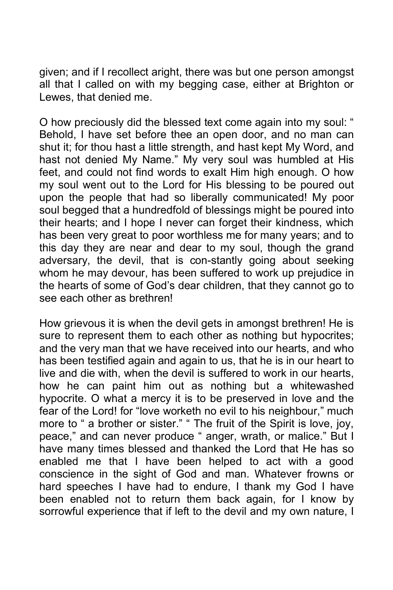given; and if I recollect aright, there was but one person amongst all that I called on with my begging case, either at Brighton or Lewes, that denied me.

O how preciously did the blessed text come again into my soul: " Behold, I have set before thee an open door, and no man can shut it; for thou hast a little strength, and hast kept My Word, and hast not denied My Name." My very soul was humbled at His feet, and could not find words to exalt Him high enough. O how my soul went out to the Lord for His blessing to be poured out upon the people that had so liberally communicated! My poor soul begged that a hundredfold of blessings might be poured into their hearts; and I hope I never can forget their kindness, which has been very great to poor worthless me for many years; and to this day they are near and dear to my soul, though the grand adversary, the devil, that is con-stantly going about seeking whom he may devour, has been suffered to work up prejudice in the hearts of some of God's dear children, that they cannot go to see each other as brethren!

How grievous it is when the devil gets in amongst brethren! He is sure to represent them to each other as nothing but hypocrites; and the very man that we have received into our hearts, and who has been testified again and again to us, that he is in our heart to live and die with, when the devil is suffered to work in our hearts, how he can paint him out as nothing but a whitewashed hypocrite. O what a mercy it is to be preserved in love and the fear of the Lord! for "love worketh no evil to his neighbour," much more to " a brother or sister." " The fruit of the Spirit is love, joy, peace," and can never produce " anger, wrath, or malice." But I have many times blessed and thanked the Lord that He has so enabled me that I have been helped to act with a good conscience in the sight of God and man. Whatever frowns or hard speeches I have had to endure, I thank my God I have been enabled not to return them back again, for I know by sorrowful experience that if left to the devil and my own nature, I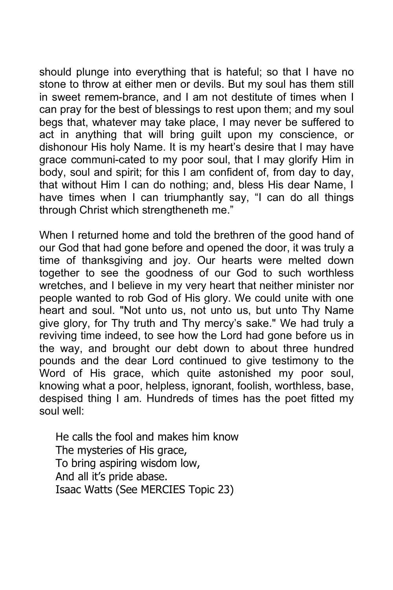should plunge into everything that is hateful; so that I have no stone to throw at either men or devils. But my soul has them still in sweet remem-brance, and I am not destitute of times when I can pray for the best of blessings to rest upon them; and my soul begs that, whatever may take place, I may never be suffered to act in anything that will bring guilt upon my conscience, or dishonour His holy Name. It is my heart's desire that I may have grace communi-cated to my poor soul, that I may glorify Him in body, soul and spirit; for this I am confident of, from day to day, that without Him I can do nothing; and, bless His dear Name, I have times when I can triumphantly say, "I can do all things through Christ which strengtheneth me."

When I returned home and told the brethren of the good hand of our God that had gone before and opened the door, it was truly a time of thanksgiving and joy. Our hearts were melted down together to see the goodness of our God to such worthless wretches, and I believe in my very heart that neither minister nor people wanted to rob God of His glory. We could unite with one heart and soul. "Not unto us, not unto us, but unto Thy Name give glory, for Thy truth and Thy mercy's sake." We had truly a reviving time indeed, to see how the Lord had gone before us in the way, and brought our debt down to about three hundred pounds and the dear Lord continued to give testimony to the Word of His grace, which quite astonished my poor soul, knowing what a poor, helpless, ignorant, foolish, worthless, base, despised thing I am. Hundreds of times has the poet fitted my soul well:

He calls the fool and makes him know The mysteries of His grace, To bring aspiring wisdom low, And all it's pride abase. Isaac Watts (See MERCIES Topic 23)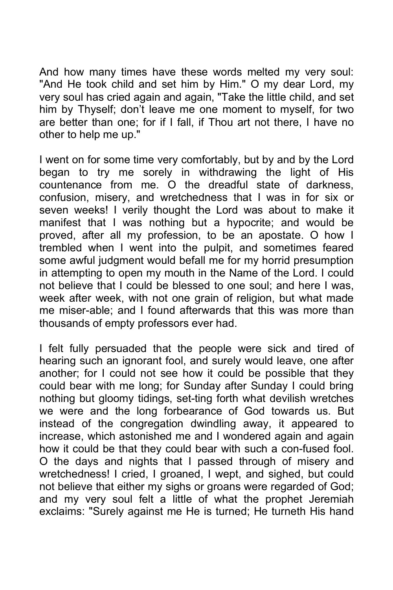And how many times have these words melted my very soul: "And He took child and set him by Him." O my dear Lord, my very soul has cried again and again, "Take the little child, and set him by Thyself; don't leave me one moment to myself, for two are better than one; for if I fall, if Thou art not there, I have no other to help me up."

I went on for some time very comfortably, but by and by the Lord began to try me sorely in withdrawing the light of His countenance from me. O the dreadful state of darkness, confusion, misery, and wretchedness that I was in for six or seven weeks! I verily thought the Lord was about to make it manifest that I was nothing but a hypocrite; and would be proved, after all my profession, to be an apostate. O how I trembled when I went into the pulpit, and sometimes feared some awful judgment would befall me for my horrid presumption in attempting to open my mouth in the Name of the Lord. I could not believe that I could be blessed to one soul; and here I was, week after week, with not one grain of religion, but what made me miser-able; and I found afterwards that this was more than thousands of empty professors ever had.

I felt fully persuaded that the people were sick and tired of hearing such an ignorant fool, and surely would leave, one after another; for I could not see how it could be possible that they could bear with me long; for Sunday after Sunday I could bring nothing but gloomy tidings, set-ting forth what devilish wretches we were and the long forbearance of God towards us. But instead of the congregation dwindling away, it appeared to increase, which astonished me and I wondered again and again how it could be that they could bear with such a con-fused fool. O the days and nights that I passed through of misery and wretchedness! I cried, I groaned, I wept, and sighed, but could not believe that either my sighs or groans were regarded of God; and my very soul felt a little of what the prophet Jeremiah exclaims: "Surely against me He is turned; He turneth His hand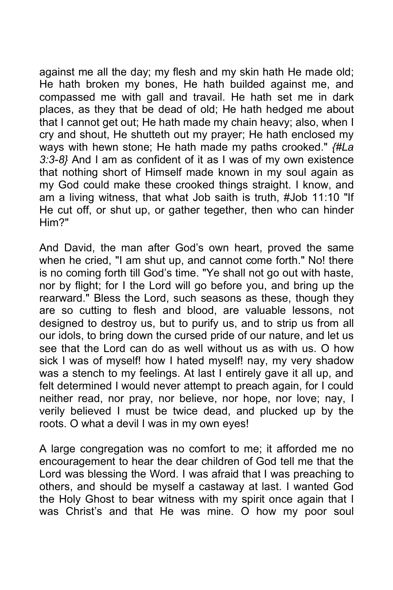against me all the day; my flesh and my skin hath He made old; He hath broken my bones, He hath builded against me, and compassed me with gall and travail. He hath set me in dark places, as they that be dead of old; He hath hedged me about that I cannot get out; He hath made my chain heavy; also, when I cry and shout, He shutteth out my prayer; He hath enclosed my ways with hewn stone; He hath made my paths crooked." *{#La 3:3-8}* And I am as confident of it as I was of my own existence that nothing short of Himself made known in my soul again as my God could make these crooked things straight. I know, and am a living witness, that what Job saith is truth, #Job 11:10 "If He cut off, or shut up, or gather tegether, then who can hinder Him?"

And David, the man after God's own heart, proved the same when he cried, "I am shut up, and cannot come forth." No! there is no coming forth till God's time. "Ye shall not go out with haste, nor by flight; for I the Lord will go before you, and bring up the rearward." Bless the Lord, such seasons as these, though they are so cutting to flesh and blood, are valuable lessons, not designed to destroy us, but to purify us, and to strip us from all our idols, to bring down the cursed pride of our nature, and let us see that the Lord can do as well without us as with us. O how sick I was of myself! how I hated myself! nay, my very shadow was a stench to my feelings. At last I entirely gave it all up, and felt determined I would never attempt to preach again, for I could neither read, nor pray, nor believe, nor hope, nor love; nay, I verily believed I must be twice dead, and plucked up by the roots. O what a devil I was in my own eyes!

A large congregation was no comfort to me; it afforded me no encouragement to hear the dear children of God tell me that the Lord was blessing the Word. I was afraid that I was preaching to others, and should be myself a castaway at last. I wanted God the Holy Ghost to bear witness with my spirit once again that I was Christ's and that He was mine. O how my poor soul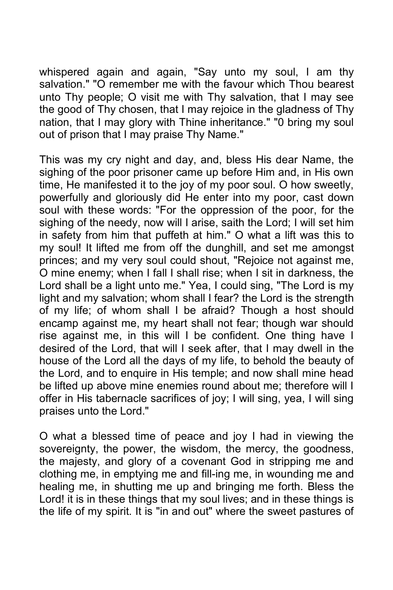whispered again and again, "Say unto my soul, I am thy salvation." "O remember me with the favour which Thou bearest unto Thy people; O visit me with Thy salvation, that I may see the good of Thy chosen, that I may rejoice in the gladness of Thy nation, that I may glory with Thine inheritance." "0 bring my soul out of prison that I may praise Thy Name."

This was my cry night and day, and, bless His dear Name, the sighing of the poor prisoner came up before Him and, in His own time, He manifested it to the joy of my poor soul. O how sweetly, powerfully and gloriously did He enter into my poor, cast down soul with these words: "For the oppression of the poor, for the sighing of the needy, now will I arise, saith the Lord; I will set him in safety from him that puffeth at him." O what a lift was this to my soul! It lifted me from off the dunghill, and set me amongst princes; and my very soul could shout, "Rejoice not against me, O mine enemy; when I fall I shall rise; when I sit in darkness, the Lord shall be a light unto me." Yea, I could sing, "The Lord is my light and my salvation; whom shall I fear? the Lord is the strength of my life; of whom shall I be afraid? Though a host should encamp against me, my heart shall not fear; though war should rise against me, in this will I be confident. One thing have I desired of the Lord, that will I seek after, that I may dwell in the house of the Lord all the days of my life, to behold the beauty of the Lord, and to enquire in His temple; and now shall mine head be lifted up above mine enemies round about me; therefore will I offer in His tabernacle sacrifices of joy; I will sing, yea, I will sing praises unto the Lord."

O what a blessed time of peace and joy I had in viewing the sovereignty, the power, the wisdom, the mercy, the goodness, the majesty, and glory of a covenant God in stripping me and clothing me, in emptying me and fill-ing me, in wounding me and healing me, in shutting me up and bringing me forth. Bless the Lord! it is in these things that my soul lives; and in these things is the life of my spirit. It is "in and out" where the sweet pastures of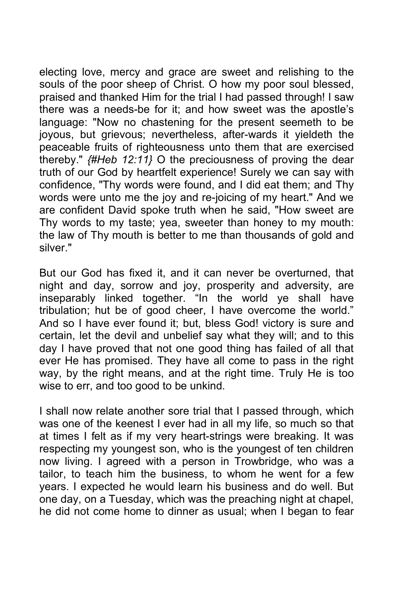electing love, mercy and grace are sweet and relishing to the souls of the poor sheep of Christ. O how my poor soul blessed, praised and thanked Him for the trial I had passed through! I saw there was a needs-be for it; and how sweet was the apostle's language: "Now no chastening for the present seemeth to be joyous, but grievous; nevertheless, after-wards it yieldeth the peaceable fruits of righteousness unto them that are exercised thereby." *{#Heb 12:11}* O the preciousness of proving the dear truth of our God by heartfelt experience! Surely we can say with confidence, "Thy words were found, and I did eat them; and Thy words were unto me the joy and re-joicing of my heart." And we are confident David spoke truth when he said, "How sweet are Thy words to my taste; yea, sweeter than honey to my mouth: the law of Thy mouth is better to me than thousands of gold and silver."

But our God has fixed it, and it can never be overturned, that night and day, sorrow and joy, prosperity and adversity, are inseparably linked together. "In the world ye shall have tribulation; hut be of good cheer, I have overcome the world." And so I have ever found it; but, bless God! victory is sure and certain, let the devil and unbelief say what they will; and to this day I have proved that not one good thing has failed of all that ever He has promised. They have all come to pass in the right way, by the right means, and at the right time. Truly He is too wise to err, and too good to be unkind.

I shall now relate another sore trial that I passed through, which was one of the keenest I ever had in all my life, so much so that at times I felt as if my very heart-strings were breaking. It was respecting my youngest son, who is the youngest of ten children now living. I agreed with a person in Trowbridge, who was a tailor, to teach him the business, to whom he went for a few years. I expected he would learn his business and do well. But one day, on a Tuesday, which was the preaching night at chapel, he did not come home to dinner as usual; when I began to fear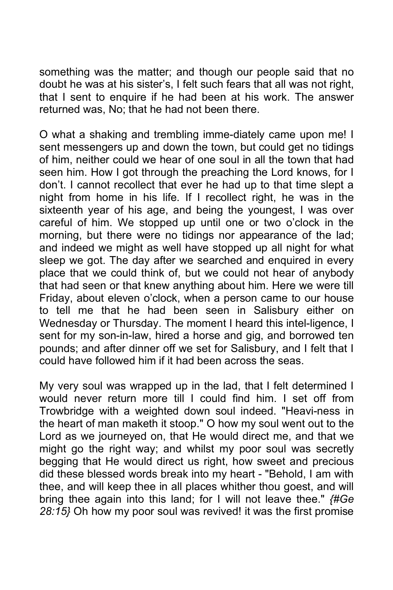something was the matter; and though our people said that no doubt he was at his sister's, I felt such fears that all was not right, that I sent to enquire if he had been at his work. The answer returned was, No; that he had not been there.

O what a shaking and trembling imme-diately came upon me! I sent messengers up and down the town, but could get no tidings of him, neither could we hear of one soul in all the town that had seen him. How I got through the preaching the Lord knows, for I don't. I cannot recollect that ever he had up to that time slept a night from home in his life. If I recollect right, he was in the sixteenth year of his age, and being the youngest, I was over careful of him. We stopped up until one or two o'clock in the morning, but there were no tidings nor appearance of the lad; and indeed we might as well have stopped up all night for what sleep we got. The day after we searched and enquired in every place that we could think of, but we could not hear of anybody that had seen or that knew anything about him. Here we were till Friday, about eleven o'clock, when a person came to our house to tell me that he had been seen in Salisbury either on Wednesday or Thursday. The moment I heard this intel-ligence, I sent for my son-in-law, hired a horse and gig, and borrowed ten pounds; and after dinner off we set for Salisbury, and I felt that I could have followed him if it had been across the seas.

My very soul was wrapped up in the lad, that I felt determined I would never return more till I could find him. I set off from Trowbridge with a weighted down soul indeed. "Heavi-ness in the heart of man maketh it stoop." O how my soul went out to the Lord as we journeyed on, that He would direct me, and that we might go the right way; and whilst my poor soul was secretly begging that He would direct us right, how sweet and precious did these blessed words break into my heart - "Behold, I am with thee, and will keep thee in all places whither thou goest, and will bring thee again into this land; for I will not leave thee." *{#Ge 28:15}* Oh how my poor soul was revived! it was the first promise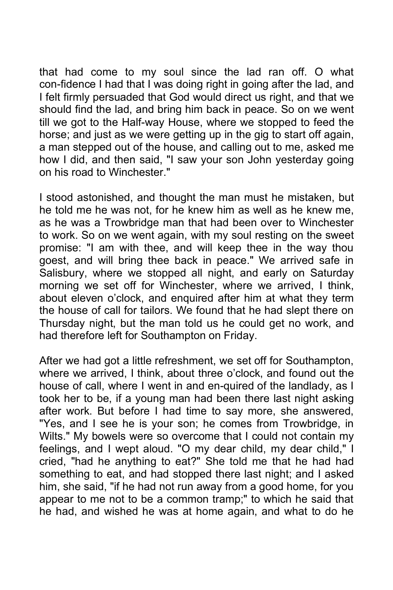that had come to my soul since the lad ran off. O what con-fidence I had that I was doing right in going after the lad, and I felt firmly persuaded that God would direct us right, and that we should find the lad, and bring him back in peace. So on we went till we got to the Half-way House, where we stopped to feed the horse; and just as we were getting up in the gig to start off again, a man stepped out of the house, and calling out to me, asked me how I did, and then said, "I saw your son John yesterday going on his road to Winchester."

I stood astonished, and thought the man must he mistaken, but he told me he was not, for he knew him as well as he knew me, as he was a Trowbridge man that had been over to Winchester to work. So on we went again, with my soul resting on the sweet promise: "I am with thee, and will keep thee in the way thou goest, and will bring thee back in peace." We arrived safe in Salisbury, where we stopped all night, and early on Saturday morning we set off for Winchester, where we arrived, I think, about eleven o'clock, and enquired after him at what they term the house of call for tailors. We found that he had slept there on Thursday night, but the man told us he could get no work, and had therefore left for Southampton on Friday.

After we had got a little refreshment, we set off for Southampton, where we arrived, I think, about three o'clock, and found out the house of call, where I went in and en-quired of the landlady, as I took her to be, if a young man had been there last night asking after work. But before I had time to say more, she answered, "Yes, and I see he is your son; he comes from Trowbridge, in Wilts." My bowels were so overcome that I could not contain my feelings, and I wept aloud. "O my dear child, my dear child," I cried, "had he anything to eat?" She told me that he had had something to eat, and had stopped there last night; and I asked him, she said, "if he had not run away from a good home, for you appear to me not to be a common tramp;" to which he said that he had, and wished he was at home again, and what to do he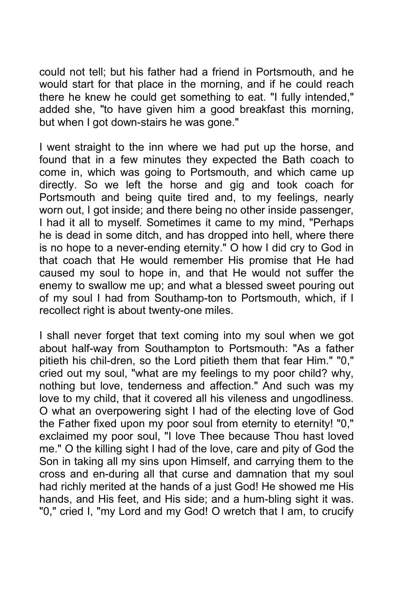could not tell; but his father had a friend in Portsmouth, and he would start for that place in the morning, and if he could reach there he knew he could get something to eat. "I fully intended," added she, "to have given him a good breakfast this morning, but when I got down-stairs he was gone."

I went straight to the inn where we had put up the horse, and found that in a few minutes they expected the Bath coach to come in, which was going to Portsmouth, and which came up directly. So we left the horse and gig and took coach for Portsmouth and being quite tired and, to my feelings, nearly worn out, I got inside; and there being no other inside passenger, I had it all to myself. Sometimes it came to my mind, "Perhaps he is dead in some ditch, and has dropped into hell, where there is no hope to a never-ending eternity." O how I did cry to God in that coach that He would remember His promise that He had caused my soul to hope in, and that He would not suffer the enemy to swallow me up; and what a blessed sweet pouring out of my soul I had from Southamp-ton to Portsmouth, which, if I recollect right is about twenty-one miles.

I shall never forget that text coming into my soul when we got about half-way from Southampton to Portsmouth: "As a father pitieth his chil-dren, so the Lord pitieth them that fear Him." "0," cried out my soul, "what are my feelings to my poor child? why, nothing but love, tenderness and affection." And such was my love to my child, that it covered all his vileness and ungodliness. O what an overpowering sight I had of the electing love of God the Father fixed upon my poor soul from eternity to eternity! "0," exclaimed my poor soul, "I love Thee because Thou hast loved me." O the killing sight I had of the love, care and pity of God the Son in taking all my sins upon Himself, and carrying them to the cross and en-during all that curse and damnation that my soul had richly merited at the hands of a just God! He showed me His hands, and His feet, and His side; and a hum-bling sight it was. "0," cried I, "my Lord and my God! O wretch that I am, to crucify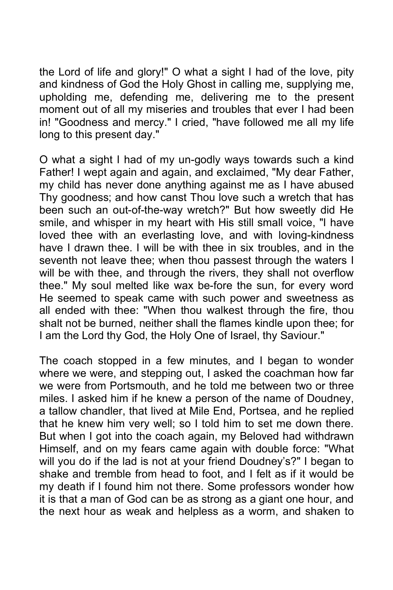the Lord of life and glory!" O what a sight I had of the love, pity and kindness of God the Holy Ghost in calling me, supplying me, upholding me, defending me, delivering me to the present moment out of all my miseries and troubles that ever I had been in! "Goodness and mercy." I cried, "have followed me all my life long to this present day."

O what a sight I had of my un-godly ways towards such a kind Father! I wept again and again, and exclaimed, "My dear Father, my child has never done anything against me as I have abused Thy goodness; and how canst Thou love such a wretch that has been such an out-of-the-way wretch?" But how sweetly did He smile, and whisper in my heart with His still small voice, "I have loved thee with an everlasting love, and with loving-kindness have I drawn thee. I will be with thee in six troubles, and in the seventh not leave thee; when thou passest through the waters I will be with thee, and through the rivers, they shall not overflow thee." My soul melted like wax be-fore the sun, for every word He seemed to speak came with such power and sweetness as all ended with thee: "When thou walkest through the fire, thou shalt not be burned, neither shall the flames kindle upon thee; for I am the Lord thy God, the Holy One of Israel, thy Saviour."

The coach stopped in a few minutes, and I began to wonder where we were, and stepping out, I asked the coachman how far we were from Portsmouth, and he told me between two or three miles. I asked him if he knew a person of the name of Doudney, a tallow chandler, that lived at Mile End, Portsea, and he replied that he knew him very well; so I told him to set me down there. But when I got into the coach again, my Beloved had withdrawn Himself, and on my fears came again with double force: "What will you do if the lad is not at your friend Doudney's?" I began to shake and tremble from head to foot, and I felt as if it would be my death if I found him not there. Some professors wonder how it is that a man of God can be as strong as a giant one hour, and the next hour as weak and helpless as a worm, and shaken to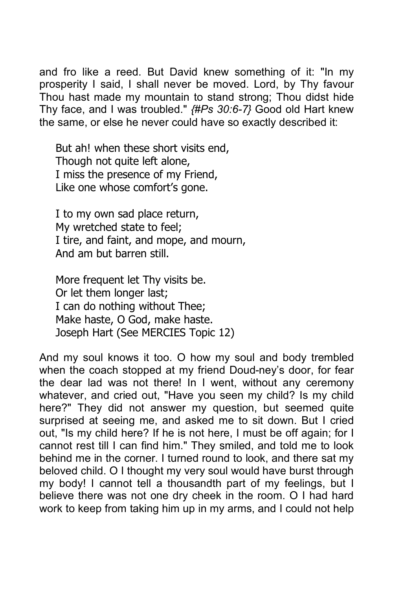and fro like a reed. But David knew something of it: "In my prosperity I said, I shall never be moved. Lord, by Thy favour Thou hast made my mountain to stand strong; Thou didst hide Thy face, and I was troubled." *{#Ps 30:6-7}* Good old Hart knew the same, or else he never could have so exactly described it:

But ah! when these short visits end, Though not quite left alone, I miss the presence of my Friend, Like one whose comfort's gone.

I to my own sad place return, My wretched state to feel; I tire, and faint, and mope, and mourn, And am but barren still.

More frequent let Thy visits be. Or let them longer last; I can do nothing without Thee; Make haste, O God, make haste. Joseph Hart (See MERCIES Topic 12)

And my soul knows it too. O how my soul and body trembled when the coach stopped at my friend Doud-ney's door, for fear the dear lad was not there! In I went, without any ceremony whatever, and cried out, "Have you seen my child? Is my child here?" They did not answer my question, but seemed quite surprised at seeing me, and asked me to sit down. But I cried out, "Is my child here? If he is not here, I must be off again; for I cannot rest till I can find him." They smiled, and told me to look behind me in the corner. I turned round to look, and there sat my beloved child. O I thought my very soul would have burst through my body! I cannot tell a thousandth part of my feelings, but I believe there was not one dry cheek in the room. O I had hard work to keep from taking him up in my arms, and I could not help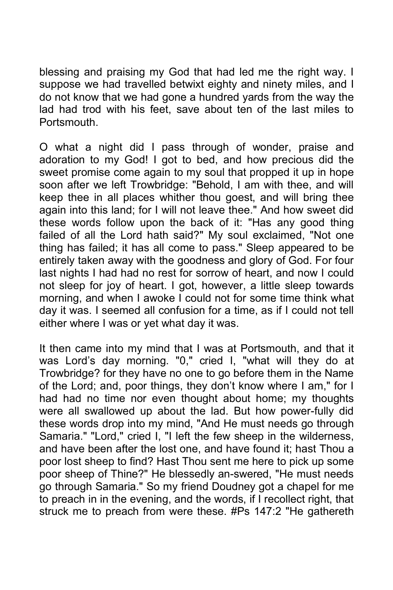blessing and praising my God that had led me the right way. I suppose we had travelled betwixt eighty and ninety miles, and I do not know that we had gone a hundred yards from the way the lad had trod with his feet, save about ten of the last miles to **Portsmouth** 

O what a night did I pass through of wonder, praise and adoration to my God! I got to bed, and how precious did the sweet promise come again to my soul that propped it up in hope soon after we left Trowbridge: "Behold, I am with thee, and will keep thee in all places whither thou goest, and will bring thee again into this land; for I will not leave thee." And how sweet did these words follow upon the back of it: "Has any good thing failed of all the Lord hath said?" My soul exclaimed, "Not one thing has failed; it has all come to pass." Sleep appeared to be entirely taken away with the goodness and glory of God. For four last nights I had had no rest for sorrow of heart, and now I could not sleep for joy of heart. I got, however, a little sleep towards morning, and when I awoke I could not for some time think what day it was. I seemed all confusion for a time, as if I could not tell either where I was or yet what day it was.

It then came into my mind that I was at Portsmouth, and that it was Lord's day morning. "0," cried I, "what will they do at Trowbridge? for they have no one to go before them in the Name of the Lord; and, poor things, they don't know where I am," for I had had no time nor even thought about home; my thoughts were all swallowed up about the lad. But how power-fully did these words drop into my mind, "And He must needs go through Samaria." "Lord," cried I, "I left the few sheep in the wilderness, and have been after the lost one, and have found it; hast Thou a poor lost sheep to find? Hast Thou sent me here to pick up some poor sheep of Thine?" He blessedly an-swered, "He must needs go through Samaria." So my friend Doudney got a chapel for me to preach in in the evening, and the words, if I recollect right, that struck me to preach from were these. #Ps 147:2 "He gathereth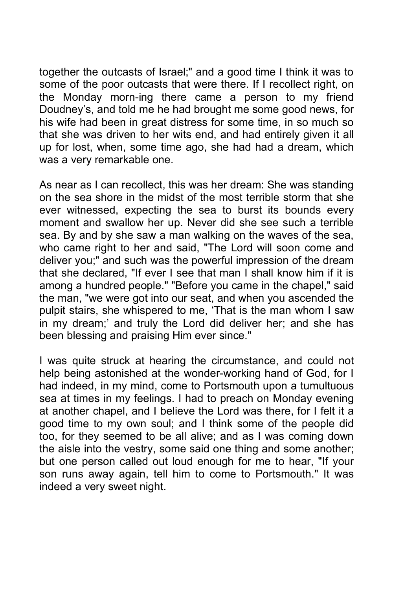together the outcasts of Israel;" and a good time I think it was to some of the poor outcasts that were there. If I recollect right, on the Monday morn-ing there came a person to my friend Doudney's, and told me he had brought me some good news, for his wife had been in great distress for some time, in so much so that she was driven to her wits end, and had entirely given it all up for lost, when, some time ago, she had had a dream, which was a very remarkable one.

As near as I can recollect, this was her dream: She was standing on the sea shore in the midst of the most terrible storm that she ever witnessed, expecting the sea to burst its bounds every moment and swallow her up. Never did she see such a terrible sea. By and by she saw a man walking on the waves of the sea, who came right to her and said, "The Lord will soon come and deliver you;" and such was the powerful impression of the dream that she declared, "If ever I see that man I shall know him if it is among a hundred people." "Before you came in the chapel," said the man, "we were got into our seat, and when you ascended the pulpit stairs, she whispered to me, 'That is the man whom I saw in my dream;' and truly the Lord did deliver her; and she has been blessing and praising Him ever since."

I was quite struck at hearing the circumstance, and could not help being astonished at the wonder-working hand of God, for I had indeed, in my mind, come to Portsmouth upon a tumultuous sea at times in my feelings. I had to preach on Monday evening at another chapel, and I believe the Lord was there, for I felt it a good time to my own soul; and I think some of the people did too, for they seemed to be all alive; and as I was coming down the aisle into the vestry, some said one thing and some another; but one person called out loud enough for me to hear, "If your son runs away again, tell him to come to Portsmouth." It was indeed a very sweet night.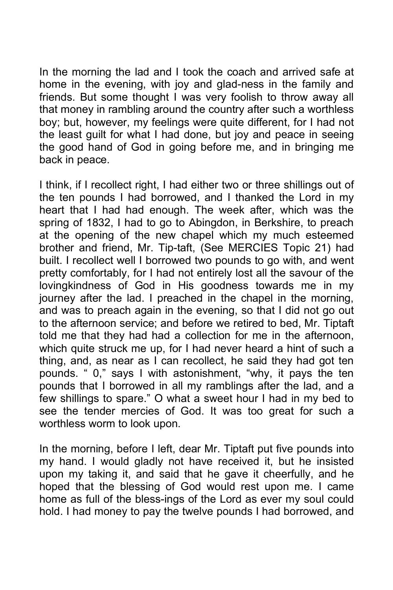In the morning the lad and I took the coach and arrived safe at home in the evening, with joy and glad-ness in the family and friends. But some thought I was very foolish to throw away all that money in rambling around the country after such a worthless boy; but, however, my feelings were quite different, for I had not the least guilt for what I had done, but joy and peace in seeing the good hand of God in going before me, and in bringing me back in peace.

I think, if I recollect right, I had either two or three shillings out of the ten pounds I had borrowed, and I thanked the Lord in my heart that I had had enough. The week after, which was the spring of 1832, I had to go to Abingdon, in Berkshire, to preach at the opening of the new chapel which my much esteemed brother and friend, Mr. Tip-taft, (See MERCIES Topic 21) had built. I recollect well I borrowed two pounds to go with, and went pretty comfortably, for I had not entirely lost all the savour of the lovingkindness of God in His goodness towards me in my journey after the lad. I preached in the chapel in the morning, and was to preach again in the evening, so that I did not go out to the afternoon service; and before we retired to bed, Mr. Tiptaft told me that they had had a collection for me in the afternoon, which quite struck me up, for I had never heard a hint of such a thing, and, as near as I can recollect, he said they had got ten pounds. " 0," says I with astonishment, "why, it pays the ten pounds that I borrowed in all my ramblings after the lad, and a few shillings to spare." O what a sweet hour I had in my bed to see the tender mercies of God. It was too great for such a worthless worm to look upon.

In the morning, before I left, dear Mr. Tiptaft put five pounds into my hand. I would gladly not have received it, but he insisted upon my taking it, and said that he gave it cheerfully, and he hoped that the blessing of God would rest upon me. I came home as full of the bless-ings of the Lord as ever my soul could hold. I had money to pay the twelve pounds I had borrowed, and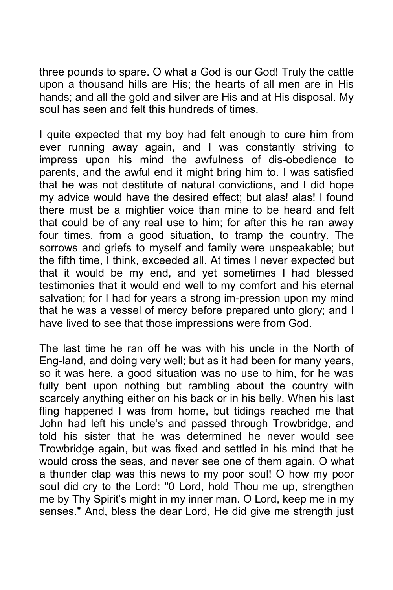three pounds to spare. O what a God is our God! Truly the cattle upon a thousand hills are His; the hearts of all men are in His hands; and all the gold and silver are His and at His disposal. My soul has seen and felt this hundreds of times.

I quite expected that my boy had felt enough to cure him from ever running away again, and I was constantly striving to impress upon his mind the awfulness of dis-obedience to parents, and the awful end it might bring him to. I was satisfied that he was not destitute of natural convictions, and I did hope my advice would have the desired effect; but alas! alas! I found there must be a mightier voice than mine to be heard and felt that could be of any real use to him; for after this he ran away four times, from a good situation, to tramp the country. The sorrows and griefs to myself and family were unspeakable; but the fifth time, I think, exceeded all. At times I never expected but that it would be my end, and yet sometimes I had blessed testimonies that it would end well to my comfort and his eternal salvation; for I had for years a strong im-pression upon my mind that he was a vessel of mercy before prepared unto glory; and I have lived to see that those impressions were from God.

The last time he ran off he was with his uncle in the North of Eng-land, and doing very well; but as it had been for many years, so it was here, a good situation was no use to him, for he was fully bent upon nothing but rambling about the country with scarcely anything either on his back or in his belly. When his last fling happened I was from home, but tidings reached me that John had left his uncle's and passed through Trowbridge, and told his sister that he was determined he never would see Trowbridge again, but was fixed and settled in his mind that he would cross the seas, and never see one of them again. O what a thunder clap was this news to my poor soul! O how my poor soul did cry to the Lord: "0 Lord, hold Thou me up, strengthen me by Thy Spirit's might in my inner man. O Lord, keep me in my senses." And, bless the dear Lord, He did give me strength just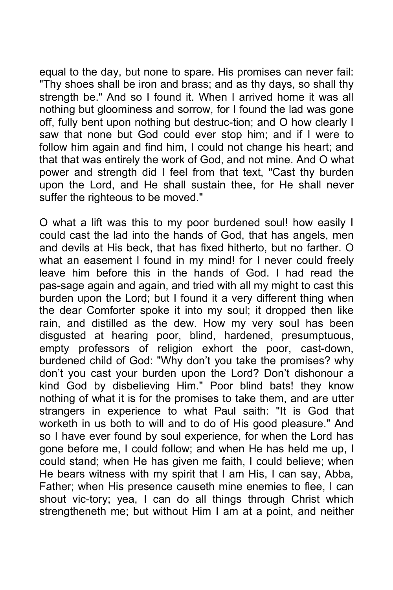equal to the day, but none to spare. His promises can never fail: "Thy shoes shall be iron and brass; and as thy days, so shall thy strength be." And so I found it. When I arrived home it was all nothing but gloominess and sorrow, for I found the lad was gone off, fully bent upon nothing but destruc-tion; and O how clearly I saw that none but God could ever stop him; and if I were to follow him again and find him, I could not change his heart; and that that was entirely the work of God, and not mine. And O what power and strength did I feel from that text, "Cast thy burden upon the Lord, and He shall sustain thee, for He shall never suffer the righteous to be moved."

O what a lift was this to my poor burdened soul! how easily I could cast the lad into the hands of God, that has angels, men and devils at His beck, that has fixed hitherto, but no farther. O what an easement I found in my mind! for I never could freely leave him before this in the hands of God. I had read the pas-sage again and again, and tried with all my might to cast this burden upon the Lord; but I found it a very different thing when the dear Comforter spoke it into my soul; it dropped then like rain, and distilled as the dew. How my very soul has been disgusted at hearing poor, blind, hardened, presumptuous, empty professors of religion exhort the poor, cast-down, burdened child of God: "Why don't you take the promises? why don't you cast your burden upon the Lord? Don't dishonour a kind God by disbelieving Him." Poor blind bats! they know nothing of what it is for the promises to take them, and are utter strangers in experience to what Paul saith: "It is God that worketh in us both to will and to do of His good pleasure." And so I have ever found by soul experience, for when the Lord has gone before me, I could follow; and when He has held me up, I could stand; when He has given me faith, I could believe; when He bears witness with my spirit that I am His, I can say, Abba, Father; when His presence causeth mine enemies to flee, I can shout vic-tory; yea, I can do all things through Christ which strengtheneth me; but without Him I am at a point, and neither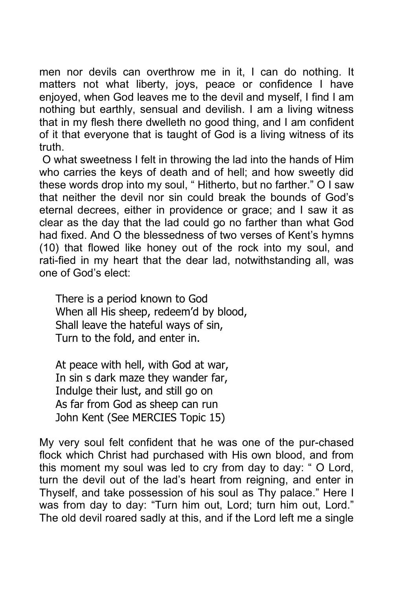men nor devils can overthrow me in it, I can do nothing. It matters not what liberty, joys, peace or confidence I have enjoyed, when God leaves me to the devil and myself, I find I am nothing but earthly, sensual and devilish. I am a living witness that in my flesh there dwelleth no good thing, and I am confident of it that everyone that is taught of God is a living witness of its truth.

 O what sweetness I felt in throwing the lad into the hands of Him who carries the keys of death and of hell; and how sweetly did these words drop into my soul, " Hitherto, but no farther." O I saw that neither the devil nor sin could break the bounds of God's eternal decrees, either in providence or grace; and I saw it as clear as the day that the lad could go no farther than what God had fixed. And O the blessedness of two verses of Kent's hymns (10) that flowed like honey out of the rock into my soul, and rati-fied in my heart that the dear lad, notwithstanding all, was one of God's elect:

There is a period known to God When all His sheep, redeem'd by blood, Shall leave the hateful ways of sin, Turn to the fold, and enter in.

At peace with hell, with God at war, In sin s dark maze they wander far, Indulge their lust, and still go on As far from God as sheep can run John Kent (See MERCIES Topic 15)

My very soul felt confident that he was one of the pur-chased flock which Christ had purchased with His own blood, and from this moment my soul was led to cry from day to day: " O Lord, turn the devil out of the lad's heart from reigning, and enter in Thyself, and take possession of his soul as Thy palace." Here I was from day to day: "Turn him out, Lord; turn him out, Lord." The old devil roared sadly at this, and if the Lord left me a single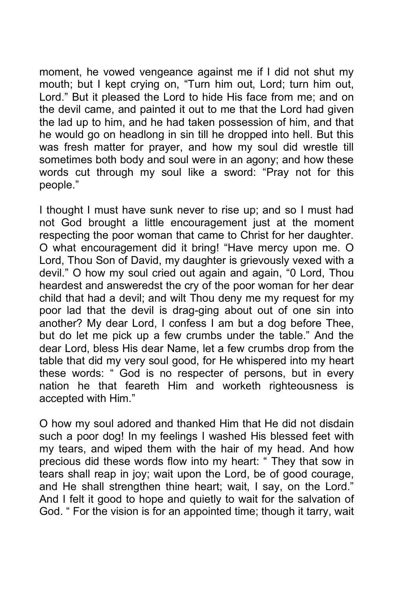moment, he vowed vengeance against me if I did not shut my montens, it is the crying on, "Turn him out, Lord; turn him out, Lord." But it pleased the Lord to hide His face from me; and on the devil came, and painted it out to me that the Lord had given the lad up to him, and he had taken possession of him, and that he would go on headlong in sin till he dropped into hell. But this was fresh matter for prayer, and how my soul did wrestle till sometimes both body and soul were in an agony; and how these words cut through my soul like a sword: "Pray not for this people."

I thought I must have sunk never to rise up; and so I must had not God brought a little encouragement just at the moment respecting the poor woman that came to Christ for her daughter. O what encouragement did it bring! "Have mercy upon me. O Lord, Thou Son of David, my daughter is grievously vexed with a devil." O how my soul cried out again and again, "0 Lord, Thou heardest and answeredst the cry of the poor woman for her dear child that had a devil; and wilt Thou deny me my request for my poor lad that the devil is drag-ging about out of one sin into another? My dear Lord, I confess I am but a dog before Thee, but do let me pick up a few crumbs under the table." And the dear Lord, bless His dear Name, let a few crumbs drop from the table that did my very soul good, for He whispered into my heart these words: " God is no respecter of persons, but in every nation he that feareth Him and worketh righteousness is accepted with Him."

O how my soul adored and thanked Him that He did not disdain such a poor dog! In my feelings I washed His blessed feet with my tears, and wiped them with the hair of my head. And how precious did these words flow into my heart: " They that sow in tears shall reap in joy; wait upon the Lord, be of good courage, and He shall strengthen thine heart; wait, I say, on the Lord." And I felt it good to hope and quietly to wait for the salvation of God. " For the vision is for an appointed time; though it tarry, wait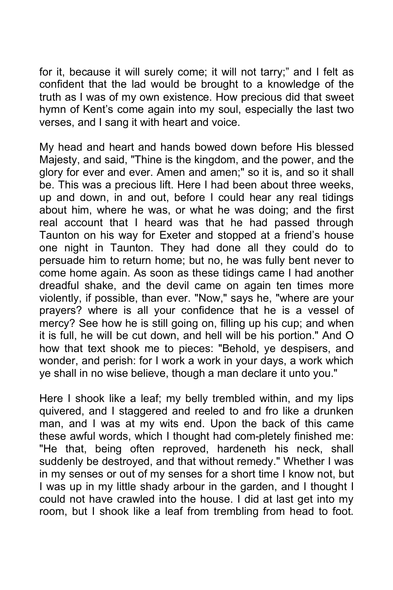for it, because it will surely come; it will not tarry;" and I felt as confident that the lad would be brought to a knowledge of the truth as I was of my own existence. How precious did that sweet hymn of Kent's come again into my soul, especially the last two verses, and I sang it with heart and voice.

My head and heart and hands bowed down before His blessed Majesty, and said, "Thine is the kingdom, and the power, and the glory for ever and ever. Amen and amen;" so it is, and so it shall be. This was a precious lift. Here I had been about three weeks, up and down, in and out, before I could hear any real tidings about him, where he was, or what he was doing; and the first real account that I heard was that he had passed through Taunton on his way for Exeter and stopped at a friend's house one night in Taunton. They had done all they could do to persuade him to return home; but no, he was fully bent never to come home again. As soon as these tidings came I had another dreadful shake, and the devil came on again ten times more violently, if possible, than ever. "Now," says he, "where are your prayers? where is all your confidence that he is a vessel of mercy? See how he is still going on, filling up his cup; and when it is full, he wilI be cut down, and hell will be his portion." And O how that text shook me to pieces: "Behold, ye despisers, and wonder, and perish: for I work a work in your days, a work which ye shall in no wise believe, though a man declare it unto you."

Here I shook like a leaf; my belly trembled within, and my lips quivered, and I staggered and reeled to and fro like a drunken man, and I was at my wits end. Upon the back of this came these awful words, which I thought had com-pletely finished me: "He that, being often reproved, hardeneth his neck, shall suddenly be destroyed, and that without remedy." Whether I was in my senses or out of my senses for a short time I know not, but I was up in my little shady arbour in the garden, and I thought I could not have crawled into the house. I did at last get into my room, but I shook like a leaf from trembling from head to foot.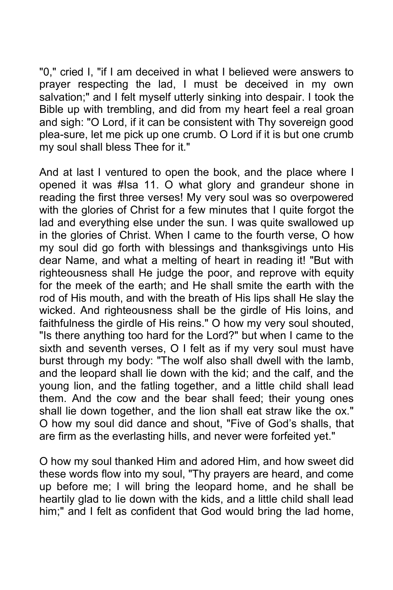"0," cried I, "if I am deceived in what I believed were answers to prayer respecting the lad, I must be deceived in my own salvation;" and I felt myself utterly sinking into despair. I took the Bible up with trembling, and did from my heart feel a real groan and sigh: "O Lord, if it can be consistent with Thy sovereign good plea-sure, let me pick up one crumb. O Lord if it is but one crumb my soul shall bless Thee for it."

And at last I ventured to open the book, and the place where I opened it was #Isa 11. O what glory and grandeur shone in reading the first three verses! My very soul was so overpowered with the glories of Christ for a few minutes that I quite forgot the lad and everything else under the sun. I was quite swallowed up in the glories of Christ. When I came to the fourth verse, O how my soul did go forth with blessings and thanksgivings unto His dear Name, and what a melting of heart in reading it! "But with righteousness shall He judge the poor, and reprove with equity for the meek of the earth; and He shall smite the earth with the rod of His mouth, and with the breath of His lips shall He slay the wicked. And righteousness shall be the girdle of His loins, and faithfulness the girdle of His reins." O how my very soul shouted, "Is there anything too hard for the Lord?" but when I came to the sixth and seventh verses, O I felt as if my very soul must have burst through my body: "The wolf also shall dwell with the lamb, and the leopard shall lie down with the kid; and the calf, and the young lion, and the fatling together, and a little child shall lead them. And the cow and the bear shall feed; their young ones shall lie down together, and the lion shall eat straw like the ox." O how my soul did dance and shout, "Five of God's shalls, that are firm as the everlasting hills, and never were forfeited yet."

O how my soul thanked Him and adored Him, and how sweet did these words flow into my soul, "Thy prayers are heard, and come up before me; I will bring the leopard home, and he shall be heartily glad to lie down with the kids, and a little child shall lead him;" and I felt as confident that God would bring the lad home,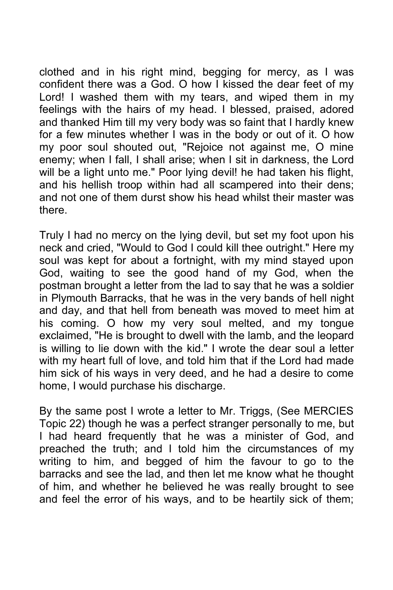clothed and in his right mind, begging for mercy, as I was confident there was a God. O how I kissed the dear feet of my Lord! I washed them with my tears, and wiped them in my feelings with the hairs of my head. I blessed, praised, adored and thanked Him till my very body was so faint that I hardly knew for a few minutes whether I was in the body or out of it. O how my poor soul shouted out, "Rejoice not against me, O mine enemy; when I fall, I shall arise; when I sit in darkness, the Lord will be a light unto me." Poor lying devil! he had taken his flight, and his hellish troop within had all scampered into their dens; and not one of them durst show his head whilst their master was there.

Truly I had no mercy on the lying devil, but set my foot upon his neck and cried, "Would to God I could kill thee outright." Here my soul was kept for about a fortnight, with my mind stayed upon God, waiting to see the good hand of my God, when the postman brought a letter from the lad to say that he was a soldier in Plymouth Barracks, that he was in the very bands of hell night and day, and that hell from beneath was moved to meet him at his coming. O how my very soul melted, and my tongue exclaimed, "He is brought to dwell with the lamb, and the leopard is willing to lie down with the kid." I wrote the dear soul a letter with my heart full of love, and told him that if the Lord had made him sick of his ways in very deed, and he had a desire to come home, I would purchase his discharge.

By the same post I wrote a letter to Mr. Triggs, (See MERCIES Topic 22) though he was a perfect stranger personally to me, but I had heard frequently that he was a minister of God, and preached the truth; and I told him the circumstances of my writing to him, and begged of him the favour to go to the barracks and see the lad, and then let me know what he thought of him, and whether he believed he was really brought to see and feel the error of his ways, and to be heartily sick of them;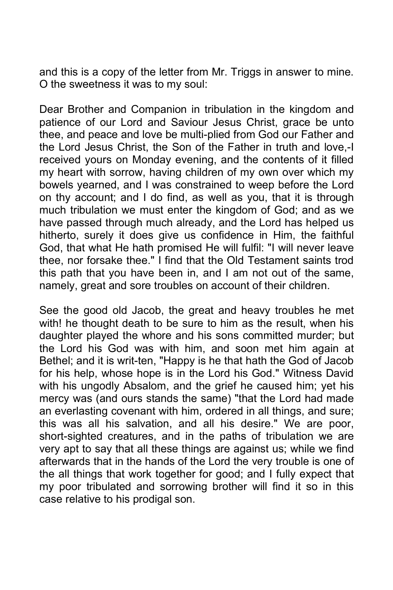and this is a copy of the letter from Mr. Triggs in answer to mine. O the sweetness it was to my soul:

Dear Brother and Companion in tribulation in the kingdom and patience of our Lord and Saviour Jesus Christ, grace be unto thee, and peace and love be multi-plied from God our Father and the Lord Jesus Christ, the Son of the Father in truth and love,-I received yours on Monday evening, and the contents of it filled my heart with sorrow, having children of my own over which my bowels yearned, and I was constrained to weep before the Lord on thy account; and I do find, as well as you, that it is through much tribulation we must enter the kingdom of God; and as we have passed through much already, and the Lord has helped us hitherto, surely it does give us confidence in Him, the faithful God, that what He hath promised He will fulfil: "I will never leave thee, nor forsake thee." I find that the Old Testament saints trod this path that you have been in, and I am not out of the same, namely, great and sore troubles on account of their children.

See the good old Jacob, the great and heavy troubles he met with! he thought death to be sure to him as the result, when his daughter played the whore and his sons committed murder; but the Lord his God was with him, and soon met him again at Bethel; and it is writ-ten, "Happy is he that hath the God of Jacob for his help, whose hope is in the Lord his God." Witness David with his ungodly Absalom, and the grief he caused him; yet his mercy was (and ours stands the same) "that the Lord had made an everlasting covenant with him, ordered in all things, and sure; this was all his salvation, and all his desire." We are poor, short-sighted creatures, and in the paths of tribulation we are very apt to say that all these things are against us; while we find afterwards that in the hands of the Lord the very trouble is one of the all things that work together for good; and I fully expect that my poor tribulated and sorrowing brother will find it so in this case relative to his prodigal son.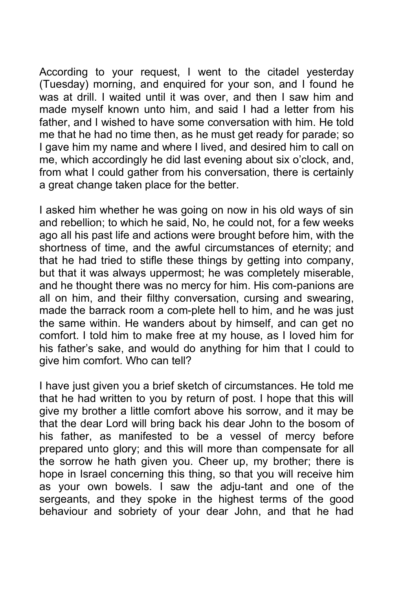According to your request, I went to the citadel yesterday (Tuesday) morning, and enquired for your son, and I found he was at drill. I waited until it was over, and then I saw him and made myself known unto him, and said I had a letter from his father, and I wished to have some conversation with him. He told me that he had no time then, as he must get ready for parade; so I gave him my name and where I lived, and desired him to call on me, which accordingly he did last evening about six o'clock, and, from what I could gather from his conversation, there is certainly a great change taken place for the better.

I asked him whether he was going on now in his old ways of sin and rebellion; to which he said, No, he could not, for a few weeks ago all his past life and actions were brought before him, with the shortness of time, and the awful circumstances of eternity; and that he had tried to stifle these things by getting into company, but that it was always uppermost; he was completely miserable, and he thought there was no mercy for him. His com-panions are all on him, and their filthy conversation, cursing and swearing, made the barrack room a com-plete hell to him, and he was just the same within. He wanders about by himself, and can get no comfort. I told him to make free at my house, as I loved him for his father's sake, and would do anything for him that I could to give him comfort. Who can tell?

I have just given you a brief sketch of circumstances. He told me that he had written to you by return of post. I hope that this will give my brother a little comfort above his sorrow, and it may be that the dear Lord will bring back his dear John to the bosom of his father, as manifested to be a vessel of mercy before prepared unto glory; and this will more than compensate for all the sorrow he hath given you. Cheer up, my brother; there is hope in Israel concerning this thing, so that you will receive him as your own bowels. I saw the adju-tant and one of the sergeants, and they spoke in the highest terms of the good behaviour and sobriety of your dear John, and that he had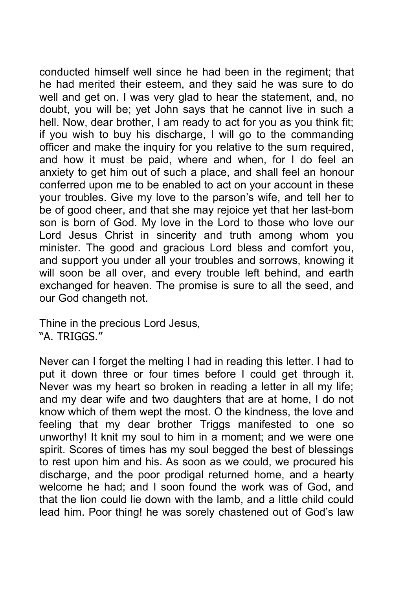conducted himself well since he had been in the regiment; that he had merited their esteem, and they said he was sure to do well and get on. I was very glad to hear the statement, and, no doubt, you will be; yet John says that he cannot live in such a hell. Now, dear brother, I am ready to act for you as you think fit; if you wish to buy his discharge, I will go to the commanding officer and make the inquiry for you relative to the sum required, and how it must be paid, where and when, for I do feel an anxiety to get him out of such a place, and shall feel an honour conferred upon me to be enabled to act on your account in these your troubles. Give my love to the parson's wife, and tell her to be of good cheer, and that she may rejoice yet that her last-born son is born of God. My love in the Lord to those who love our Lord Jesus Christ in sincerity and truth among whom you minister. The good and gracious Lord bless and comfort you, and support you under all your troubles and sorrows, knowing it will soon be all over, and every trouble left behind, and earth exchanged for heaven. The promise is sure to all the seed, and our God changeth not.

Thine in the precious Lord Jesus, "A. TRIGGS."

Never can I forget the melting I had in reading this letter. I had to put it down three or four times before I could get through it. Never was my heart so broken in reading a letter in all my life; and my dear wife and two daughters that are at home, I do not know which of them wept the most. O the kindness, the love and feeling that my dear brother Triggs manifested to one so unworthy! It knit my soul to him in a moment; and we were one spirit. Scores of times has my soul begged the best of blessings to rest upon him and his. As soon as we could, we procured his discharge, and the poor prodigal returned home, and a hearty welcome he had; and I soon found the work was of God, and that the lion could lie down with the lamb, and a little child could lead him. Poor thing! he was sorely chastened out of God's law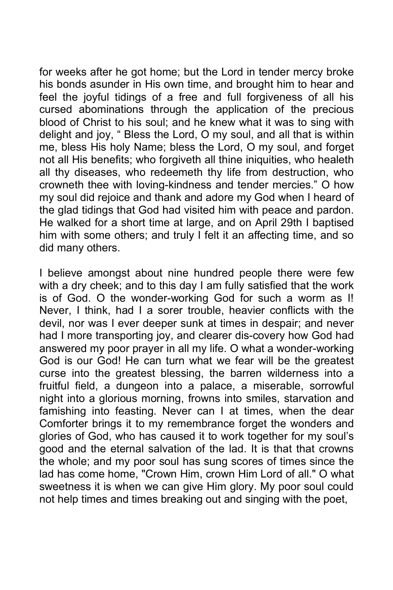for weeks after he got home; but the Lord in tender mercy broke his bonds asunder in His own time, and brought him to hear and feel the joyful tidings of a free and full forgiveness of all his cursed abominations through the application of the precious blood of Christ to his soul; and he knew what it was to sing with delight and joy, " Bless the Lord, O my soul, and all that is within me, bless His holy Name; bless the Lord, O my soul, and forget not all His benefits; who forgiveth all thine iniquities, who healeth all thy diseases, who redeemeth thy life from destruction, who crowneth thee with loving-kindness and tender mercies." O how my soul did rejoice and thank and adore my God when I heard of the glad tidings that God had visited him with peace and pardon. He walked for a short time at large, and on April 29th I baptised him with some others; and truly I felt it an affecting time, and so did many others.

I believe amongst about nine hundred people there were few with a dry cheek; and to this day I am fully satisfied that the work is of God. O the wonder-working God for such a worm as I! Never, I think, had I a sorer trouble, heavier conflicts with the devil, nor was I ever deeper sunk at times in despair; and never had I more transporting joy, and clearer dis-covery how God had answered my poor prayer in all my life. O what a wonder-working God is our God! He can turn what we fear will be the greatest curse into the greatest blessing, the barren wilderness into a fruitful field, a dungeon into a palace, a miserable, sorrowful night into a glorious morning, frowns into smiles, starvation and famishing into feasting. Never can I at times, when the dear Comforter brings it to my remembrance forget the wonders and glories of God, who has caused it to work together for my soul's good and the eternal salvation of the lad. It is that that crowns the whole; and my poor soul has sung scores of times since the lad has come home, "Crown Him, crown Him Lord of all." O what sweetness it is when we can give Him glory. My poor soul could not help times and times breaking out and singing with the poet,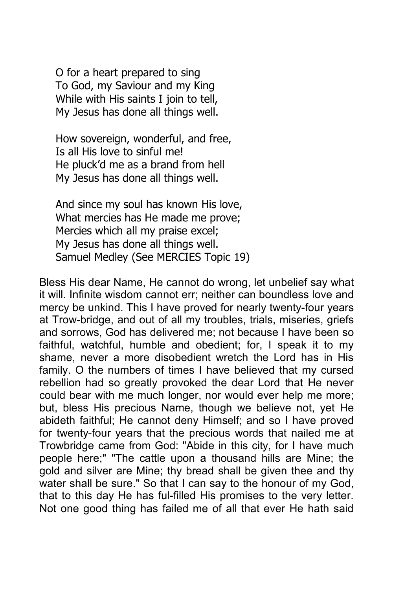O for a heart prepared to sing To God, my Saviour and my King While with His saints I join to tell, My Jesus has done all things well.

How sovereign, wonderful, and free, Is all His love to sinful me! He pluck'd me as a brand from hell My Jesus has done all things well.

And since my soul has known His love, What mercies has He made me prove; Mercies which all my praise excel; My Jesus has done all things well. Samuel Medley (See MERCIES Topic 19)

Bless His dear Name, He cannot do wrong, let unbelief say what it will. Infinite wisdom cannot err; neither can boundless love and mercy be unkind. This I have proved for nearly twenty-four years at Trow-bridge, and out of all my troubles, trials, miseries, griefs and sorrows, God has delivered me; not because I have been so faithful, watchful, humble and obedient; for, I speak it to my shame, never a more disobedient wretch the Lord has in His family. O the numbers of times I have believed that my cursed rebellion had so greatly provoked the dear Lord that He never could bear with me much longer, nor would ever help me more; but, bless His precious Name, though we believe not, yet He abideth faithful; He cannot deny Himself; and so I have proved for twenty-four years that the precious words that nailed me at Trowbridge came from God: "Abide in this city, for I have much people here;" "The cattle upon a thousand hills are Mine; the gold and silver are Mine; thy bread shall be given thee and thy water shall be sure." So that I can say to the honour of my God, that to this day He has ful-filled His promises to the very letter. Not one good thing has failed me of all that ever He hath said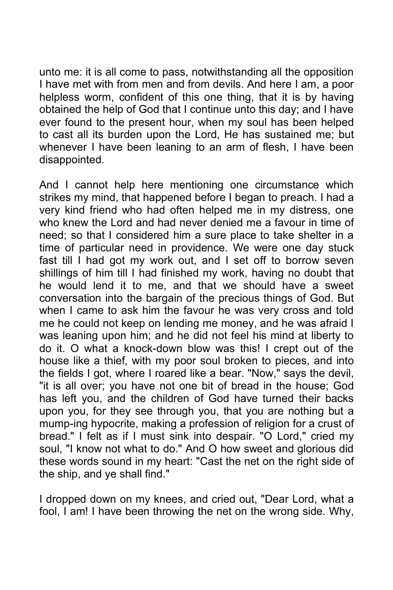unto me: it is all come to pass, notwithstanding all the opposition I have met with from men and from devils. And here I am, a poor helpless worm, confident of this one thing, that it is by having obtained the help of God that I continue unto this day; and I have ever found to the present hour, when my soul has been helped to cast all its burden upon the Lord, He has sustained me; but whenever I have been leaning to an arm of flesh, I have been disappointed.

And I cannot help here mentioning one circumstance which strikes my mind, that happened before I began to preach. I had a very kind friend who had often helped me in my distress, one who knew the Lord and had never denied me a favour in time of need; so that I considered him a sure place to take shelter in a time of particular need in providence. We were one day stuck fast till I had got my work out, and I set off to borrow seven shillings of him till I had finished my work, having no doubt that he would lend it to me, and that we should have a sweet conversation into the bargain of the precious things of God. But when I came to ask him the favour he was very cross and told me he could not keep on lending me money, and he was afraid I was leaning upon him; and he did not feel his mind at liberty to do it. O what a knock-down blow was this! I crept out of the house like a thief, with my poor soul broken to pieces, and into the fields I got, where I roared like a bear. "Now," says the devil, "it is all over; you have not one bit of bread in the house; God has left you, and the children of God have turned their backs upon you, for they see through you, that you are nothing but a mump-ing hypocrite, making a profession of religion for a crust of bread." I felt as if I must sink into despair. "O Lord," cried my soul, "I know not what to do." And O how sweet and glorious did these words sound in my heart: "Cast the net on the right side of the ship, and ye shall find."

I dropped down on my knees, and cried out, "Dear Lord, what a fool, I am! I have been throwing the net on the wrong side. Why,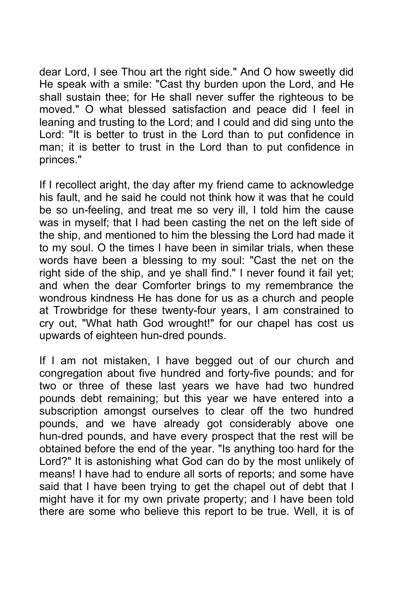dear Lord, I see Thou art the right side." And O how sweetly did He speak with a smile: "Cast thy burden upon the Lord, and He shall sustain thee; for He shall never suffer the righteous to be moved." O what blessed satisfaction and peace did I feel in leaning and trusting to the Lord; and I could and did sing unto the Lord: "It is better to trust in the Lord than to put confidence in man; it is better to trust in the Lord than to put confidence in princes."

If I recollect aright, the day after my friend came to acknowledge his fault, and he said he could not think how it was that he could be so un-feeling, and treat me so very ill, I told him the cause was in myself; that I had been casting the net on the left side of the ship, and mentioned to him the blessing the Lord had made it to my soul. O the times I have been in similar trials, when these words have been a blessing to my soul: "Cast the net on the right side of the ship, and ye shall find." I never found it fail yet; and when the dear Comforter brings to my remembrance the wondrous kindness He has done for us as a church and people at Trowbridge for these twenty-four years, I am constrained to cry out, "What hath God wrought!" for our chapel has cost us upwards of eighteen hun-dred pounds.

If I am not mistaken, I have begged out of our church and congregation about five hundred and forty-five pounds; and for two or three of these last years we have had two hundred pounds debt remaining; but this year we have entered into a subscription amongst ourselves to clear off the two hundred pounds, and we have already got considerably above one hun-dred pounds, and have every prospect that the rest will be obtained before the end of the year. "Is anything too hard for the Lord?" It is astonishing what God can do by the most unlikely of means! I have had to endure all sorts of reports; and some have said that I have been trying to get the chapel out of debt that I might have it for my own private property; and I have been told there are some who believe this report to be true. Well, it is of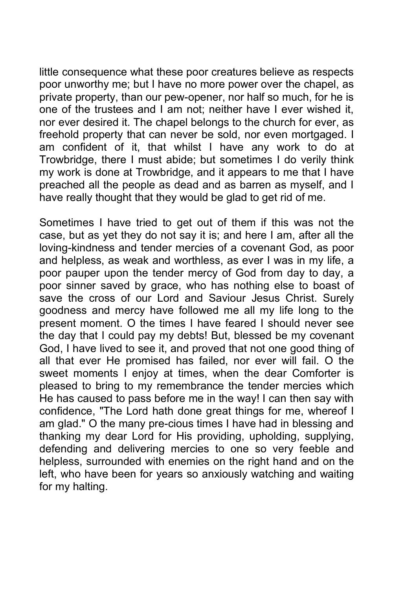little consequence what these poor creatures believe as respects poor unworthy me; but I have no more power over the chapel, as private property, than our pew-opener, nor half so much, for he is one of the trustees and I am not; neither have I ever wished it, nor ever desired it. The chapel belongs to the church for ever, as freehold property that can never be sold, nor even mortgaged. I am confident of it, that whilst I have any work to do at Trowbridge, there I must abide; but sometimes I do verily think my work is done at Trowbridge, and it appears to me that I have preached all the people as dead and as barren as myself, and I have really thought that they would be glad to get rid of me.

Sometimes I have tried to get out of them if this was not the case, but as yet they do not say it is; and here I am, after all the loving-kindness and tender mercies of a covenant God, as poor and helpless, as weak and worthless, as ever I was in my life, a poor pauper upon the tender mercy of God from day to day, a poor sinner saved by grace, who has nothing else to boast of save the cross of our Lord and Saviour Jesus Christ. Surely goodness and mercy have followed me all my life long to the present moment. O the times I have feared I should never see the day that I could pay my debts! But, blessed be my covenant God, I have lived to see it, and proved that not one good thing of all that ever He promised has failed, nor ever will fail. O the sweet moments I enjoy at times, when the dear Comforter is pleased to bring to my remembrance the tender mercies which He has caused to pass before me in the way! I can then say with confidence, "The Lord hath done great things for me, whereof I am glad." O the many pre-cious times I have had in blessing and thanking my dear Lord for His providing, upholding, supplying, defending and delivering mercies to one so very feeble and helpless, surrounded with enemies on the right hand and on the left, who have been for years so anxiously watching and waiting for my halting.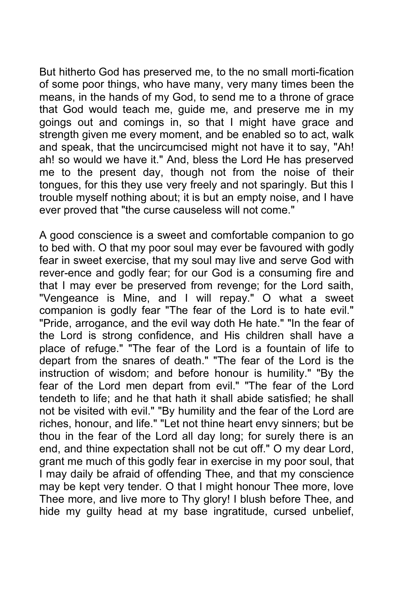But hitherto God has preserved me, to the no small morti-fication of some poor things, who have many, very many times been the means, in the hands of my God, to send me to a throne of grace that God would teach me, guide me, and preserve me in my goings out and comings in, so that I might have grace and strength given me every moment, and be enabled so to act, walk and speak, that the uncircumcised might not have it to say, "Ah! ah! so would we have it." And, bless the Lord He has preserved me to the present day, though not from the noise of their tongues, for this they use very freely and not sparingly. But this I trouble myself nothing about; it is but an empty noise, and I have ever proved that "the curse causeless will not come."

A good conscience is a sweet and comfortable companion to go to bed with. O that my poor soul may ever be favoured with godly fear in sweet exercise, that my soul may live and serve God with rever-ence and godly fear; for our God is a consuming fire and that I may ever be preserved from revenge; for the Lord saith, "Vengeance is Mine, and I will repay." O what a sweet companion is godly fear "The fear of the Lord is to hate evil." "Pride, arrogance, and the evil way doth He hate." "In the fear of the Lord is strong confidence, and His children shall have a place of refuge." "The fear of the Lord is a fountain of life to depart from the snares of death." "The fear of the Lord is the instruction of wisdom; and before honour is humility." "By the fear of the Lord men depart from evil." "The fear of the Lord tendeth to life; and he that hath it shall abide satisfied; he shall not be visited with evil." "By humility and the fear of the Lord are riches, honour, and life." "Let not thine heart envy sinners; but be thou in the fear of the Lord all day long; for surely there is an end, and thine expectation shall not be cut off." O my dear Lord, grant me much of this godly fear in exercise in my poor soul, that I may daily be afraid of offending Thee, and that my conscience may be kept very tender. O that I might honour Thee more, love Thee more, and live more to Thy glory! I blush before Thee, and hide my guilty head at my base ingratitude, cursed unbelief,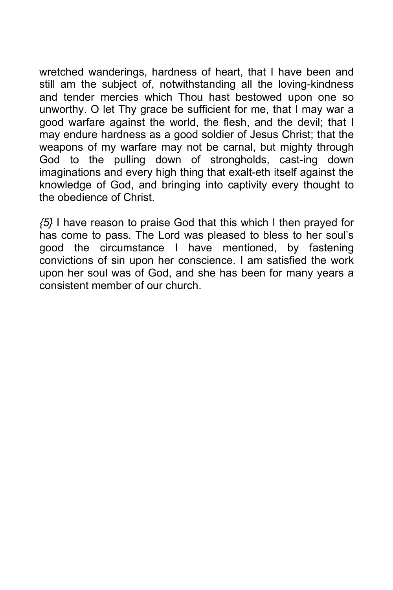wretched wanderings, hardness of heart, that I have been and still am the subject of, notwithstanding all the loving-kindness and tender mercies which Thou hast bestowed upon one so unworthy. O let Thy grace be sufficient for me, that I may war a good warfare against the world, the flesh, and the devil; that I may endure hardness as a good soldier of Jesus Christ; that the weapons of my warfare may not be carnal, but mighty through God to the pulling down of strongholds, cast-ing down imaginations and every high thing that exalt-eth itself against the knowledge of God, and bringing into captivity every thought to the obedience of Christ.

*{5}* I have reason to praise God that this which I then prayed for has come to pass. The Lord was pleased to bless to her soul's good the circumstance I have mentioned, by fastening convictions of sin upon her conscience. I am satisfied the work upon her soul was of God, and she has been for many years a consistent member of our church.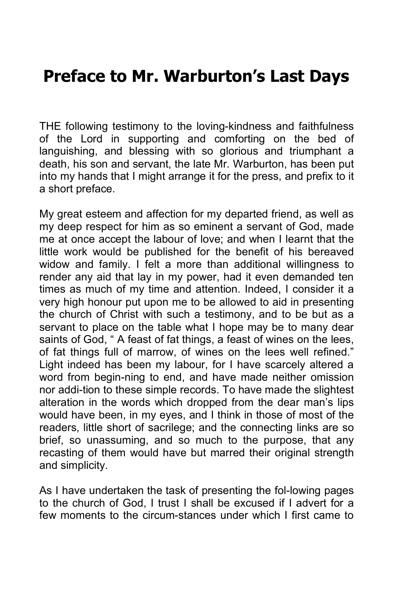## **Preface to Mr. Warburton's Last Days**

THE following testimony to the loving-kindness and faithfulness of the Lord in supporting and comforting on the bed of languishing, and blessing with so glorious and triumphant a death, his son and servant, the late Mr. Warburton, has been put into my hands that I might arrange it for the press, and prefix to it a short preface.

My great esteem and affection for my departed friend, as well as my deep respect for him as so eminent a servant of God, made me at once accept the labour of love; and when I learnt that the little work would be published for the benefit of his bereaved widow and family. I felt a more than additional willingness to render any aid that lay in my power, had it even demanded ten times as much of my time and attention. Indeed, I consider it a very high honour put upon me to be allowed to aid in presenting the church of Christ with such a testimony, and to be but as a servant to place on the table what I hope may be to many dear saints of God, " A feast of fat things, a feast of wines on the lees, of fat things full of marrow, of wines on the lees well refined." Light indeed has been my labour, for I have scarcely altered a word from begin-ning to end, and have made neither omission nor addi-tion to these simple records. To have made the slightest alteration in the words which dropped from the dear man's lips would have been, in my eyes, and I think in those of most of the readers, little short of sacrilege; and the connecting links are so brief, so unassuming, and so much to the purpose, that any recasting of them would have but marred their original strength and simplicity.

As I have undertaken the task of presenting the fol-lowing pages to the church of God, I trust I shall be excused if I advert for a few moments to the circum-stances under which I first came to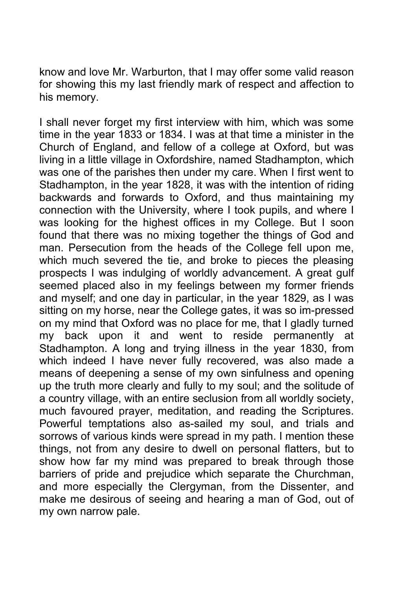know and love Mr. Warburton, that I may offer some valid reason for showing this my last friendly mark of respect and affection to his memory.

I shall never forget my first interview with him, which was some time in the year 1833 or 1834. I was at that time a minister in the Church of England, and fellow of a college at Oxford, but was living in a little village in Oxfordshire, named Stadhampton, which was one of the parishes then under my care. When I first went to Stadhampton, in the year 1828, it was with the intention of riding backwards and forwards to Oxford, and thus maintaining my connection with the University, where I took pupils, and where I was looking for the highest offices in my College. But I soon found that there was no mixing together the things of God and man. Persecution from the heads of the College fell upon me, which much severed the tie, and broke to pieces the pleasing prospects I was indulging of worldly advancement. A great gulf seemed placed also in my feelings between my former friends and myself; and one day in particular, in the year 1829, as I was sitting on my horse, near the College gates, it was so im-pressed on my mind that Oxford was no place for me, that I gladly turned my back upon it and went to reside permanently at Stadhampton. A long and trying illness in the year 1830, from which indeed I have never fully recovered, was also made a means of deepening a sense of my own sinfulness and opening up the truth more clearly and fully to my soul; and the solitude of a country village, with an entire seclusion from all worldly society, much favoured prayer, meditation, and reading the Scriptures. Powerful temptations also as-sailed my soul, and trials and sorrows of various kinds were spread in my path. I mention these things, not from any desire to dwell on personal flatters, but to show how far my mind was prepared to break through those barriers of pride and prejudice which separate the Churchman, and more especially the Clergyman, from the Dissenter, and make me desirous of seeing and hearing a man of God, out of my own narrow pale.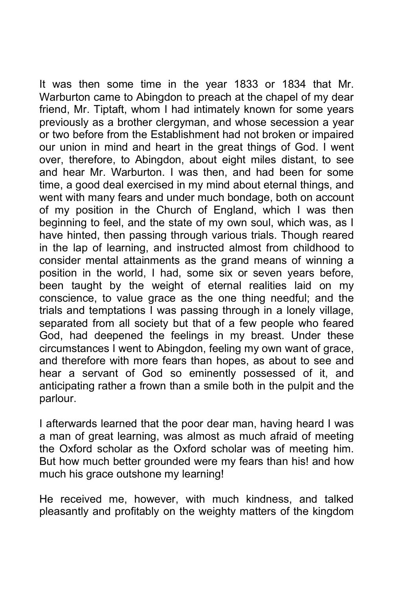It was then some time in the year 1833 or 1834 that Mr. Warburton came to Abingdon to preach at the chapel of my dear friend, Mr. Tiptaft, whom I had intimately known for some years previously as a brother clergyman, and whose secession a year or two before from the Establishment had not broken or impaired our union in mind and heart in the great things of God. I went over, therefore, to Abingdon, about eight miles distant, to see and hear Mr. Warburton. I was then, and had been for some time, a good deal exercised in my mind about eternal things, and went with many fears and under much bondage, both on account of my position in the Church of England, which I was then beginning to feel, and the state of my own soul, which was, as I have hinted, then passing through various trials. Though reared in the lap of learning, and instructed almost from childhood to consider mental attainments as the grand means of winning a position in the world, I had, some six or seven years before, been taught by the weight of eternal realities laid on my conscience, to value grace as the one thing needful; and the trials and temptations I was passing through in a lonely village, separated from all society but that of a few people who feared God, had deepened the feelings in my breast. Under these circumstances I went to Abingdon, feeling my own want of grace, and therefore with more fears than hopes, as about to see and hear a servant of God so eminently possessed of it, and anticipating rather a frown than a smile both in the pulpit and the parlour.

I afterwards learned that the poor dear man, having heard I was a man of great learning, was almost as much afraid of meeting the Oxford scholar as the Oxford scholar was of meeting him. But how much better grounded were my fears than his! and how much his grace outshone my learning!

He received me, however, with much kindness, and talked pleasantly and profitably on the weighty matters of the kingdom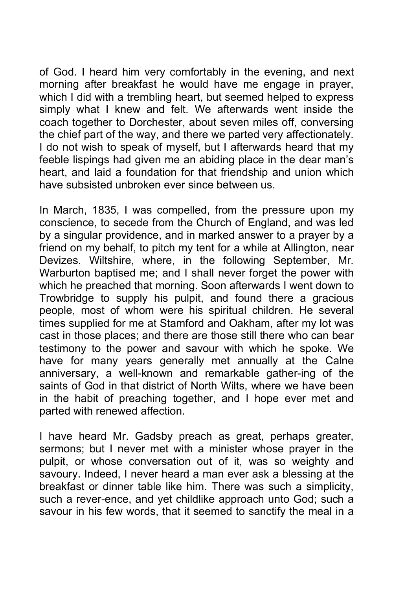of God. I heard him very comfortably in the evening, and next morning after breakfast he would have me engage in prayer, which I did with a trembling heart, but seemed helped to express simply what I knew and felt. We afterwards went inside the coach together to Dorchester, about seven miles off, conversing the chief part of the way, and there we parted very affectionately. I do not wish to speak of myself, but I afterwards heard that my feeble lispings had given me an abiding place in the dear man's heart, and laid a foundation for that friendship and union which have subsisted unbroken ever since between us.

In March, 1835, I was compelled, from the pressure upon my conscience, to secede from the Church of England, and was led by a singular providence, and in marked answer to a prayer by a friend on my behalf, to pitch my tent for a while at Allington, near Devizes. Wiltshire, where, in the following September, Mr. Warburton baptised me; and I shall never forget the power with which he preached that morning. Soon afterwards I went down to Trowbridge to supply his pulpit, and found there a gracious people, most of whom were his spiritual children. He several times supplied for me at Stamford and Oakham, after my lot was cast in those places; and there are those still there who can bear testimony to the power and savour with which he spoke. We have for many years generally met annually at the Calne anniversary, a well-known and remarkable gather-ing of the saints of God in that district of North Wilts, where we have been in the habit of preaching together, and I hope ever met and parted with renewed affection.

I have heard Mr. Gadsby preach as great, perhaps greater, sermons; but I never met with a minister whose prayer in the pulpit, or whose conversation out of it, was so weighty and savoury. Indeed, I never heard a man ever ask a blessing at the breakfast or dinner table like him. There was such a simplicity, such a rever-ence, and yet childlike approach unto God; such a savour in his few words, that it seemed to sanctify the meal in a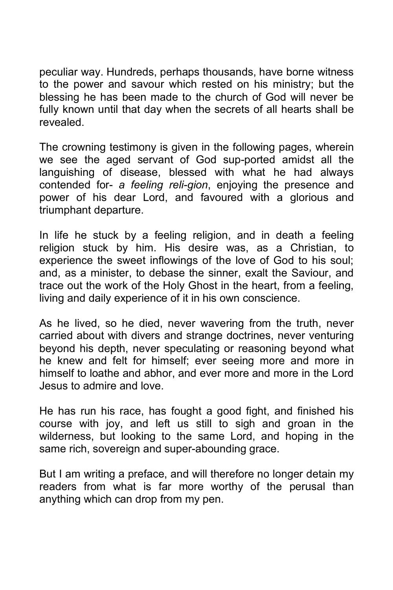peculiar way. Hundreds, perhaps thousands, have borne witness to the power and savour which rested on his ministry; but the blessing he has been made to the church of God will never be fully known until that day when the secrets of all hearts shall be revealed.

The crowning testimony is given in the following pages, wherein we see the aged servant of God sup-ported amidst all the languishing of disease, blessed with what he had always contended for- *a feeling reli-gion*, enjoying the presence and power of his dear Lord, and favoured with a glorious and triumphant departure.

In life he stuck by a feeling religion, and in death a feeling religion stuck by him. His desire was, as a Christian, to experience the sweet inflowings of the love of God to his soul; and, as a minister, to debase the sinner, exalt the Saviour, and trace out the work of the Holy Ghost in the heart, from a feeling, living and daily experience of it in his own conscience.

As he lived, so he died, never wavering from the truth, never carried about with divers and strange doctrines, never venturing beyond his depth, never speculating or reasoning beyond what he knew and felt for himself; ever seeing more and more in himself to loathe and abhor, and ever more and more in the Lord Jesus to admire and love.

He has run his race, has fought a good fight, and finished his course with joy, and left us still to sigh and groan in the wilderness, but looking to the same Lord, and hoping in the same rich, sovereign and super-abounding grace.

But I am writing a preface, and will therefore no longer detain my readers from what is far more worthy of the perusal than anything which can drop from my pen.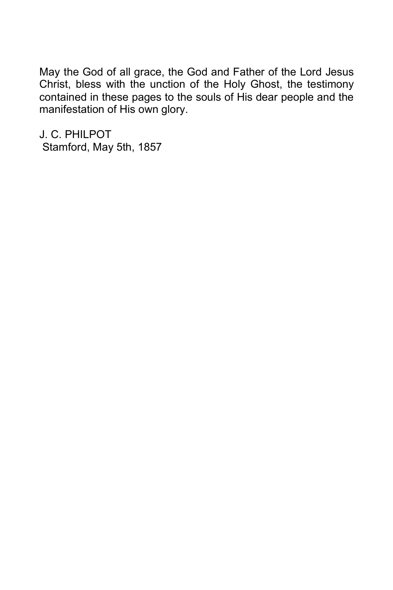May the God of all grace, the God and Father of the Lord Jesus Christ, bless with the unction of the Holy Ghost, the testimony contained in these pages to the souls of His dear people and the manifestation of His own glory.

J. C. PHILPOT Stamford, May 5th, 1857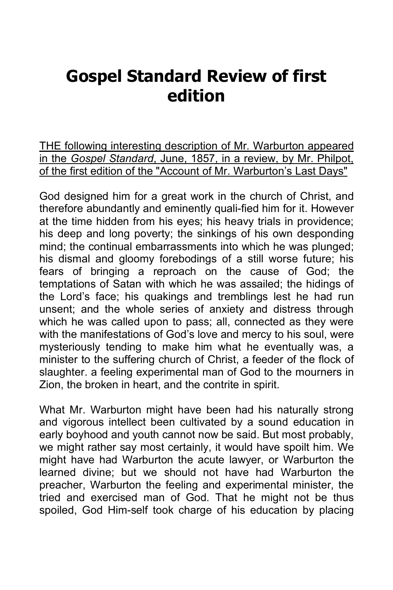## **Gospel Standard Review of first edition**

THE following interesting description of Mr. Warburton appeared in the *Gospel Standard*, June, 1857, in a review, by Mr. Philpot, of the first edition of the "Account of Mr. Warburton's Last Days"

God designed him for a great work in the church of Christ, and therefore abundantly and eminently quali-fied him for it. However at the time hidden from his eyes; his heavy trials in providence; his deep and long poverty; the sinkings of his own desponding mind; the continual embarrassments into which he was plunged; his dismal and gloomy forebodings of a still worse future; his fears of bringing a reproach on the cause of God; the temptations of Satan with which he was assailed; the hidings of the Lord's face; his quakings and tremblings lest he had run unsent; and the whole series of anxiety and distress through which he was called upon to pass; all, connected as they were with the manifestations of God's love and mercy to his soul, were mysteriously tending to make him what he eventually was, a minister to the suffering church of Christ, a feeder of the flock of slaughter. a feeling experimental man of God to the mourners in Zion, the broken in heart, and the contrite in spirit.

What Mr. Warburton might have been had his naturally strong and vigorous intellect been cultivated by a sound education in early boyhood and youth cannot now be said. But most probably, we might rather say most certainly, it would have spoilt him. We might have had Warburton the acute lawyer, or Warburton the learned divine; but we should not have had Warburton the preacher, Warburton the feeling and experimental minister, the tried and exercised man of God. That he might not be thus spoiled, God Him-self took charge of his education by placing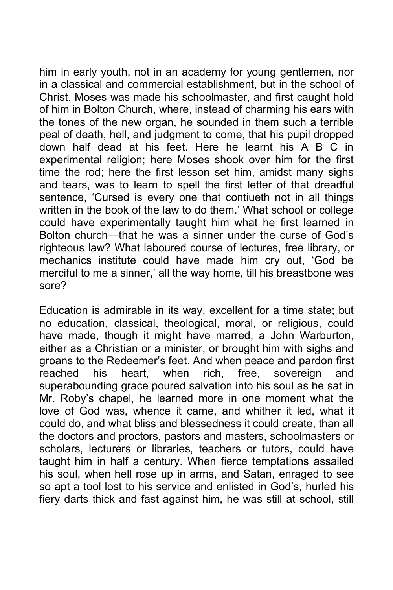him in early youth, not in an academy for young gentlemen, nor in a classical and commercial establishment, but in the school of Christ. Moses was made his schoolmaster, and first caught hold of him in Bolton Church, where, instead of charming his ears with the tones of the new organ, he sounded in them such a terrible peal of death, hell, and judgment to come, that his pupil dropped down half dead at his feet. Here he learnt his A B C in experimental religion; here Moses shook over him for the first time the rod; here the first lesson set him, amidst many sighs and tears, was to learn to spell the first letter of that dreadful sentence, 'Cursed is every one that contiueth not in all things written in the book of the law to do them.' What school or college could have experimentally taught him what he first learned in Bolton church—that he was a sinner under the curse of God's righteous law? What laboured course of lectures, free library, or mechanics institute could have made him cry out, 'God be merciful to me a sinner,' all the way home, till his breastbone was sore?

Education is admirable in its way, excellent for a time state; but no education, classical, theological, moral, or religious, could have made, though it might have marred, a John Warburton, either as a Christian or a minister, or brought him with sighs and groans to the Redeemer's feet. And when peace and pardon first reached his heart, when rich, free, sovereign and superabounding grace poured salvation into his soul as he sat in Mr. Roby's chapel, he learned more in one moment what the love of God was, whence it came, and whither it led, what it could do, and what bliss and blessedness it could create, than all the doctors and proctors, pastors and masters, schoolmasters or scholars, lecturers or libraries, teachers or tutors, could have taught him in half a century. When fierce temptations assailed his soul, when hell rose up in arms, and Satan, enraged to see so apt a tool lost to his service and enlisted in God's, hurled his fiery darts thick and fast against him, he was still at school, still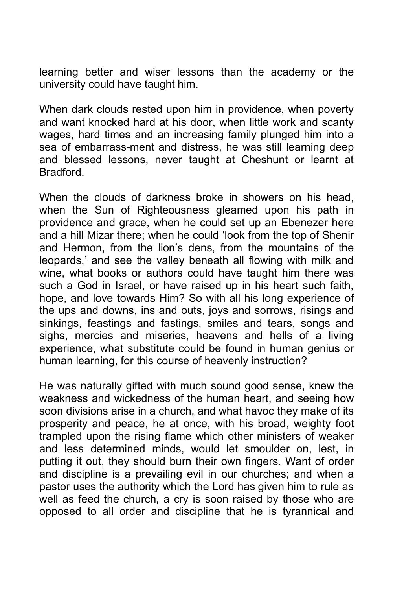learning better and wiser lessons than the academy or the university could have taught him.

When dark clouds rested upon him in providence, when poverty and want knocked hard at his door, when little work and scanty wages, hard times and an increasing family plunged him into a sea of embarrass-ment and distress, he was still learning deep and blessed lessons, never taught at Cheshunt or learnt at Bradford.

When the clouds of darkness broke in showers on his head, when the Sun of Righteousness gleamed upon his path in providence and grace, when he could set up an Ebenezer here and a hill Mizar there; when he could 'look from the top of Shenir and Hermon, from the lion's dens, from the mountains of the leopards,' and see the valley beneath all flowing with milk and wine, what books or authors could have taught him there was such a God in Israel, or have raised up in his heart such faith, hope, and love towards Him? So with all his long experience of the ups and downs, ins and outs, joys and sorrows, risings and sinkings, feastings and fastings, smiles and tears, songs and sighs, mercies and miseries, heavens and hells of a living experience, what substitute could be found in human genius or human learning, for this course of heavenly instruction?

He was naturally gifted with much sound good sense, knew the weakness and wickedness of the human heart, and seeing how soon divisions arise in a church, and what havoc they make of its prosperity and peace, he at once, with his broad, weighty foot trampled upon the rising flame which other ministers of weaker and less determined minds, would let smoulder on, lest, in putting it out, they should burn their own fingers. Want of order and discipline is a prevailing evil in our churches; and when a pastor uses the authority which the Lord has given him to rule as well as feed the church, a cry is soon raised by those who are opposed to all order and discipline that he is tyrannical and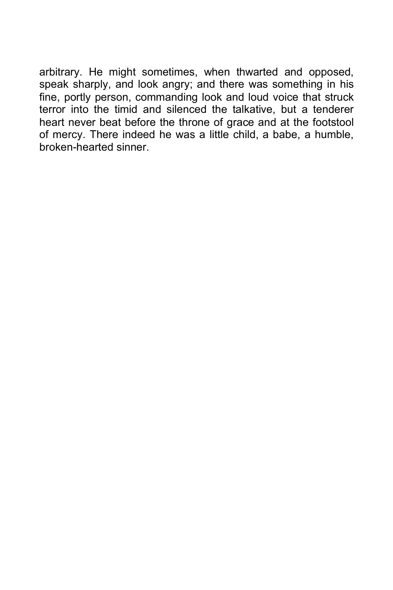arbitrary. He might sometimes, when thwarted and opposed, speak sharply, and look angry; and there was something in his fine, portly person, commanding look and loud voice that struck terror into the timid and silenced the talkative, but a tenderer heart never beat before the throne of grace and at the footstool of mercy. There indeed he was a little child, a babe, a humble, broken-hearted sinner.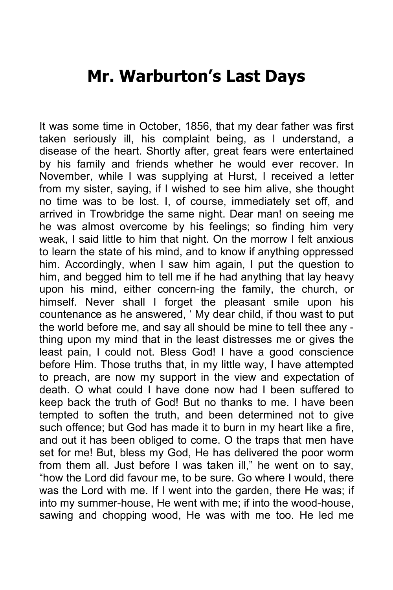## **Mr. Warburton's Last Days**

It was some time in October, 1856, that my dear father was first taken seriously ill, his complaint being, as I understand, a disease of the heart. Shortly after, great fears were entertained by his family and friends whether he would ever recover. In November, while I was supplying at Hurst, I received a letter from my sister, saying, if I wished to see him alive, she thought no time was to be lost. I, of course, immediately set off, and arrived in Trowbridge the same night. Dear man! on seeing me he was almost overcome by his feelings; so finding him very weak, I said little to him that night. On the morrow I felt anxious to learn the state of his mind, and to know if anything oppressed him. Accordingly, when I saw him again, I put the question to him, and begged him to tell me if he had anything that lay heavy upon his mind, either concern-ing the family, the church, or himself. Never shall I forget the pleasant smile upon his countenance as he answered, ' My dear child, if thou wast to put the world before me, and say all should be mine to tell thee any thing upon my mind that in the least distresses me or gives the least pain, I could not. Bless God! I have a good conscience before Him. Those truths that, in my little way, I have attempted to preach, are now my support in the view and expectation of death. O what could I have done now had I been suffered to keep back the truth of God! But no thanks to me. I have been tempted to soften the truth, and been determined not to give such offence; but God has made it to burn in my heart like a fire, and out it has been obliged to come. O the traps that men have set for me! But, bless my God, He has delivered the poor worm from them all. Just before I was taken ill," he went on to say, "how the Lord did favour me, to be sure. Go where I would, there was the Lord with me. If I went into the garden, there He was; if into my summer-house, He went with me; if into the wood-house, sawing and chopping wood, He was with me too. He led me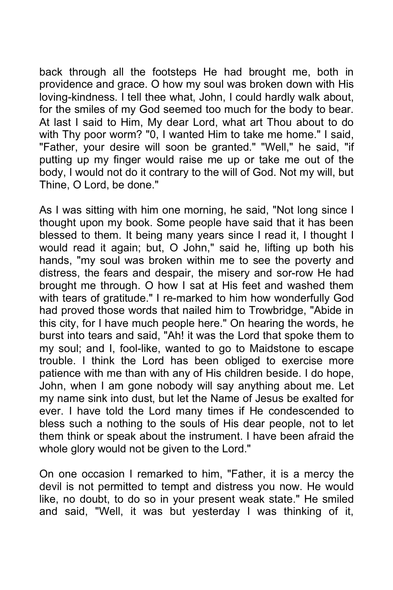back through all the footsteps He had brought me, both in providence and grace. O how my soul was broken down with His loving-kindness. I tell thee what, John, I could hardly walk about, for the smiles of my God seemed too much for the body to bear. At last I said to Him, My dear Lord, what art Thou about to do with Thy poor worm? "0, I wanted Him to take me home." I said, "Father, your desire will soon be granted." "Well," he said, "if putting up my finger would raise me up or take me out of the body, I would not do it contrary to the will of God. Not my will, but Thine, O Lord, be done."

As I was sitting with him one morning, he said, "Not long since I thought upon my book. Some people have said that it has been blessed to them. It being many years since I read it, I thought I would read it again; but, O John," said he, lifting up both his hands, "my soul was broken within me to see the poverty and distress, the fears and despair, the misery and sor-row He had brought me through. O how I sat at His feet and washed them with tears of gratitude." I re-marked to him how wonderfully God had proved those words that nailed him to Trowbridge, "Abide in this city, for I have much people here." On hearing the words, he burst into tears and said, "Ah! it was the Lord that spoke them to my soul; and I, fool-like, wanted to go to Maidstone to escape trouble. I think the Lord has been obliged to exercise more patience with me than with any of His children beside. I do hope, John, when I am gone nobody will say anything about me. Let my name sink into dust, but let the Name of Jesus be exalted for ever. I have told the Lord many times if He condescended to bless such a nothing to the souls of His dear people, not to let them think or speak about the instrument. I have been afraid the whole glory would not be given to the Lord."

On one occasion I remarked to him, "Father, it is a mercy the devil is not permitted to tempt and distress you now. He would like, no doubt, to do so in your present weak state." He smiled and said, "Well, it was but yesterday I was thinking of it,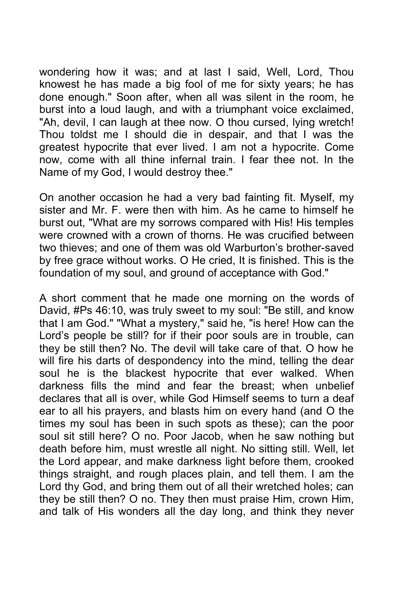wondering how it was; and at last I said, Well, Lord, Thou knowest he has made a big fool of me for sixty years; he has done enough." Soon after, when all was silent in the room, he burst into a loud laugh, and with a triumphant voice exclaimed, "Ah, devil, I can laugh at thee now. O thou cursed, lying wretch! Thou toldst me I should die in despair, and that I was the greatest hypocrite that ever lived. I am not a hypocrite. Come now, come with all thine infernal train. I fear thee not. In the Name of my God, I would destroy thee."

On another occasion he had a very bad fainting fit. Myself, my sister and Mr. F. were then with him. As he came to himself he burst out, "What are my sorrows compared with His! His temples were crowned with a crown of thorns. He was crucified between two thieves; and one of them was old Warburton's brother-saved by free grace without works. O He cried, It is finished. This is the foundation of my soul, and ground of acceptance with God."

A short comment that he made one morning on the words of David, #Ps 46:10, was truly sweet to my soul: "Be still, and know that I am God." "What a mystery," said he, "is here! How can the Lord's people be still? for if their poor souls are in trouble, can they be still then? No. The devil will take care of that. O how he will fire his darts of despondency into the mind, telling the dear soul he is the blackest hypocrite that ever walked. When darkness fills the mind and fear the breast; when unbelief declares that all is over, while God Himself seems to turn a deaf ear to all his prayers, and blasts him on every hand (and O the times my soul has been in such spots as these); can the poor soul sit still here? O no. Poor Jacob, when he saw nothing but death before him, must wrestle all night. No sitting still. Well, let the Lord appear, and make darkness light before them, crooked things straight, and rough places plain, and tell them. I am the Lord thy God, and bring them out of all their wretched holes; can they be still then? O no. They then must praise Him, crown Him, and talk of His wonders all the day long, and think they never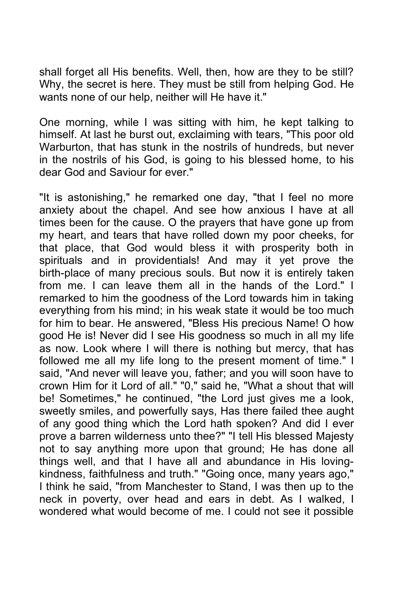shall forget all His benefits. Well, then, how are they to be still? Why, the secret is here. They must be still from helping God. He wants none of our help, neither will He have it."

One morning, while I was sitting with him, he kept talking to himself. At last he burst out, exclaiming with tears, "This poor old Warburton, that has stunk in the nostrils of hundreds, but never in the nostrils of his God, is going to his blessed home, to his dear God and Saviour for ever."

"It is astonishing," he remarked one day, "that I feel no more anxiety about the chapel. And see how anxious I have at all times been for the cause. O the prayers that have gone up from my heart, and tears that have rolled down my poor cheeks, for that place, that God would bless it with prosperity both in spirituals and in providentials! And may it yet prove the birth-place of many precious souls. But now it is entirely taken from me. I can leave them all in the hands of the Lord." I remarked to him the goodness of the Lord towards him in taking everything from his mind; in his weak state it would be too much for him to bear. He answered, "Bless His precious Name! O how good He is! Never did I see His goodness so much in all my life as now. Look where I will there is nothing but mercy, that has followed me all my life long to the present moment of time." I said, "And never will leave you, father; and you will soon have to crown Him for it Lord of all." "0," said he, "What a shout that will be! Sometimes," he continued, "the Lord just gives me a look, sweetly smiles, and powerfully says, Has there failed thee aught of any good thing which the Lord hath spoken? And did I ever prove a barren wilderness unto thee?" "I tell His blessed Majesty not to say anything more upon that ground; He has done all things well, and that I have all and abundance in His lovingkindness, faithfulness and truth." "Going once, many years ago," I think he said, "from Manchester to Stand, I was then up to the neck in poverty, over head and ears in debt. As I walked, I wondered what would become of me. I could not see it possible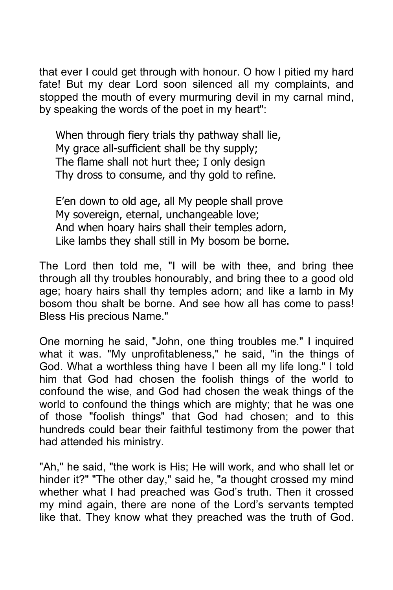that ever I could get through with honour. O how I pitied my hard fate! But my dear Lord soon silenced all my complaints, and stopped the mouth of every murmuring devil in my carnal mind, by speaking the words of the poet in my heart":

When through fiery trials thy pathway shall lie, My grace all-sufficient shall be thy supply; The flame shall not hurt thee; I only design Thy dross to consume, and thy gold to refine.

E'en down to old age, all My people shall prove My sovereign, eternal, unchangeable love; And when hoary hairs shall their temples adorn, Like lambs they shall still in My bosom be borne.

The Lord then told me, "I will be with thee, and bring thee through all thy troubles honourably, and bring thee to a good old age; hoary hairs shall thy temples adorn; and like a lamb in My bosom thou shalt be borne. And see how all has come to pass! Bless His precious Name."

One morning he said, "John, one thing troubles me." I inquired what it was. "My unprofitableness," he said, "in the things of God. What a worthless thing have I been all my life long." I told him that God had chosen the foolish things of the world to confound the wise, and God had chosen the weak things of the world to confound the things which are mighty; that he was one of those "foolish things" that God had chosen; and to this hundreds could bear their faithful testimony from the power that had attended his ministry.

"Ah," he said, "the work is His; He will work, and who shall let or hinder it?" "The other day," said he, "a thought crossed my mind whether what I had preached was God's truth. Then it crossed my mind again, there are none of the Lord's servants tempted like that. They know what they preached was the truth of God.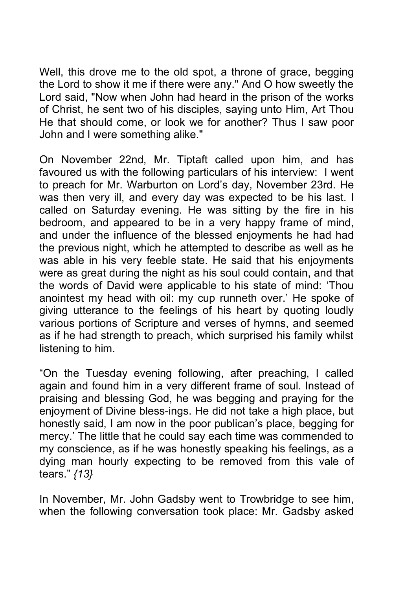Well, this drove me to the old spot, a throne of grace, begging the Lord to show it me if there were any." And O how sweetly the Lord said, "Now when John had heard in the prison of the works of Christ, he sent two of his disciples, saying unto Him, Art Thou He that should come, or look we for another? Thus I saw poor John and I were something alike."

On November 22nd, Mr. Tiptaft called upon him, and has favoured us with the following particulars of his interview: I went to preach for Mr. Warburton on Lord's day, November 23rd. He was then very ill, and every day was expected to be his last. I called on Saturday evening. He was sitting by the fire in his bedroom, and appeared to be in a very happy frame of mind, and under the influence of the blessed enjoyments he had had the previous night, which he attempted to describe as well as he was able in his very feeble state. He said that his enjoyments were as great during the night as his soul could contain, and that the words of David were applicable to his state of mind: 'Thou anointest my head with oil: my cup runneth over.' He spoke of giving utterance to the feelings of his heart by quoting loudly various portions of Scripture and verses of hymns, and seemed as if he had strength to preach, which surprised his family whilst listening to him.

"On the Tuesday evening following, after preaching, I called again and found him in a very different frame of soul. Instead of praising and blessing God, he was begging and praying for the enjoyment of Divine bless-ings. He did not take a high place, but honestly said, I am now in the poor publican's place, begging for mercy.' The little that he could say each time was commended to my conscience, as if he was honestly speaking his feelings, as a dying man hourly expecting to be removed from this vale of tears." *{13}*

In November, Mr. John Gadsby went to Trowbridge to see him, when the following conversation took place: Mr. Gadsby asked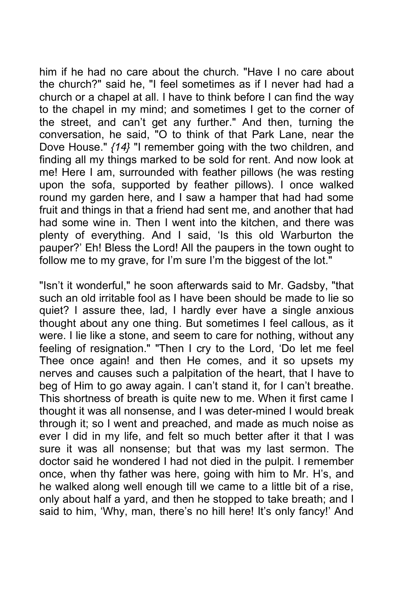him if he had no care about the church. "Have I no care about the church?" said he, "I feel sometimes as if I never had had a church or a chapel at all. I have to think before I can find the way to the chapel in my mind; and sometimes I get to the corner of the street, and can't get any further." And then, turning the conversation, he said, "O to think of that Park Lane, near the Dove House." *{14}* "I remember going with the two children, and finding all my things marked to be sold for rent. And now look at me! Here I am, surrounded with feather pillows (he was resting upon the sofa, supported by feather pillows). I once walked round my garden here, and I saw a hamper that had had some fruit and things in that a friend had sent me, and another that had had some wine in. Then I went into the kitchen, and there was plenty of everything. And I said, 'Is this old Warburton the pauper?' Eh! Bless the Lord! All the paupers in the town ought to follow me to my grave, for I'm sure I'm the biggest of the lot."

"Isn't it wonderful," he soon afterwards said to Mr. Gadsby, "that such an old irritable fool as I have been should be made to lie so quiet? I assure thee, lad, I hardly ever have a single anxious thought about any one thing. But sometimes I feel callous, as it were. I lie like a stone, and seem to care for nothing, without any feeling of resignation." "Then I cry to the Lord, 'Do let me feel Thee once again! and then He comes, and it so upsets my nerves and causes such a palpitation of the heart, that I have to beg of Him to go away again. I can't stand it, for I can't breathe. This shortness of breath is quite new to me. When it first came I thought it was all nonsense, and I was deter-mined I would break through it; so I went and preached, and made as much noise as ever I did in my life, and felt so much better after it that I was sure it was all nonsense; but that was my last sermon. The doctor said he wondered I had not died in the pulpit. I remember once, when thy father was here, going with him to Mr. H's, and he walked along well enough till we came to a little bit of a rise, only about half a yard, and then he stopped to take breath; and I said to him, 'Why, man, there's no hill here! It's only fancy!' And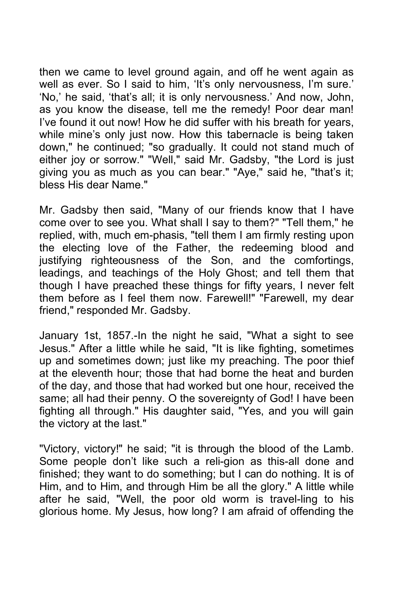then we came to level ground again, and off he went again as well as ever. So I said to him, 'It's only nervousness, I'm sure.' 'No,' he said, 'that's all; it is only nervousness.' And now, John, as you know the disease, tell me the remedy! Poor dear man! I've found it out now! How he did suffer with his breath for years, while mine's only just now. How this tabernacle is being taken down," he continued; "so gradually. It could not stand much of either joy or sorrow." "Well," said Mr. Gadsby, "the Lord is just giving you as much as you can bear." "Aye," said he, "that's it; bless His dear Name."

Mr. Gadsby then said, "Many of our friends know that I have come over to see you. What shall I say to them?" "Tell them," he replied, with, much em-phasis, "tell them I am firmly resting upon the electing love of the Father, the redeeming blood and justifying righteousness of the Son, and the comfortings, leadings, and teachings of the Holy Ghost; and tell them that though I have preached these things for fifty years, I never felt them before as I feel them now. Farewell!" "Farewell, my dear friend," responded Mr. Gadsby.

January 1st, 1857.-In the night he said, "What a sight to see Jesus." After a little while he said, "It is like fighting, sometimes up and sometimes down; just like my preaching. The poor thief at the eleventh hour; those that had borne the heat and burden of the day, and those that had worked but one hour, received the same; all had their penny. O the sovereignty of God! I have been fighting all through." His daughter said, "Yes, and you will gain the victory at the last."

"Victory, victory!" he said; "it is through the blood of the Lamb. Some people don't like such a reli-gion as this-all done and finished; they want to do something; but I can do nothing. It is of Him, and to Him, and through Him be all the glory." A little while after he said, "Well, the poor old worm is travel-ling to his glorious home. My Jesus, how long? I am afraid of offending the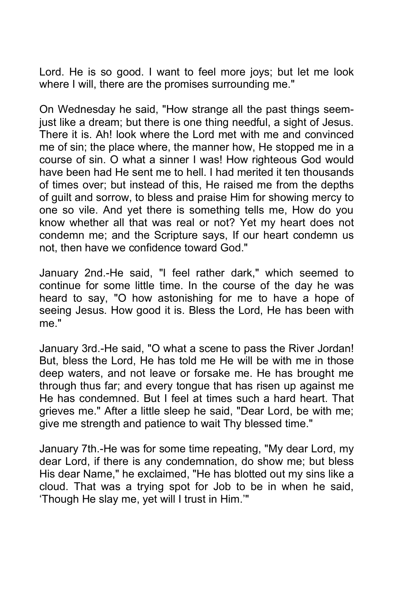Lord. He is so good. I want to feel more joys; but let me look where I will, there are the promises surrounding me."

On Wednesday he said, "How strange all the past things seemjust like a dream; but there is one thing needful, a sight of Jesus. There it is. Ah! look where the Lord met with me and convinced me of sin; the place where, the manner how, He stopped me in a course of sin. O what a sinner I was! How righteous God would have been had He sent me to hell. I had merited it ten thousands of times over; but instead of this, He raised me from the depths of guilt and sorrow, to bless and praise Him for showing mercy to one so vile. And yet there is something tells me, How do you know whether all that was real or not? Yet my heart does not condemn me; and the Scripture says, If our heart condemn us not, then have we confidence toward God."

January 2nd.-He said, "I feel rather dark," which seemed to continue for some little time. In the course of the day he was heard to say, "O how astonishing for me to have a hope of seeing Jesus. How good it is. Bless the Lord, He has been with me."

January 3rd.-He said, "O what a scene to pass the River Jordan! But, bless the Lord, He has told me He will be with me in those deep waters, and not leave or forsake me. He has brought me through thus far; and every tongue that has risen up against me He has condemned. But I feel at times such a hard heart. That grieves me." After a little sleep he said, "Dear Lord, be with me; give me strength and patience to wait Thy blessed time."

January 7th.-He was for some time repeating, "My dear Lord, my dear Lord, if there is any condemnation, do show me; but bless His dear Name," he exclaimed, "He has blotted out my sins like a cloud. That was a trying spot for Job to be in when he said, 'Though He slay me, yet will I trust in Him.'"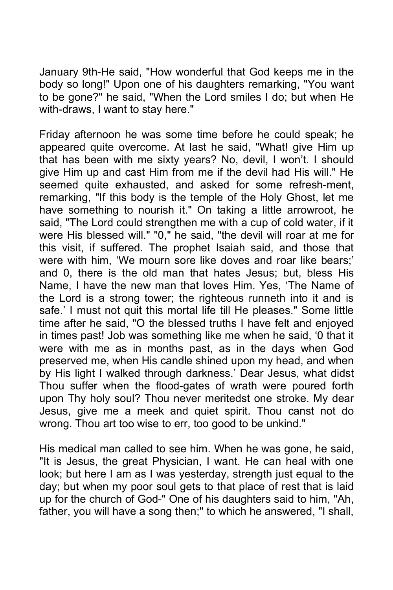January 9th-He said, "How wonderful that God keeps me in the body so long!" Upon one of his daughters remarking, "You want to be gone?" he said, "When the Lord smiles I do; but when He with-draws, I want to stay here."

Friday afternoon he was some time before he could speak; he appeared quite overcome. At last he said, "What! give Him up that has been with me sixty years? No, devil, I won't. I should give Him up and cast Him from me if the devil had His will." He seemed quite exhausted, and asked for some refresh-ment, remarking, "If this body is the temple of the Holy Ghost, let me have something to nourish it." On taking a little arrowroot, he said, "The Lord could strengthen me with a cup of cold water, if it were His blessed will." "0," he said, "the devil will roar at me for this visit, if suffered. The prophet Isaiah said, and those that were with him, 'We mourn sore like doves and roar like bears;' and 0, there is the old man that hates Jesus; but, bless His Name, I have the new man that loves Him. Yes, 'The Name of the Lord is a strong tower; the righteous runneth into it and is safe.' I must not quit this mortal life till He pleases." Some little time after he said, "O the blessed truths I have felt and enjoyed in times past! Job was something like me when he said, '0 that it were with me as in months past, as in the days when God preserved me, when His candle shined upon my head, and when by His light I walked through darkness.' Dear Jesus, what didst Thou suffer when the flood-gates of wrath were poured forth upon Thy holy soul? Thou never meritedst one stroke. My dear Jesus, give me a meek and quiet spirit. Thou canst not do wrong. Thou art too wise to err, too good to be unkind."

His medical man called to see him. When he was gone, he said, "It is Jesus, the great Physician, I want. He can heal with one look; but here I am as I was yesterday, strength just equal to the day; but when my poor soul gets to that place of rest that is laid up for the church of God-" One of his daughters said to him, "Ah, father, you will have a song then;" to which he answered, "I shall,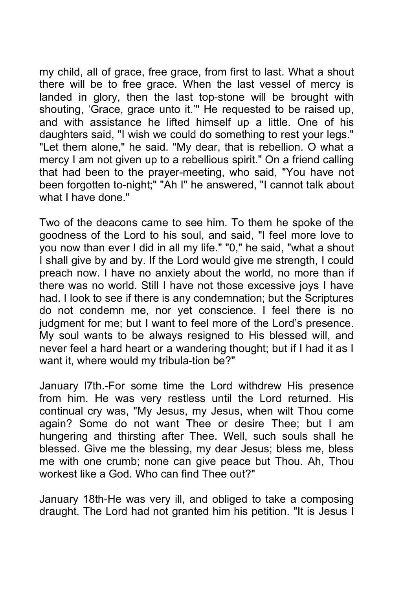my child, all of grace, free grace, from first to last. What a shout there will be to free grace. When the last vessel of mercy is landed in glory, then the last top-stone will be brought with shouting, 'Grace, grace unto it.'" He requested to be raised up, and with assistance he lifted himself up a little. One of his daughters said, "I wish we could do something to rest your legs." "Let them alone," he said. "My dear, that is rebellion. O what a mercy I am not given up to a rebellious spirit." On a friend calling that had been to the prayer-meeting, who said, "You have not been forgotten to-night;" "Ah I" he answered, "I cannot talk about what I have done."

Two of the deacons came to see him. To them he spoke of the goodness of the Lord to his soul, and said, "I feel more love to you now than ever I did in all my life." "0," he said, "what a shout I shall give by and by. If the Lord would give me strength, I could preach now. I have no anxiety about the world, no more than if there was no world. Still I have not those excessive joys I have had. I look to see if there is any condemnation; but the Scriptures do not condemn me, nor yet conscience. I feel there is no judgment for me; but I want to feel more of the Lord's presence. My soul wants to be always resigned to His blessed will, and never feel a hard heart or a wandering thought; but if I had it as I want it, where would my tribula-tion be?"

January l7th.-For some time the Lord withdrew His presence from him. He was very restless until the Lord returned. His continual cry was, "My Jesus, my Jesus, when wilt Thou come again? Some do not want Thee or desire Thee; but I am hungering and thirsting after Thee. Well, such souls shall he blessed. Give me the blessing, my dear Jesus; bless me, bless me with one crumb; none can give peace but Thou. Ah, Thou workest like a God. Who can find Thee out?"

January 18th-He was very ill, and obliged to take a composing draught. The Lord had not granted him his petition. "It is Jesus I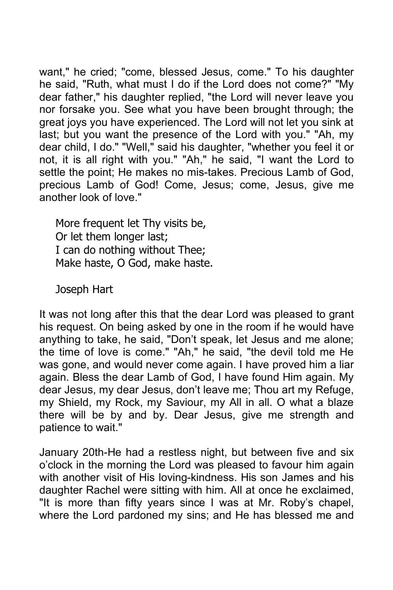want," he cried; "come, blessed Jesus, come." To his daughter he said, "Ruth, what must I do if the Lord does not come?" "My dear father," his daughter replied, "the Lord will never leave you nor forsake you. See what you have been brought through; the great joys you have experienced. The Lord will not let you sink at last; but you want the presence of the Lord with you." "Ah, my dear child, I do." "Well," said his daughter, "whether you feel it or not, it is all right with you." "Ah," he said, "I want the Lord to settle the point; He makes no mis-takes. Precious Lamb of God, precious Lamb of God! Come, Jesus; come, Jesus, give me another look of love."

More frequent let Thy visits be, Or let them longer last; I can do nothing without Thee; Make haste, O God, make haste.

Joseph Hart

It was not long after this that the dear Lord was pleased to grant his request. On being asked by one in the room if he would have anything to take, he said, "Don't speak, let Jesus and me alone; the time of love is come." "Ah," he said, "the devil told me He was gone, and would never come again. I have proved him a liar again. Bless the dear Lamb of God, I have found Him again. My dear Jesus, my dear Jesus, don't leave me; Thou art my Refuge, my Shield, my Rock, my Saviour, my All in all. O what a blaze there will be by and by. Dear Jesus, give me strength and patience to wait."

January 20th-He had a restless night, but between five and six o'clock in the morning the Lord was pleased to favour him again with another visit of His loving-kindness. His son James and his daughter Rachel were sitting with him. All at once he exclaimed, "It is more than fifty years since I was at Mr. Roby's chapel, where the Lord pardoned my sins; and He has blessed me and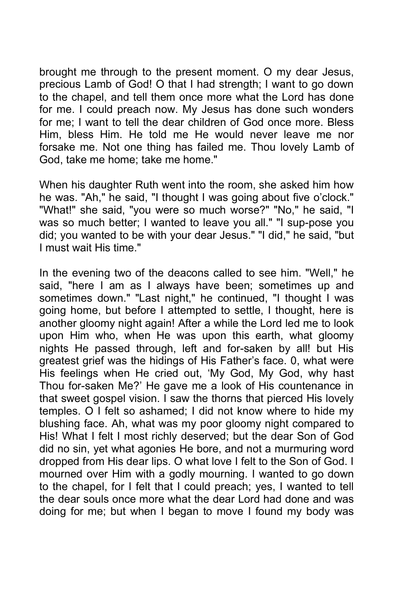brought me through to the present moment. O my dear Jesus, precious Lamb of God! O that I had strength; I want to go down to the chapel, and tell them once more what the Lord has done for me. I could preach now. My Jesus has done such wonders for me; I want to tell the dear children of God once more. Bless Him, bless Him. He told me He would never leave me nor forsake me. Not one thing has failed me. Thou lovely Lamb of God, take me home; take me home."

When his daughter Ruth went into the room, she asked him how he was. "Ah," he said, "I thought I was going about five o'clock." "What!" she said, "you were so much worse?" "No," he said, "I was so much better; I wanted to leave you all." "I sup-pose you did; you wanted to be with your dear Jesus." "I did," he said, "but I must wait His time."

In the evening two of the deacons called to see him. "Well," he said, "here I am as I always have been; sometimes up and sometimes down." "Last night," he continued, "I thought I was going home, but before I attempted to settle, I thought, here is another gloomy night again! After a while the Lord led me to look upon Him who, when He was upon this earth, what gloomy nights He passed through, left and for-saken by all! but His greatest grief was the hidings of His Father's face. 0, what were His feelings when He cried out, 'My God, My God, why hast Thou for-saken Me?' He gave me a look of His countenance in that sweet gospel vision. I saw the thorns that pierced His lovely temples. O I felt so ashamed; I did not know where to hide my blushing face. Ah, what was my poor gloomy night compared to His! What I felt I most richly deserved; but the dear Son of God did no sin, yet what agonies He bore, and not a murmuring word dropped from His dear lips. O what love I felt to the Son of God. I mourned over Him with a godly mourning. I wanted to go down to the chapel, for I felt that I could preach; yes, I wanted to tell the dear souls once more what the dear Lord had done and was doing for me; but when I began to move I found my body was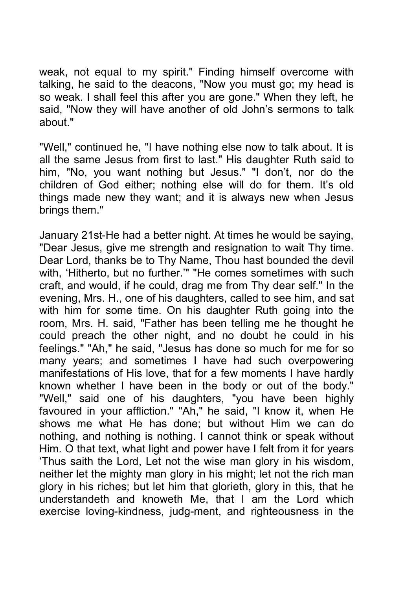weak, not equal to my spirit." Finding himself overcome with talking, he said to the deacons, "Now you must go; my head is so weak. I shall feel this after you are gone." When they left, he said, "Now they will have another of old John's sermons to talk about."

"Well," continued he, "I have nothing else now to talk about. It is all the same Jesus from first to last." His daughter Ruth said to him, "No, you want nothing but Jesus." "I don't, nor do the children of God either; nothing else will do for them. It's old things made new they want; and it is always new when Jesus brings them."

January 21st-He had a better night. At times he would be saying, "Dear Jesus, give me strength and resignation to wait Thy time. Dear Lord, thanks be to Thy Name, Thou hast bounded the devil with, 'Hitherto, but no further.'" "He comes sometimes with such craft, and would, if he could, drag me from Thy dear self." In the evening, Mrs. H., one of his daughters, called to see him, and sat with him for some time. On his daughter Ruth going into the room, Mrs. H. said, "Father has been telling me he thought he could preach the other night, and no doubt he could in his feelings." "Ah," he said, "Jesus has done so much for me for so many years; and sometimes I have had such overpowering manifestations of His love, that for a few moments I have hardly known whether I have been in the body or out of the body." "Well," said one of his daughters, "you have been highly favoured in your affliction." "Ah," he said, "I know it, when He shows me what He has done; but without Him we can do nothing, and nothing is nothing. I cannot think or speak without Him. O that text, what light and power have I felt from it for years 'Thus saith the Lord, Let not the wise man glory in his wisdom, neither let the mighty man glory in his might; let not the rich man glory in his riches; but let him that glorieth, glory in this, that he understandeth and knoweth Me, that I am the Lord which exercise loving-kindness, judg-ment, and righteousness in the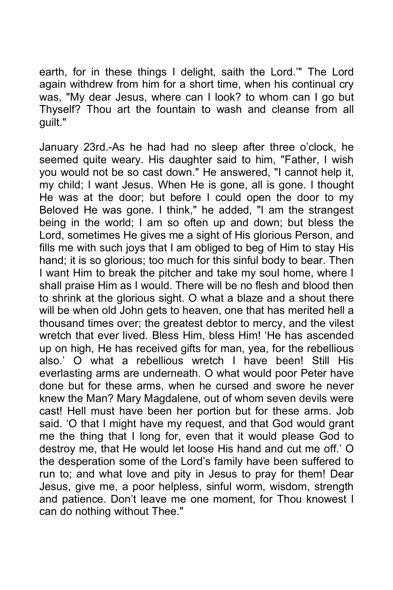earth, for in these things I delight, saith the Lord.'" The Lord again withdrew from him for a short time, when his continual cry was, "My dear Jesus, where can I look? to whom can I go but Thyself? Thou art the fountain to wash and cleanse from all guilt."

January 23rd.-As he had had no sleep after three o'clock, he seemed quite weary. His daughter said to him, "Father, I wish you would not be so cast down." He answered, "I cannot help it, my child; I want Jesus. When He is gone, all is gone. I thought He was at the door; but before I could open the door to my Beloved He was gone. I think," he added, "I am the strangest being in the world; I am so often up and down; but bless the Lord, sometimes He gives me a sight of His glorious Person, and fills me with such joys that I am obliged to beg of Him to stay His hand; it is so glorious; too much for this sinful body to bear. Then I want Him to break the pitcher and take my soul home, where I shall praise Him as I would. There will be no flesh and blood then to shrink at the glorious sight. O what a blaze and a shout there will be when old John gets to heaven, one that has merited hell a thousand times over; the greatest debtor to mercy, and the vilest wretch that ever lived. Bless Him, bless Him! 'He has ascended up on high, He has received gifts for man, yea, for the rebellious also.' O what a rebellious wretch I have been! Still His everlasting arms are underneath. O what would poor Peter have done but for these arms, when he cursed and swore he never knew the Man? Mary Magdalene, out of whom seven devils were cast! Hell must have been her portion but for these arms. Job said. 'O that I might have my request, and that God would grant me the thing that I long for, even that it would please God to destroy me, that He would let loose His hand and cut me off.' O the desperation some of the Lord's family have been suffered to run to; and what love and pity in Jesus to pray for them! Dear Jesus, give me, a poor helpless, sinful worm, wisdom, strength and patience. Don't leave me one moment, for Thou knowest I can do nothing without Thee."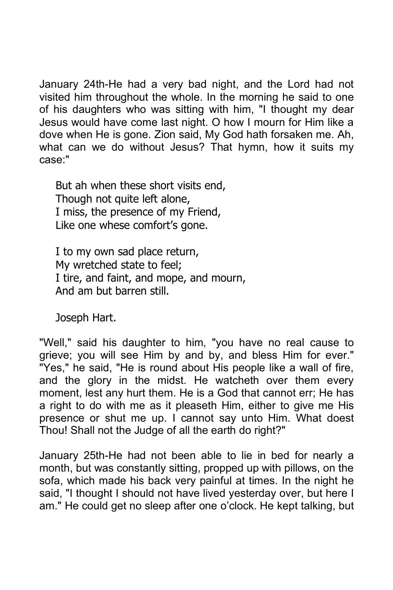January 24th-He had a very bad night, and the Lord had not visited him throughout the whole. In the morning he said to one of his daughters who was sitting with him, "I thought my dear Jesus would have come last night. O how I mourn for Him like a dove when He is gone. Zion said, My God hath forsaken me. Ah, what can we do without Jesus? That hymn, how it suits my case:"

But ah when these short visits end, Though not quite left alone, I miss, the presence of my Friend, Like one whese comfort's gone.

I to my own sad place return, My wretched state to feel; I tire, and faint, and mope, and mourn, And am but barren still.

Joseph Hart.

"Well," said his daughter to him, "you have no real cause to grieve; you will see Him by and by, and bless Him for ever." "Yes," he said, "He is round about His people like a wall of fire, and the glory in the midst. He watcheth over them every moment, lest any hurt them. He is a God that cannot err; He has a right to do with me as it pleaseth Him, either to give me His presence or shut me up. I cannot say unto Him. What doest Thou! Shall not the Judge of all the earth do right?"

January 25th-He had not been able to lie in bed for nearly a month, but was constantly sitting, propped up with pillows, on the sofa, which made his back very painful at times. In the night he said, "I thought I should not have lived yesterday over, but here I am." He could get no sleep after one o'clock. He kept talking, but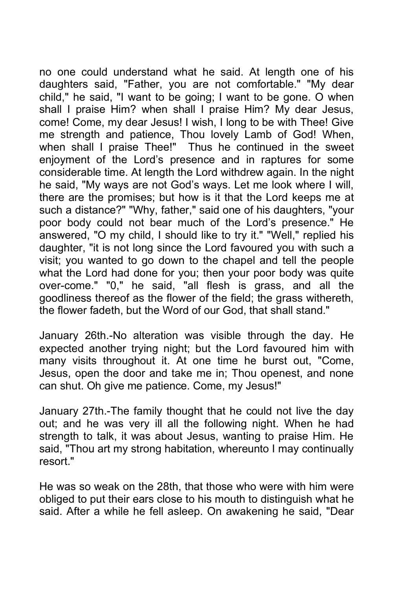no one could understand what he said. At length one of his daughters said, "Father, you are not comfortable." "My dear child," he said, "I want to be going; I want to be gone. O when shall I praise Him? when shall I praise Him? My dear Jesus, come! Come, my dear Jesus! I wish, I long to be with Thee! Give me strength and patience, Thou lovely Lamb of God! When, when shall I praise Thee!" Thus he continued in the sweet enjoyment of the Lord's presence and in raptures for some considerable time. At length the Lord withdrew again. In the night he said, "My ways are not God's ways. Let me look where I will, there are the promises; but how is it that the Lord keeps me at such a distance?" "Why, father," said one of his daughters, "your poor body could not bear much of the Lord's presence." He answered, "O my child, I should like to try it." "Well," replied his daughter, "it is not long since the Lord favoured you with such a visit; you wanted to go down to the chapel and tell the people what the Lord had done for you; then your poor body was quite over-come." "0," he said, "all flesh is grass, and all the goodliness thereof as the flower of the field; the grass withereth, the flower fadeth, but the Word of our God, that shall stand."

January 26th.-No alteration was visible through the day. He expected another trying night; but the Lord favoured him with many visits throughout it. At one time he burst out, "Come, Jesus, open the door and take me in; Thou openest, and none can shut. Oh give me patience. Come, my Jesus!"

January 27th.-The family thought that he could not live the day out; and he was very ill all the following night. When he had strength to talk, it was about Jesus, wanting to praise Him. He said, "Thou art my strong habitation, whereunto I may continually resort."

He was so weak on the 28th, that those who were with him were obliged to put their ears close to his mouth to distinguish what he said. After a while he fell asleep. On awakening he said, "Dear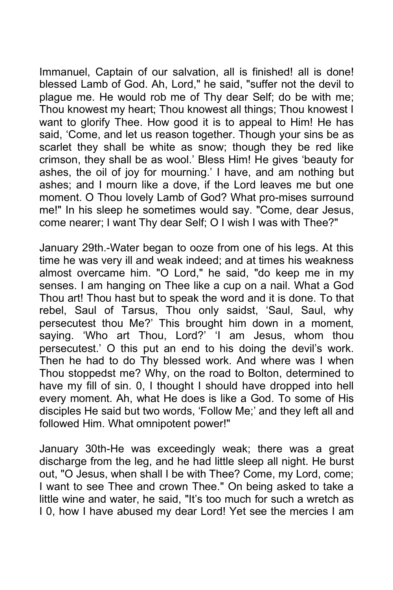Immanuel, Captain of our salvation, all is finished! all is done! blessed Lamb of God. Ah, Lord," he said, "suffer not the devil to plague me. He would rob me of Thy dear Self; do be with me; Thou knowest my heart; Thou knowest all things; Thou knowest I want to glorify Thee. How good it is to appeal to Him! He has said, 'Come, and let us reason together. Though your sins be as scarlet they shall be white as snow; though they be red like crimson, they shall be as wool.' Bless Him! He gives 'beauty for ashes, the oil of joy for mourning.' I have, and am nothing but ashes; and I mourn like a dove, if the Lord leaves me but one moment. O Thou lovely Lamb of God? What pro-mises surround me!" In his sleep he sometimes would say. "Come, dear Jesus, come nearer; I want Thy dear Self; O I wish I was with Thee?"

January 29th.-Water began to ooze from one of his legs. At this time he was very ill and weak indeed; and at times his weakness almost overcame him. "O Lord," he said, "do keep me in my senses. I am hanging on Thee like a cup on a nail. What a God Thou art! Thou hast but to speak the word and it is done. To that rebel, Saul of Tarsus, Thou only saidst, 'Saul, Saul, why persecutest thou Me?' This brought him down in a moment, saying. 'Who art Thou, Lord?' 'I am Jesus, whom thou persecutest.' O this put an end to his doing the devil's work. Then he had to do Thy blessed work. And where was I when Thou stoppedst me? Why, on the road to Bolton, determined to have my fill of sin. 0, I thought I should have dropped into hell every moment. Ah, what He does is like a God. To some of His disciples He said but two words, 'Follow Me;' and they left all and followed Him. What omnipotent power!"

January 30th-He was exceedingly weak; there was a great discharge from the leg, and he had little sleep all night. He burst out, "O Jesus, when shall I be with Thee? Come, my Lord, come; I want to see Thee and crown Thee." On being asked to take a little wine and water, he said, "It's too much for such a wretch as I 0, how I have abused my dear Lord! Yet see the mercies I am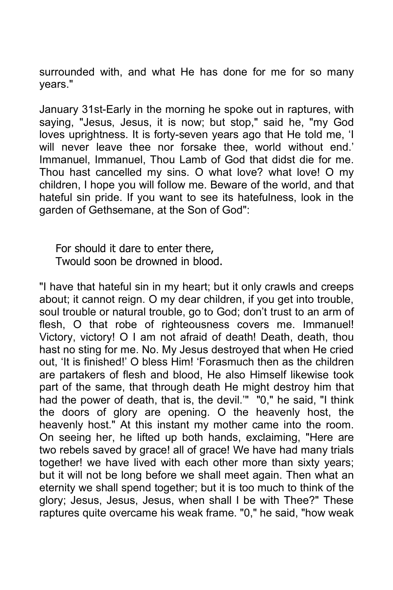surrounded with, and what He has done for me for so many years."

January 31st-Early in the morning he spoke out in raptures, with saying, "Jesus, Jesus, it is now; but stop," said he, "my God loves uprightness. It is forty-seven years ago that He told me, 'I will never leave thee nor forsake thee, world without end.' Immanuel, Immanuel, Thou Lamb of God that didst die for me. Thou hast cancelled my sins. O what love? what love! O my children, I hope you will follow me. Beware of the world, and that hateful sin pride. If you want to see its hatefulness, look in the garden of Gethsemane, at the Son of God":

For should it dare to enter there, Twould soon be drowned in blood.

"I have that hateful sin in my heart; but it only crawls and creeps about; it cannot reign. O my dear children, if you get into trouble, soul trouble or natural trouble, go to God; don't trust to an arm of flesh, O that robe of righteousness covers me. Immanuel! Victory, victory! O I am not afraid of death! Death, death, thou hast no sting for me. No. My Jesus destroyed that when He cried out, 'It is finished!' O bless Him! 'Forasmuch then as the children are partakers of flesh and blood, He also Himself likewise took part of the same, that through death He might destroy him that had the power of death, that is, the devil.'" "0," he said, "I think the doors of glory are opening. O the heavenly host, the heavenly host." At this instant my mother came into the room. On seeing her, he lifted up both hands, exclaiming, "Here are two rebels saved by grace! all of grace! We have had many trials together! we have lived with each other more than sixty years; but it will not be long before we shall meet again. Then what an eternity we shall spend together; but it is too much to think of the glory; Jesus, Jesus, Jesus, when shall I be with Thee?" These raptures quite overcame his weak frame. "0," he said, "how weak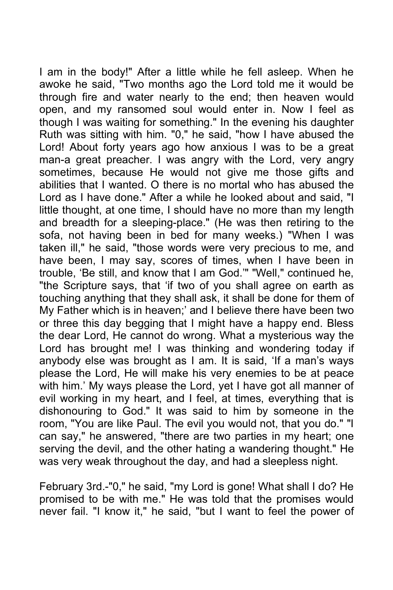I am in the body!" After a little while he fell asleep. When he awoke he said, "Two months ago the Lord told me it would be through fire and water nearly to the end; then heaven would open, and my ransomed soul would enter in. Now I feel as though I was waiting for something." In the evening his daughter Ruth was sitting with him. "0," he said, "how I have abused the Lord! About forty years ago how anxious I was to be a great man-a great preacher. I was angry with the Lord, very angry sometimes, because He would not give me those gifts and abilities that I wanted. O there is no mortal who has abused the Lord as I have done." After a while he looked about and said, "I little thought, at one time, I should have no more than my length and breadth for a sleeping-place." (He was then retiring to the sofa, not having been in bed for many weeks.) "When I was taken ill," he said, "those words were very precious to me, and have been, I may say, scores of times, when I have been in trouble, 'Be still, and know that I am God.'" "Well," continued he, "the Scripture says, that 'if two of you shall agree on earth as touching anything that they shall ask, it shall be done for them of My Father which is in heaven;' and I believe there have been two or three this day begging that I might have a happy end. Bless the dear Lord, He cannot do wrong. What a mysterious way the Lord has brought me! I was thinking and wondering today if anybody else was brought as I am. It is said, 'If a man's ways please the Lord, He will make his very enemies to be at peace with him.' My ways please the Lord, yet I have got all manner of evil working in my heart, and I feel, at times, everything that is dishonouring to God." It was said to him by someone in the room, "You are like Paul. The evil you would not, that you do." "I can say," he answered, "there are two parties in my heart; one serving the devil, and the other hating a wandering thought." He was very weak throughout the day, and had a sleepless night.

February 3rd.-"0," he said, "my Lord is gone! What shall I do? He promised to be with me." He was told that the promises would never fail. "I know it," he said, "but I want to feel the power of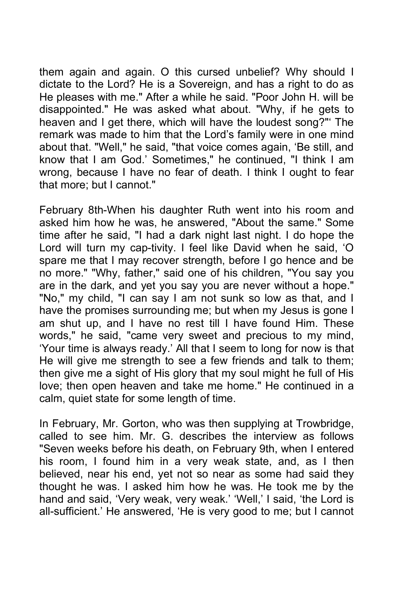them again and again. O this cursed unbelief? Why should I dictate to the Lord? He is a Sovereign, and has a right to do as He pleases with me." After a while he said. "Poor John H. will be disappointed." He was asked what about. "Why, if he gets to heaven and I get there, which will have the loudest song?"' The remark was made to him that the Lord's family were in one mind about that. "Well," he said, "that voice comes again, 'Be still, and know that I am God.' Sometimes," he continued, "I think I am wrong, because I have no fear of death. I think I ought to fear that more; but I cannot."

February 8th-When his daughter Ruth went into his room and asked him how he was, he answered, "About the same." Some time after he said, "I had a dark night last night. I do hope the Lord will turn my cap-tivity. I feel like David when he said, 'O spare me that I may recover strength, before I go hence and be no more." "Why, father," said one of his children, "You say you are in the dark, and yet you say you are never without a hope." "No," my child, "I can say I am not sunk so low as that, and I have the promises surrounding me; but when my Jesus is gone I am shut up, and I have no rest till I have found Him. These words," he said, "came very sweet and precious to my mind, 'Your time is always ready.' All that I seem to long for now is that He will give me strength to see a few friends and talk to them; then give me a sight of His glory that my soul might he full of His love; then open heaven and take me home." He continued in a calm, quiet state for some length of time.

In February, Mr. Gorton, who was then supplying at Trowbridge, called to see him. Mr. G. describes the interview as follows "Seven weeks before his death, on February 9th, when I entered his room, I found him in a very weak state, and, as I then believed, near his end, yet not so near as some had said they thought he was. I asked him how he was. He took me by the hand and said, 'Very weak, very weak.' 'Well,' I said, 'the Lord is all-sufficient.' He answered, 'He is very good to me; but I cannot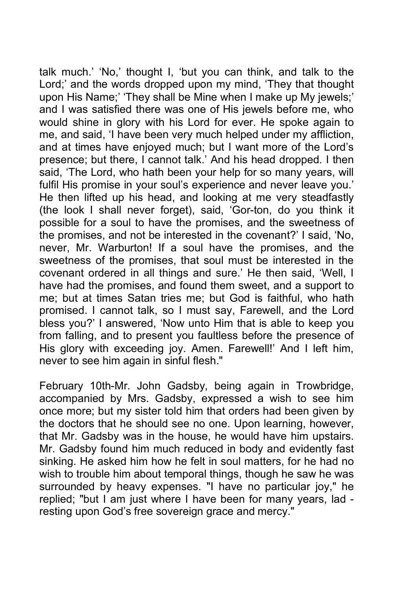talk much.' 'No,' thought I, 'but you can think, and talk to the Lord;' and the words dropped upon my mind, 'They that thought upon His Name;' 'They shall be Mine when I make up My jewels;' and I was satisfied there was one of His jewels before me, who would shine in glory with his Lord for ever. He spoke again to me, and said, 'I have been very much helped under my affliction, and at times have enjoyed much; but I want more of the Lord's presence; but there, I cannot talk.' And his head dropped. I then said, 'The Lord, who hath been your help for so many years, will fulfil His promise in your soul's experience and never leave you.' He then lifted up his head, and looking at me very steadfastly (the look I shall never forget), said, 'Gor-ton, do you think it possible for a soul to have the promises, and the sweetness of the promises, and not be interested in the covenant?' I said, 'No, never, Mr. Warburton! If a soul have the promises, and the sweetness of the promises, that soul must be interested in the covenant ordered in all things and sure.' He then said, 'Well, I have had the promises, and found them sweet, and a support to me; but at times Satan tries me; but God is faithful, who hath promised. I cannot talk, so I must say, Farewell, and the Lord bless you?' I answered, 'Now unto Him that is able to keep you from falling, and to present you faultless before the presence of His glory with exceeding joy. Amen. Farewell!' And I left him, never to see him again in sinful flesh."

February 10th-Mr. John Gadsby, being again in Trowbridge, accompanied by Mrs. Gadsby, expressed a wish to see him once more; but my sister told him that orders had been given by the doctors that he should see no one. Upon learning, however, that Mr. Gadsby was in the house, he would have him upstairs. Mr. Gadsby found him much reduced in body and evidently fast sinking. He asked him how he felt in soul matters, for he had no wish to trouble him about temporal things, though he saw he was surrounded by heavy expenses. "I have no particular joy," he replied; "but I am just where I have been for many years, lad resting upon God's free sovereign grace and mercy."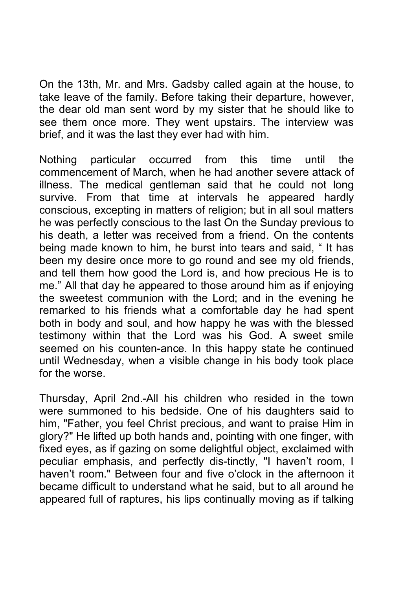On the 13th, Mr. and Mrs. Gadsby called again at the house, to take leave of the family. Before taking their departure, however, the dear old man sent word by my sister that he should like to see them once more. They went upstairs. The interview was brief, and it was the last they ever had with him.

Nothing particular occurred from this time until the commencement of March, when he had another severe attack of illness. The medical gentleman said that he could not long survive. From that time at intervals he appeared hardly conscious, excepting in matters of religion; but in all soul matters he was perfectly conscious to the last On the Sunday previous to his death, a letter was received from a friend. On the contents being made known to him, he burst into tears and said, " It has been my desire once more to go round and see my old friends, and tell them how good the Lord is, and how precious He is to me." All that day he appeared to those around him as if enjoying the sweetest communion with the Lord; and in the evening he remarked to his friends what a comfortable day he had spent both in body and soul, and how happy he was with the blessed testimony within that the Lord was his God. A sweet smile seemed on his counten-ance. In this happy state he continued until Wednesday, when a visible change in his body took place for the worse.

Thursday, April 2nd.-All his children who resided in the town were summoned to his bedside. One of his daughters said to him, "Father, you feel Christ precious, and want to praise Him in glory?" He lifted up both hands and, pointing with one finger, with fixed eyes, as if gazing on some delightful object, exclaimed with peculiar emphasis, and perfectly dis-tinctly, "I haven't room, I haven't room." Between four and five o'clock in the afternoon it became difficult to understand what he said, but to all around he appeared full of raptures, his lips continually moving as if talking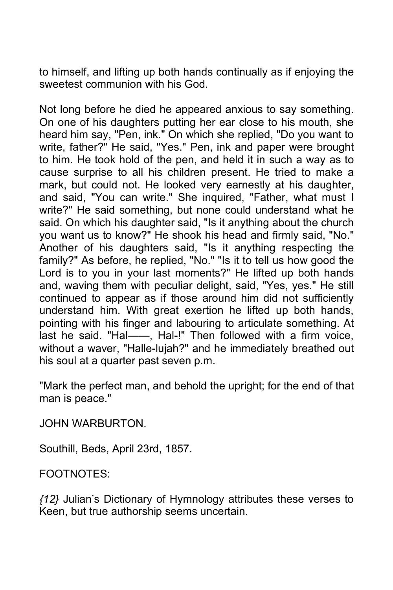to himself, and lifting up both hands continually as if enjoying the sweetest communion with his God.

Not long before he died he appeared anxious to say something. On one of his daughters putting her ear close to his mouth, she heard him say, "Pen, ink." On which she replied, "Do you want to write, father?" He said, "Yes." Pen, ink and paper were brought to him. He took hold of the pen, and held it in such a way as to cause surprise to all his children present. He tried to make a mark, but could not. He looked very earnestly at his daughter, and said, "You can write." She inquired, "Father, what must I write?" He said something, but none could understand what he said. On which his daughter said, "Is it anything about the church you want us to know?" He shook his head and firmly said, "No." Another of his daughters said, "Is it anything respecting the family?" As before, he replied, "No." "Is it to tell us how good the Lord is to you in your last moments?" He lifted up both hands and, waving them with peculiar delight, said, "Yes, yes." He still continued to appear as if those around him did not sufficiently understand him. With great exertion he lifted up both hands, pointing with his finger and labouring to articulate something. At last he said. "Hal——, Hal-!" Then followed with a firm voice, without a waver, "Halle-lujah?" and he immediately breathed out his soul at a quarter past seven p.m.

"Mark the perfect man, and behold the upright; for the end of that man is peace."

JOHN WARBURTON.

Southill, Beds, April 23rd, 1857.

FOOTNOTES:

*{12}* Julian's Dictionary of Hymnology attributes these verses to Keen, but true authorship seems uncertain.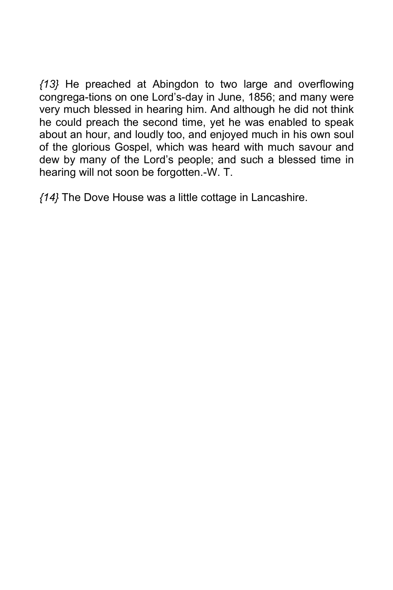*{13}* He preached at Abingdon to two large and overflowing congrega-tions on one Lord's-day in June, 1856; and many were very much blessed in hearing him. And although he did not think he could preach the second time, yet he was enabled to speak about an hour, and loudly too, and enjoyed much in his own soul of the glorious Gospel, which was heard with much savour and dew by many of the Lord's people; and such a blessed time in hearing will not soon be forgotten.-W. T.

*{14}* The Dove House was a little cottage in Lancashire.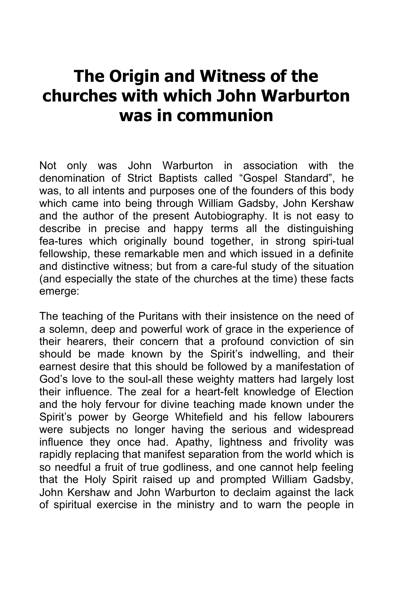## **The Origin and Witness of the churches with which John Warburton was in communion**

Not only was John Warburton in association with the denomination of Strict Baptists called "Gospel Standard", he was, to all intents and purposes one of the founders of this body which came into being through William Gadsby, John Kershaw and the author of the present Autobiography. It is not easy to describe in precise and happy terms all the distinguishing fea-tures which originally bound together, in strong spiri-tual fellowship, these remarkable men and which issued in a definite and distinctive witness; but from a care-ful study of the situation (and especially the state of the churches at the time) these facts emerge:

The teaching of the Puritans with their insistence on the need of a solemn, deep and powerful work of grace in the experience of their hearers, their concern that a profound conviction of sin should be made known by the Spirit's indwelling, and their earnest desire that this should be followed by a manifestation of God's love to the soul-all these weighty matters had largely lost their influence. The zeal for a heart-felt knowledge of Election and the holy fervour for divine teaching made known under the Spirit's power by George Whitefield and his fellow labourers were subjects no longer having the serious and widespread influence they once had. Apathy, lightness and frivolity was rapidly replacing that manifest separation from the world which is so needful a fruit of true godliness, and one cannot help feeling that the Holy Spirit raised up and prompted William Gadsby, John Kershaw and John Warburton to declaim against the lack of spiritual exercise in the ministry and to warn the people in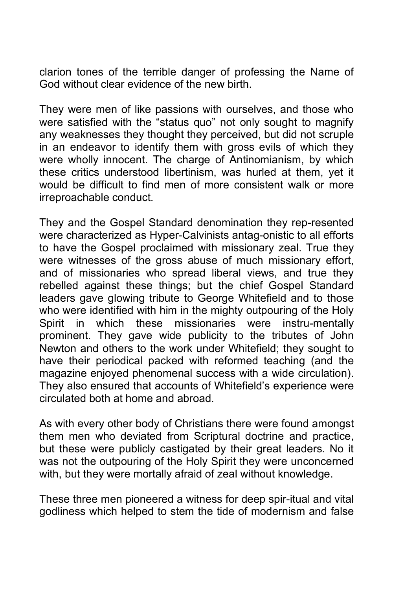clarion tones of the terrible danger of professing the Name of God without clear evidence of the new birth.

They were men of like passions with ourselves, and those who were satisfied with the "status quo" not only sought to magnify any weaknesses they thought they perceived, but did not scruple in an endeavor to identify them with gross evils of which they were wholly innocent. The charge of Antinomianism, by which these critics understood libertinism, was hurled at them, yet it would be difficult to find men of more consistent walk or more irreproachable conduct.

They and the Gospel Standard denomination they rep-resented were characterized as Hyper-Calvinists antag-onistic to all efforts to have the Gospel proclaimed with missionary zeal. True they were witnesses of the gross abuse of much missionary effort, and of missionaries who spread liberal views, and true they rebelled against these things; but the chief Gospel Standard leaders gave glowing tribute to George Whitefield and to those who were identified with him in the mighty outpouring of the Holy Spirit in which these missionaries were instru-mentally prominent. They gave wide publicity to the tributes of John Newton and others to the work under Whitefield; they sought to have their periodical packed with reformed teaching (and the magazine enjoyed phenomenal success with a wide circulation). They also ensured that accounts of Whitefield's experience were circulated both at home and abroad.

As with every other body of Christians there were found amongst them men who deviated from Scriptural doctrine and practice, but these were publicly castigated by their great leaders. No it was not the outpouring of the Holy Spirit they were unconcerned with, but they were mortally afraid of zeal without knowledge.

These three men pioneered a witness for deep spir-itual and vital godliness which helped to stem the tide of modernism and false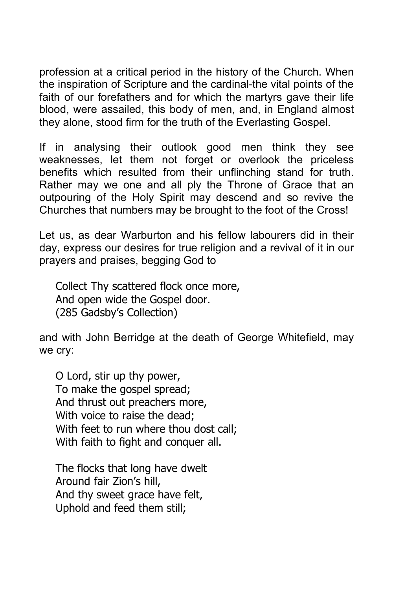profession at a critical period in the history of the Church. When the inspiration of Scripture and the cardinal-the vital points of the faith of our forefathers and for which the martyrs gave their life blood, were assailed, this body of men, and, in England almost they alone, stood firm for the truth of the Everlasting Gospel.

If in analysing their outlook good men think they see weaknesses, let them not forget or overlook the priceless benefits which resulted from their unflinching stand for truth. Rather may we one and all ply the Throne of Grace that an outpouring of the Holy Spirit may descend and so revive the Churches that numbers may be brought to the foot of the Cross!

Let us, as dear Warburton and his fellow labourers did in their day, express our desires for true religion and a revival of it in our prayers and praises, begging God to

Collect Thy scattered flock once more, And open wide the Gospel door. (285 Gadsby's Collection)

and with John Berridge at the death of George Whitefield, may we cry:

O Lord, stir up thy power, To make the gospel spread; And thrust out preachers more, With voice to raise the dead: With feet to run where thou dost call; With faith to fight and conquer all.

The flocks that long have dwelt Around fair Zion's hill, And thy sweet grace have felt, Uphold and feed them still;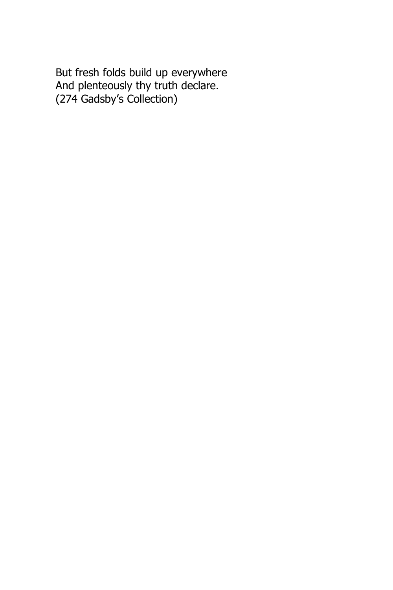But fresh folds build up everywhere And plenteously thy truth declare. (274 Gadsby's Collection)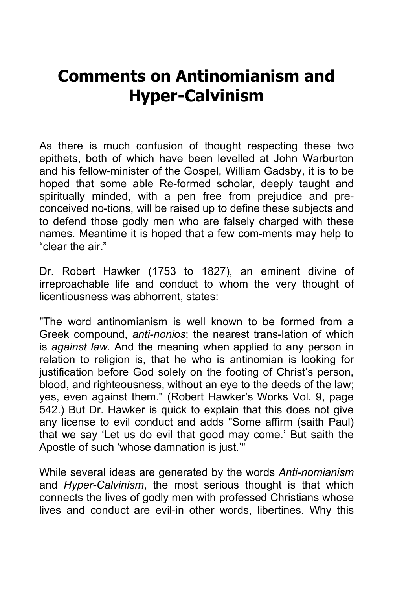## **Comments on Antinomianism and Hyper-Calvinism**

As there is much confusion of thought respecting these two epithets, both of which have been levelled at John Warburton and his fellow-minister of the Gospel, William Gadsby, it is to be hoped that some able Re-formed scholar, deeply taught and spiritually minded, with a pen free from prejudice and preconceived no-tions, will be raised up to define these subjects and to defend those godly men who are falsely charged with these names. Meantime it is hoped that a few com-ments may help to "clear the air."

Dr. Robert Hawker (1753 to 1827), an eminent divine of irreproachable life and conduct to whom the very thought of licentiousness was abhorrent, states:

"The word antinomianism is well known to be formed from a Greek compound, *anti-nonios*; the nearest trans-lation of which is *against law*. And the meaning when applied to any person in relation to religion is, that he who is antinomian is looking for justification before God solely on the footing of Christ's person, blood, and righteousness, without an eye to the deeds of the law; yes, even against them." (Robert Hawker's Works Vol. 9, page 542.) But Dr. Hawker is quick to explain that this does not give any license to evil conduct and adds "Some affirm (saith Paul) that we say 'Let us do evil that good may come.' But saith the Apostle of such 'whose damnation is just.'"

While several ideas are generated by the words *Anti-nomianism* and *Hyper-Calvinism*, the most serious thought is that which connects the lives of godly men with professed Christians whose lives and conduct are evil-in other words, libertines. Why this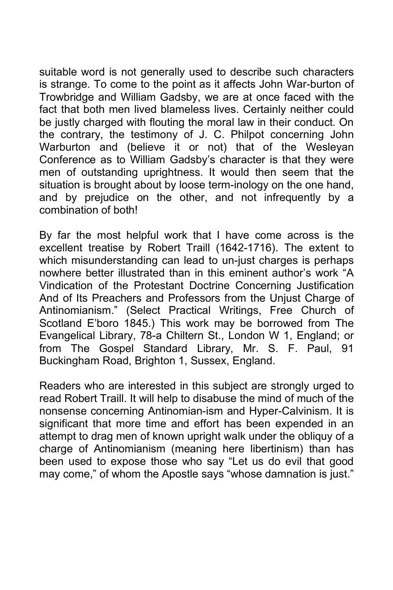suitable word is not generally used to describe such characters is strange. To come to the point as it affects John War-burton of Trowbridge and William Gadsby, we are at once faced with the fact that both men lived blameless lives. Certainly neither could be justly charged with flouting the moral law in their conduct. On the contrary, the testimony of J. C. Philpot concerning John Warburton and (believe it or not) that of the Wesleyan Conference as to William Gadsby's character is that they were men of outstanding uprightness. It would then seem that the situation is brought about by loose term-inology on the one hand, and by prejudice on the other, and not infrequently by a combination of both!

By far the most helpful work that I have come across is the excellent treatise by Robert Traill (1642-1716). The extent to which misunderstanding can lead to un-just charges is perhaps nowhere better illustrated than in this eminent author's work "A Vindication of the Protestant Doctrine Concerning Justification And of Its Preachers and Professors from the Unjust Charge of Antinomianism." (Select Practical Writings, Free Church of Scotland E'boro 1845.) This work may be borrowed from The Evangelical Library, 78-a Chiltern St., London W 1, England; or from The Gospel Standard Library, Mr. S. F. Paul, 91 Buckingham Road, Brighton 1, Sussex, England.

Readers who are interested in this subject are strongly urged to read Robert Traill. It will help to disabuse the mind of much of the nonsense concerning Antinomian-ism and Hyper-Calvinism. It is significant that more time and effort has been expended in an attempt to drag men of known upright walk under the obliquy of a charge of Antinomianism (meaning here libertinism) than has been used to expose those who say "Let us do evil that good may come," of whom the Apostle says "whose damnation is just."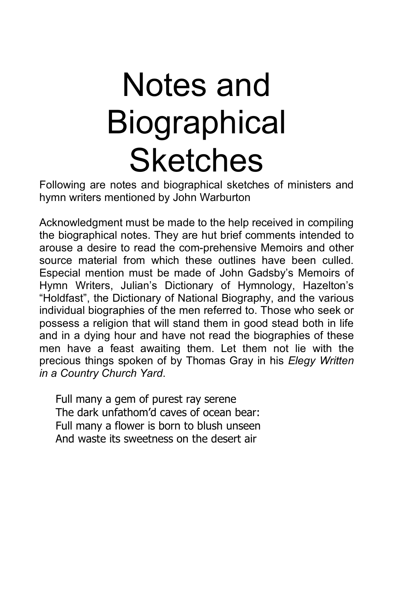# Notes and **Biographical Sketches**

Following are notes and biographical sketches of ministers and hymn writers mentioned by John Warburton

Acknowledgment must be made to the help received in compiling the biographical notes. They are hut brief comments intended to arouse a desire to read the com-prehensive Memoirs and other source material from which these outlines have been culled. Especial mention must be made of John Gadsby's Memoirs of Hymn Writers, Julian's Dictionary of Hymnology, Hazelton's "Holdfast", the Dictionary of National Biography, and the various individual biographies of the men referred to. Those who seek or possess a religion that will stand them in good stead both in life and in a dying hour and have not read the biographies of these men have a feast awaiting them. Let them not lie with the precious things spoken of by Thomas Gray in his *Elegy Written in a Country Church Yard*.

Full many a gem of purest ray serene The dark unfathom'd caves of ocean bear: Full many a flower is born to blush unseen And waste its sweetness on the desert air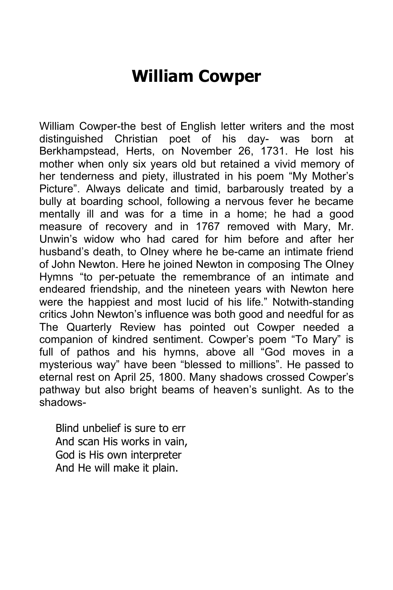#### **William Cowper**

William Cowper-the best of English letter writers and the most distinguished Christian poet of his day- was born at Berkhampstead, Herts, on November 26, 1731. He lost his mother when only six years old but retained a vivid memory of her tenderness and piety, illustrated in his poem "My Mother's Picture". Always delicate and timid, barbarously treated by a bully at boarding school, following a nervous fever he became mentally ill and was for a time in a home; he had a good measure of recovery and in 1767 removed with Mary, Mr. Unwin's widow who had cared for him before and after her husband's death, to Olney where he be-came an intimate friend of John Newton. Here he joined Newton in composing The Olney Hymns "to per-petuate the remembrance of an intimate and endeared friendship, and the nineteen years with Newton here were the happiest and most lucid of his life." Notwith-standing critics John Newton's influence was both good and needful for as The Quarterly Review has pointed out Cowper needed a companion of kindred sentiment. Cowper's poem "To Mary" is full of pathos and his hymns, above all "God moves in a mysterious way" have been "blessed to millions". He passed to eternal rest on April 25, 1800. Many shadows crossed Cowper's pathway but also bright beams of heaven's sunlight. As to the shadows-

Blind unbelief is sure to err And scan His works in vain, God is His own interpreter And He will make it plain.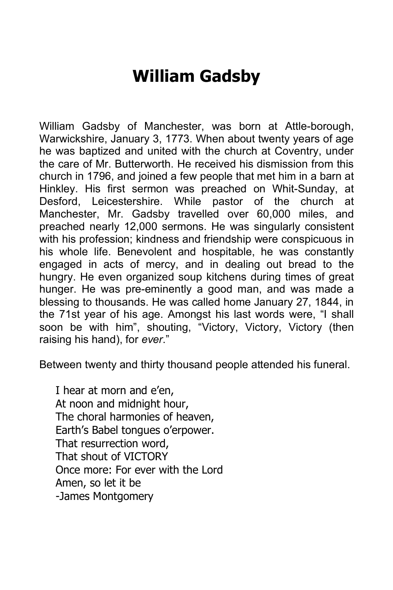#### **William Gadsby**

William Gadsby of Manchester, was born at Attle-borough, Warwickshire, January 3, 1773. When about twenty years of age he was baptized and united with the church at Coventry, under the care of Mr. Butterworth. He received his dismission from this church in 1796, and joined a few people that met him in a barn at Hinkley. His first sermon was preached on Whit-Sunday, at Desford, Leicestershire. While pastor of the church at Manchester, Mr. Gadsby travelled over 60,000 miles, and preached nearly 12,000 sermons. He was singularly consistent with his profession; kindness and friendship were conspicuous in his whole life. Benevolent and hospitable, he was constantly engaged in acts of mercy, and in dealing out bread to the hungry. He even organized soup kitchens during times of great hunger. He was pre-eminently a good man, and was made a blessing to thousands. He was called home January 27, 1844, in the 71st year of his age. Amongst his last words were, "I shall soon be with him", shouting, "Victory, Victory, Victory (then raising his hand), for *ever*."

Between twenty and thirty thousand people attended his funeral.

I hear at morn and e'en, At noon and midnight hour, The choral harmonies of heaven, Earth's Babel tongues o'erpower. That resurrection word, That shout of VICTORY Once more: For ever with the Lord Amen, so let it be -James Montgomery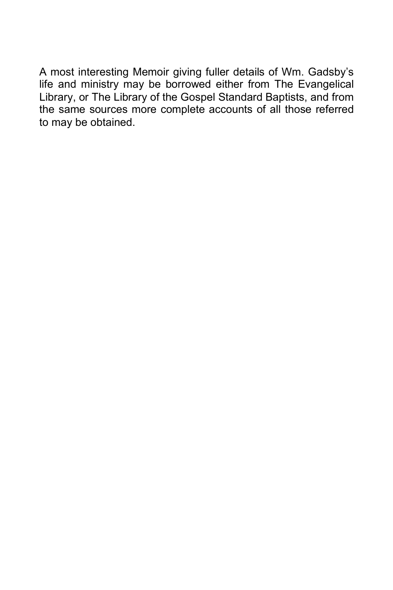A most interesting Memoir giving fuller details of Wm. Gadsby's life and ministry may be borrowed either from The Evangelical Library, or The Library of the Gospel Standard Baptists, and from the same sources more complete accounts of all those referred to may be obtained.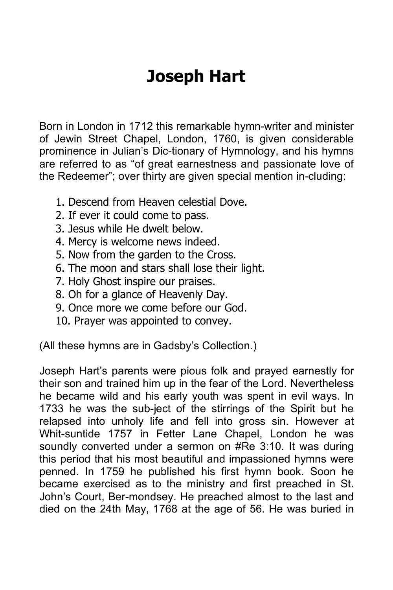# **Joseph Hart**

Born in London in 1712 this remarkable hymn-writer and minister of Jewin Street Chapel, London, 1760, is given considerable prominence in Julian's Dic-tionary of Hymnology, and his hymns are referred to as "of great earnestness and passionate love of the Redeemer"; over thirty are given special mention in-cluding:

- 1. Descend from Heaven celestial Dove.
- 2. If ever it could come to pass.
- 3. Jesus while He dwelt below.
- 4. Mercy is welcome news indeed.
- 5. Now from the garden to the Cross.
- 6. The moon and stars shall lose their light.
- 7. Holy Ghost inspire our praises.
- 8. Oh for a glance of Heavenly Day.
- 9. Once more we come before our God.
- 10. Prayer was appointed to convey.

(All these hymns are in Gadsby's Collection.)

Joseph Hart's parents were pious folk and prayed earnestly for their son and trained him up in the fear of the Lord. Nevertheless he became wild and his early youth was spent in evil ways. In 1733 he was the sub-ject of the stirrings of the Spirit but he relapsed into unholy life and fell into gross sin. However at Whit-suntide 1757 in Fetter Lane Chapel, London he was soundly converted under a sermon on #Re 3:10. It was during this period that his most beautiful and impassioned hymns were penned. In 1759 he published his first hymn book. Soon he became exercised as to the ministry and first preached in St. John's Court, Ber-mondsey. He preached almost to the last and died on the 24th May, 1768 at the age of 56. He was buried in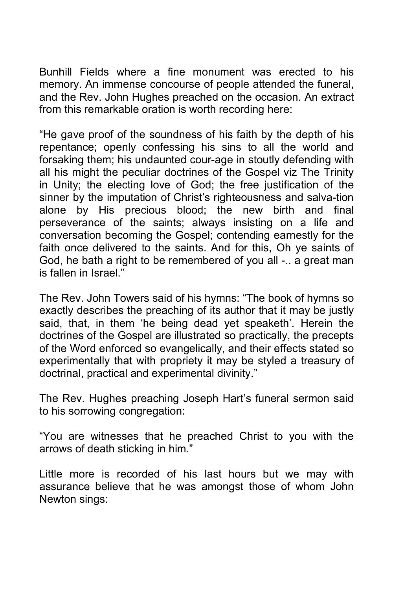Bunhill Fields where a fine monument was erected to his memory. An immense concourse of people attended the funeral, and the Rev. John Hughes preached on the occasion. An extract from this remarkable oration is worth recording here:

"He gave proof of the soundness of his faith by the depth of his repentance; openly confessing his sins to all the world and forsaking them; his undaunted cour-age in stoutly defending with all his might the peculiar doctrines of the Gospel viz The Trinity in Unity; the electing love of God; the free justification of the sinner by the imputation of Christ's righteousness and salva-tion alone by His precious blood; the new birth and final perseverance of the saints; always insisting on a life and conversation becoming the Gospel; contending earnestly for the faith once delivered to the saints. And for this, Oh ye saints of God, he bath a right to be remembered of you all -.. a great man is fallen in Israel."

The Rev. John Towers said of his hymns: "The book of hymns so exactly describes the preaching of its author that it may be justly said, that, in them 'he being dead yet speaketh'. Herein the doctrines of the Gospel are illustrated so practically, the precepts of the Word enforced so evangelically, and their effects stated so experimentally that with propriety it may be styled a treasury of doctrinal, practical and experimental divinity."

The Rev. Hughes preaching Joseph Hart's funeral sermon said to his sorrowing congregation:

"You are witnesses that he preached Christ to you with the arrows of death sticking in him."

Little more is recorded of his last hours but we may with assurance believe that he was amongst those of whom John Newton sings: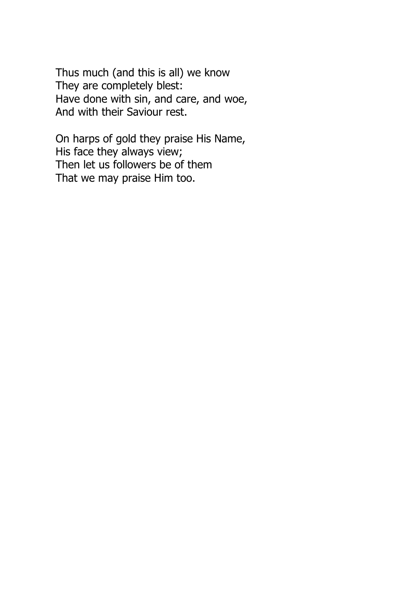Thus much (and this is all) we know They are completely blest: Have done with sin, and care, and woe, And with their Saviour rest.

On harps of gold they praise His Name, His face they always view; Then let us followers be of them That we may praise Him too.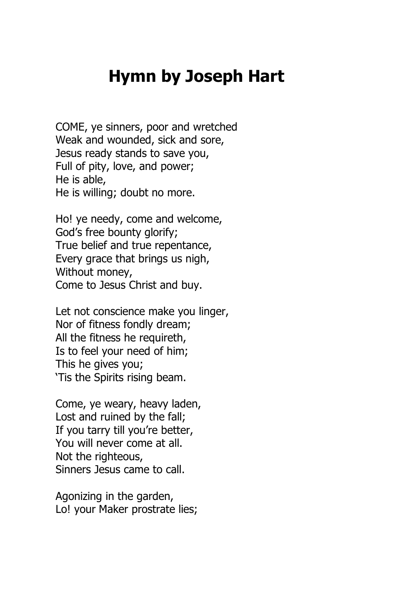#### **Hymn by Joseph Hart**

COME, ye sinners, poor and wretched Weak and wounded, sick and sore, Jesus ready stands to save you, Full of pity, love, and power; He is able, He is willing; doubt no more.

Ho! ye needy, come and welcome, God's free bounty glorify; True belief and true repentance, Every grace that brings us nigh, Without money, Come to Jesus Christ and buy.

Let not conscience make you linger, Nor of fitness fondly dream; All the fitness he requireth, Is to feel your need of him; This he gives you; 'Tis the Spirits rising beam.

Come, ye weary, heavy laden, Lost and ruined by the fall; If you tarry till you're better, You will never come at all. Not the righteous, Sinners Jesus came to call.

Agonizing in the garden, Lo! your Maker prostrate lies;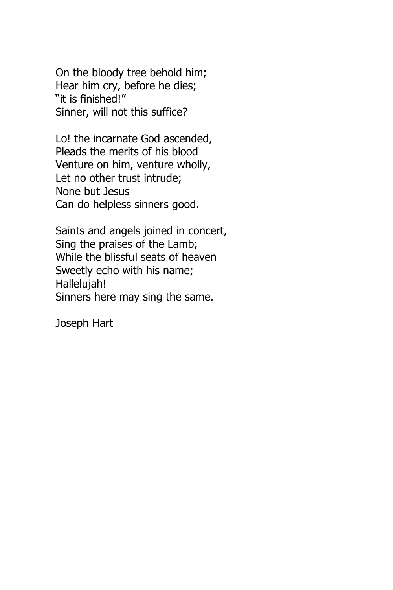On the bloody tree behold him; Hear him cry, before he dies; "it is finished!" Sinner, will not this suffice?

Lo! the incarnate God ascended, Pleads the merits of his blood Venture on him, venture wholly, Let no other trust intrude; None but Jesus Can do helpless sinners good.

Saints and angels joined in concert, Sing the praises of the Lamb; While the blissful seats of heaven Sweetly echo with his name; Hallelujah! Sinners here may sing the same.

Joseph Hart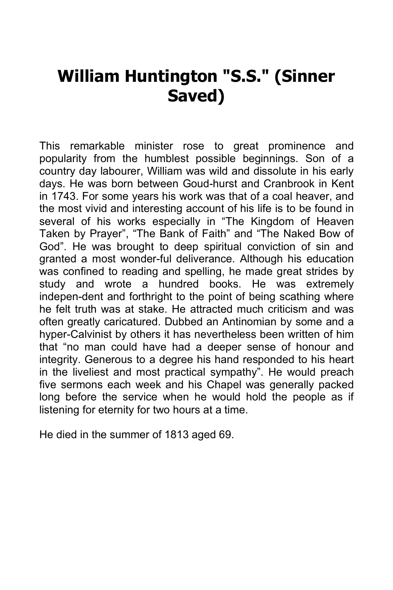## **William Huntington "S.S." (Sinner Saved)**

This remarkable minister rose to great prominence and popularity from the humblest possible beginnings. Son of a country day labourer, William was wild and dissolute in his early days. He was born between Goud-hurst and Cranbrook in Kent in 1743. For some years his work was that of a coal heaver, and the most vivid and interesting account of his life is to be found in several of his works especially in "The Kingdom of Heaven Taken by Prayer", "The Bank of Faith" and "The Naked Bow of God". He was brought to deep spiritual conviction of sin and granted a most wonder-ful deliverance. Although his education was confined to reading and spelling, he made great strides by study and wrote a hundred books. He was extremely indepen-dent and forthright to the point of being scathing where he felt truth was at stake. He attracted much criticism and was often greatly caricatured. Dubbed an Antinomian by some and a hyper-Calvinist by others it has nevertheless been written of him that "no man could have had a deeper sense of honour and integrity. Generous to a degree his hand responded to his heart in the liveliest and most practical sympathy". He would preach five sermons each week and his Chapel was generally packed long before the service when he would hold the people as if listening for eternity for two hours at a time.

He died in the summer of 1813 aged 69.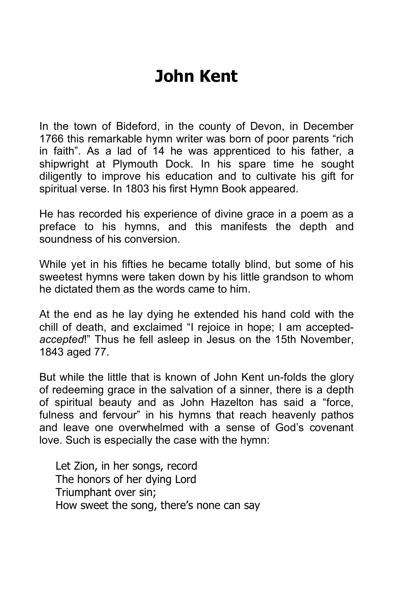## **John Kent**

In the town of Bideford, in the county of Devon, in December 1766 this remarkable hymn writer was born of poor parents "rich in faith". As a lad of 14 he was apprenticed to his father, a shipwright at Plymouth Dock. In his spare time he sought diligently to improve his education and to cultivate his gift for spiritual verse. In 1803 his first Hymn Book appeared.

He has recorded his experience of divine grace in a poem as a preface to his hymns, and this manifests the depth and soundness of his conversion.

While yet in his fifties he became totally blind, but some of his sweetest hymns were taken down by his little grandson to whom he dictated them as the words came to him.

At the end as he lay dying he extended his hand cold with the chill of death, and exclaimed "I rejoice in hope; I am accepted*accepted*!" Thus he fell asleep in Jesus on the 15th November, 1843 aged 77.

But while the little that is known of John Kent un-folds the glory of redeeming grace in the salvation of a sinner, there is a depth of spiritual beauty and as John Hazelton has said a "force, fulness and fervour" in his hymns that reach heavenly pathos and leave one overwhelmed with a sense of God's covenant love. Such is especially the case with the hymn:

Let Zion, in her songs, record The honors of her dying Lord Triumphant over sin; How sweet the song, there's none can say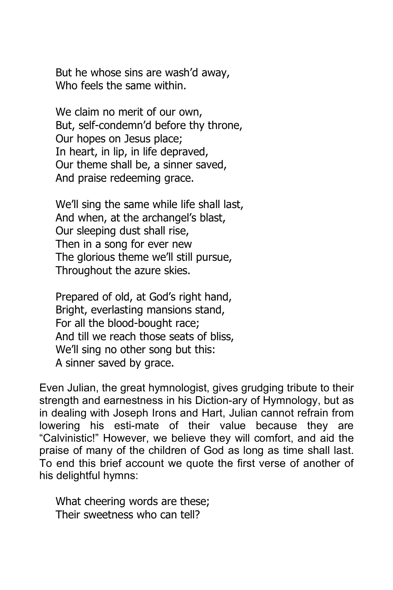But he whose sins are wash'd away, Who feels the same within.

We claim no merit of our own, But, self-condemn'd before thy throne, Our hopes on Jesus place; In heart, in lip, in life depraved, Our theme shall be, a sinner saved, And praise redeeming grace.

We'll sing the same while life shall last, And when, at the archangel's blast, Our sleeping dust shall rise, Then in a song for ever new The glorious theme we'll still pursue, Throughout the azure skies.

Prepared of old, at God's right hand, Bright, everlasting mansions stand, For all the blood-bought race; And till we reach those seats of bliss, We'll sing no other song but this: A sinner saved by grace.

Even Julian, the great hymnologist, gives grudging tribute to their strength and earnestness in his Diction-ary of Hymnology, but as in dealing with Joseph Irons and Hart, Julian cannot refrain from lowering his esti-mate of their value because they are "Calvinistic!" However, we believe they will comfort, and aid the praise of many of the children of God as long as time shall last. To end this brief account we quote the first verse of another of his delightful hymns:

What cheering words are these; Their sweetness who can tell?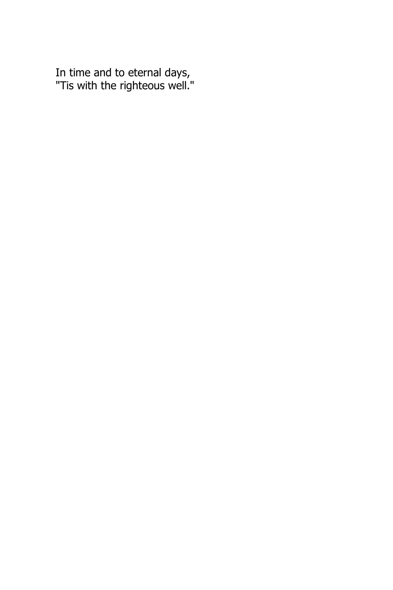In time and to eternal days, "Tis with the righteous well."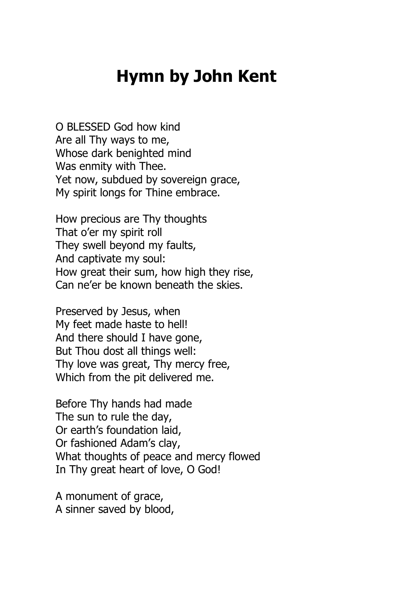## **Hymn by John Kent**

O BLESSED God how kind Are all Thy ways to me, Whose dark benighted mind Was enmity with Thee. Yet now, subdued by sovereign grace, My spirit longs for Thine embrace.

How precious are Thy thoughts That o'er my spirit roll They swell beyond my faults, And captivate my soul: How great their sum, how high they rise, Can ne'er be known beneath the skies.

Preserved by Jesus, when My feet made haste to hell! And there should I have gone, But Thou dost all things well: Thy love was great, Thy mercy free, Which from the pit delivered me.

Before Thy hands had made The sun to rule the day, Or earth's foundation laid, Or fashioned Adam's clay, What thoughts of peace and mercy flowed In Thy great heart of love, O God!

A monument of grace, A sinner saved by blood,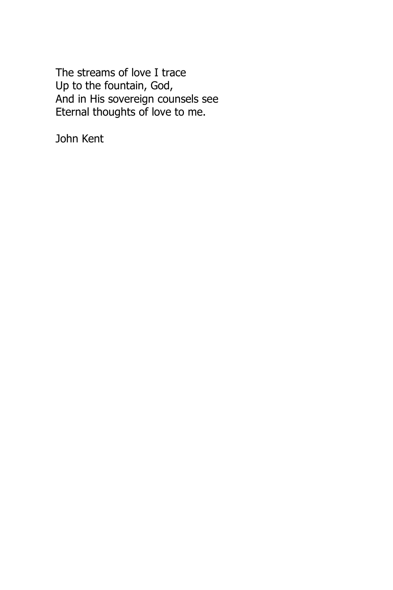The streams of love I trace Up to the fountain, God, And in His sovereign counsels see Eternal thoughts of love to me.

John Kent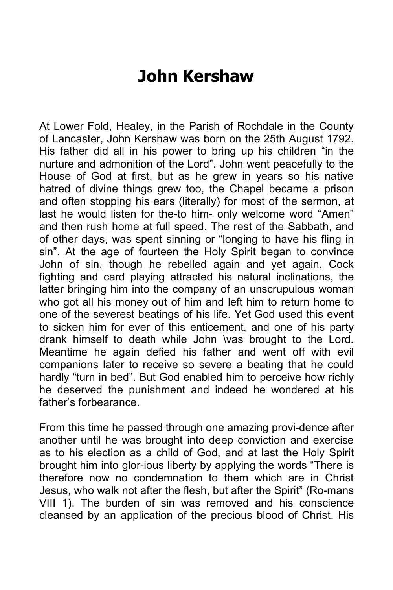## **John Kershaw**

At Lower Fold, Healey, in the Parish of Rochdale in the County of Lancaster, John Kershaw was born on the 25th August 1792. His father did all in his power to bring up his children "in the nurture and admonition of the Lord". John went peacefully to the House of God at first, but as he grew in years so his native hatred of divine things grew too, the Chapel became a prison and often stopping his ears (literally) for most of the sermon, at last he would listen for the-to him- only welcome word "Amen" and then rush home at full speed. The rest of the Sabbath, and of other days, was spent sinning or "longing to have his fling in sin". At the age of fourteen the Holy Spirit began to convince John of sin, though he rebelled again and yet again. Cock fighting and card playing attracted his natural inclinations, the latter bringing him into the company of an unscrupulous woman who got all his money out of him and left him to return home to one of the severest beatings of his life. Yet God used this event to sicken him for ever of this enticement, and one of his party drank himself to death while John \vas brought to the Lord. Meantime he again defied his father and went off with evil companions later to receive so severe a beating that he could hardly "turn in bed". But God enabled him to perceive how richly he deserved the punishment and indeed he wondered at his father's forbearance.

From this time he passed through one amazing provi-dence after another until he was brought into deep conviction and exercise as to his election as a child of God, and at last the Holy Spirit brought him into glor-ious liberty by applying the words "There is therefore now no condemnation to them which are in Christ Jesus, who walk not after the flesh, but after the Spirit" (Ro-mans VIII 1). The burden of sin was removed and his conscience cleansed by an application of the precious blood of Christ. His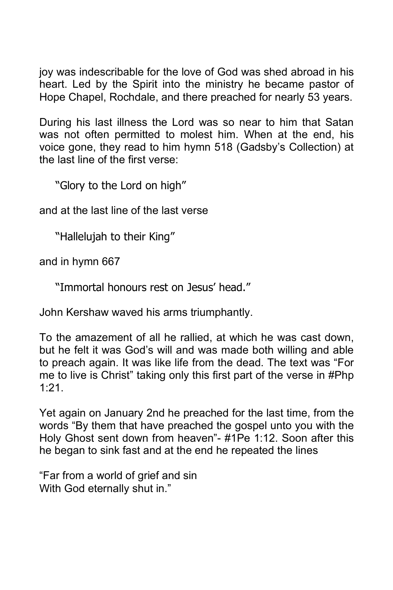joy was indescribable for the love of God was shed abroad in his heart. Led by the Spirit into the ministry he became pastor of Hope Chapel, Rochdale, and there preached for nearly 53 years.

During his last illness the Lord was so near to him that Satan was not often permitted to molest him. When at the end, his voice gone, they read to him hymn 518 (Gadsby's Collection) at the last line of the first verse:

"Glory to the Lord on high"

and at the last line of the last verse

"Hallelujah to their King"

and in hymn 667

"Immortal honours rest on Jesus' head."

John Kershaw waved his arms triumphantly.

To the amazement of all he rallied, at which he was cast down, but he felt it was God's will and was made both willing and able to preach again. It was like life from the dead. The text was "For me to live is Christ" taking only this first part of the verse in #Php 1:21.

Yet again on January 2nd he preached for the last time, from the words "By them that have preached the gospel unto you with the Holy Ghost sent down from heaven"- #1Pe 1:12. Soon after this he began to sink fast and at the end he repeated the lines

"Far from a world of grief and sin With God eternally shut in."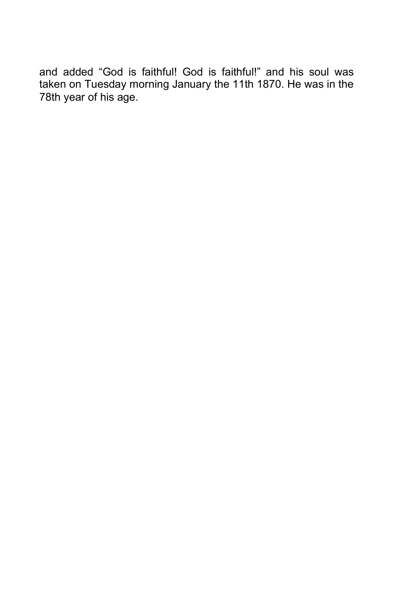and added "God is faithful! God is faithful!" and his soul was taken on Tuesday morning January the 11th 1870. He was in the 78th year of his age.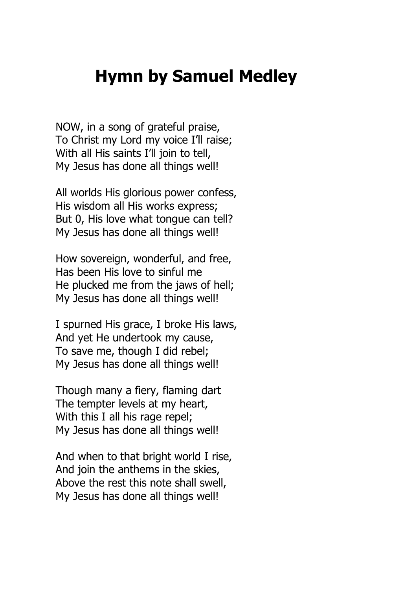#### **Hymn by Samuel Medley**

NOW, in a song of grateful praise, To Christ my Lord my voice I'll raise; With all His saints I'll join to tell, My Jesus has done all things well!

All worlds His glorious power confess, His wisdom all His works express; But 0, His love what tongue can tell? My Jesus has done all things well!

How sovereign, wonderful, and free, Has been His love to sinful me He plucked me from the jaws of hell; My Jesus has done all things well!

I spurned His grace, I broke His laws, And yet He undertook my cause, To save me, though I did rebel; My Jesus has done all things well!

Though many a fiery, flaming dart The tempter levels at my heart, With this I all his rage repel; My Jesus has done all things well!

And when to that bright world I rise, And join the anthems in the skies, Above the rest this note shall swell, My Jesus has done all things well!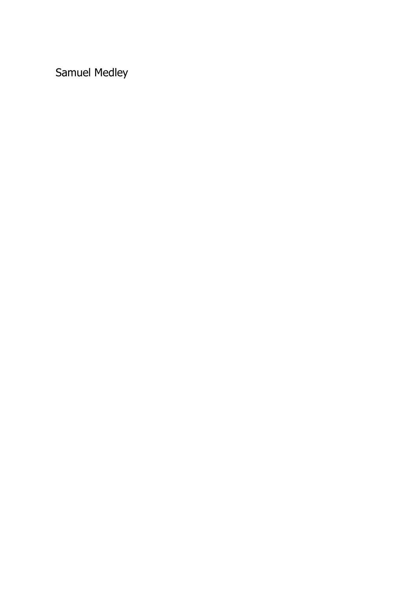Samuel Medley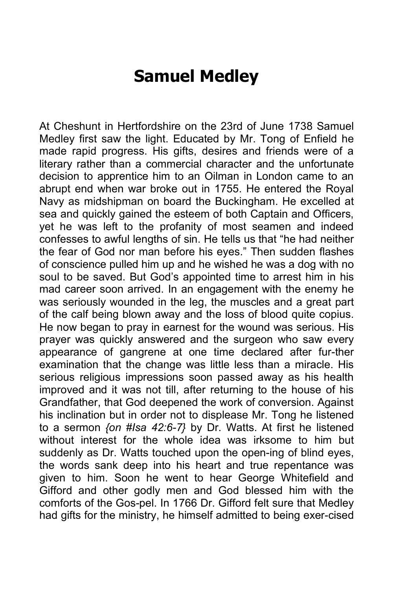#### **Samuel Medley**

At Cheshunt in Hertfordshire on the 23rd of June 1738 Samuel Medley first saw the light. Educated by Mr. Tong of Enfield he made rapid progress. His gifts, desires and friends were of a literary rather than a commercial character and the unfortunate decision to apprentice him to an Oilman in London came to an abrupt end when war broke out in 1755. He entered the Royal Navy as midshipman on board the Buckingham. He excelled at sea and quickly gained the esteem of both Captain and Officers, yet he was left to the profanity of most seamen and indeed confesses to awful lengths of sin. He tells us that "he had neither the fear of God nor man before his eyes." Then sudden flashes of conscience pulled him up and he wished he was a dog with no soul to be saved. But God's appointed time to arrest him in his mad career soon arrived. In an engagement with the enemy he was seriously wounded in the leg, the muscles and a great part of the calf being blown away and the loss of blood quite copius. He now began to pray in earnest for the wound was serious. His prayer was quickly answered and the surgeon who saw every appearance of gangrene at one time declared after fur-ther examination that the change was little less than a miracle. His serious religious impressions soon passed away as his health improved and it was not till, after returning to the house of his Grandfather, that God deepened the work of conversion. Against his inclination but in order not to displease Mr. Tong he listened to a sermon *{on #Isa 42:6-7}* by Dr. Watts. At first he listened without interest for the whole idea was irksome to him but suddenly as Dr. Watts touched upon the open-ing of blind eyes, the words sank deep into his heart and true repentance was given to him. Soon he went to hear George Whitefield and Gifford and other godly men and God blessed him with the comforts of the Gos-pel. In 1766 Dr. Gifford felt sure that Medley had gifts for the ministry, he himself admitted to being exer-cised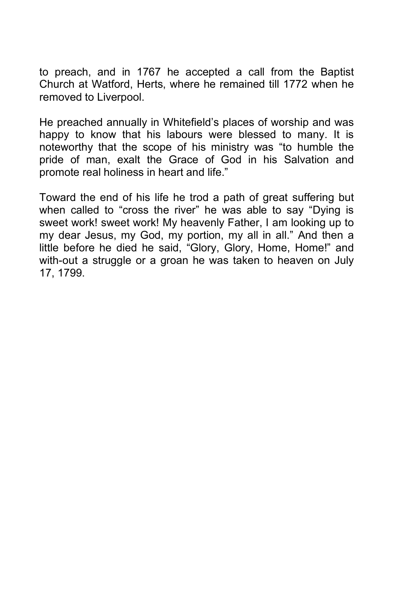to preach, and in 1767 he accepted a call from the Baptist Church at Watford, Herts, where he remained till 1772 when he removed to Liverpool.

He preached annually in Whitefield's places of worship and was happy to know that his labours were blessed to many. It is noteworthy that the scope of his ministry was "to humble the pride of man, exalt the Grace of God in his Salvation and promote real holiness in heart and life."

Toward the end of his life he trod a path of great suffering but when called to "cross the river" he was able to say "Dying is sweet work! sweet work! My heavenly Father, I am looking up to my dear Jesus, my God, my portion, my all in all." And then a little before he died he said, "Glory, Glory, Home, Home!" and with-out a struggle or a groan he was taken to heaven on July 17, 1799.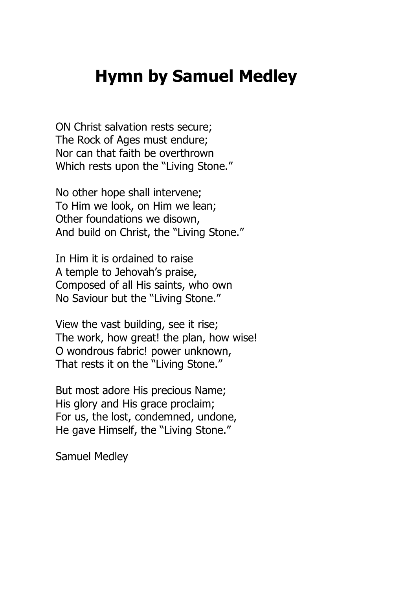## **Hymn by Samuel Medley**

ON Christ salvation rests secure; The Rock of Ages must endure; Nor can that faith be overthrown Which rests upon the "Living Stone."

No other hope shall intervene; To Him we look, on Him we lean; Other foundations we disown, And build on Christ, the "Living Stone."

In Him it is ordained to raise A temple to Jehovah's praise, Composed of all His saints, who own No Saviour but the "Living Stone."

View the vast building, see it rise; The work, how great! the plan, how wise! O wondrous fabric! power unknown, That rests it on the "Living Stone."

But most adore His precious Name; His glory and His grace proclaim; For us, the lost, condemned, undone, He gave Himself, the "Living Stone."

Samuel Medley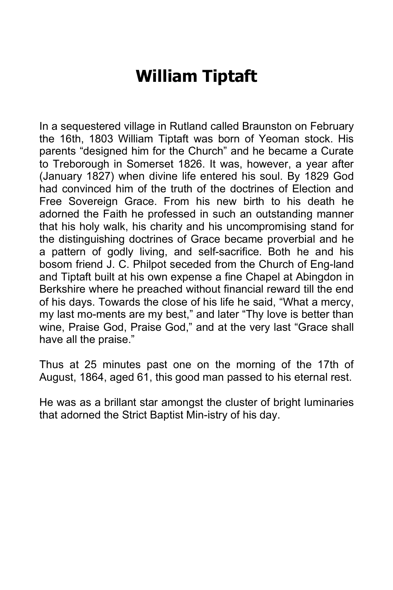# **William Tiptaft**

In a sequestered village in Rutland called Braunston on February the 16th, 1803 William Tiptaft was born of Yeoman stock. His parents "designed him for the Church" and he became a Curate to Treborough in Somerset 1826. It was, however, a year after (January 1827) when divine life entered his soul. By 1829 God had convinced him of the truth of the doctrines of Election and Free Sovereign Grace. From his new birth to his death he adorned the Faith he professed in such an outstanding manner that his holy walk, his charity and his uncompromising stand for the distinguishing doctrines of Grace became proverbial and he a pattern of godly living, and self-sacrifice. Both he and his bosom friend J. C. Philpot seceded from the Church of Eng-land and Tiptaft built at his own expense a fine Chapel at Abingdon in Berkshire where he preached without financial reward till the end of his days. Towards the close of his life he said, "What a mercy, my last mo-ments are my best," and later "Thy love is better than wine, Praise God, Praise God," and at the very last "Grace shall have all the praise."

Thus at 25 minutes past one on the morning of the 17th of August, 1864, aged 61, this good man passed to his eternal rest.

He was as a brillant star amongst the cluster of bright luminaries that adorned the Strict Baptist Min-istry of his day.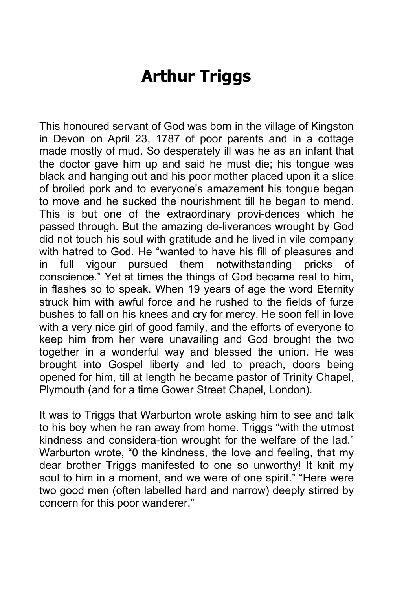# **Arthur Triggs**

This honoured servant of God was born in the village of Kingston in Devon on April 23, 1787 of poor parents and in a cottage made mostly of mud. So desperately ill was he as an infant that the doctor gave him up and said he must die; his tongue was black and hanging out and his poor mother placed upon it a slice of broiled pork and to everyone's amazement his tongue began to move and he sucked the nourishment till he began to mend. This is but one of the extraordinary provi-dences which he passed through. But the amazing de-liverances wrought by God did not touch his soul with gratitude and he lived in vile company with hatred to God. He "wanted to have his fill of pleasures and in full vigour pursued them notwithstanding pricks of conscience." Yet at times the things of God became real to him, in flashes so to speak. When 19 years of age the word Eternity struck him with awful force and he rushed to the fields of furze bushes to fall on his knees and cry for mercy. He soon fell in love with a very nice girl of good family, and the efforts of everyone to keep him from her were unavailing and God brought the two together in a wonderful way and blessed the union. He was brought into Gospel liberty and led to preach, doors being opened for him, till at length he became pastor of Trinity Chapel, Plymouth (and for a time Gower Street Chapel, London).

It was to Triggs that Warburton wrote asking him to see and talk to his boy when he ran away from home. Triggs "with the utmost kindness and considera-tion wrought for the welfare of the lad." Warburton wrote, "0 the kindness, the love and feeling, that my dear brother Triggs manifested to one so unworthy! It knit my soul to him in a moment, and we were of one spirit." "Here were two good men (often labelled hard and narrow) deeply stirred by concern for this poor wanderer."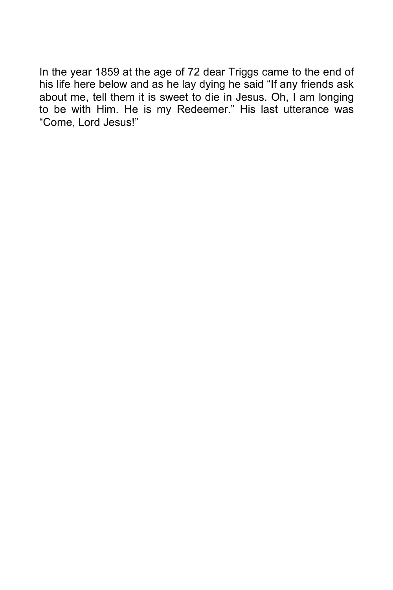In the year 1859 at the age of 72 dear Triggs came to the end of his life here below and as he lay dying he said "If any friends ask about me, tell them it is sweet to die in Jesus. Oh, I am longing to be with Him. He is my Redeemer." His last utterance was "Come, Lord Jesus!"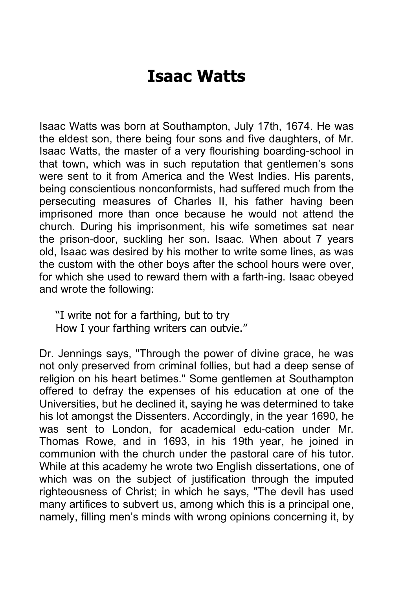# **Isaac Watts**

Isaac Watts was born at Southampton, July 17th, 1674. He was the eldest son, there being four sons and five daughters, of Mr. Isaac Watts, the master of a very flourishing boarding-school in that town, which was in such reputation that gentlemen's sons were sent to it from America and the West Indies. His parents, being conscientious nonconformists, had suffered much from the persecuting measures of Charles II, his father having been imprisoned more than once because he would not attend the church. During his imprisonment, his wife sometimes sat near the prison-door, suckling her son. Isaac. When about 7 years old, Isaac was desired by his mother to write some lines, as was the custom with the other boys after the school hours were over, for which she used to reward them with a farth-ing. Isaac obeyed and wrote the following:

"I write not for a farthing, but to try How I your farthing writers can outvie."

Dr. Jennings says, "Through the power of divine grace, he was not only preserved from criminal follies, but had a deep sense of religion on his heart betimes." Some gentlemen at Southampton offered to defray the expenses of his education at one of the Universities, but he declined it, saying he was determined to take his lot amongst the Dissenters. Accordingly, in the year 1690, he was sent to London, for academical edu-cation under Mr. Thomas Rowe, and in 1693, in his 19th year, he joined in communion with the church under the pastoral care of his tutor. While at this academy he wrote two English dissertations, one of which was on the subject of justification through the imputed righteousness of Christ; in which he says, "The devil has used many artifices to subvert us, among which this is a principal one, namely, filling men's minds with wrong opinions concerning it, by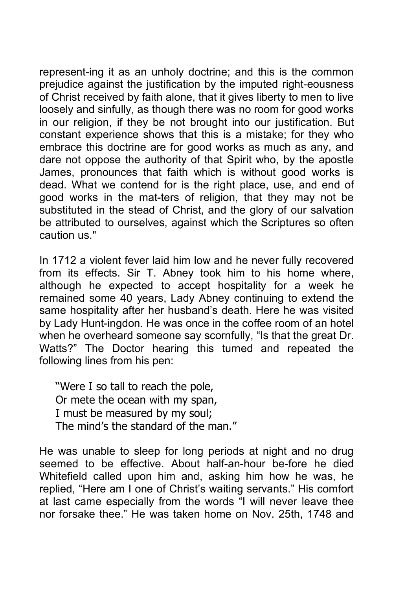represent-ing it as an unholy doctrine; and this is the common prejudice against the justification by the imputed right-eousness of Christ received by faith alone, that it gives liberty to men to live loosely and sinfully, as though there was no room for good works in our religion, if they be not brought into our justification. But constant experience shows that this is a mistake; for they who embrace this doctrine are for good works as much as any, and dare not oppose the authority of that Spirit who, by the apostle James, pronounces that faith which is without good works is dead. What we contend for is the right place, use, and end of good works in the mat-ters of religion, that they may not be substituted in the stead of Christ, and the glory of our salvation be attributed to ourselves, against which the Scriptures so often caution us."

In 1712 a violent fever laid him low and he never fully recovered from its effects. Sir T. Abney took him to his home where, although he expected to accept hospitality for a week he remained some 40 years, Lady Abney continuing to extend the same hospitality after her husband's death. Here he was visited by Lady Hunt-ingdon. He was once in the coffee room of an hotel when he overheard someone say scornfully, "Is that the great Dr. Watts?" The Doctor hearing this turned and repeated the following lines from his pen:

"Were I so tall to reach the pole, Or mete the ocean with my span, I must be measured by my soul; The mind's the standard of the man."

He was unable to sleep for long periods at night and no drug seemed to be effective. About half-an-hour be-fore he died Whitefield called upon him and, asking him how he was, he replied, "Here am I one of Christ's waiting servants." His comfort at last came especially from the words "I will never leave thee nor forsake thee." He was taken home on Nov. 25th, 1748 and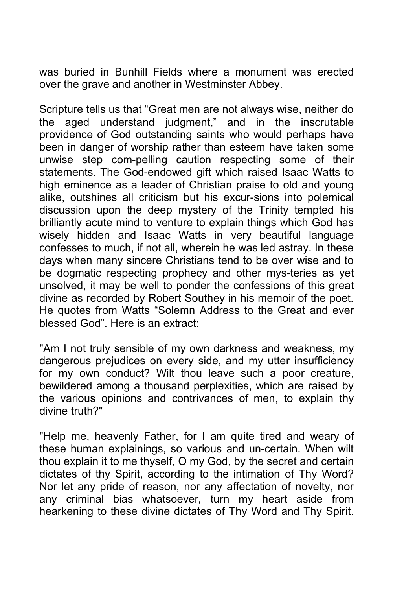was buried in Bunhill Fields where a monument was erected over the grave and another in Westminster Abbey.

Scripture tells us that "Great men are not always wise, neither do the aged understand judgment," and in the inscrutable providence of God outstanding saints who would perhaps have been in danger of worship rather than esteem have taken some unwise step com-pelling caution respecting some of their statements. The God-endowed gift which raised Isaac Watts to high eminence as a leader of Christian praise to old and young alike, outshines all criticism but his excur-sions into polemical discussion upon the deep mystery of the Trinity tempted his brilliantly acute mind to venture to explain things which God has wisely hidden and Isaac Watts in very beautiful language confesses to much, if not all, wherein he was led astray. In these days when many sincere Christians tend to be over wise and to be dogmatic respecting prophecy and other mys-teries as yet unsolved, it may be well to ponder the confessions of this great divine as recorded by Robert Southey in his memoir of the poet. He quotes from Watts "Solemn Address to the Great and ever blessed God". Here is an extract:

"Am I not truly sensible of my own darkness and weakness, my dangerous prejudices on every side, and my utter insufficiency for my own conduct? Wilt thou leave such a poor creature, bewildered among a thousand perplexities, which are raised by the various opinions and contrivances of men, to explain thy divine truth?"

"Help me, heavenly Father, for I am quite tired and weary of these human explainings, so various and un-certain. When wilt thou explain it to me thyself, O my God, by the secret and certain dictates of thy Spirit, according to the intimation of Thy Word? Nor let any pride of reason, nor any affectation of novelty, nor any criminal bias whatsoever, turn my heart aside from hearkening to these divine dictates of Thy Word and Thy Spirit.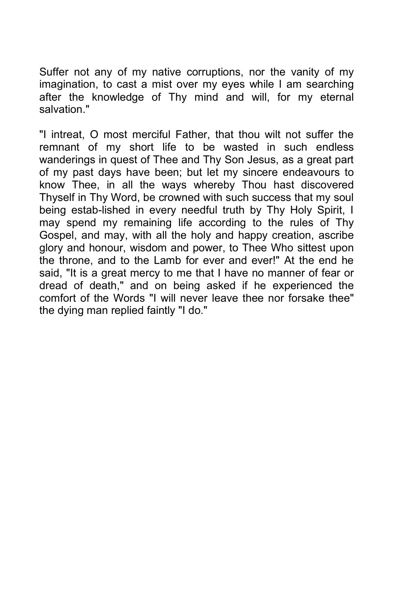Suffer not any of my native corruptions, nor the vanity of my imagination, to cast a mist over my eyes while I am searching after the knowledge of Thy mind and will, for my eternal salvation."

"I intreat, O most merciful Father, that thou wilt not suffer the remnant of my short life to be wasted in such endless wanderings in quest of Thee and Thy Son Jesus, as a great part of my past days have been; but let my sincere endeavours to know Thee, in all the ways whereby Thou hast discovered Thyself in Thy Word, be crowned with such success that my soul being estab-lished in every needful truth by Thy Holy Spirit, I may spend my remaining life according to the rules of Thy Gospel, and may, with all the holy and happy creation, ascribe glory and honour, wisdom and power, to Thee Who sittest upon the throne, and to the Lamb for ever and ever!" At the end he said, "It is a great mercy to me that I have no manner of fear or dread of death," and on being asked if he experienced the comfort of the Words "I will never leave thee nor forsake thee" the dying man replied faintly "I do."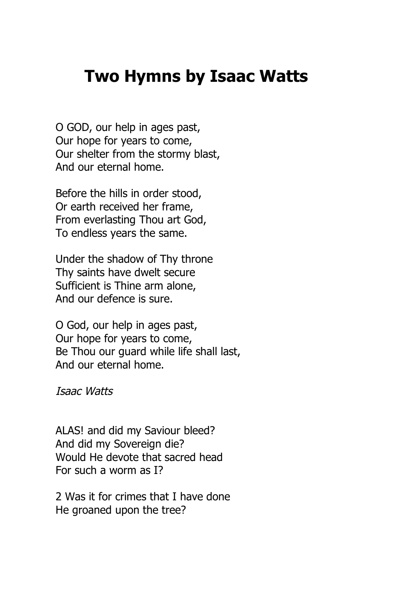#### **Two Hymns by Isaac Watts**

O GOD, our help in ages past, Our hope for years to come, Our shelter from the stormy blast, And our eternal home.

Before the hills in order stood, Or earth received her frame, From everlasting Thou art God, To endless years the same.

Under the shadow of Thy throne Thy saints have dwelt secure Sufficient is Thine arm alone, And our defence is sure.

O God, our help in ages past, Our hope for years to come, Be Thou our guard while life shall last, And our eternal home.

Isaac Watts

ALAS! and did my Saviour bleed? And did my Sovereign die? Would He devote that sacred head For such a worm as I?

2 Was it for crimes that I have done He groaned upon the tree?